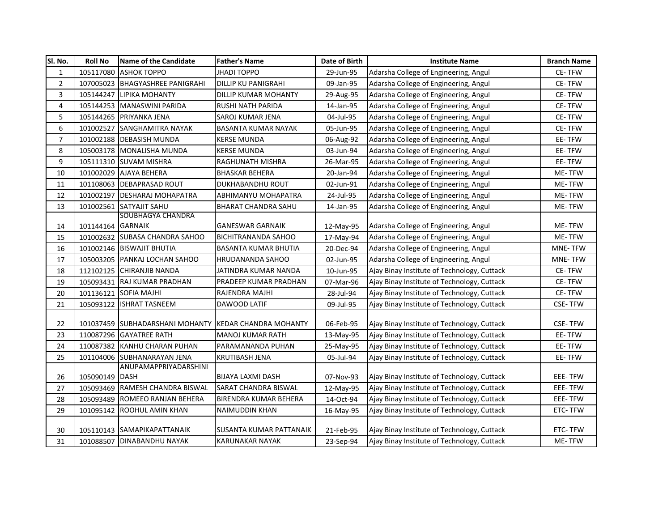| SI. No.        | <b>Roll No</b>    | Name of the Candidate                                 | <b>Father's Name</b>         | Date of Birth | <b>Institute Name</b>                       | <b>Branch Name</b> |
|----------------|-------------------|-------------------------------------------------------|------------------------------|---------------|---------------------------------------------|--------------------|
| $\mathbf{1}$   | 105117080         | <b>ASHOK TOPPO</b>                                    | JHADI TOPPO                  | 29-Jun-95     | Adarsha College of Engineering, Angul       | CE-TFW             |
| $\overline{c}$ |                   | 107005023 BHAGYASHREE PANIGRAHI                       | <b>DILLIP KU PANIGRAHI</b>   | 09-Jan-95     | Adarsha College of Engineering, Angul       | CE-TFW             |
| 3              | 105144247         | LIPIKA MOHANTY                                        | DILLIP KUMAR MOHANTY         | 29-Aug-95     | Adarsha College of Engineering, Angul       | <b>CE-TFW</b>      |
| 4              | 105144253         | MANASWINI PARIDA                                      | RUSHI NATH PARIDA            | 14-Jan-95     | Adarsha College of Engineering, Angul       | CE-TFW             |
| 5              |                   | 105144265 PRIYANKA JENA                               | SAROJ KUMAR JENA             | 04-Jul-95     | Adarsha College of Engineering, Angul       | CE-TFW             |
| 6              | 101002527         | <b>SANGHAMITRA NAYAK</b>                              | <b>BASANTA KUMAR NAYAK</b>   | 05-Jun-95     | Adarsha College of Engineering, Angul       | CE-TFW             |
| $\overline{7}$ |                   | 101002188 DEBASISH MUNDA                              | <b>KERSE MUNDA</b>           | 06-Aug-92     | Adarsha College of Engineering, Angul       | EE-TFW             |
| 8              |                   | 105003178 MONALISHA MUNDA                             | <b>KERSE MUNDA</b>           | 03-Jun-94     | Adarsha College of Engineering, Angul       | EE-TFW             |
| 9              |                   | 105111310 SUVAM MISHRA                                | RAGHUNATH MISHRA             | 26-Mar-95     | Adarsha College of Engineering, Angul       | EE-TFW             |
| 10             |                   | 101002029 AJAYA BEHERA                                | <b>BHASKAR BEHERA</b>        | 20-Jan-94     | Adarsha College of Engineering, Angul       | ME-TFW             |
| 11             |                   | 101108063 DEBAPRASAD ROUT                             | DUKHABANDHU ROUT             | 02-Jun-91     | Adarsha College of Engineering, Angul       | ME-TFW             |
| 12             | 101002197         | <b>DESHARAJ MOHAPATRA</b>                             | ABHIMANYU MOHAPATRA          | 24-Jul-95     | Adarsha College of Engineering, Angul       | ME-TFW             |
| 13             | 101002561         | <b>SATYAJIT SAHU</b>                                  | <b>BHARAT CHANDRA SAHU</b>   | 14-Jan-95     | Adarsha College of Engineering, Angul       | ME-TFW             |
|                |                   | <b>SOUBHAGYA CHANDRA</b>                              |                              |               |                                             |                    |
| 14             | 101144164 GARNAIK |                                                       | <b>GANESWAR GARNAIK</b>      | 12-May-95     | Adarsha College of Engineering, Angul       | ME-TFW             |
| 15             |                   | 101002632 SUBASA CHANDRA SAHOO                        | <b>BICHITRANANDA SAHOO</b>   | 17-May-94     | Adarsha College of Engineering, Angul       | ME-TFW             |
| 16             |                   | 101002146 BISWAJIT BHUTIA                             | <b>BASANTA KUMAR BHUTIA</b>  | 20-Dec-94     | Adarsha College of Engineering, Angul       | <b>MNE-TFW</b>     |
| 17             |                   | 105003205 PANKAJ LOCHAN SAHOO                         | <b>HRUDANANDA SAHOO</b>      | 02-Jun-95     | Adarsha College of Engineering, Angul       | <b>MNE-TFW</b>     |
| 18             |                   | 112102125 CHIRANJIB NANDA                             | JATINDRA KUMAR NANDA         | 10-Jun-95     | Ajay Binay Institute of Technology, Cuttack | CE-TFW             |
| 19             | 105093431         | RAJ KUMAR PRADHAN                                     | PRADEEP KUMAR PRADHAN        | 07-Mar-96     | Ajay Binay Institute of Technology, Cuttack | CE-TFW             |
| 20             |                   | 101136121 SOFIA MAJHI                                 | RAJENDRA MAJHI               | 28-Jul-94     | Ajay Binay Institute of Technology, Cuttack | CE-TFW             |
| 21             |                   | 105093122 ISHRAT TASNEEM                              | DAWOOD LATIF                 | 09-Jul-95     | Ajay Binay Institute of Technology, Cuttack | <b>CSE-TFW</b>     |
| 22             |                   | 101037459 SUBHADARSHANI MOHANTY KEDAR CHANDRA MOHANTY |                              | 06-Feb-95     | Ajay Binay Institute of Technology, Cuttack | <b>CSE-TFW</b>     |
| 23             |                   | 110087296 GAYATREE RATH                               | <b>MANOJ KUMAR RATH</b>      | 13-May-95     | Ajay Binay Institute of Technology, Cuttack | EE-TFW             |
| 24             |                   | 110087382 KANHU CHARAN PUHAN                          | PARAMANANDA PUHAN            | 25-May-95     | Ajay Binay Institute of Technology, Cuttack | EE-TFW             |
| 25             |                   | 101104006 SUBHANARAYAN JENA                           | <b>KRUTIBASH JENA</b>        | 05-Jul-94     | Ajay Binay Institute of Technology, Cuttack | EE-TFW             |
|                |                   | <b>ANUPAMAPPRIYADARSHINI</b>                          |                              |               |                                             |                    |
| 26             | 105090149 DASH    |                                                       | <b>BIJAYA LAXMI DASH</b>     | 07-Nov-93     | Ajay Binay Institute of Technology, Cuttack | <b>EEE-TFW</b>     |
| 27             |                   | 105093469 RAMESH CHANDRA BISWAL                       | SARAT CHANDRA BISWAL         | 12-May-95     | Ajay Binay Institute of Technology, Cuttack | EEE-TFW            |
| 28             |                   | 105093489 ROMEEO RANJAN BEHERA                        | <b>BIRENDRA KUMAR BEHERA</b> | 14-Oct-94     | Ajay Binay Institute of Technology, Cuttack | EEE-TFW            |
| 29             | 101095142         | <b>ROOHUL AMIN KHAN</b>                               | <b>NAIMUDDIN KHAN</b>        | 16-May-95     | Ajay Binay Institute of Technology, Cuttack | ETC-TFW            |
| 30             |                   | 105110143 SAMAPIKAPATTANAIK                           | SUSANTA KUMAR PATTANAIK      | 21-Feb-95     | Ajay Binay Institute of Technology, Cuttack | ETC-TFW            |
| 31             |                   | 101088507 DINABANDHU NAYAK                            | <b>KARUNAKAR NAYAK</b>       | 23-Sep-94     | Ajay Binay Institute of Technology, Cuttack | ME-TFW             |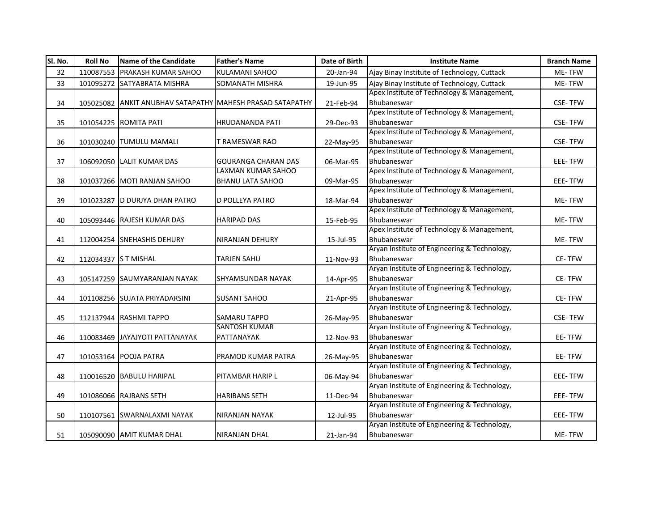| SI. No. | <b>Roll No</b>       | Name of the Candidate          | <b>Father's Name</b>                                      | Date of Birth | <b>Institute Name</b>                                       | <b>Branch Name</b> |
|---------|----------------------|--------------------------------|-----------------------------------------------------------|---------------|-------------------------------------------------------------|--------------------|
| 32      |                      | 110087553 PRAKASH KUMAR SAHOO  | KULAMANI SAHOO                                            | 20-Jan-94     | Ajay Binay Institute of Technology, Cuttack                 | ME-TFW             |
| 33      |                      | 101095272 SATYABRATA MISHRA    | <b>SOMANATH MISHRA</b>                                    | 19-Jun-95     | Ajay Binay Institute of Technology, Cuttack                 | ME-TFW             |
|         |                      |                                |                                                           |               | Apex Institute of Technology & Management,                  |                    |
| 34      |                      |                                | 105025082 ANKIT ANUBHAV SATAPATHY MAHESH PRASAD SATAPATHY | 21-Feb-94     | Bhubaneswar                                                 | <b>CSE-TFW</b>     |
|         |                      |                                |                                                           |               | Apex Institute of Technology & Management,                  |                    |
| 35      |                      | 101054225 ROMITA PATI          | HRUDANANDA PATI                                           | 29-Dec-93     | Bhubaneswar                                                 | <b>CSE-TFW</b>     |
|         |                      |                                |                                                           |               | Apex Institute of Technology & Management,                  |                    |
| 36      |                      | 101030240 TUMULU MAMALI        | T RAMESWAR RAO                                            | 22-May-95     | Bhubaneswar                                                 | <b>CSE-TFW</b>     |
|         |                      |                                |                                                           |               | Apex Institute of Technology & Management,                  |                    |
| 37      |                      | 106092050 LALIT KUMAR DAS      | <b>GOURANGA CHARAN DAS</b>                                | 06-Mar-95     | Bhubaneswar                                                 | EEE-TFW            |
|         |                      |                                | LAXMAN KUMAR SAHOO                                        |               | Apex Institute of Technology & Management,                  |                    |
| 38      |                      | 101037266 MOTI RANJAN SAHOO    | <b>BHANU LATA SAHOO</b>                                   | 09-Mar-95     | Bhubaneswar                                                 | EEE-TFW            |
|         |                      |                                |                                                           |               | Apex Institute of Technology & Management,                  |                    |
| 39      |                      | 101023287 D DURJYA DHAN PATRO  | D POLLEYA PATRO                                           | 18-Mar-94     | Bhubaneswar                                                 | ME-TFW             |
|         |                      |                                |                                                           |               | Apex Institute of Technology & Management,                  |                    |
| 40      |                      | 105093446 RAJESH KUMAR DAS     | <b>HARIPAD DAS</b>                                        | 15-Feb-95     | Bhubaneswar                                                 | ME-TFW             |
|         |                      |                                |                                                           |               | Apex Institute of Technology & Management,                  |                    |
| 41      |                      | 112004254 SNEHASHIS DEHURY     | <b>NIRANJAN DEHURY</b>                                    | 15-Jul-95     | Bhubaneswar                                                 | ME-TFW             |
|         |                      |                                |                                                           |               | Aryan Institute of Engineering & Technology,                |                    |
| 42      | 112034337 S T MISHAL |                                | <b>TARJEN SAHU</b>                                        | 11-Nov-93     | Bhubaneswar                                                 | CE-TFW             |
|         |                      |                                |                                                           |               | Aryan Institute of Engineering & Technology,                |                    |
| 43      |                      | 105147259 SAUMYARANJAN NAYAK   | <b>SHYAMSUNDAR NAYAK</b>                                  | 14-Apr-95     | Bhubaneswar                                                 | CE-TFW             |
|         |                      |                                |                                                           |               | Aryan Institute of Engineering & Technology,                |                    |
| 44      |                      | 101108256 SUJATA PRIYADARSINI  | <b>SUSANT SAHOO</b>                                       | 21-Apr-95     | Bhubaneswar                                                 | CE-TFW             |
|         |                      |                                |                                                           |               | Aryan Institute of Engineering & Technology,                |                    |
| 45      |                      | 112137944 RASHMI TAPPO         | <b>SAMARU TAPPO</b>                                       | 26-May-95     | Bhubaneswar                                                 | <b>CSE-TFW</b>     |
|         |                      |                                | <b>SANTOSH KUMAR</b>                                      |               | Aryan Institute of Engineering & Technology,                |                    |
| 46      |                      | 110083469 JAYAJYOTI PATTANAYAK | PATTANAYAK                                                | 12-Nov-93     | Bhubaneswar                                                 | EE-TFW             |
|         |                      |                                |                                                           |               | Aryan Institute of Engineering & Technology,                |                    |
| 47      |                      | 101053164 POOJA PATRA          | PRAMOD KUMAR PATRA                                        | 26-May-95     | Bhubaneswar                                                 | EE-TFW             |
|         |                      |                                |                                                           |               | Aryan Institute of Engineering & Technology,                |                    |
| 48      |                      | 110016520 BABULU HARIPAL       | PITAMBAR HARIP L                                          | 06-May-94     | Bhubaneswar                                                 | EEE-TFW            |
|         |                      |                                |                                                           |               | Aryan Institute of Engineering & Technology,                |                    |
| 49      |                      | 101086066 RAJBANS SETH         | <b>HARIBANS SETH</b>                                      | 11-Dec-94     | Bhubaneswar                                                 | EEE-TFW            |
|         |                      |                                |                                                           |               | Aryan Institute of Engineering & Technology,                |                    |
| 50      |                      | 110107561 SWARNALAXMI NAYAK    | NIRANJAN NAYAK                                            | 12-Jul-95     | Bhubaneswar<br>Aryan Institute of Engineering & Technology, | EEE-TFW            |
|         |                      |                                |                                                           |               |                                                             |                    |
| 51      |                      | 105090090 AMIT KUMAR DHAL      | NIRANJAN DHAL                                             | 21-Jan-94     | Bhubaneswar                                                 | ME-TFW             |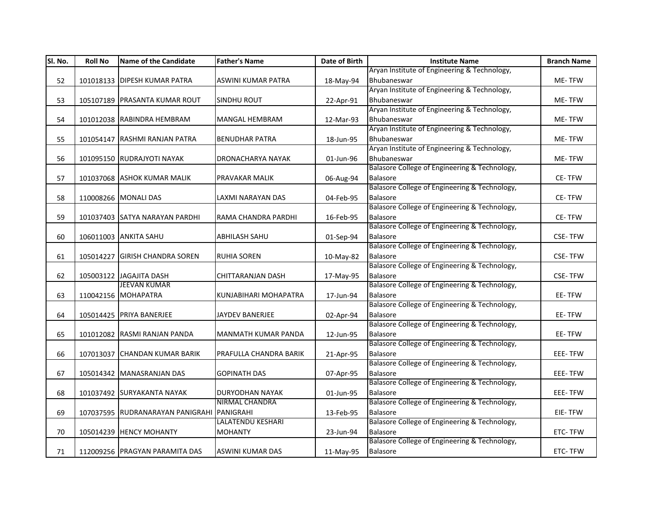| Sl. No. | <b>Roll No</b> | <b>Name of the Candidate</b>               | <b>Father's Name</b>              | Date of Birth | <b>Institute Name</b>                                            | <b>Branch Name</b> |
|---------|----------------|--------------------------------------------|-----------------------------------|---------------|------------------------------------------------------------------|--------------------|
|         |                |                                            |                                   |               | Aryan Institute of Engineering & Technology,                     |                    |
| 52      |                | 101018133 DIPESH KUMAR PATRA               | <b>ASWINI KUMAR PATRA</b>         | 18-May-94     | Bhubaneswar                                                      | ME-TFW             |
|         |                |                                            |                                   |               | Aryan Institute of Engineering & Technology,                     |                    |
| 53      |                | 105107189 PRASANTA KUMAR ROUT              | <b>SINDHU ROUT</b>                | 22-Apr-91     | Bhubaneswar                                                      | ME-TFW             |
|         |                |                                            |                                   |               | Aryan Institute of Engineering & Technology,                     |                    |
| 54      |                | 101012038 RABINDRA HEMBRAM                 | <b>MANGAL HEMBRAM</b>             | 12-Mar-93     | Bhubaneswar                                                      | ME-TFW             |
|         |                |                                            |                                   |               | Aryan Institute of Engineering & Technology,                     |                    |
| 55      |                | 101054147 RASHMI RANJAN PATRA              | <b>BENUDHAR PATRA</b>             | 18-Jun-95     | Bhubaneswar                                                      | ME-TFW             |
|         |                |                                            |                                   |               | Aryan Institute of Engineering & Technology,                     |                    |
| 56      |                | 101095150 RUDRAJYOTI NAYAK                 | DRONACHARYA NAYAK                 | 01-Jun-96     | Bhubaneswar                                                      | ME-TFW             |
|         |                |                                            |                                   |               | Balasore College of Engineering & Technology,                    |                    |
| 57      |                | 101037068 ASHOK KUMAR MALIK                | PRAVAKAR MALIK                    | 06-Aug-94     | <b>Balasore</b>                                                  | CE-TFW             |
|         |                |                                            |                                   |               | Balasore College of Engineering & Technology,                    |                    |
| 58      |                | 110008266 MONALI DAS                       | LAXMI NARAYAN DAS                 | 04-Feb-95     | <b>Balasore</b>                                                  | CE-TFW             |
|         |                |                                            |                                   |               | Balasore College of Engineering & Technology,                    |                    |
| 59      |                | 101037403 SATYA NARAYAN PARDHI             | RAMA CHANDRA PARDHI               | 16-Feb-95     | Balasore                                                         | CE-TFW             |
|         |                |                                            |                                   |               | Balasore College of Engineering & Technology,                    |                    |
| 60      |                | 106011003 ANKITA SAHU                      | <b>ABHILASH SAHU</b>              | 01-Sep-94     | <b>Balasore</b>                                                  | <b>CSE-TFW</b>     |
|         |                |                                            |                                   |               | Balasore College of Engineering & Technology,                    |                    |
| 61      | 105014227      | <b>GIRISH CHANDRA SOREN</b>                | <b>RUHIA SOREN</b>                | 10-May-82     | <b>Balasore</b>                                                  | <b>CSE-TFW</b>     |
|         |                |                                            |                                   |               | Balasore College of Engineering & Technology,                    |                    |
| 62      |                | 105003122 JAGAJITA DASH                    | CHITTARANJAN DASH                 | 17-May-95     | Balasore                                                         | <b>CSE-TFW</b>     |
|         |                | <b>JEEVAN KUMAR</b>                        |                                   |               | Balasore College of Engineering & Technology,                    |                    |
| 63      |                | 110042156 MOHAPATRA                        | KUNJABIHARI MOHAPATRA             | 17-Jun-94     | Balasore                                                         | EE-TFW             |
|         |                |                                            |                                   |               | Balasore College of Engineering & Technology,                    |                    |
| 64      |                | 105014425 PRIYA BANERJEE                   | <b>JAYDEV BANERJEE</b>            | 02-Apr-94     | <b>Balasore</b>                                                  | EE-TFW             |
|         |                |                                            |                                   |               | Balasore College of Engineering & Technology,                    |                    |
| 65      |                | 101012082 RASMI RANJAN PANDA               | MANMATH KUMAR PANDA               | 12-Jun-95     | Balasore<br>Balasore College of Engineering & Technology,        | EE-TFW             |
|         |                |                                            |                                   |               |                                                                  |                    |
| 66      |                | 107013037 CHANDAN KUMAR BARIK              | PRAFULLA CHANDRA BARIK            | 21-Apr-95     | Balasore<br>Balasore College of Engineering & Technology,        | EEE-TFW            |
|         |                |                                            |                                   |               |                                                                  |                    |
| 67      |                | 105014342 MANASRANJAN DAS                  | <b>GOPINATH DAS</b>               | 07-Apr-95     | Balasore<br>Balasore College of Engineering & Technology,        | EEE-TFW            |
|         |                |                                            |                                   |               | <b>Balasore</b>                                                  |                    |
| 68      |                | 101037492 SURYAKANTA NAYAK                 | DURYODHAN NAYAK<br>NIRMAL CHANDRA | 01-Jun-95     | Balasore College of Engineering & Technology,                    | EEE-TFW            |
|         |                |                                            |                                   |               |                                                                  |                    |
| 69      |                | 107037595 RUDRANARAYAN PANIGRAHI PANIGRAHI | <b>LALATENDU KESHARI</b>          | 13-Feb-95     | <b>Balasore</b><br>Balasore College of Engineering & Technology, | EIE-TFW            |
|         |                |                                            | <b>MOHANTY</b>                    |               | Balasore                                                         | ETC-TFW            |
| 70      |                | 105014239 HENCY MOHANTY                    |                                   | 23-Jun-94     | Balasore College of Engineering & Technology,                    |                    |
|         |                |                                            |                                   |               |                                                                  |                    |
| 71      |                | 112009256 PRAGYAN PARAMITA DAS             | <b>ASWINI KUMAR DAS</b>           | 11-May-95     | <b>Balasore</b>                                                  | ETC-TFW            |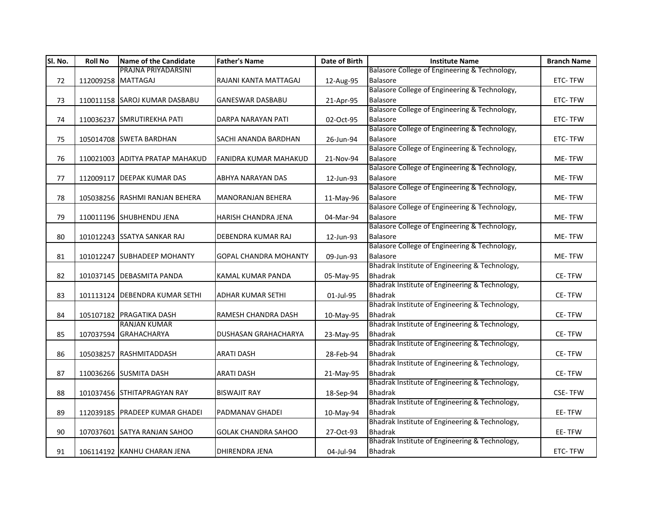| PRAJNA PRIYADARSINI<br>Balasore College of Engineering & Technology,<br><b>Balasore</b><br>72<br>112009258 MATTAGAJ<br>RAJANI KANTA MATTAGAJ<br>12-Aug-95<br>ETC-TFW<br>Balasore College of Engineering & Technology,<br>Balasore<br>73<br>110011158 SAROJ KUMAR DASBABU<br><b>GANESWAR DASBABU</b><br>ETC-TFW<br>21-Apr-95<br>Balasore College of Engineering & Technology,<br>110036237 SMRUTIREKHA PATI<br><b>Balasore</b><br>ETC-TFW<br>74<br>DARPA NARAYAN PATI<br>02-Oct-95<br>Balasore College of Engineering & Technology,<br>105014708 SWETA BARDHAN<br><b>SACHI ANANDA BARDHAN</b><br>Balasore<br>ETC-TFW<br>75<br>26-Jun-94<br>Balasore College of Engineering & Technology,<br>Balasore<br>110021003 ADITYA PRATAP MAHAKUD<br><b>FANIDRA KUMAR MAHAKUD</b><br>ME-TFW<br>76<br>21-Nov-94<br>Balasore College of Engineering & Technology,<br><b>Balasore</b><br>77<br>112009117 DEEPAK KUMAR DAS<br>ABHYA NARAYAN DAS<br>12-Jun-93<br>ME-TFW<br>Balasore College of Engineering & Technology,<br><b>Balasore</b><br>78<br>105038256 RASHMI RANJAN BEHERA<br><b>MANORANJAN BEHERA</b><br>ME-TFW<br>11-May-96<br>Balasore College of Engineering & Technology,<br>79<br>Balasore<br>110011196 SHUBHENDU JENA<br>HARISH CHANDRA JENA<br>04-Mar-94<br>ME-TFW<br>Balasore College of Engineering & Technology,<br>Balasore<br>101012243 SSATYA SANKAR RAJ<br>DEBENDRA KUMAR RAJ<br>ME-TFW<br>80<br>12-Jun-93<br>Balasore College of Engineering & Technology,<br><b>Balasore</b><br>81<br>101012247 SUBHADEEP MOHANTY<br><b>GOPAL CHANDRA MOHANTY</b><br>09-Jun-93<br>ME-TFW<br>Bhadrak Institute of Engineering & Technology,<br><b>Bhadrak</b><br>82<br>101037145   DEBASMITA PANDA<br>KAMAL KUMAR PANDA<br>05-May-95<br><b>CE-TFW</b><br>Bhadrak Institute of Engineering & Technology,<br><b>Bhadrak</b><br>83<br>101113124 DEBENDRA KUMAR SETHI<br><b>ADHAR KUMAR SETHI</b><br>01-Jul-95<br>CE-TFW<br>Bhadrak Institute of Engineering & Technology,<br><b>Bhadrak</b><br>CE-TFW<br>105107182 PRAGATIKA DASH<br>RAMESH CHANDRA DASH<br>84<br>10-May-95<br><b>RANJAN KUMAR</b><br>Bhadrak Institute of Engineering & Technology,<br>107037594 GRAHACHARYA<br><b>Bhadrak</b><br>CE-TFW<br>85<br>DUSHASAN GRAHACHARYA<br>23-May-95<br>Bhadrak Institute of Engineering & Technology,<br><b>Bhadrak</b><br>105038257 RASHMITADDASH<br><b>ARATI DASH</b><br>CE-TFW<br>86<br>28-Feb-94<br>Bhadrak Institute of Engineering & Technology,<br><b>Bhadrak</b><br>87<br>110036266 SUSMITA DASH<br><b>ARATI DASH</b><br>CE-TFW<br>21-May-95<br>Bhadrak Institute of Engineering & Technology,<br><b>Bhadrak</b><br>101037456 STHITAPRAGYAN RAY<br><b>BISWAJIT RAY</b><br><b>CSE-TFW</b><br>88<br>18-Sep-94<br>Bhadrak Institute of Engineering & Technology,<br><b>Bhadrak</b><br>89<br>112039185 PRADEEP KUMAR GHADEI<br>PADMANAV GHADEI<br>EE-TFW<br>10-May-94<br>Bhadrak Institute of Engineering & Technology,<br><b>Bhadrak</b><br>107037601 SATYA RANJAN SAHOO<br><b>GOLAK CHANDRA SAHOO</b><br>EE-TFW<br>90<br>27-Oct-93<br>Bhadrak Institute of Engineering & Technology, | Sl. No. | <b>Roll No</b> | Name of the Candidate | <b>Father's Name</b>  | Date of Birth | <b>Institute Name</b> | <b>Branch Name</b> |
|-----------------------------------------------------------------------------------------------------------------------------------------------------------------------------------------------------------------------------------------------------------------------------------------------------------------------------------------------------------------------------------------------------------------------------------------------------------------------------------------------------------------------------------------------------------------------------------------------------------------------------------------------------------------------------------------------------------------------------------------------------------------------------------------------------------------------------------------------------------------------------------------------------------------------------------------------------------------------------------------------------------------------------------------------------------------------------------------------------------------------------------------------------------------------------------------------------------------------------------------------------------------------------------------------------------------------------------------------------------------------------------------------------------------------------------------------------------------------------------------------------------------------------------------------------------------------------------------------------------------------------------------------------------------------------------------------------------------------------------------------------------------------------------------------------------------------------------------------------------------------------------------------------------------------------------------------------------------------------------------------------------------------------------------------------------------------------------------------------------------------------------------------------------------------------------------------------------------------------------------------------------------------------------------------------------------------------------------------------------------------------------------------------------------------------------------------------------------------------------------------------------------------------------------------------------------------------------------------------------------------------------------------------------------------------------------------------------------------------------------------------------------------------------------------------------------------------------------------------------------------------------------------------------------------------------------------------------------------------------------------------------------------------------------------------------------------------------|---------|----------------|-----------------------|-----------------------|---------------|-----------------------|--------------------|
|                                                                                                                                                                                                                                                                                                                                                                                                                                                                                                                                                                                                                                                                                                                                                                                                                                                                                                                                                                                                                                                                                                                                                                                                                                                                                                                                                                                                                                                                                                                                                                                                                                                                                                                                                                                                                                                                                                                                                                                                                                                                                                                                                                                                                                                                                                                                                                                                                                                                                                                                                                                                                                                                                                                                                                                                                                                                                                                                                                                                                                                                                   |         |                |                       |                       |               |                       |                    |
|                                                                                                                                                                                                                                                                                                                                                                                                                                                                                                                                                                                                                                                                                                                                                                                                                                                                                                                                                                                                                                                                                                                                                                                                                                                                                                                                                                                                                                                                                                                                                                                                                                                                                                                                                                                                                                                                                                                                                                                                                                                                                                                                                                                                                                                                                                                                                                                                                                                                                                                                                                                                                                                                                                                                                                                                                                                                                                                                                                                                                                                                                   |         |                |                       |                       |               |                       |                    |
|                                                                                                                                                                                                                                                                                                                                                                                                                                                                                                                                                                                                                                                                                                                                                                                                                                                                                                                                                                                                                                                                                                                                                                                                                                                                                                                                                                                                                                                                                                                                                                                                                                                                                                                                                                                                                                                                                                                                                                                                                                                                                                                                                                                                                                                                                                                                                                                                                                                                                                                                                                                                                                                                                                                                                                                                                                                                                                                                                                                                                                                                                   |         |                |                       |                       |               |                       |                    |
|                                                                                                                                                                                                                                                                                                                                                                                                                                                                                                                                                                                                                                                                                                                                                                                                                                                                                                                                                                                                                                                                                                                                                                                                                                                                                                                                                                                                                                                                                                                                                                                                                                                                                                                                                                                                                                                                                                                                                                                                                                                                                                                                                                                                                                                                                                                                                                                                                                                                                                                                                                                                                                                                                                                                                                                                                                                                                                                                                                                                                                                                                   |         |                |                       |                       |               |                       |                    |
|                                                                                                                                                                                                                                                                                                                                                                                                                                                                                                                                                                                                                                                                                                                                                                                                                                                                                                                                                                                                                                                                                                                                                                                                                                                                                                                                                                                                                                                                                                                                                                                                                                                                                                                                                                                                                                                                                                                                                                                                                                                                                                                                                                                                                                                                                                                                                                                                                                                                                                                                                                                                                                                                                                                                                                                                                                                                                                                                                                                                                                                                                   |         |                |                       |                       |               |                       |                    |
|                                                                                                                                                                                                                                                                                                                                                                                                                                                                                                                                                                                                                                                                                                                                                                                                                                                                                                                                                                                                                                                                                                                                                                                                                                                                                                                                                                                                                                                                                                                                                                                                                                                                                                                                                                                                                                                                                                                                                                                                                                                                                                                                                                                                                                                                                                                                                                                                                                                                                                                                                                                                                                                                                                                                                                                                                                                                                                                                                                                                                                                                                   |         |                |                       |                       |               |                       |                    |
|                                                                                                                                                                                                                                                                                                                                                                                                                                                                                                                                                                                                                                                                                                                                                                                                                                                                                                                                                                                                                                                                                                                                                                                                                                                                                                                                                                                                                                                                                                                                                                                                                                                                                                                                                                                                                                                                                                                                                                                                                                                                                                                                                                                                                                                                                                                                                                                                                                                                                                                                                                                                                                                                                                                                                                                                                                                                                                                                                                                                                                                                                   |         |                |                       |                       |               |                       |                    |
|                                                                                                                                                                                                                                                                                                                                                                                                                                                                                                                                                                                                                                                                                                                                                                                                                                                                                                                                                                                                                                                                                                                                                                                                                                                                                                                                                                                                                                                                                                                                                                                                                                                                                                                                                                                                                                                                                                                                                                                                                                                                                                                                                                                                                                                                                                                                                                                                                                                                                                                                                                                                                                                                                                                                                                                                                                                                                                                                                                                                                                                                                   |         |                |                       |                       |               |                       |                    |
|                                                                                                                                                                                                                                                                                                                                                                                                                                                                                                                                                                                                                                                                                                                                                                                                                                                                                                                                                                                                                                                                                                                                                                                                                                                                                                                                                                                                                                                                                                                                                                                                                                                                                                                                                                                                                                                                                                                                                                                                                                                                                                                                                                                                                                                                                                                                                                                                                                                                                                                                                                                                                                                                                                                                                                                                                                                                                                                                                                                                                                                                                   |         |                |                       |                       |               |                       |                    |
|                                                                                                                                                                                                                                                                                                                                                                                                                                                                                                                                                                                                                                                                                                                                                                                                                                                                                                                                                                                                                                                                                                                                                                                                                                                                                                                                                                                                                                                                                                                                                                                                                                                                                                                                                                                                                                                                                                                                                                                                                                                                                                                                                                                                                                                                                                                                                                                                                                                                                                                                                                                                                                                                                                                                                                                                                                                                                                                                                                                                                                                                                   |         |                |                       |                       |               |                       |                    |
|                                                                                                                                                                                                                                                                                                                                                                                                                                                                                                                                                                                                                                                                                                                                                                                                                                                                                                                                                                                                                                                                                                                                                                                                                                                                                                                                                                                                                                                                                                                                                                                                                                                                                                                                                                                                                                                                                                                                                                                                                                                                                                                                                                                                                                                                                                                                                                                                                                                                                                                                                                                                                                                                                                                                                                                                                                                                                                                                                                                                                                                                                   |         |                |                       |                       |               |                       |                    |
|                                                                                                                                                                                                                                                                                                                                                                                                                                                                                                                                                                                                                                                                                                                                                                                                                                                                                                                                                                                                                                                                                                                                                                                                                                                                                                                                                                                                                                                                                                                                                                                                                                                                                                                                                                                                                                                                                                                                                                                                                                                                                                                                                                                                                                                                                                                                                                                                                                                                                                                                                                                                                                                                                                                                                                                                                                                                                                                                                                                                                                                                                   |         |                |                       |                       |               |                       |                    |
|                                                                                                                                                                                                                                                                                                                                                                                                                                                                                                                                                                                                                                                                                                                                                                                                                                                                                                                                                                                                                                                                                                                                                                                                                                                                                                                                                                                                                                                                                                                                                                                                                                                                                                                                                                                                                                                                                                                                                                                                                                                                                                                                                                                                                                                                                                                                                                                                                                                                                                                                                                                                                                                                                                                                                                                                                                                                                                                                                                                                                                                                                   |         |                |                       |                       |               |                       |                    |
|                                                                                                                                                                                                                                                                                                                                                                                                                                                                                                                                                                                                                                                                                                                                                                                                                                                                                                                                                                                                                                                                                                                                                                                                                                                                                                                                                                                                                                                                                                                                                                                                                                                                                                                                                                                                                                                                                                                                                                                                                                                                                                                                                                                                                                                                                                                                                                                                                                                                                                                                                                                                                                                                                                                                                                                                                                                                                                                                                                                                                                                                                   |         |                |                       |                       |               |                       |                    |
|                                                                                                                                                                                                                                                                                                                                                                                                                                                                                                                                                                                                                                                                                                                                                                                                                                                                                                                                                                                                                                                                                                                                                                                                                                                                                                                                                                                                                                                                                                                                                                                                                                                                                                                                                                                                                                                                                                                                                                                                                                                                                                                                                                                                                                                                                                                                                                                                                                                                                                                                                                                                                                                                                                                                                                                                                                                                                                                                                                                                                                                                                   |         |                |                       |                       |               |                       |                    |
|                                                                                                                                                                                                                                                                                                                                                                                                                                                                                                                                                                                                                                                                                                                                                                                                                                                                                                                                                                                                                                                                                                                                                                                                                                                                                                                                                                                                                                                                                                                                                                                                                                                                                                                                                                                                                                                                                                                                                                                                                                                                                                                                                                                                                                                                                                                                                                                                                                                                                                                                                                                                                                                                                                                                                                                                                                                                                                                                                                                                                                                                                   |         |                |                       |                       |               |                       |                    |
|                                                                                                                                                                                                                                                                                                                                                                                                                                                                                                                                                                                                                                                                                                                                                                                                                                                                                                                                                                                                                                                                                                                                                                                                                                                                                                                                                                                                                                                                                                                                                                                                                                                                                                                                                                                                                                                                                                                                                                                                                                                                                                                                                                                                                                                                                                                                                                                                                                                                                                                                                                                                                                                                                                                                                                                                                                                                                                                                                                                                                                                                                   |         |                |                       |                       |               |                       |                    |
|                                                                                                                                                                                                                                                                                                                                                                                                                                                                                                                                                                                                                                                                                                                                                                                                                                                                                                                                                                                                                                                                                                                                                                                                                                                                                                                                                                                                                                                                                                                                                                                                                                                                                                                                                                                                                                                                                                                                                                                                                                                                                                                                                                                                                                                                                                                                                                                                                                                                                                                                                                                                                                                                                                                                                                                                                                                                                                                                                                                                                                                                                   |         |                |                       |                       |               |                       |                    |
|                                                                                                                                                                                                                                                                                                                                                                                                                                                                                                                                                                                                                                                                                                                                                                                                                                                                                                                                                                                                                                                                                                                                                                                                                                                                                                                                                                                                                                                                                                                                                                                                                                                                                                                                                                                                                                                                                                                                                                                                                                                                                                                                                                                                                                                                                                                                                                                                                                                                                                                                                                                                                                                                                                                                                                                                                                                                                                                                                                                                                                                                                   |         |                |                       |                       |               |                       |                    |
|                                                                                                                                                                                                                                                                                                                                                                                                                                                                                                                                                                                                                                                                                                                                                                                                                                                                                                                                                                                                                                                                                                                                                                                                                                                                                                                                                                                                                                                                                                                                                                                                                                                                                                                                                                                                                                                                                                                                                                                                                                                                                                                                                                                                                                                                                                                                                                                                                                                                                                                                                                                                                                                                                                                                                                                                                                                                                                                                                                                                                                                                                   |         |                |                       |                       |               |                       |                    |
|                                                                                                                                                                                                                                                                                                                                                                                                                                                                                                                                                                                                                                                                                                                                                                                                                                                                                                                                                                                                                                                                                                                                                                                                                                                                                                                                                                                                                                                                                                                                                                                                                                                                                                                                                                                                                                                                                                                                                                                                                                                                                                                                                                                                                                                                                                                                                                                                                                                                                                                                                                                                                                                                                                                                                                                                                                                                                                                                                                                                                                                                                   |         |                |                       |                       |               |                       |                    |
|                                                                                                                                                                                                                                                                                                                                                                                                                                                                                                                                                                                                                                                                                                                                                                                                                                                                                                                                                                                                                                                                                                                                                                                                                                                                                                                                                                                                                                                                                                                                                                                                                                                                                                                                                                                                                                                                                                                                                                                                                                                                                                                                                                                                                                                                                                                                                                                                                                                                                                                                                                                                                                                                                                                                                                                                                                                                                                                                                                                                                                                                                   |         |                |                       |                       |               |                       |                    |
|                                                                                                                                                                                                                                                                                                                                                                                                                                                                                                                                                                                                                                                                                                                                                                                                                                                                                                                                                                                                                                                                                                                                                                                                                                                                                                                                                                                                                                                                                                                                                                                                                                                                                                                                                                                                                                                                                                                                                                                                                                                                                                                                                                                                                                                                                                                                                                                                                                                                                                                                                                                                                                                                                                                                                                                                                                                                                                                                                                                                                                                                                   |         |                |                       |                       |               |                       |                    |
|                                                                                                                                                                                                                                                                                                                                                                                                                                                                                                                                                                                                                                                                                                                                                                                                                                                                                                                                                                                                                                                                                                                                                                                                                                                                                                                                                                                                                                                                                                                                                                                                                                                                                                                                                                                                                                                                                                                                                                                                                                                                                                                                                                                                                                                                                                                                                                                                                                                                                                                                                                                                                                                                                                                                                                                                                                                                                                                                                                                                                                                                                   |         |                |                       |                       |               |                       |                    |
|                                                                                                                                                                                                                                                                                                                                                                                                                                                                                                                                                                                                                                                                                                                                                                                                                                                                                                                                                                                                                                                                                                                                                                                                                                                                                                                                                                                                                                                                                                                                                                                                                                                                                                                                                                                                                                                                                                                                                                                                                                                                                                                                                                                                                                                                                                                                                                                                                                                                                                                                                                                                                                                                                                                                                                                                                                                                                                                                                                                                                                                                                   |         |                |                       |                       |               |                       |                    |
|                                                                                                                                                                                                                                                                                                                                                                                                                                                                                                                                                                                                                                                                                                                                                                                                                                                                                                                                                                                                                                                                                                                                                                                                                                                                                                                                                                                                                                                                                                                                                                                                                                                                                                                                                                                                                                                                                                                                                                                                                                                                                                                                                                                                                                                                                                                                                                                                                                                                                                                                                                                                                                                                                                                                                                                                                                                                                                                                                                                                                                                                                   |         |                |                       |                       |               |                       |                    |
|                                                                                                                                                                                                                                                                                                                                                                                                                                                                                                                                                                                                                                                                                                                                                                                                                                                                                                                                                                                                                                                                                                                                                                                                                                                                                                                                                                                                                                                                                                                                                                                                                                                                                                                                                                                                                                                                                                                                                                                                                                                                                                                                                                                                                                                                                                                                                                                                                                                                                                                                                                                                                                                                                                                                                                                                                                                                                                                                                                                                                                                                                   |         |                |                       |                       |               |                       |                    |
|                                                                                                                                                                                                                                                                                                                                                                                                                                                                                                                                                                                                                                                                                                                                                                                                                                                                                                                                                                                                                                                                                                                                                                                                                                                                                                                                                                                                                                                                                                                                                                                                                                                                                                                                                                                                                                                                                                                                                                                                                                                                                                                                                                                                                                                                                                                                                                                                                                                                                                                                                                                                                                                                                                                                                                                                                                                                                                                                                                                                                                                                                   |         |                |                       |                       |               |                       |                    |
|                                                                                                                                                                                                                                                                                                                                                                                                                                                                                                                                                                                                                                                                                                                                                                                                                                                                                                                                                                                                                                                                                                                                                                                                                                                                                                                                                                                                                                                                                                                                                                                                                                                                                                                                                                                                                                                                                                                                                                                                                                                                                                                                                                                                                                                                                                                                                                                                                                                                                                                                                                                                                                                                                                                                                                                                                                                                                                                                                                                                                                                                                   |         |                |                       |                       |               |                       |                    |
|                                                                                                                                                                                                                                                                                                                                                                                                                                                                                                                                                                                                                                                                                                                                                                                                                                                                                                                                                                                                                                                                                                                                                                                                                                                                                                                                                                                                                                                                                                                                                                                                                                                                                                                                                                                                                                                                                                                                                                                                                                                                                                                                                                                                                                                                                                                                                                                                                                                                                                                                                                                                                                                                                                                                                                                                                                                                                                                                                                                                                                                                                   |         |                |                       |                       |               |                       |                    |
|                                                                                                                                                                                                                                                                                                                                                                                                                                                                                                                                                                                                                                                                                                                                                                                                                                                                                                                                                                                                                                                                                                                                                                                                                                                                                                                                                                                                                                                                                                                                                                                                                                                                                                                                                                                                                                                                                                                                                                                                                                                                                                                                                                                                                                                                                                                                                                                                                                                                                                                                                                                                                                                                                                                                                                                                                                                                                                                                                                                                                                                                                   |         |                |                       |                       |               |                       |                    |
|                                                                                                                                                                                                                                                                                                                                                                                                                                                                                                                                                                                                                                                                                                                                                                                                                                                                                                                                                                                                                                                                                                                                                                                                                                                                                                                                                                                                                                                                                                                                                                                                                                                                                                                                                                                                                                                                                                                                                                                                                                                                                                                                                                                                                                                                                                                                                                                                                                                                                                                                                                                                                                                                                                                                                                                                                                                                                                                                                                                                                                                                                   |         |                |                       |                       |               |                       |                    |
|                                                                                                                                                                                                                                                                                                                                                                                                                                                                                                                                                                                                                                                                                                                                                                                                                                                                                                                                                                                                                                                                                                                                                                                                                                                                                                                                                                                                                                                                                                                                                                                                                                                                                                                                                                                                                                                                                                                                                                                                                                                                                                                                                                                                                                                                                                                                                                                                                                                                                                                                                                                                                                                                                                                                                                                                                                                                                                                                                                                                                                                                                   |         |                |                       |                       |               |                       |                    |
|                                                                                                                                                                                                                                                                                                                                                                                                                                                                                                                                                                                                                                                                                                                                                                                                                                                                                                                                                                                                                                                                                                                                                                                                                                                                                                                                                                                                                                                                                                                                                                                                                                                                                                                                                                                                                                                                                                                                                                                                                                                                                                                                                                                                                                                                                                                                                                                                                                                                                                                                                                                                                                                                                                                                                                                                                                                                                                                                                                                                                                                                                   |         |                |                       |                       |               |                       |                    |
|                                                                                                                                                                                                                                                                                                                                                                                                                                                                                                                                                                                                                                                                                                                                                                                                                                                                                                                                                                                                                                                                                                                                                                                                                                                                                                                                                                                                                                                                                                                                                                                                                                                                                                                                                                                                                                                                                                                                                                                                                                                                                                                                                                                                                                                                                                                                                                                                                                                                                                                                                                                                                                                                                                                                                                                                                                                                                                                                                                                                                                                                                   |         |                |                       |                       |               |                       |                    |
|                                                                                                                                                                                                                                                                                                                                                                                                                                                                                                                                                                                                                                                                                                                                                                                                                                                                                                                                                                                                                                                                                                                                                                                                                                                                                                                                                                                                                                                                                                                                                                                                                                                                                                                                                                                                                                                                                                                                                                                                                                                                                                                                                                                                                                                                                                                                                                                                                                                                                                                                                                                                                                                                                                                                                                                                                                                                                                                                                                                                                                                                                   |         |                |                       |                       |               |                       |                    |
|                                                                                                                                                                                                                                                                                                                                                                                                                                                                                                                                                                                                                                                                                                                                                                                                                                                                                                                                                                                                                                                                                                                                                                                                                                                                                                                                                                                                                                                                                                                                                                                                                                                                                                                                                                                                                                                                                                                                                                                                                                                                                                                                                                                                                                                                                                                                                                                                                                                                                                                                                                                                                                                                                                                                                                                                                                                                                                                                                                                                                                                                                   |         |                |                       |                       |               |                       |                    |
|                                                                                                                                                                                                                                                                                                                                                                                                                                                                                                                                                                                                                                                                                                                                                                                                                                                                                                                                                                                                                                                                                                                                                                                                                                                                                                                                                                                                                                                                                                                                                                                                                                                                                                                                                                                                                                                                                                                                                                                                                                                                                                                                                                                                                                                                                                                                                                                                                                                                                                                                                                                                                                                                                                                                                                                                                                                                                                                                                                                                                                                                                   |         |                |                       |                       |               |                       |                    |
| 106114192 KANHU CHARAN JENA                                                                                                                                                                                                                                                                                                                                                                                                                                                                                                                                                                                                                                                                                                                                                                                                                                                                                                                                                                                                                                                                                                                                                                                                                                                                                                                                                                                                                                                                                                                                                                                                                                                                                                                                                                                                                                                                                                                                                                                                                                                                                                                                                                                                                                                                                                                                                                                                                                                                                                                                                                                                                                                                                                                                                                                                                                                                                                                                                                                                                                                       | 91      |                |                       | <b>DHIRENDRA JENA</b> | 04-Jul-94     | <b>Bhadrak</b>        | ETC-TFW            |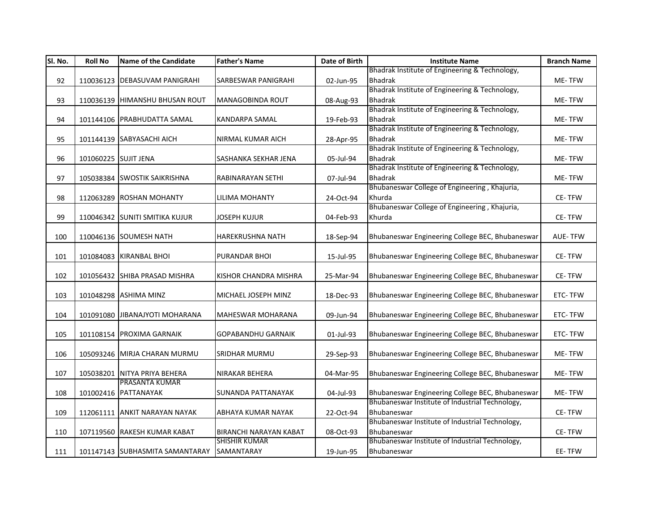| Sl. No. | <b>Roll No</b>       | <b>Name of the Candidate</b>    | <b>Father's Name</b>       | Date of Birth | <b>Institute Name</b>                            | <b>Branch Name</b> |
|---------|----------------------|---------------------------------|----------------------------|---------------|--------------------------------------------------|--------------------|
|         |                      |                                 |                            |               | Bhadrak Institute of Engineering & Technology,   |                    |
| 92      |                      | 110036123 DEBASUVAM PANIGRAHI   | <b>SARBESWAR PANIGRAHI</b> | 02-Jun-95     | <b>Bhadrak</b>                                   | ME-TFW             |
|         |                      |                                 |                            |               | Bhadrak Institute of Engineering & Technology,   |                    |
| 93      |                      | 110036139 HIMANSHU BHUSAN ROUT  | MANAGOBINDA ROUT           | 08-Aug-93     | <b>Bhadrak</b>                                   | ME-TFW             |
|         |                      |                                 |                            |               | Bhadrak Institute of Engineering & Technology,   |                    |
| 94      |                      | 101144106 PRABHUDATTA SAMAL     | KANDARPA SAMAL             | 19-Feb-93     | <b>Bhadrak</b>                                   | ME-TFW             |
|         |                      |                                 |                            |               | Bhadrak Institute of Engineering & Technology,   |                    |
| 95      |                      | 101144139 SABYASACHI AICH       | <b>NIRMAL KUMAR AICH</b>   | 28-Apr-95     | <b>Bhadrak</b>                                   | ME-TFW             |
|         |                      |                                 |                            |               | Bhadrak Institute of Engineering & Technology,   |                    |
| 96      | 101060225 SUJIT JENA |                                 | SASHANKA SEKHAR JENA       | 05-Jul-94     | <b>Bhadrak</b>                                   | ME-TFW             |
|         |                      |                                 |                            |               | Bhadrak Institute of Engineering & Technology,   |                    |
| 97      |                      | 105038384 SWOSTIK SAIKRISHNA    | RABINARAYAN SETHI          | 07-Jul-94     | <b>Bhadrak</b>                                   | ME-TFW             |
|         |                      |                                 |                            |               | Bhubaneswar College of Engineering, Khajuria,    |                    |
| 98      |                      | 112063289 ROSHAN MOHANTY        | LILIMA MOHANTY             | 24-Oct-94     | Khurda                                           | CE-TFW             |
|         |                      |                                 |                            |               | Bhubaneswar College of Engineering, Khajuria,    |                    |
| 99      |                      | 110046342 SUNITI SMITIKA KUJUR  | JOSEPH KUJUR               | 04-Feb-93     | Khurda                                           | CE-TFW             |
|         |                      |                                 |                            |               |                                                  |                    |
| 100     |                      | 110046136 SOUMESH NATH          | HAREKRUSHNA NATH           | 18-Sep-94     | Bhubaneswar Engineering College BEC, Bhubaneswar | <b>AUE-TFW</b>     |
|         |                      |                                 |                            |               |                                                  |                    |
| 101     |                      | 101084083 KIRANBAL BHOI         | PURANDAR BHOI              | 15-Jul-95     | Bhubaneswar Engineering College BEC, Bhubaneswar | CE-TFW             |
|         |                      |                                 |                            |               |                                                  |                    |
| 102     |                      | 101056432 SHIBA PRASAD MISHRA   | KISHOR CHANDRA MISHRA      | 25-Mar-94     | Bhubaneswar Engineering College BEC, Bhubaneswar | CE-TFW             |
|         |                      |                                 |                            |               |                                                  |                    |
| 103     |                      | 101048298 ASHIMA MINZ           | MICHAEL JOSEPH MINZ        | 18-Dec-93     | Bhubaneswar Engineering College BEC, Bhubaneswar | ETC-TFW            |
|         |                      |                                 |                            |               |                                                  |                    |
| 104     |                      | 101091080 JIBANAJYOTI MOHARANA  | <b>MAHESWAR MOHARANA</b>   | 09-Jun-94     | Bhubaneswar Engineering College BEC, Bhubaneswar | ETC-TFW            |
|         |                      |                                 |                            |               |                                                  |                    |
| 105     |                      | 101108154 PROXIMA GARNAIK       | <b>GOPABANDHU GARNAIK</b>  | 01-Jul-93     | Bhubaneswar Engineering College BEC, Bhubaneswar | ETC-TFW            |
|         |                      |                                 |                            |               |                                                  |                    |
| 106     |                      | 105093246 MIRJA CHARAN MURMU    | SRIDHAR MURMU              | 29-Sep-93     | Bhubaneswar Engineering College BEC, Bhubaneswar | ME-TFW             |
|         |                      |                                 |                            |               |                                                  |                    |
| 107     |                      | 105038201 NITYA PRIYA BEHERA    | NIRAKAR BEHERA             | 04-Mar-95     | Bhubaneswar Engineering College BEC, Bhubaneswar | ME-TFW             |
|         |                      | PRASANTA KUMAR                  |                            |               |                                                  |                    |
| 108     |                      | 101002416 PATTANAYAK            | <b>SUNANDA PATTANAYAK</b>  | 04-Jul-93     | Bhubaneswar Engineering College BEC, Bhubaneswar | ME-TFW             |
|         |                      |                                 |                            |               | Bhubaneswar Institute of Industrial Technology,  |                    |
| 109     |                      | 112061111 ANKIT NARAYAN NAYAK   | ABHAYA KUMAR NAYAK         | 22-Oct-94     | Bhubaneswar                                      | CE-TFW             |
|         |                      |                                 |                            |               | Bhubaneswar Institute of Industrial Technology,  |                    |
| 110     |                      | 107119560 RAKESH KUMAR KABAT    | BIRANCHI NARAYAN KABAT     | 08-Oct-93     | Bhubaneswar                                      | CE-TFW             |
|         |                      |                                 | <b>SHISHIR KUMAR</b>       |               | Bhubaneswar Institute of Industrial Technology,  |                    |
| 111     |                      | 101147143 SUBHASMITA SAMANTARAY | SAMANTARAY                 | 19-Jun-95     | Bhubaneswar                                      | EE-TFW             |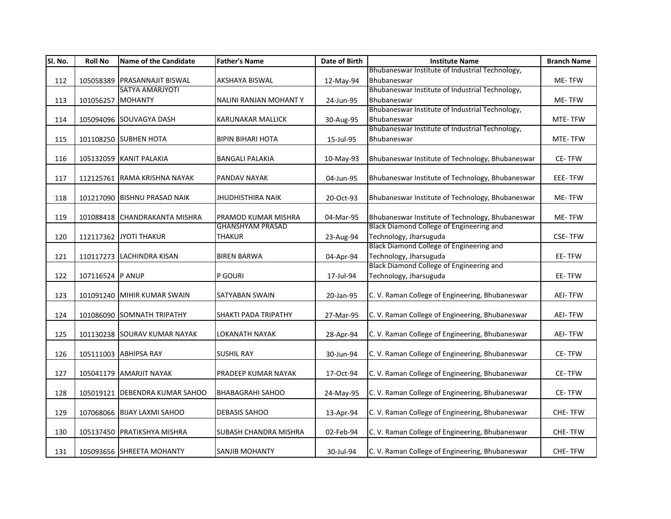| SI. No. | <b>Roll No</b>    | <b>Name of the Candidate</b>   | <b>Father's Name</b>     | Date of Birth | <b>Institute Name</b>                            | <b>Branch Name</b> |
|---------|-------------------|--------------------------------|--------------------------|---------------|--------------------------------------------------|--------------------|
|         |                   |                                |                          |               | Bhubaneswar Institute of Industrial Technology,  |                    |
| 112     |                   | 105058389 PRASANNAJIT BISWAL   | <b>AKSHAYA BISWAL</b>    | 12-May-94     | Bhubaneswar                                      | ME-TFW             |
|         |                   | SATYA AMARJYOTI                |                          |               | Bhubaneswar Institute of Industrial Technology,  |                    |
| 113     | 101056257 MOHANTY |                                | NALINI RANJAN MOHANTY    | 24-Jun-95     | Bhubaneswar                                      | ME-TFW             |
|         |                   |                                |                          |               | Bhubaneswar Institute of Industrial Technology,  |                    |
| 114     |                   | 105094096 SOUVAGYA DASH        | <b>KARUNAKAR MALLICK</b> | 30-Aug-95     | Bhubaneswar                                      | MTE-TFW            |
|         |                   |                                |                          |               | Bhubaneswar Institute of Industrial Technology,  |                    |
| 115     |                   | 101108250 SUBHEN HOTA          | <b>BIPIN BIHARI HOTA</b> | 15-Jul-95     | Bhubaneswar                                      | MTE-TFW            |
|         |                   |                                |                          |               |                                                  |                    |
| 116     |                   | 105132059 KANIT PALAKIA        | <b>BANGALI PALAKIA</b>   | 10-May-93     | Bhubaneswar Institute of Technology, Bhubaneswar | CE-TFW             |
|         |                   |                                |                          |               |                                                  |                    |
| 117     |                   | 112125761 RAMA KRISHNA NAYAK   | PANDAV NAYAK             | 04-Jun-95     | Bhubaneswar Institute of Technology, Bhubaneswar | EEE-TFW            |
|         |                   |                                |                          |               |                                                  |                    |
| 118     |                   | 101217090 BISHNU PRASAD NAIK   | <b>JHUDHISTHIRA NAIK</b> | 20-Oct-93     | Bhubaneswar Institute of Technology, Bhubaneswar | ME-TFW             |
|         |                   |                                |                          |               |                                                  |                    |
| 119     |                   | 101088418 CHANDRAKANTA MISHRA  | PRAMOD KUMAR MISHRA      | 04-Mar-95     | Bhubaneswar Institute of Technology, Bhubaneswar | ME-TFW             |
|         |                   |                                | <b>GHANSHYAM PRASAD</b>  |               | Black Diamond College of Engineering and         |                    |
| 120     |                   | 112117362 JYOTI THAKUR         | <b>THAKUR</b>            | 23-Aug-94     | Technology, Jharsuguda                           | <b>CSE-TFW</b>     |
|         |                   |                                |                          |               | Black Diamond College of Engineering and         |                    |
| 121     |                   | 110117273 LACHINDRA KISAN      | <b>BIREN BARWA</b>       | 04-Apr-94     | Technology, Jharsuguda                           | EE-TFW             |
|         |                   |                                |                          |               | Black Diamond College of Engineering and         |                    |
| 122     | 107116524 P ANUP  |                                | P GOURI                  | 17-Jul-94     | Technology, Jharsuguda                           | EE-TFW             |
|         |                   |                                |                          |               |                                                  |                    |
| 123     |                   | 101091240 MIHIR KUMAR SWAIN    | SATYABAN SWAIN           | 20-Jan-95     | C. V. Raman College of Engineering, Bhubaneswar  | <b>AEI-TFW</b>     |
|         |                   |                                |                          |               |                                                  |                    |
| 124     |                   | 101086090 SOMNATH TRIPATHY     | SHAKTI PADA TRIPATHY     | 27-Mar-95     | C. V. Raman College of Engineering, Bhubaneswar  | <b>AEI-TFW</b>     |
|         |                   |                                |                          |               |                                                  |                    |
| 125     |                   | 101130238 SOURAV KUMAR NAYAK   | LOKANATH NAYAK           | 28-Apr-94     | C. V. Raman College of Engineering, Bhubaneswar  | <b>AEI-TFW</b>     |
|         |                   | 105111003 ABHIPSA RAY          | <b>SUSHIL RAY</b>        |               | C. V. Raman College of Engineering, Bhubaneswar  | CE-TFW             |
| 126     |                   |                                |                          | 30-Jun-94     |                                                  |                    |
| 127     |                   | 105041179 AMARJIT NAYAK        | PRADEEP KUMAR NAYAK      | 17-Oct-94     | C. V. Raman College of Engineering, Bhubaneswar  | CE-TFW             |
|         |                   |                                |                          |               |                                                  |                    |
| 128     |                   | 105019121 DEBENDRA KUMAR SAHOO | <b>BHABAGRAHI SAHOO</b>  | 24-May-95     | C. V. Raman College of Engineering, Bhubaneswar  | CE-TFW             |
|         |                   |                                |                          |               |                                                  |                    |
| 129     |                   | 107068066 BIJAY LAXMI SAHOO    | <b>DEBASIS SAHOO</b>     | 13-Apr-94     | C. V. Raman College of Engineering, Bhubaneswar  | CHE-TFW            |
|         |                   |                                |                          |               |                                                  |                    |
| 130     |                   | 105137450 PRATIKSHYA MISHRA    | SUBASH CHANDRA MISHRA    | 02-Feb-94     | C. V. Raman College of Engineering, Bhubaneswar  | CHE-TFW            |
|         |                   |                                |                          |               |                                                  |                    |
| 131     |                   | 105093656 SHREETA MOHANTY      | <b>SANJIB MOHANTY</b>    | 30-Jul-94     | C. V. Raman College of Engineering, Bhubaneswar  | CHE-TFW            |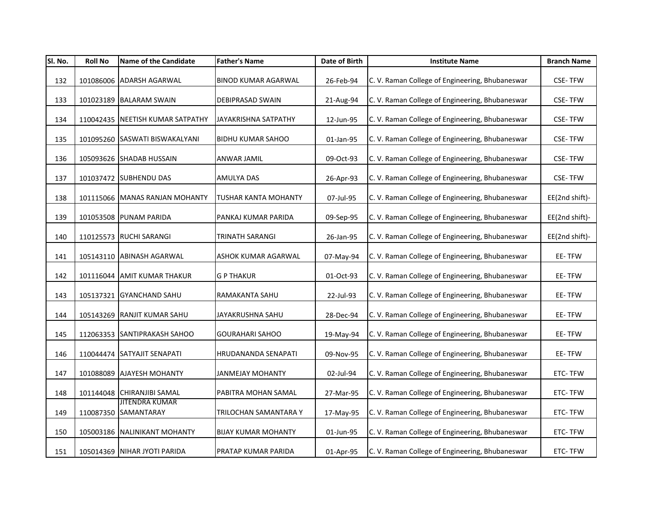| SI. No. | <b>Roll No</b> | <b>Name of the Candidate</b>                  | <b>Father's Name</b>        | Date of Birth | <b>Institute Name</b>                           | <b>Branch Name</b> |
|---------|----------------|-----------------------------------------------|-----------------------------|---------------|-------------------------------------------------|--------------------|
| 132     |                | 101086006 ADARSH AGARWAL                      | <b>BINOD KUMAR AGARWAL</b>  | 26-Feb-94     | C. V. Raman College of Engineering, Bhubaneswar | <b>CSE-TFW</b>     |
| 133     |                | 101023189 BALARAM SWAIN                       | <b>DEBIPRASAD SWAIN</b>     | 21-Aug-94     | C. V. Raman College of Engineering, Bhubaneswar | <b>CSE-TFW</b>     |
| 134     |                | 110042435 NEETISH KUMAR SATPATHY              | JAYAKRISHNA SATPATHY        | 12-Jun-95     | C. V. Raman College of Engineering, Bhubaneswar | <b>CSE-TFW</b>     |
| 135     |                | 101095260 SASWATI BISWAKALYANI                | <b>BIDHU KUMAR SAHOO</b>    | 01-Jan-95     | C. V. Raman College of Engineering, Bhubaneswar | <b>CSE-TFW</b>     |
| 136     |                | 105093626 SHADAB HUSSAIN                      | ANWAR JAMIL                 | 09-Oct-93     | C. V. Raman College of Engineering, Bhubaneswar | <b>CSE-TFW</b>     |
| 137     |                | 101037472 SUBHENDU DAS                        | AMULYA DAS                  | 26-Apr-93     | C. V. Raman College of Engineering, Bhubaneswar | <b>CSE-TFW</b>     |
| 138     |                | 101115066 MANAS RANJAN MOHANTY                | <b>TUSHAR KANTA MOHANTY</b> | 07-Jul-95     | C. V. Raman College of Engineering, Bhubaneswar | EE(2nd shift)-     |
| 139     |                | 101053508 PUNAM PARIDA                        | PANKAJ KUMAR PARIDA         | 09-Sep-95     | C. V. Raman College of Engineering, Bhubaneswar | EE(2nd shift)-     |
| 140     |                | 110125573 RUCHI SARANGI                       | <b>TRINATH SARANGI</b>      | 26-Jan-95     | C. V. Raman College of Engineering, Bhubaneswar | EE(2nd shift)-     |
| 141     |                | 105143110 ABINASH AGARWAL                     | ASHOK KUMAR AGARWAL         | 07-May-94     | C. V. Raman College of Engineering, Bhubaneswar | EE-TFW             |
| 142     |                | 101116044 AMIT KUMAR THAKUR                   | <b>G P THAKUR</b>           | 01-Oct-93     | C. V. Raman College of Engineering, Bhubaneswar | EE-TFW             |
| 143     |                | 105137321 GYANCHAND SAHU                      | RAMAKANTA SAHU              | 22-Jul-93     | C. V. Raman College of Engineering, Bhubaneswar | EE-TFW             |
| 144     |                | 105143269 RANJIT KUMAR SAHU                   | JAYAKRUSHNA SAHU            | 28-Dec-94     | C. V. Raman College of Engineering, Bhubaneswar | EE-TFW             |
| 145     |                | 112063353 SANTIPRAKASH SAHOO                  | <b>GOURAHARI SAHOO</b>      | 19-May-94     | C. V. Raman College of Engineering, Bhubaneswar | EE-TFW             |
| 146     |                | 110044474 SATYAJIT SENAPATI                   | HRUDANANDA SENAPATI         | 09-Nov-95     | C. V. Raman College of Engineering, Bhubaneswar | EE-TFW             |
| 147     |                | 101088089 AJAYESH MOHANTY                     | <b>JANMEJAY MOHANTY</b>     | 02-Jul-94     | C. V. Raman College of Engineering, Bhubaneswar | ETC-TFW            |
| 148     |                | 101144048 CHIRANJIBI SAMAL                    | PABITRA MOHAN SAMAL         | 27-Mar-95     | C. V. Raman College of Engineering, Bhubaneswar | ETC-TFW            |
| 149     |                | <b>JITENDRA KUMAR</b><br>110087350 SAMANTARAY | TRILOCHAN SAMANTARA Y       | 17-May-95     | C. V. Raman College of Engineering, Bhubaneswar | ETC-TFW            |
| 150     |                | 105003186 NALINIKANT MOHANTY                  | <b>BIJAY KUMAR MOHANTY</b>  | 01-Jun-95     | C. V. Raman College of Engineering, Bhubaneswar | ETC-TFW            |
| 151     |                | 105014369 NIHAR JYOTI PARIDA                  | PRATAP KUMAR PARIDA         | 01-Apr-95     | C. V. Raman College of Engineering, Bhubaneswar | ETC-TFW            |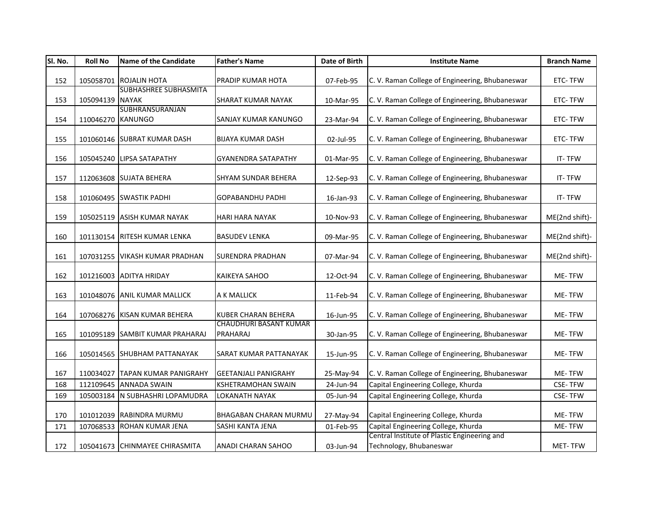| SI. No. | <b>Roll No</b>    | <b>Name of the Candidate</b>    | <b>Father's Name</b>                      | Date of Birth | <b>Institute Name</b>                           | <b>Branch Name</b> |
|---------|-------------------|---------------------------------|-------------------------------------------|---------------|-------------------------------------------------|--------------------|
| 152     |                   | 105058701 ROJALIN HOTA          | PRADIP KUMAR HOTA                         | 07-Feb-95     | C. V. Raman College of Engineering, Bhubaneswar | ETC-TFW            |
| 153     | 105094139 NAYAK   | <b>SUBHASHREE SUBHASMITA</b>    | <b>SHARAT KUMAR NAYAK</b>                 | 10-Mar-95     | C. V. Raman College of Engineering, Bhubaneswar | ETC-TFW            |
| 154     | 110046270 KANUNGO | SUBHRANSURANJAN                 | <b>SANJAY KUMAR KANUNGO</b>               | 23-Mar-94     | C. V. Raman College of Engineering, Bhubaneswar | ETC-TFW            |
| 155     |                   | 101060146 SUBRAT KUMAR DASH     | <b>BIJAYA KUMAR DASH</b>                  | 02-Jul-95     | C. V. Raman College of Engineering, Bhubaneswar | ETC-TFW            |
| 156     |                   | 105045240 LIPSA SATAPATHY       | <b>GYANENDRA SATAPATHY</b>                | 01-Mar-95     | C. V. Raman College of Engineering, Bhubaneswar | IT-TFW             |
| 157     |                   | 112063608 SUJATA BEHERA         | SHYAM SUNDAR BEHERA                       | 12-Sep-93     | C. V. Raman College of Engineering, Bhubaneswar | IT-TFW             |
| 158     |                   | 101060495 SWASTIK PADHI         | <b>GOPABANDHU PADHI</b>                   | 16-Jan-93     | C. V. Raman College of Engineering, Bhubaneswar | IT-TFW             |
| 159     |                   | 105025119 ASISH KUMAR NAYAK     | <b>HARI HARA NAYAK</b>                    | 10-Nov-93     | C. V. Raman College of Engineering, Bhubaneswar | ME(2nd shift)-     |
| 160     |                   | 101130154 RITESH KUMAR LENKA    | <b>BASUDEV LENKA</b>                      | 09-Mar-95     | C. V. Raman College of Engineering, Bhubaneswar | ME(2nd shift)-     |
| 161     |                   | 107031255 VIKASH KUMAR PRADHAN  | <b>SURENDRA PRADHAN</b>                   | 07-Mar-94     | C. V. Raman College of Engineering, Bhubaneswar | ME(2nd shift)-     |
| 162     |                   | 101216003 ADITYA HRIDAY         | <b>KAIKEYA SAHOO</b>                      | 12-Oct-94     | C. V. Raman College of Engineering, Bhubaneswar | ME-TFW             |
| 163     |                   | 101048076 ANIL KUMAR MALLICK    | A K MALLICK                               | 11-Feb-94     | C. V. Raman College of Engineering, Bhubaneswar | <b>ME-TFW</b>      |
| 164     |                   | 107068276 KISAN KUMAR BEHERA    | <b>KUBER CHARAN BEHERA</b>                | 16-Jun-95     | C. V. Raman College of Engineering, Bhubaneswar | ME-TFW             |
| 165     |                   | 101095189 SAMBIT KUMAR PRAHARAJ | <b>CHAUDHURI BASANT KUMAR</b><br>PRAHARAJ | 30-Jan-95     | C. V. Raman College of Engineering, Bhubaneswar | ME-TFW             |
| 166     |                   | 105014565 SHUBHAM PATTANAYAK    | SARAT KUMAR PATTANAYAK                    | 15-Jun-95     | C. V. Raman College of Engineering, Bhubaneswar | ME-TFW             |
| 167     |                   | 110034027 TAPAN KUMAR PANIGRAHY | <b>GEETANJALI PANIGRAHY</b>               | 25-May-94     | C. V. Raman College of Engineering, Bhubaneswar | ME-TFW             |
| 168     |                   | 112109645 ANNADA SWAIN          | <b>KSHETRAMOHAN SWAIN</b>                 | 24-Jun-94     | Capital Engineering College, Khurda             | <b>CSE-TFW</b>     |
| 169     |                   | 105003184 N SUBHASHRI LOPAMUDRA | LOKANATH NAYAK                            | 05-Jun-94     | Capital Engineering College, Khurda             | <b>CSE-TFW</b>     |
| 170     |                   | 101012039 RABINDRA MURMU        | <b>BHAGABAN CHARAN MURMU</b>              | 27-May-94     | Capital Engineering College, Khurda             | ME-TFW             |
| 171     |                   | 107068533 ROHAN KUMAR JENA      | SASHI KANTA JENA                          | 01-Feb-95     | Capital Engineering College, Khurda             | ME-TFW             |
|         |                   |                                 |                                           |               | Central Institute of Plastic Engineering and    |                    |
| 172     |                   | 105041673 CHINMAYEE CHIRASMITA  | <b>ANADI CHARAN SAHOO</b>                 | 03-Jun-94     | Technology, Bhubaneswar                         | MET-TFW            |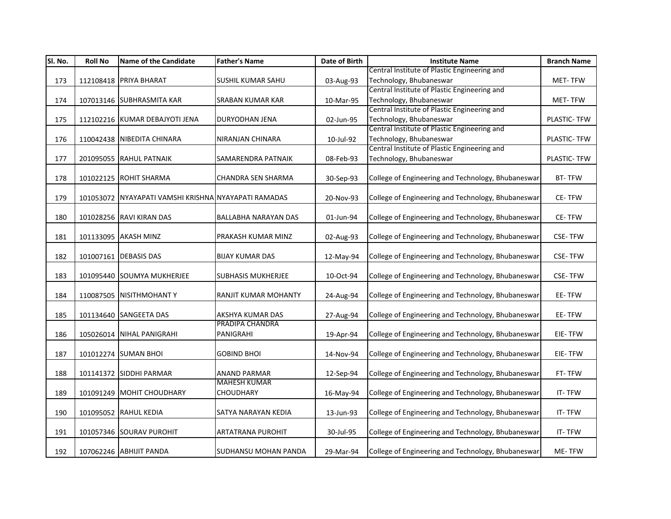| Sl. No. | <b>Roll No</b> | <b>Name of the Candidate</b>                         | <b>Father's Name</b>        | Date of Birth | <b>Institute Name</b>                              | <b>Branch Name</b> |
|---------|----------------|------------------------------------------------------|-----------------------------|---------------|----------------------------------------------------|--------------------|
|         |                |                                                      |                             |               | Central Institute of Plastic Engineering and       |                    |
| 173     |                | 112108418 PRIYA BHARAT                               | <b>SUSHIL KUMAR SAHU</b>    | 03-Aug-93     | Technology, Bhubaneswar                            | MET-TFW            |
|         |                |                                                      |                             |               | Central Institute of Plastic Engineering and       |                    |
| 174     |                | 107013146 SUBHRASMITA KAR                            | <b>SRABAN KUMAR KAR</b>     | 10-Mar-95     | Technology, Bhubaneswar                            | <b>MET-TFW</b>     |
|         |                |                                                      |                             |               | Central Institute of Plastic Engineering and       |                    |
| 175     |                | 112102216 KUMAR DEBAJYOTI JENA                       | DURYODHAN JENA              | 02-Jun-95     | Technology, Bhubaneswar                            | PLASTIC- TFW       |
|         |                |                                                      |                             |               | Central Institute of Plastic Engineering and       |                    |
| 176     |                | 110042438 NIBEDITA CHINARA                           | NIRANJAN CHINARA            | 10-Jul-92     | Technology, Bhubaneswar                            | PLASTIC- TFW       |
|         |                |                                                      |                             |               | Central Institute of Plastic Engineering and       |                    |
| 177     |                | 201095055 RAHUL PATNAIK                              | SAMARENDRA PATNAIK          | 08-Feb-93     | Technology, Bhubaneswar                            | PLASTIC- TFW       |
|         |                |                                                      |                             |               |                                                    |                    |
| 178     |                | 101022125 ROHIT SHARMA                               | CHANDRA SEN SHARMA          | 30-Sep-93     | College of Engineering and Technology, Bhubaneswar | BT-TFW             |
|         |                |                                                      |                             |               |                                                    |                    |
| 179     |                | 101053072 NYAYAPATI VAMSHI KRISHNA NYAYAPATI RAMADAS |                             | 20-Nov-93     | College of Engineering and Technology, Bhubaneswar | CE-TFW             |
|         |                |                                                      |                             |               |                                                    |                    |
| 180     |                | 101028256 RAVI KIRAN DAS                             | BALLABHA NARAYAN DAS        | 01-Jun-94     | College of Engineering and Technology, Bhubaneswar | CE-TFW             |
|         |                |                                                      |                             |               |                                                    |                    |
| 181     |                | 101133095 AKASH MINZ                                 | PRAKASH KUMAR MINZ          | 02-Aug-93     | College of Engineering and Technology, Bhubaneswar | <b>CSE-TFW</b>     |
|         |                |                                                      |                             |               |                                                    |                    |
| 182     |                | 101007161 DEBASIS DAS                                | <b>BIJAY KUMAR DAS</b>      | 12-May-94     | College of Engineering and Technology, Bhubaneswar | <b>CSE-TFW</b>     |
|         |                |                                                      |                             |               |                                                    |                    |
| 183     |                | 101095440 SOUMYA MUKHERJEE                           | <b>SUBHASIS MUKHERJEE</b>   | 10-Oct-94     | College of Engineering and Technology, Bhubaneswar | <b>CSE-TFW</b>     |
|         |                |                                                      |                             |               |                                                    |                    |
| 184     |                | 110087505 NISITHMOHANTY                              | RANJIT KUMAR MOHANTY        | 24-Aug-94     | College of Engineering and Technology, Bhubaneswar | EE-TFW             |
| 185     |                | 101134640 SANGEETA DAS                               | AKSHYA KUMAR DAS            |               | College of Engineering and Technology, Bhubaneswar | EE-TFW             |
|         |                |                                                      | PRADIPA CHANDRA             | 27-Aug-94     |                                                    |                    |
| 186     |                | 105026014 NIHAL PANIGRAHI                            | PANIGRAHI                   | 19-Apr-94     | College of Engineering and Technology, Bhubaneswar | EIE-TFW            |
|         |                |                                                      |                             |               |                                                    |                    |
| 187     |                | 101012274 SUMAN BHOI                                 | <b>GOBIND BHOI</b>          | 14-Nov-94     | College of Engineering and Technology, Bhubaneswar | EIE-TFW            |
|         |                |                                                      |                             |               |                                                    |                    |
| 188     |                | 101141372 SIDDHI PARMAR                              | <b>ANAND PARMAR</b>         | 12-Sep-94     | College of Engineering and Technology, Bhubaneswar | FT-TFW             |
|         |                |                                                      | <b>MAHESH KUMAR</b>         |               |                                                    |                    |
| 189     |                | 101091249 MOHIT CHOUDHARY                            | <b>CHOUDHARY</b>            | 16-May-94     | College of Engineering and Technology, Bhubaneswar | IT-TFW             |
|         |                |                                                      |                             |               |                                                    |                    |
| 190     |                | 101095052 RAHUL KEDIA                                | SATYA NARAYAN KEDIA         | 13-Jun-93     | College of Engineering and Technology, Bhubaneswar | IT-TFW             |
|         |                |                                                      |                             |               |                                                    |                    |
| 191     |                | 101057346 SOURAV PUROHIT                             | <b>ARTATRANA PUROHIT</b>    | 30-Jul-95     | College of Engineering and Technology, Bhubaneswar | IT-TFW             |
|         |                |                                                      |                             |               |                                                    |                    |
| 192     |                | 107062246 ABHIJIT PANDA                              | <b>SUDHANSU MOHAN PANDA</b> | 29-Mar-94     | College of Engineering and Technology, Bhubaneswar | ME-TFW             |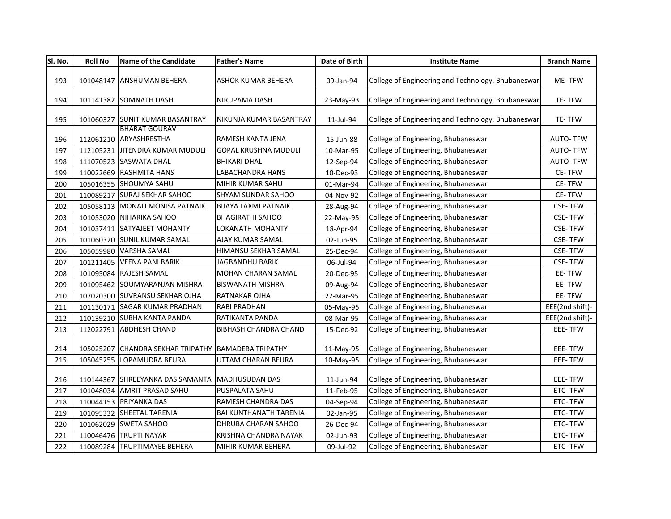| Sl. No. | <b>Roll No</b> | Name of the Candidate                                | <b>Father's Name</b>          | Date of Birth | <b>Institute Name</b>                              | <b>Branch Name</b> |
|---------|----------------|------------------------------------------------------|-------------------------------|---------------|----------------------------------------------------|--------------------|
| 193     |                | 101048147 ANSHUMAN BEHERA                            | ASHOK KUMAR BEHERA            | 09-Jan-94     | College of Engineering and Technology, Bhubaneswar | ME-TFW             |
|         |                |                                                      |                               |               |                                                    |                    |
| 194     |                | 101141382 SOMNATH DASH                               | NIRUPAMA DASH                 | 23-May-93     | College of Engineering and Technology, Bhubaneswar | TE-TFW             |
| 195     |                | 101060327 SUNIT KUMAR BASANTRAY                      | NIKUNJA KUMAR BASANTRAY       | 11-Jul-94     | College of Engineering and Technology, Bhubaneswar | TE-TFW             |
|         |                | <b>BHARAT GOURAV</b>                                 |                               |               |                                                    |                    |
| 196     |                | 112061210 ARYASHRESTHA                               | RAMESH KANTA JENA             | 15-Jun-88     | College of Engineering, Bhubaneswar                | <b>AUTO-TFW</b>    |
| 197     |                | 112105231 JITENDRA KUMAR MUDULI                      | <b>GOPAL KRUSHNA MUDULI</b>   | 10-Mar-95     | College of Engineering, Bhubaneswar                | <b>AUTO-TFW</b>    |
| 198     |                | 111070523 SASWATA DHAL                               | <b>BHIKARI DHAL</b>           | 12-Sep-94     | College of Engineering, Bhubaneswar                | <b>AUTO-TFW</b>    |
| 199     |                | 110022669 RASHMITA HANS                              | LABACHANDRA HANS              | 10-Dec-93     | College of Engineering, Bhubaneswar                | CE-TFW             |
| 200     |                | 105016355 SHOUMYA SAHU                               | MIHIR KUMAR SAHU              | 01-Mar-94     | College of Engineering, Bhubaneswar                | CE-TFW             |
| 201     |                | 110089217 SURAJ SEKHAR SAHOO                         | <b>SHYAM SUNDAR SAHOO</b>     | 04-Nov-92     | College of Engineering, Bhubaneswar                | CE-TFW             |
| 202     |                | 105058113 MONALI MONISA PATNAIK                      | <b>BIJAYA LAXMI PATNAIK</b>   | 28-Aug-94     | College of Engineering, Bhubaneswar                | CSE-TFW            |
| 203     |                | 101053020 NIHARIKA SAHOO                             | <b>BHAGIRATHI SAHOO</b>       | 22-May-95     | College of Engineering, Bhubaneswar                | <b>CSE-TFW</b>     |
| 204     |                | 101037411 SATYAJEET MOHANTY                          | LOKANATH MOHANTY              | 18-Apr-94     | College of Engineering, Bhubaneswar                | <b>CSE-TFW</b>     |
| 205     |                | 101060320 SUNIL KUMAR SAMAL                          | AJAY KUMAR SAMAL              | 02-Jun-95     | College of Engineering, Bhubaneswar                | <b>CSE-TFW</b>     |
| 206     |                | 105059980 VARSHA SAMAL                               | HIMANSU SEKHAR SAMAL          | 25-Dec-94     | College of Engineering, Bhubaneswar                | <b>CSE-TFW</b>     |
| 207     |                | 101211405 VEENA PANI BARIK                           | JAGBANDHU BARIK               | 06-Jul-94     | College of Engineering, Bhubaneswar                | <b>CSE-TFW</b>     |
| 208     |                | 101095084 RAJESH SAMAL                               | MOHAN CHARAN SAMAL            | 20-Dec-95     | College of Engineering, Bhubaneswar                | EE-TFW             |
| 209     |                | 101095462 SOUMYARANJAN MISHRA                        | <b>BISWANATH MISHRA</b>       | 09-Aug-94     | College of Engineering, Bhubaneswar                | EE-TFW             |
| 210     |                | 107020300 SUVRANSU SEKHAR OJHA                       | RATNAKAR OJHA                 | 27-Mar-95     | College of Engineering, Bhubaneswar                | EE-TFW             |
| 211     |                | 101130171 SAGAR KUMAR PRADHAN                        | <b>RABI PRADHAN</b>           | 05-May-95     | College of Engineering, Bhubaneswar                | EEE(2nd shift)-    |
| 212     |                | 110139210 SUBHA KANTA PANDA                          | RATIKANTA PANDA               | 08-Mar-95     | College of Engineering, Bhubaneswar                | EEE(2nd shift)-    |
| 213     |                | 112022791 ABDHESH CHAND                              | <b>BIBHASH CHANDRA CHAND</b>  | 15-Dec-92     | College of Engineering, Bhubaneswar                | EEE-TFW            |
| 214     |                | 105025207 CHANDRA SEKHAR TRIPATHY (BAMADEBA TRIPATHY |                               | 11-May-95     | College of Engineering, Bhubaneswar                | EEE-TFW            |
| 215     |                | 105045255 LOPAMUDRA BEURA                            | UTTAM CHARAN BEURA            | 10-May-95     | College of Engineering, Bhubaneswar                | EEE-TFW            |
|         |                |                                                      |                               |               |                                                    |                    |
| 216     |                | 110144367 SHREEYANKA DAS SAMANTA MADHUSUDAN DAS      |                               | 11-Jun-94     | College of Engineering, Bhubaneswar                | EEE-TFW            |
| 217     |                | 101048034 AMRIT PRASAD SAHU                          | PUSPALATA SAHU                | 11-Feb-95     | College of Engineering, Bhubaneswar                | ETC-TFW            |
| 218     |                | 110044153 PRIYANKA DAS                               | RAMESH CHANDRA DAS            | 04-Sep-94     | College of Engineering, Bhubaneswar                | ETC-TFW            |
| 219     |                | 101095332 SHEETAL TARENIA                            | <b>BAI KUNTHANATH TARENIA</b> | 02-Jan-95     | College of Engineering, Bhubaneswar                | ETC-TFW            |
| 220     |                | 101062029 SWETA SAHOO                                | DHRUBA CHARAN SAHOO           | 26-Dec-94     | College of Engineering, Bhubaneswar                | ETC-TFW            |
| 221     |                | 110046476 TRUPTI NAYAK                               | KRISHNA CHANDRA NAYAK         | 02-Jun-93     | College of Engineering, Bhubaneswar                | ETC-TFW            |
| 222     |                | 110089284 TRUPTIMAYEE BEHERA                         | MIHIR KUMAR BEHERA            | 09-Jul-92     | College of Engineering, Bhubaneswar                | ETC-TFW            |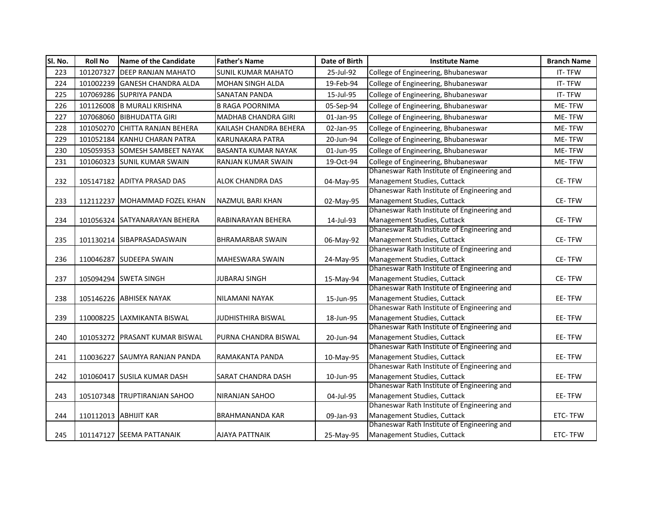| SI. No. | <b>Roll No</b> | Name of the Candidate          | <b>Father's Name</b>       | Date of Birth | <b>Institute Name</b>                                                      | <b>Branch Name</b> |
|---------|----------------|--------------------------------|----------------------------|---------------|----------------------------------------------------------------------------|--------------------|
| 223     | 101207327      | <b>DEEP RANJAN MAHATO</b>      | <b>SUNIL KUMAR MAHATO</b>  | 25-Jul-92     | College of Engineering, Bhubaneswar                                        | IT-TFW             |
| 224     |                | 101002239 GANESH CHANDRA ALDA  | MOHAN SINGH ALDA           | 19-Feb-94     | College of Engineering, Bhubaneswar                                        | IT-TFW             |
| 225     |                | 107069286 SUPRIYA PANDA        | <b>SANATAN PANDA</b>       | 15-Jul-95     | College of Engineering, Bhubaneswar                                        | IT-TFW             |
| 226     |                | 101126008 B MURALI KRISHNA     | <b>B RAGA POORNIMA</b>     | 05-Sep-94     | College of Engineering, Bhubaneswar                                        | ME-TFW             |
| 227     |                | 107068060 BIBHUDATTA GIRI      | MADHAB CHANDRA GIRI        | 01-Jan-95     | College of Engineering, Bhubaneswar                                        | ME-TFW             |
| 228     | 101050270      | <b>CHITTA RANJAN BEHERA</b>    | KAILASH CHANDRA BEHERA     | 02-Jan-95     | College of Engineering, Bhubaneswar                                        | ME-TFW             |
| 229     |                | 101052184 KANHU CHARAN PATRA   | KARUNAKARA PATRA           | 20-Jun-94     | College of Engineering, Bhubaneswar                                        | ME-TFW             |
| 230     |                | 105059353 SOMESH SAMBEET NAYAK | <b>BASANTA KUMAR NAYAK</b> | 01-Jun-95     | College of Engineering, Bhubaneswar                                        | ME-TFW             |
| 231     |                | 101060323 SUNIL KUMAR SWAIN    | RANJAN KUMAR SWAIN         | 19-Oct-94     | College of Engineering, Bhubaneswar                                        | ME-TFW             |
|         |                |                                |                            |               | Dhaneswar Rath Institute of Engineering and                                |                    |
| 232     |                | 105147182 ADITYA PRASAD DAS    | <b>ALOK CHANDRA DAS</b>    | 04-May-95     | Management Studies, Cuttack                                                | CE-TFW             |
|         |                |                                |                            |               | Dhaneswar Rath Institute of Engineering and                                |                    |
| 233     | 112112237      | MOHAMMAD FOZEL KHAN            | <b>NAZMUL BARI KHAN</b>    | 02-May-95     | Management Studies, Cuttack                                                | CE-TFW             |
|         |                |                                |                            |               | Dhaneswar Rath Institute of Engineering and                                |                    |
| 234     |                | 101056324 SATYANARAYAN BEHERA  | RABINARAYAN BEHERA         | 14-Jul-93     | Management Studies, Cuttack                                                | <b>CE-TFW</b>      |
|         |                |                                |                            |               | Dhaneswar Rath Institute of Engineering and                                |                    |
| 235     |                | 101130214 SIBAPRASADASWAIN     | <b>BHRAMARBAR SWAIN</b>    | 06-May-92     | Management Studies, Cuttack                                                | CE-TFW             |
|         |                |                                |                            |               | Dhaneswar Rath Institute of Engineering and                                |                    |
| 236     | 110046287      | <b>SUDEEPA SWAIN</b>           | <b>MAHESWARA SWAIN</b>     | 24-May-95     | Management Studies, Cuttack                                                | CE-TFW             |
|         |                |                                |                            |               | Dhaneswar Rath Institute of Engineering and                                |                    |
| 237     |                | 105094294 SWETA SINGH          | <b>JUBARAJ SINGH</b>       | 15-May-94     | Management Studies, Cuttack                                                | CE-TFW             |
|         |                |                                |                            |               | Dhaneswar Rath Institute of Engineering and                                |                    |
| 238     |                | 105146226 ABHISEK NAYAK        | NILAMANI NAYAK             | 15-Jun-95     | Management Studies, Cuttack                                                | EE-TFW             |
|         |                |                                |                            |               | Dhaneswar Rath Institute of Engineering and                                |                    |
| 239     |                | 110008225 LAXMIKANTA BISWAL    | JUDHISTHIRA BISWAL         | 18-Jun-95     | Management Studies, Cuttack                                                | EE-TFW             |
|         |                |                                |                            |               | Dhaneswar Rath Institute of Engineering and                                |                    |
| 240     |                | 101053272 PRASANT KUMAR BISWAL | PURNA CHANDRA BISWAL       | 20-Jun-94     | Management Studies, Cuttack                                                | EE-TFW             |
|         |                |                                |                            |               | Dhaneswar Rath Institute of Engineering and                                |                    |
| 241     | 110036227      | <b>SAUMYA RANJAN PANDA</b>     | RAMAKANTA PANDA            | 10-May-95     | Management Studies, Cuttack                                                | EE-TFW             |
|         |                |                                |                            |               | Dhaneswar Rath Institute of Engineering and                                |                    |
| 242     | 101060417      | <b>SUSILA KUMAR DASH</b>       | <b>SARAT CHANDRA DASH</b>  | 10-Jun-95     | Management Studies, Cuttack                                                | EE-TFW             |
|         |                |                                |                            |               | Dhaneswar Rath Institute of Engineering and                                |                    |
| 243     |                | 105107348 TRUPTIRANJAN SAHOO   | NIRANJAN SAHOO             | 04-Jul-95     | Management Studies, Cuttack                                                | EE-TFW             |
|         |                |                                |                            |               | Dhaneswar Rath Institute of Engineering and                                |                    |
| 244     |                | 110112013 ABHIJIT KAR          | <b>BRAHMANANDA KAR</b>     | 09-Jan-93     | Management Studies, Cuttack<br>Dhaneswar Rath Institute of Engineering and | ETC-TFW            |
|         |                |                                |                            |               |                                                                            |                    |
| 245     |                | 101147127 SEEMA PATTANAIK      | AJAYA PATTNAIK             | 25-May-95     | Management Studies, Cuttack                                                | ETC-TFW            |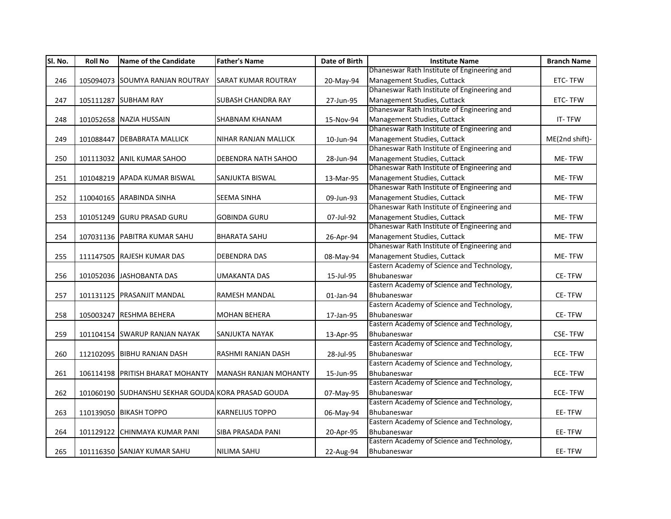| SI. No. | <b>Roll No</b> | <b>Name of the Candidate</b>                       | <b>Father's Name</b>         | Date of Birth | <b>Institute Name</b>                       | <b>Branch Name</b> |
|---------|----------------|----------------------------------------------------|------------------------------|---------------|---------------------------------------------|--------------------|
|         |                |                                                    |                              |               | Dhaneswar Rath Institute of Engineering and |                    |
| 246     |                | 105094073 SOUMYA RANJAN ROUTRAY                    | <b>SARAT KUMAR ROUTRAY</b>   | 20-May-94     | Management Studies, Cuttack                 | ETC-TFW            |
|         |                |                                                    |                              |               | Dhaneswar Rath Institute of Engineering and |                    |
| 247     |                | 105111287 SUBHAM RAY                               | <b>SUBASH CHANDRA RAY</b>    | 27-Jun-95     | Management Studies, Cuttack                 | ETC-TFW            |
|         |                |                                                    |                              |               | Dhaneswar Rath Institute of Engineering and |                    |
| 248     |                | 101052658 NAZIA HUSSAIN                            | <b>SHABNAM KHANAM</b>        | 15-Nov-94     | Management Studies, Cuttack                 | IT-TFW             |
|         |                |                                                    |                              |               | Dhaneswar Rath Institute of Engineering and |                    |
| 249     |                | 101088447 DEBABRATA MALLICK                        | NIHAR RANJAN MALLICK         | 10-Jun-94     | Management Studies, Cuttack                 | ME(2nd shift)-     |
|         |                |                                                    |                              |               | Dhaneswar Rath Institute of Engineering and |                    |
| 250     |                | 101113032 ANIL KUMAR SAHOO                         | DEBENDRA NATH SAHOO          | 28-Jun-94     | Management Studies, Cuttack                 | ME-TFW             |
|         |                |                                                    |                              |               | Dhaneswar Rath Institute of Engineering and |                    |
| 251     |                | 101048219 APADA KUMAR BISWAL                       | SANJUKTA BISWAL              | 13-Mar-95     | Management Studies, Cuttack                 | ME-TFW             |
|         |                |                                                    |                              |               | Dhaneswar Rath Institute of Engineering and |                    |
| 252     |                | 110040165 ARABINDA SINHA                           | <b>SEEMA SINHA</b>           | 09-Jun-93     | Management Studies, Cuttack                 | ME-TFW             |
|         |                |                                                    |                              |               | Dhaneswar Rath Institute of Engineering and |                    |
| 253     |                | 101051249 GURU PRASAD GURU                         | <b>GOBINDA GURU</b>          | 07-Jul-92     | Management Studies, Cuttack                 | ME-TFW             |
|         |                |                                                    |                              |               | Dhaneswar Rath Institute of Engineering and |                    |
| 254     |                | 107031136 PABITRA KUMAR SAHU                       | <b>BHARATA SAHU</b>          | 26-Apr-94     | Management Studies, Cuttack                 | ME-TFW             |
|         |                |                                                    |                              |               | Dhaneswar Rath Institute of Engineering and |                    |
| 255     |                | 111147505 RAJESH KUMAR DAS                         | <b>DEBENDRA DAS</b>          | 08-May-94     | Management Studies, Cuttack                 | ME-TFW             |
|         |                |                                                    |                              |               | Eastern Academy of Science and Technology,  |                    |
| 256     |                | 101052036 JASHOBANTA DAS                           | UMAKANTA DAS                 | 15-Jul-95     | Bhubaneswar                                 | CE-TFW             |
|         |                |                                                    |                              |               | Eastern Academy of Science and Technology,  |                    |
| 257     |                | 101131125 PRASANJIT MANDAL                         | <b>RAMESH MANDAL</b>         | 01-Jan-94     | Bhubaneswar                                 | <b>CE-TFW</b>      |
|         |                |                                                    |                              |               | Eastern Academy of Science and Technology,  |                    |
| 258     |                | 105003247 RESHMA BEHERA                            | <b>MOHAN BEHERA</b>          | 17-Jan-95     | Bhubaneswar                                 | CE-TFW             |
|         |                |                                                    |                              |               | Eastern Academy of Science and Technology,  |                    |
| 259     |                | 101104154 SWARUP RANJAN NAYAK                      | <b>SANJUKTA NAYAK</b>        | 13-Apr-95     | Bhubaneswar                                 | <b>CSE-TFW</b>     |
|         |                |                                                    |                              |               | Eastern Academy of Science and Technology,  |                    |
| 260     |                | 112102095 BIBHU RANJAN DASH                        | RASHMI RANJAN DASH           | 28-Jul-95     | Bhubaneswar                                 | <b>ECE-TFW</b>     |
|         |                |                                                    |                              |               | Eastern Academy of Science and Technology,  |                    |
| 261     |                | 106114198 PRITISH BHARAT MOHANTY                   | <b>MANASH RANJAN MOHANTY</b> | 15-Jun-95     | Bhubaneswar                                 | <b>ECE-TFW</b>     |
|         |                |                                                    |                              |               | Eastern Academy of Science and Technology,  |                    |
| 262     |                | 101060190 SUDHANSHU SEKHAR GOUDA KORA PRASAD GOUDA |                              | 07-May-95     | Bhubaneswar                                 | <b>ECE-TFW</b>     |
|         |                |                                                    |                              |               | Eastern Academy of Science and Technology,  |                    |
| 263     |                | 110139050 BIKASH TOPPO                             | <b>KARNELIUS TOPPO</b>       | 06-May-94     | Bhubaneswar                                 | EE-TFW             |
|         |                |                                                    |                              |               | Eastern Academy of Science and Technology,  |                    |
| 264     |                | 101129122 CHINMAYA KUMAR PANI                      | SIBA PRASADA PANI            | 20-Apr-95     | Bhubaneswar                                 | EE-TFW             |
|         |                |                                                    |                              |               | Eastern Academy of Science and Technology,  |                    |
| 265     |                | 101116350 SANJAY KUMAR SAHU                        | NILIMA SAHU                  | 22-Aug-94     | Bhubaneswar                                 | EE-TFW             |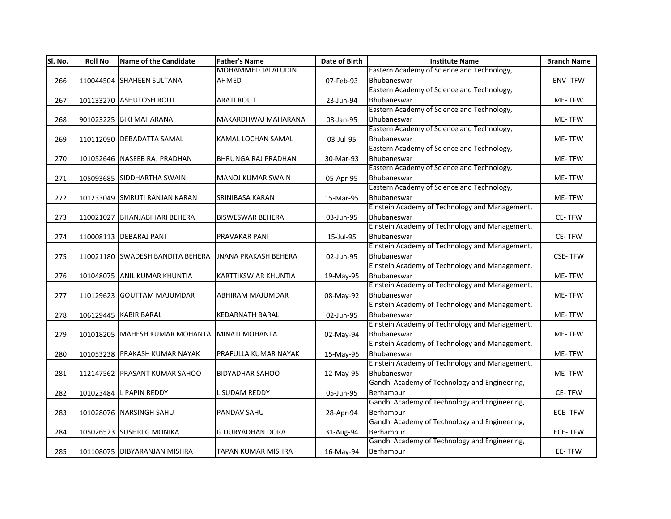| SI. No. | <b>Roll No</b> | <b>Name of the Candidate</b>     | <b>Father's Name</b>        | Date of Birth | <b>Institute Name</b>                                        | <b>Branch Name</b> |
|---------|----------------|----------------------------------|-----------------------------|---------------|--------------------------------------------------------------|--------------------|
|         |                |                                  | <b>MOHAMMED JALALUDIN</b>   |               | Eastern Academy of Science and Technology,                   |                    |
| 266     |                | 110044504 SHAHEEN SULTANA        | AHMED                       | 07-Feb-93     | Bhubaneswar                                                  | <b>ENV-TFW</b>     |
|         |                |                                  |                             |               | Eastern Academy of Science and Technology,                   |                    |
| 267     |                | 101133270 ASHUTOSH ROUT          | <b>ARATI ROUT</b>           | 23-Jun-94     | Bhubaneswar                                                  | ME-TFW             |
|         |                |                                  |                             |               | Eastern Academy of Science and Technology,                   |                    |
| 268     |                | 901023225 BIKI MAHARANA          | MAKARDHWAJ MAHARANA         | 08-Jan-95     | Bhubaneswar                                                  | ME-TFW             |
|         |                |                                  |                             |               | Eastern Academy of Science and Technology,                   |                    |
| 269     |                | 110112050 DEBADATTA SAMAL        | KAMAL LOCHAN SAMAL          | 03-Jul-95     | Bhubaneswar                                                  | ME-TFW             |
|         |                |                                  |                             |               | Eastern Academy of Science and Technology,                   |                    |
| 270     |                | 101052646 NASEEB RAJ PRADHAN     | <b>BHRUNGA RAJ PRADHAN</b>  | 30-Mar-93     | Bhubaneswar                                                  | ME-TFW             |
|         |                |                                  |                             |               | Eastern Academy of Science and Technology,                   |                    |
| 271     |                | 105093685 SIDDHARTHA SWAIN       | <b>MANOJ KUMAR SWAIN</b>    | 05-Apr-95     | Bhubaneswar                                                  | ME-TFW             |
|         |                |                                  |                             |               | Eastern Academy of Science and Technology,                   |                    |
| 272     |                | 101233049 SMRUTI RANJAN KARAN    | SRINIBASA KARAN             | 15-Mar-95     | Bhubaneswar                                                  | ME-TFW             |
|         |                |                                  |                             |               | Einstein Academy of Technology and Management,               |                    |
| 273     |                | 110021027 BHANJABIHARI BEHERA    | <b>BISWESWAR BEHERA</b>     | 03-Jun-95     | Bhubaneswar                                                  | <b>CE-TFW</b>      |
|         |                |                                  |                             |               | Einstein Academy of Technology and Management,               |                    |
| 274     |                | 110008113 DEBARAJ PANI           | PRAVAKAR PANI               | 15-Jul-95     | Bhubaneswar                                                  | CE-TFW             |
|         |                |                                  |                             |               | Einstein Academy of Technology and Management,               |                    |
| 275     |                | 110021180 SWADESH BANDITA BEHERA | <b>JNANA PRAKASH BEHERA</b> | 02-Jun-95     | Bhubaneswar                                                  | <b>CSE-TFW</b>     |
|         |                |                                  |                             |               | Einstein Academy of Technology and Management,               |                    |
| 276     |                | 101048075 ANIL KUMAR KHUNTIA     | <b>KARTTIKSW AR KHUNTIA</b> | 19-May-95     | Bhubaneswar                                                  | <b>ME-TFW</b>      |
|         |                |                                  |                             |               | Einstein Academy of Technology and Management,               |                    |
| 277     |                | 110129623 GOUTTAM MAJUMDAR       | ABHIRAM MAJUMDAR            | 08-May-92     | Bhubaneswar                                                  | ME-TFW             |
|         |                |                                  |                             |               | Einstein Academy of Technology and Management,               |                    |
| 278     |                | 106129445 KABIR BARAL            | <b>KEDARNATH BARAL</b>      | 02-Jun-95     | Bhubaneswar                                                  | ME-TFW             |
|         |                |                                  |                             |               | Einstein Academy of Technology and Management,               |                    |
| 279     |                | 101018205 MAHESH KUMAR MOHANTA   | <b>MINATI MOHANTA</b>       | 02-May-94     | Bhubaneswar                                                  | ME-TFW             |
|         |                |                                  |                             |               | Einstein Academy of Technology and Management,               |                    |
| 280     |                | 101053238 PRAKASH KUMAR NAYAK    | PRAFULLA KUMAR NAYAK        | 15-May-95     | Bhubaneswar                                                  | ME-TFW             |
|         |                |                                  |                             |               | Einstein Academy of Technology and Management,               |                    |
| 281     |                | 112147562 PRASANT KUMAR SAHOO    | <b>BIDYADHAR SAHOO</b>      | 12-May-95     | Bhubaneswar<br>Gandhi Academy of Technology and Engineering, | ME-TFW             |
|         |                |                                  |                             |               |                                                              |                    |
| 282     |                | 101023484 L PAPIN REDDY          | L SUDAM REDDY               | 05-Jun-95     | Berhampur<br>Gandhi Academy of Technology and Engineering,   | <b>CE-TFW</b>      |
|         |                |                                  | <b>PANDAV SAHU</b>          |               |                                                              | <b>ECE-TFW</b>     |
| 283     |                | 101028076 NARSINGH SAHU          |                             | 28-Apr-94     | Berhampur<br>Gandhi Academy of Technology and Engineering,   |                    |
|         |                |                                  |                             |               |                                                              | <b>ECE-TFW</b>     |
| 284     |                | 105026523 SUSHRI G MONIKA        | <b>G DURYADHAN DORA</b>     | 31-Aug-94     | Berhampur<br>Gandhi Academy of Technology and Engineering,   |                    |
|         |                |                                  |                             |               |                                                              |                    |
| 285     |                | 101108075 DIBYARANJAN MISHRA     | TAPAN KUMAR MISHRA          | 16-May-94     | Berhampur                                                    | EE-TFW             |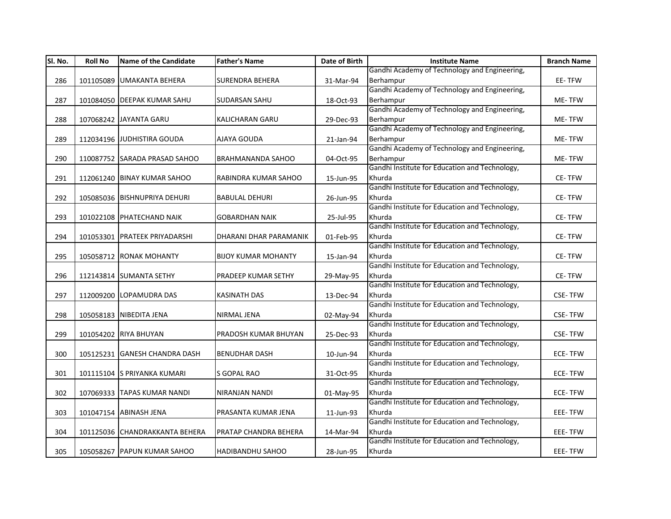| Sl. No. | <b>Roll No</b> | <b>Name of the Candidate</b>   | <b>Father's Name</b>       | Date of Birth | <b>Institute Name</b>                                    | <b>Branch Name</b> |
|---------|----------------|--------------------------------|----------------------------|---------------|----------------------------------------------------------|--------------------|
|         |                |                                |                            |               | Gandhi Academy of Technology and Engineering,            |                    |
| 286     |                | 101105089 UMAKANTA BEHERA      | <b>SURENDRA BEHERA</b>     | 31-Mar-94     | Berhampur                                                | EE-TFW             |
|         |                |                                |                            |               | Gandhi Academy of Technology and Engineering,            |                    |
| 287     |                | 101084050 DEEPAK KUMAR SAHU    | SUDARSAN SAHU              | 18-Oct-93     | Berhampur                                                | ME-TFW             |
|         |                |                                |                            |               | Gandhi Academy of Technology and Engineering,            |                    |
| 288     |                | 107068242 JAYANTA GARU         | KALICHARAN GARU            | 29-Dec-93     | Berhampur                                                | ME-TFW             |
|         |                |                                |                            |               | Gandhi Academy of Technology and Engineering,            |                    |
| 289     |                | 112034196 JUDHISTIRA GOUDA     | <b>AJAYA GOUDA</b>         | 21-Jan-94     | Berhampur                                                | ME-TFW             |
|         |                |                                |                            |               | Gandhi Academy of Technology and Engineering,            |                    |
| 290     |                | 110087752 SARADA PRASAD SAHOO  | <b>BRAHMANANDA SAHOO</b>   | 04-Oct-95     | Berhampur                                                | ME-TFW             |
|         |                |                                |                            |               | Gandhi Institute for Education and Technology,           |                    |
| 291     |                | 112061240 BINAY KUMAR SAHOO    | RABINDRA KUMAR SAHOO       | 15-Jun-95     | Khurda                                                   | CE-TFW             |
|         |                |                                |                            |               | Gandhi Institute for Education and Technology,           |                    |
| 292     |                | 105085036 BISHNUPRIYA DEHURI   | <b>BABULAL DEHURI</b>      | 26-Jun-95     | Khurda                                                   | CE-TFW             |
|         |                |                                |                            |               | Gandhi Institute for Education and Technology,           |                    |
| 293     |                | 101022108 PHATECHAND NAIK      | <b>GOBARDHAN NAIK</b>      | 25-Jul-95     | Khurda                                                   | <b>CE-TFW</b>      |
|         |                |                                |                            |               | Gandhi Institute for Education and Technology,           |                    |
| 294     |                | 101053301 PRATEEK PRIYADARSHI  | DHARANI DHAR PARAMANIK     | 01-Feb-95     | Khurda                                                   | CE-TFW             |
|         |                |                                |                            |               | Gandhi Institute for Education and Technology,           |                    |
| 295     |                | 105058712 RONAK MOHANTY        | <b>BIJOY KUMAR MOHANTY</b> | 15-Jan-94     | Khurda                                                   | CE-TFW             |
|         |                |                                |                            |               | Gandhi Institute for Education and Technology,           |                    |
| 296     |                | 112143814 SUMANTA SETHY        | PRADEEP KUMAR SETHY        | 29-May-95     | Khurda                                                   | <b>CE-TFW</b>      |
|         |                |                                |                            |               | Gandhi Institute for Education and Technology,           |                    |
| 297     |                | 112009200 LOPAMUDRA DAS        | <b>KASINATH DAS</b>        | 13-Dec-94     | Khurda                                                   | <b>CSE-TFW</b>     |
|         |                |                                |                            |               | Gandhi Institute for Education and Technology,           |                    |
| 298     |                | 105058183 NIBEDITA JENA        | <b>NIRMAL JENA</b>         | 02-May-94     | Khurda                                                   | <b>CSE-TFW</b>     |
|         |                |                                |                            |               | Gandhi Institute for Education and Technology,           |                    |
| 299     |                | 101054202 RIYA BHUYAN          | PRADOSH KUMAR BHUYAN       | 25-Dec-93     | Khurda                                                   | <b>CSE-TFW</b>     |
|         |                |                                |                            |               | Gandhi Institute for Education and Technology,           |                    |
| 300     |                | 105125231 GANESH CHANDRA DASH  | <b>BENUDHAR DASH</b>       | 10-Jun-94     | Khurda                                                   | <b>ECE-TFW</b>     |
|         |                |                                |                            |               | Gandhi Institute for Education and Technology,           |                    |
| 301     |                | 101115104 S PRIYANKA KUMARI    | S GOPAL RAO                | 31-Oct-95     | Khurda                                                   | ECE-TFW            |
|         |                |                                |                            |               | Gandhi Institute for Education and Technology,           |                    |
| 302     |                | 107069333 TAPAS KUMAR NANDI    | <b>NIRANJAN NANDI</b>      | 01-May-95     | Khurda                                                   | <b>ECE-TFW</b>     |
|         |                |                                |                            |               | Gandhi Institute for Education and Technology,           |                    |
| 303     |                | 101047154 ABINASH JENA         | PRASANTA KUMAR JENA        | 11-Jun-93     | Khurda<br>Gandhi Institute for Education and Technology, | <b>EEE-TFW</b>     |
|         |                |                                |                            |               |                                                          |                    |
| 304     |                | 101125036 CHANDRAKKANTA BEHERA | PRATAP CHANDRA BEHERA      | 14-Mar-94     | Khurda<br>Gandhi Institute for Education and Technology, | EEE-TFW            |
|         |                |                                |                            |               |                                                          |                    |
| 305     |                | 105058267 PAPUN KUMAR SAHOO    | <b>HADIBANDHU SAHOO</b>    | 28-Jun-95     | Khurda                                                   | EEE-TFW            |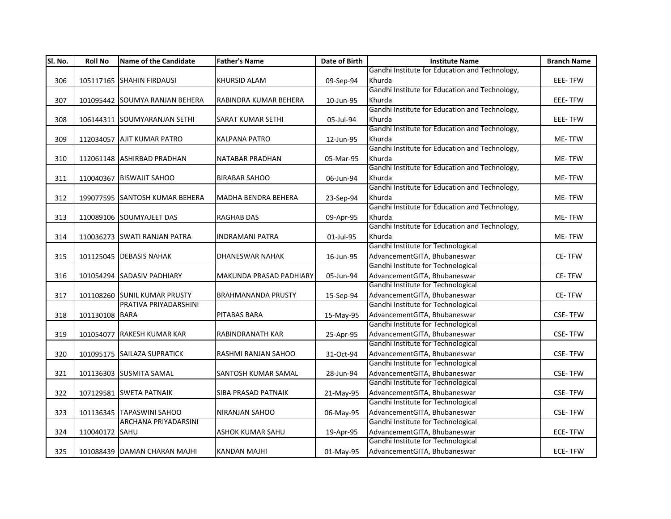| SI. No. | <b>Roll No</b> | <b>Name of the Candidate</b>                             | <b>Father's Name</b>       | Date of Birth | <b>Institute Name</b>                                              | <b>Branch Name</b> |
|---------|----------------|----------------------------------------------------------|----------------------------|---------------|--------------------------------------------------------------------|--------------------|
|         |                |                                                          |                            |               | Gandhi Institute for Education and Technology,                     |                    |
| 306     |                | 105117165 SHAHIN FIRDAUSI                                | <b>KHURSID ALAM</b>        | 09-Sep-94     | Khurda                                                             | EEE-TFW            |
|         |                |                                                          |                            |               | Gandhi Institute for Education and Technology,                     |                    |
| 307     |                | 101095442 SOUMYA RANJAN BEHERA                           | RABINDRA KUMAR BEHERA      | 10-Jun-95     | Khurda                                                             | EEE-TFW            |
|         |                |                                                          |                            |               | Gandhi Institute for Education and Technology,                     |                    |
| 308     |                | 106144311 SOUMYARANJAN SETHI                             | <b>SARAT KUMAR SETHI</b>   | 05-Jul-94     | Khurda                                                             | EEE-TFW            |
|         |                |                                                          |                            |               | Gandhi Institute for Education and Technology,                     |                    |
| 309     |                | 112034057 AJIT KUMAR PATRO                               | <b>KALPANA PATRO</b>       | 12-Jun-95     | Khurda                                                             | ME-TFW             |
|         |                |                                                          |                            |               | Gandhi Institute for Education and Technology,                     |                    |
| 310     |                | 112061148 ASHIRBAD PRADHAN                               | NATABAR PRADHAN            | 05-Mar-95     | Khurda                                                             | ME-TFW             |
|         |                |                                                          |                            |               | Gandhi Institute for Education and Technology,                     |                    |
| 311     |                | 110040367 BISWAJIT SAHOO                                 | <b>BIRABAR SAHOO</b>       | 06-Jun-94     | Khurda                                                             | ME-TFW             |
|         |                |                                                          |                            |               | Gandhi Institute for Education and Technology,                     |                    |
| 312     |                | 199077595 SANTOSH KUMAR BEHERA                           | <b>MADHA BENDRA BEHERA</b> | 23-Sep-94     | Khurda                                                             | ME-TFW             |
|         |                |                                                          |                            |               | Gandhi Institute for Education and Technology,                     |                    |
| 313     |                | 110089106 SOUMYAJEET DAS                                 | <b>RAGHAB DAS</b>          | 09-Apr-95     | Khurda                                                             | ME-TFW             |
|         |                |                                                          |                            |               | Gandhi Institute for Education and Technology,                     |                    |
| 314     |                | 110036273 SWATI RANJAN PATRA                             | <b>INDRAMANI PATRA</b>     | 01-Jul-95     | Khurda                                                             | ME-TFW             |
|         |                |                                                          |                            |               | Gandhi Institute for Technological                                 |                    |
| 315     |                | 101125045 DEBASIS NAHAK                                  | DHANESWAR NAHAK            | 16-Jun-95     | AdvancementGITA, Bhubaneswar                                       | CE-TFW             |
|         |                |                                                          |                            |               | Gandhi Institute for Technological                                 |                    |
| 316     |                | 101054294 SADASIV PADHIARY                               | MAKUNDA PRASAD PADHIARY    | 05-Jun-94     | AdvancementGITA, Bhubaneswar                                       | CE-TFW             |
|         |                |                                                          |                            |               | Gandhi Institute for Technological                                 |                    |
| 317     |                | 101108260 SUNIL KUMAR PRUSTY                             | <b>BRAHMANANDA PRUSTY</b>  | 15-Sep-94     | AdvancementGITA, Bhubaneswar                                       | CE-TFW             |
|         |                | PRATIVA PRIYADARSHINI                                    |                            |               | Gandhi Institute for Technological                                 |                    |
| 318     | 101130108 BARA |                                                          | <b>PITABAS BARA</b>        | 15-May-95     | AdvancementGITA, Bhubaneswar                                       | <b>CSE-TFW</b>     |
|         |                |                                                          |                            |               | Gandhi Institute for Technological                                 |                    |
| 319     |                | 101054077 RAKESH KUMAR KAR                               | <b>RABINDRANATH KAR</b>    | 25-Apr-95     | AdvancementGITA, Bhubaneswar                                       | <b>CSE-TFW</b>     |
|         |                |                                                          |                            |               | Gandhi Institute for Technological                                 |                    |
| 320     |                | 101095175 SAILAZA SUPRATICK                              | RASHMI RANJAN SAHOO        | 31-Oct-94     | AdvancementGITA, Bhubaneswar                                       | <b>CSE-TFW</b>     |
|         |                |                                                          |                            |               | Gandhi Institute for Technological                                 |                    |
| 321     |                | 101136303 SUSMITA SAMAL                                  | <b>SANTOSH KUMAR SAMAL</b> | 28-Jun-94     | AdvancementGITA, Bhubaneswar<br>Gandhi Institute for Technological | <b>CSE-TFW</b>     |
|         |                |                                                          |                            |               |                                                                    |                    |
| 322     |                | 107129581 SWETA PATNAIK                                  | SIBA PRASAD PATNAIK        | 21-May-95     | AdvancementGITA, Bhubaneswar<br>Gandhi Institute for Technological | <b>CSE-TFW</b>     |
|         |                |                                                          |                            |               |                                                                    |                    |
| 323     |                | 101136345 TAPASWINI SAHOO<br><b>ARCHANA PRIYADARSINI</b> | <b>NIRANJAN SAHOO</b>      | 06-May-95     | AdvancementGITA, Bhubaneswar<br>Gandhi Institute for Technological | <b>CSE-TFW</b>     |
|         |                |                                                          |                            |               |                                                                    |                    |
| 324     | 110040172 SAHU |                                                          | <b>ASHOK KUMAR SAHU</b>    | 19-Apr-95     | AdvancementGITA, Bhubaneswar<br>Gandhi Institute for Technological | <b>ECE-TFW</b>     |
|         |                |                                                          |                            |               |                                                                    |                    |
| 325     |                | 101088439 DAMAN CHARAN MAJHI                             | KANDAN MAJHI               | 01-May-95     | AdvancementGITA, Bhubaneswar                                       | ECE-TFW            |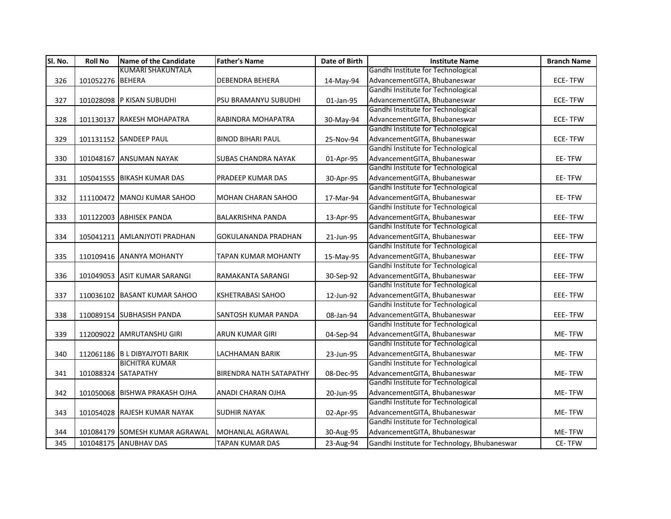| Sl. No. | <b>Roll No</b>   | Name of the Candidate          | <b>Father's Name</b>        | Date of Birth | <b>Institute Name</b>                        | <b>Branch Name</b> |
|---------|------------------|--------------------------------|-----------------------------|---------------|----------------------------------------------|--------------------|
|         |                  | <b>KUMARI SHAKUNTALA</b>       |                             |               | Gandhi Institute for Technological           |                    |
| 326     | 101052276 BEHERA |                                | <b>DEBENDRA BEHERA</b>      | 14-May-94     | AdvancementGITA, Bhubaneswar                 | ECE-TFW            |
|         |                  |                                |                             |               | Gandhi Institute for Technological           |                    |
| 327     |                  | 101028098 P KISAN SUBUDHI      | <b>PSU BRAMANYU SUBUDHI</b> | 01-Jan-95     | AdvancementGITA, Bhubaneswar                 | <b>ECE-TFW</b>     |
|         |                  |                                |                             |               | Gandhi Institute for Technological           |                    |
| 328     |                  | 101130137 RAKESH MOHAPATRA     | RABINDRA MOHAPATRA          | 30-May-94     | AdvancementGITA, Bhubaneswar                 | ECE-TFW            |
|         |                  |                                |                             |               | Gandhi Institute for Technological           |                    |
| 329     |                  | 101131152 SANDEEP PAUL         | <b>BINOD BIHARI PAUL</b>    | 25-Nov-94     | AdvancementGITA, Bhubaneswar                 | ECE-TFW            |
|         |                  |                                |                             |               | Gandhi Institute for Technological           |                    |
| 330     |                  | 101048167 ANSUMAN NAYAK        | <b>SUBAS CHANDRA NAYAK</b>  | 01-Apr-95     | AdvancementGITA, Bhubaneswar                 | EE-TFW             |
|         |                  |                                |                             |               | Gandhi Institute for Technological           |                    |
| 331     |                  | 105041555 BIKASH KUMAR DAS     | PRADEEP KUMAR DAS           | 30-Apr-95     | AdvancementGITA, Bhubaneswar                 | EE-TFW             |
|         |                  |                                |                             |               | Gandhi Institute for Technological           |                    |
| 332     |                  | 111100472 MANOJ KUMAR SAHOO    | <b>MOHAN CHARAN SAHOO</b>   | 17-Mar-94     | AdvancementGITA, Bhubaneswar                 | EE-TFW             |
|         |                  |                                |                             |               | Gandhi Institute for Technological           |                    |
| 333     |                  | 101122003 ABHISEK PANDA        | <b>BALAKRISHNA PANDA</b>    | 13-Apr-95     | AdvancementGITA, Bhubaneswar                 | EEE-TFW            |
|         |                  |                                |                             |               | Gandhi Institute for Technological           |                    |
| 334     |                  | 105041211 AMLANJYOTI PRADHAN   | <b>GOKULANANDA PRADHAN</b>  | 21-Jun-95     | AdvancementGITA, Bhubaneswar                 | EEE-TFW            |
|         |                  |                                |                             |               | Gandhi Institute for Technological           |                    |
| 335     |                  | 110109416 ANANYA MOHANTY       | TAPAN KUMAR MOHANTY         | 15-May-95     | AdvancementGITA, Bhubaneswar                 | EEE-TFW            |
|         |                  |                                |                             |               | Gandhi Institute for Technological           |                    |
| 336     |                  | 101049053 ASIT KUMAR SARANGI   | RAMAKANTA SARANGI           | 30-Sep-92     | AdvancementGITA, Bhubaneswar                 | EEE-TFW            |
|         |                  |                                |                             |               | Gandhi Institute for Technological           |                    |
| 337     |                  | 110036102 BASANT KUMAR SAHOO   | <b>KSHETRABASI SAHOO</b>    | 12-Jun-92     | AdvancementGITA, Bhubaneswar                 | EEE-TFW            |
|         |                  |                                |                             |               | Gandhi Institute for Technological           |                    |
| 338     |                  | 110089154 SUBHASISH PANDA      | <b>SANTOSH KUMAR PANDA</b>  | 08-Jan-94     | AdvancementGITA, Bhubaneswar                 | EEE-TFW            |
|         |                  |                                |                             |               | Gandhi Institute for Technological           |                    |
| 339     |                  | 112009022 AMRUTANSHU GIRI      | ARUN KUMAR GIRI             | 04-Sep-94     | AdvancementGITA, Bhubaneswar                 | ME-TFW             |
|         |                  |                                |                             |               | Gandhi Institute for Technological           |                    |
| 340     |                  | 112061186 B L DIBYAJYOTI BARIK | LACHHAMAN BARIK             | 23-Jun-95     | AdvancementGITA, Bhubaneswar                 | <b>ME-TFW</b>      |
|         |                  | <b>BICHITRA KUMAR</b>          |                             |               | Gandhi Institute for Technological           |                    |
| 341     |                  | 101088324 SATAPATHY            | BIRENDRA NATH SATAPATHY     | 08-Dec-95     | AdvancementGITA, Bhubaneswar                 | ME-TFW             |
|         |                  |                                |                             |               | Gandhi Institute for Technological           |                    |
| 342     |                  | 101050068 BISHWA PRAKASH OJHA  | ANADI CHARAN OJHA           | 20-Jun-95     | AdvancementGITA, Bhubaneswar                 | ME-TFW             |
|         |                  |                                |                             |               | Gandhi Institute for Technological           |                    |
| 343     |                  | 101054028 RAJESH KUMAR NAYAK   | <b>SUDHIR NAYAK</b>         | 02-Apr-95     | AdvancementGITA, Bhubaneswar                 | ME-TFW             |
|         |                  |                                |                             |               | Gandhi Institute for Technological           |                    |
| 344     |                  | 101084179 SOMESH KUMAR AGRAWAL | MOHANLAL AGRAWAL            | 30-Aug-95     | AdvancementGITA, Bhubaneswar                 | ME-TFW             |
| 345     |                  | 101048175 ANUBHAV DAS          | <b>TAPAN KUMAR DAS</b>      | 23-Aug-94     | Gandhi Institute for Technology, Bhubaneswar | CE-TFW             |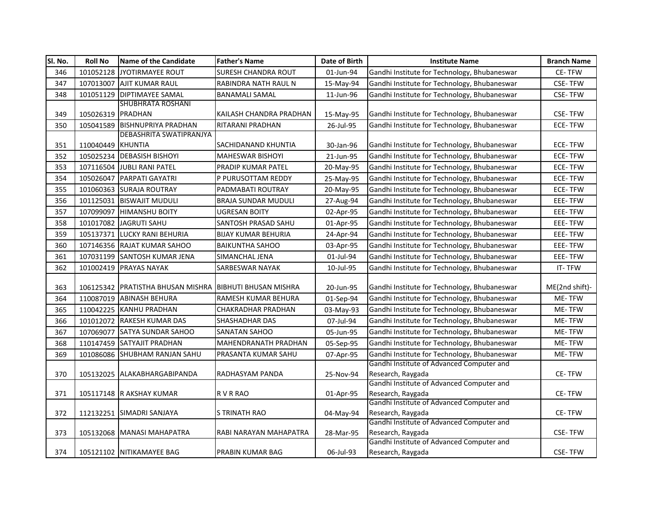| SI. No. | <b>Roll No</b>    | Name of the Candidate                                       | <b>Father's Name</b>        | Date of Birth | <b>Institute Name</b>                                          | <b>Branch Name</b> |
|---------|-------------------|-------------------------------------------------------------|-----------------------------|---------------|----------------------------------------------------------------|--------------------|
| 346     |                   | 101052128 JYOTIRMAYEE ROUT                                  | <b>SURESH CHANDRA ROUT</b>  | 01-Jun-94     | Gandhi Institute for Technology, Bhubaneswar                   | <b>CE-TFW</b>      |
| 347     |                   | 107013007 AJIT KUMAR RAUL                                   | RABINDRA NATH RAUL N        | 15-May-94     | Gandhi Institute for Technology, Bhubaneswar                   | <b>CSE-TFW</b>     |
| 348     |                   | 101051129 DIPTIMAYEE SAMAL                                  | <b>BANAMALI SAMAL</b>       | 11-Jun-96     | Gandhi Institute for Technology, Bhubaneswar                   | <b>CSE-TFW</b>     |
|         |                   | SHUBHRATA ROSHANI                                           |                             |               |                                                                |                    |
| 349     | 105026319 PRADHAN |                                                             | KAILASH CHANDRA PRADHAN     | 15-May-95     | Gandhi Institute for Technology, Bhubaneswar                   | <b>CSE-TFW</b>     |
| 350     |                   | 105041589 BISHNUPRIYA PRADHAN                               | RITARANI PRADHAN            | 26-Jul-95     | Gandhi Institute for Technology, Bhubaneswar                   | <b>ECE-TFW</b>     |
|         |                   | DEBASHRITA SWATIPRANJYA                                     |                             |               |                                                                |                    |
| 351     | 110040449 KHUNTIA |                                                             | SACHIDANAND KHUNTIA         | 30-Jan-96     | Gandhi Institute for Technology, Bhubaneswar                   | <b>ECE-TFW</b>     |
| 352     |                   | 105025234 DEBASISH BISHOYI                                  | <b>MAHESWAR BISHOYI</b>     | 21-Jun-95     | Gandhi Institute for Technology, Bhubaneswar                   | ECE-TFW            |
| 353     |                   | 107116504 JUBLI RANI PATEL                                  | PRADIP KUMAR PATEL          | 20-May-95     | Gandhi Institute for Technology, Bhubaneswar                   | <b>ECE-TFW</b>     |
| 354     |                   | 105026047 PARPATI GAYATRI                                   | P PURUSOTTAM REDDY          | 25-May-95     | Gandhi Institute for Technology, Bhubaneswar                   | <b>ECE-TFW</b>     |
| 355     |                   | 101060363 SURAJA ROUTRAY                                    | PADMABATI ROUTRAY           | 20-May-95     | Gandhi Institute for Technology, Bhubaneswar                   | ECE-TFW            |
| 356     |                   | 101125031 BISWAJIT MUDULI                                   | BRAJA SUNDAR MUDULI         | 27-Aug-94     | Gandhi Institute for Technology, Bhubaneswar                   | EEE-TFW            |
| 357     |                   | 107099097 HIMANSHU BOITY                                    | UGRESAN BOITY               | 02-Apr-95     | Gandhi Institute for Technology, Bhubaneswar                   | <b>EEE-TFW</b>     |
| 358     |                   | 101017082 JAGRUTI SAHU                                      | SANTOSH PRASAD SAHU         | 01-Apr-95     | Gandhi Institute for Technology, Bhubaneswar                   | EEE-TFW            |
| 359     |                   | 105137371 LUCKY RANI BEHURIA                                | <b>BIJAY KUMAR BEHURIA</b>  | 24-Apr-94     | Gandhi Institute for Technology, Bhubaneswar                   | EEE-TFW            |
| 360     |                   | 107146356 RAJAT KUMAR SAHOO                                 | <b>BAIKUNTHA SAHOO</b>      | 03-Apr-95     | Gandhi Institute for Technology, Bhubaneswar                   | EEE-TFW            |
| 361     |                   | 107031199 SANTOSH KUMAR JENA                                | SIMANCHAL JENA              | 01-Jul-94     | Gandhi Institute for Technology, Bhubaneswar                   | EEE-TFW            |
| 362     |                   | 101002419 PRAYAS NAYAK                                      | SARBESWAR NAYAK             | 10-Jul-95     | Gandhi Institute for Technology, Bhubaneswar                   | IT-TFW             |
| 363     |                   | 106125342   PRATISTHA BHUSAN MISHRA   BIBHUTI BHUSAN MISHRA |                             | 20-Jun-95     | Gandhi Institute for Technology, Bhubaneswar                   | ME(2nd shift)-     |
| 364     |                   | 110087019 ABINASH BEHURA                                    | RAMESH KUMAR BEHURA         | 01-Sep-94     | Gandhi Institute for Technology, Bhubaneswar                   | ME-TFW             |
| 365     |                   | 110042225 KANHU PRADHAN                                     | <b>CHAKRADHAR PRADHAN</b>   | 03-May-93     | Gandhi Institute for Technology, Bhubaneswar                   | ME-TFW             |
| 366     |                   | 101012072 RAKESH KUMAR DAS                                  | SHASHADHAR DAS              | 07-Jul-94     | Gandhi Institute for Technology, Bhubaneswar                   | ME-TFW             |
| 367     |                   | 107069077 SATYA SUNDAR SAHOO                                | <b>SANATAN SAHOO</b>        | 05-Jun-95     | Gandhi Institute for Technology, Bhubaneswar                   | ME-TFW             |
| 368     |                   | 110147459 SATYAJIT PRADHAN                                  | <b>MAHENDRANATH PRADHAN</b> | 05-Sep-95     | Gandhi Institute for Technology, Bhubaneswar                   | ME-TFW             |
| 369     |                   | 101086086 SHUBHAM RANJAN SAHU                               | PRASANTA KUMAR SAHU         | 07-Apr-95     | Gandhi Institute for Technology, Bhubaneswar                   | ME-TFW             |
|         |                   |                                                             |                             |               | Gandhi Institute of Advanced Computer and                      |                    |
| 370     |                   | 105132025 ALAKABHARGABIPANDA                                | RADHASYAM PANDA             | 25-Nov-94     | Research, Raygada                                              | CE-TFW             |
|         |                   |                                                             |                             |               | Gandhi Institute of Advanced Computer and                      |                    |
| 371     |                   | 105117148 R AKSHAY KUMAR                                    | R V R RAO                   | 01-Apr-95     | Research, Raygada                                              | CE-TFW             |
|         |                   |                                                             |                             |               | Gandhi Institute of Advanced Computer and                      |                    |
| 372     |                   | 112132251 SIMADRI SANJAYA                                   | <b>S TRINATH RAO</b>        | 04-May-94     | Research, Raygada<br>Gandhi Institute of Advanced Computer and | CE-TFW             |
| 373     |                   | 105132068 MANASI MAHAPATRA                                  | RABI NARAYAN MAHAPATRA      | 28-Mar-95     | Research, Raygada                                              | <b>CSE-TFW</b>     |
|         |                   |                                                             |                             |               | Gandhi Institute of Advanced Computer and                      |                    |
| 374     |                   | 105121102 NITIKAMAYEE BAG                                   | <b>PRABIN KUMAR BAG</b>     | 06-Jul-93     | Research, Raygada                                              | <b>CSE-TFW</b>     |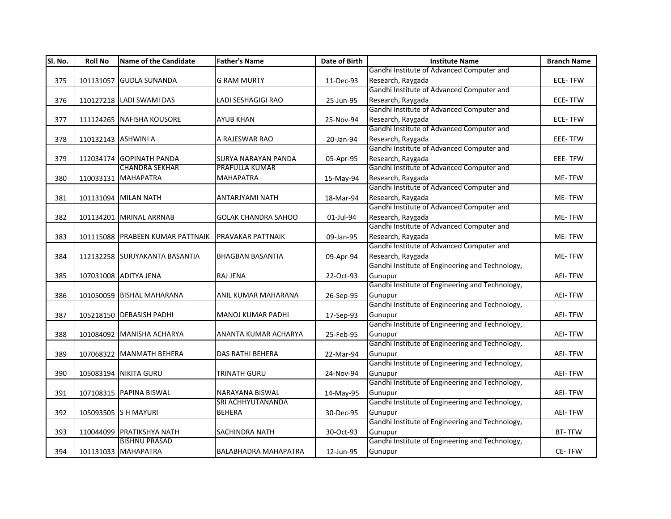| SI. No. | <b>Roll No</b>      | <b>Name of the Candidate</b>     | <b>Father's Name</b>        | Date of Birth | <b>Institute Name</b>                           | <b>Branch Name</b> |
|---------|---------------------|----------------------------------|-----------------------------|---------------|-------------------------------------------------|--------------------|
|         |                     |                                  |                             |               | Gandhi Institute of Advanced Computer and       |                    |
| 375     |                     | 101131057 GUDLA SUNANDA          | <b>G RAM MURTY</b>          | 11-Dec-93     | Research, Raygada                               | <b>ECE-TFW</b>     |
|         |                     |                                  |                             |               | Gandhi Institute of Advanced Computer and       |                    |
| 376     |                     | 110127218 LADI SWAMI DAS         | LADI SESHAGIGI RAO          | 25-Jun-95     | Research, Raygada                               | <b>ECE-TFW</b>     |
|         |                     |                                  |                             |               | Gandhi Institute of Advanced Computer and       |                    |
| 377     |                     | 111124265 NAFISHA KOUSORE        | <b>AYUB KHAN</b>            | 25-Nov-94     | Research, Raygada                               | <b>ECE-TFW</b>     |
|         |                     |                                  |                             |               | Gandhi Institute of Advanced Computer and       |                    |
| 378     | 110132143 ASHWINI A |                                  | A RAJESWAR RAO              | 20-Jan-94     | Research, Raygada                               | EEE-TFW            |
|         |                     |                                  |                             |               | Gandhi Institute of Advanced Computer and       |                    |
| 379     |                     | 112034174 GOPINATH PANDA         | SURYA NARAYAN PANDA         | 05-Apr-95     | Research, Raygada                               | EEE-TFW            |
|         |                     | <b>CHANDRA SEKHAR</b>            | <b>PRAFULLA KUMAR</b>       |               | Gandhi Institute of Advanced Computer and       |                    |
| 380     |                     | 110033131 MAHAPATRA              | <b>MAHAPATRA</b>            | 15-May-94     | Research, Raygada                               | ME-TFW             |
|         |                     |                                  |                             |               | Gandhi Institute of Advanced Computer and       |                    |
| 381     |                     | 101131094 MILAN NATH             | ANTARJYAMI NATH             | 18-Mar-94     | Research, Raygada                               | ME-TFW             |
|         |                     |                                  |                             |               | Gandhi Institute of Advanced Computer and       |                    |
| 382     |                     | 101134201 MRINAL ARRNAB          | <b>GOLAK CHANDRA SAHOO</b>  | 01-Jul-94     | Research, Raygada                               | ME-TFW             |
|         |                     |                                  |                             |               | Gandhi Institute of Advanced Computer and       |                    |
| 383     |                     | 101115088 PRABEEN KUMAR PATTNAIK | <b>PRAVAKAR PATTNAIK</b>    | 09-Jan-95     | Research, Raygada                               | ME-TFW             |
|         |                     |                                  |                             |               | Gandhi Institute of Advanced Computer and       |                    |
| 384     |                     | 112132258 SURJYAKANTA BASANTIA   | <b>BHAGBAN BASANTIA</b>     | 09-Apr-94     | Research, Raygada                               | ME-TFW             |
|         |                     |                                  |                             |               | Gandhi Institute of Engineering and Technology, |                    |
| 385     |                     | 107031008 ADITYA JENA            | <b>RAJ JENA</b>             | 22-Oct-93     | Gunupur                                         | <b>AEI-TFW</b>     |
|         |                     |                                  |                             |               | Gandhi Institute of Engineering and Technology, |                    |
| 386     |                     | 101050059 BISHAL MAHARANA        | ANIL KUMAR MAHARANA         | 26-Sep-95     | Gunupur                                         | <b>AEI-TFW</b>     |
|         |                     |                                  |                             |               | Gandhi Institute of Engineering and Technology, |                    |
| 387     |                     | 105218150 DEBASISH PADHI         | <b>MANOJ KUMAR PADHI</b>    | 17-Sep-93     | Gunupur                                         | <b>AEI-TFW</b>     |
|         |                     |                                  |                             |               | Gandhi Institute of Engineering and Technology, |                    |
| 388     |                     | 101084092 MANISHA ACHARYA        | ANANTA KUMAR ACHARYA        | 25-Feb-95     | Gunupur                                         | <b>AEI-TFW</b>     |
|         |                     |                                  |                             |               | Gandhi Institute of Engineering and Technology, |                    |
| 389     |                     | 107068322 MANMATH BEHERA         | <b>DAS RATHI BEHERA</b>     | 22-Mar-94     | Gunupur                                         | <b>AEI-TFW</b>     |
|         |                     |                                  |                             |               | Gandhi Institute of Engineering and Technology, |                    |
| 390     |                     | 105083194 NIKITA GURU            | TRINATH GURU                | 24-Nov-94     | Gunupur                                         | <b>AEI-TFW</b>     |
|         |                     |                                  |                             |               | Gandhi Institute of Engineering and Technology, |                    |
| 391     |                     | 107108315 PAPINA BISWAL          | NARAYANA BISWAL             | 14-May-95     | Gunupur                                         | <b>AEI-TFW</b>     |
|         |                     |                                  | SRI ACHHYUTANANDA           |               | Gandhi Institute of Engineering and Technology, |                    |
| 392     |                     | 105093505 S H MAYURI             | <b>BEHERA</b>               | 30-Dec-95     | Gunupur                                         | <b>AEI-TFW</b>     |
|         |                     |                                  |                             |               | Gandhi Institute of Engineering and Technology, |                    |
| 393     |                     | 110044099 PRATIKSHYA NATH        | SACHINDRA NATH              | 30-Oct-93     | Gunupur                                         | <b>BT-TFW</b>      |
|         |                     | <b>BISHNU PRASAD</b>             |                             |               | Gandhi Institute of Engineering and Technology, |                    |
| 394     |                     | 101131033 MAHAPATRA              | <b>BALABHADRA MAHAPATRA</b> | 12-Jun-95     | Gunupur                                         | CE-TFW             |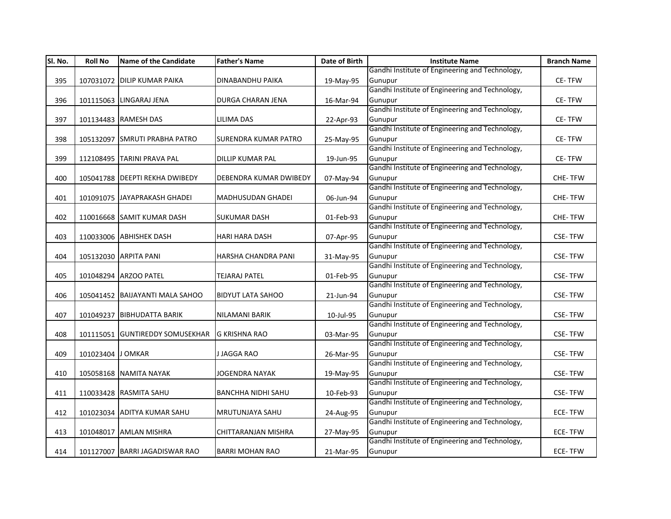| SI. No. | <b>Roll No</b>    | <b>Name of the Candidate</b>     | <b>Father's Name</b>        | Date of Birth | <b>Institute Name</b>                           | <b>Branch Name</b> |
|---------|-------------------|----------------------------------|-----------------------------|---------------|-------------------------------------------------|--------------------|
|         |                   |                                  |                             |               | Gandhi Institute of Engineering and Technology, |                    |
| 395     |                   | 107031072 DILIP KUMAR PAIKA      | <b>DINABANDHU PAIKA</b>     | 19-May-95     | Gunupur                                         | CE-TFW             |
|         |                   |                                  |                             |               | Gandhi Institute of Engineering and Technology, |                    |
| 396     |                   | 101115063 LINGARAJ JENA          | DURGA CHARAN JENA           | 16-Mar-94     | Gunupur                                         | CE-TFW             |
|         |                   |                                  |                             |               | Gandhi Institute of Engineering and Technology, |                    |
| 397     |                   | 101134483 RAMESH DAS             | LILIMA DAS                  | 22-Apr-93     | Gunupur                                         | <b>CE-TFW</b>      |
|         |                   |                                  |                             |               | Gandhi Institute of Engineering and Technology, |                    |
| 398     |                   | 105132097 SMRUTI PRABHA PATRO    | <b>SURENDRA KUMAR PATRO</b> | 25-May-95     | Gunupur                                         | CE-TFW             |
|         |                   |                                  |                             |               | Gandhi Institute of Engineering and Technology, |                    |
| 399     |                   | 112108495 TARINI PRAVA PAL       | DILLIP KUMAR PAL            | 19-Jun-95     | Gunupur                                         | CE-TFW             |
|         |                   |                                  |                             |               | Gandhi Institute of Engineering and Technology, |                    |
| 400     |                   | 105041788   DEEPTI REKHA DWIBEDY | DEBENDRA KUMAR DWIBEDY      | 07-May-94     | Gunupur                                         | <b>CHE-TFW</b>     |
|         |                   |                                  |                             |               | Gandhi Institute of Engineering and Technology, |                    |
| 401     |                   | 101091075 JAYAPRAKASH GHADEI     | <b>MADHUSUDAN GHADEI</b>    | 06-Jun-94     | Gunupur                                         | <b>CHE-TFW</b>     |
|         |                   |                                  |                             |               | Gandhi Institute of Engineering and Technology, |                    |
| 402     |                   | 110016668 SAMIT KUMAR DASH       | <b>SUKUMAR DASH</b>         | 01-Feb-93     | Gunupur                                         | <b>CHE-TFW</b>     |
|         |                   |                                  |                             |               | Gandhi Institute of Engineering and Technology, |                    |
| 403     |                   | 110033006 ABHISHEK DASH          | <b>HARI HARA DASH</b>       | 07-Apr-95     | Gunupur                                         | <b>CSE-TFW</b>     |
|         |                   |                                  |                             |               | Gandhi Institute of Engineering and Technology, |                    |
| 404     |                   | 105132030 ARPITA PANI            | HARSHA CHANDRA PANI         | 31-May-95     | Gunupur                                         | <b>CSE-TFW</b>     |
|         |                   |                                  |                             |               | Gandhi Institute of Engineering and Technology, |                    |
| 405     |                   | 101048294 ARZOO PATEL            | <b>TEJARAJ PATEL</b>        | 01-Feb-95     | Gunupur                                         | <b>CSE-TFW</b>     |
|         |                   |                                  |                             |               | Gandhi Institute of Engineering and Technology, |                    |
| 406     |                   | 105041452 BAIJAYANTI MALA SAHOO  | <b>BIDYUT LATA SAHOO</b>    | 21-Jun-94     | Gunupur                                         | <b>CSE-TFW</b>     |
|         |                   |                                  |                             |               | Gandhi Institute of Engineering and Technology, |                    |
| 407     |                   | 101049237 BIBHUDATTA BARIK       | <b>NILAMANI BARIK</b>       | 10-Jul-95     | Gunupur                                         | <b>CSE-TFW</b>     |
|         |                   |                                  |                             |               | Gandhi Institute of Engineering and Technology, |                    |
| 408     |                   | 101115051 GUNTIREDDY SOMUSEKHAR  | <b>G KRISHNA RAO</b>        | 03-Mar-95     | Gunupur                                         | <b>CSE-TFW</b>     |
|         |                   |                                  |                             |               | Gandhi Institute of Engineering and Technology, |                    |
| 409     | 101023404 J OMKAR |                                  | J JAGGA RAO                 | 26-Mar-95     | Gunupur                                         | <b>CSE-TFW</b>     |
|         |                   |                                  |                             |               | Gandhi Institute of Engineering and Technology, |                    |
| 410     |                   | 105058168 NAMITA NAYAK           | <b>JOGENDRA NAYAK</b>       | 19-May-95     | Gunupur                                         | <b>CSE-TFW</b>     |
|         |                   |                                  |                             |               | Gandhi Institute of Engineering and Technology, |                    |
| 411     |                   | 110033428 RASMITA SAHU           | <b>BANCHHA NIDHI SAHU</b>   | 10-Feb-93     | Gunupur                                         | <b>CSE-TFW</b>     |
|         |                   |                                  |                             |               | Gandhi Institute of Engineering and Technology, |                    |
| 412     |                   | 101023034 ADITYA KUMAR SAHU      | <b>MRUTUNJAYA SAHU</b>      | 24-Aug-95     | Gunupur                                         | <b>ECE-TFW</b>     |
|         |                   |                                  |                             |               | Gandhi Institute of Engineering and Technology, |                    |
| 413     |                   | 101048017 AMLAN MISHRA           | CHITTARANJAN MISHRA         | 27-May-95     | Gunupur                                         | <b>ECE-TFW</b>     |
|         |                   |                                  |                             |               | Gandhi Institute of Engineering and Technology, |                    |
| 414     |                   | 101127007 BARRI JAGADISWAR RAO   | <b>BARRI MOHAN RAO</b>      | 21-Mar-95     | Gunupur                                         | <b>ECE-TFW</b>     |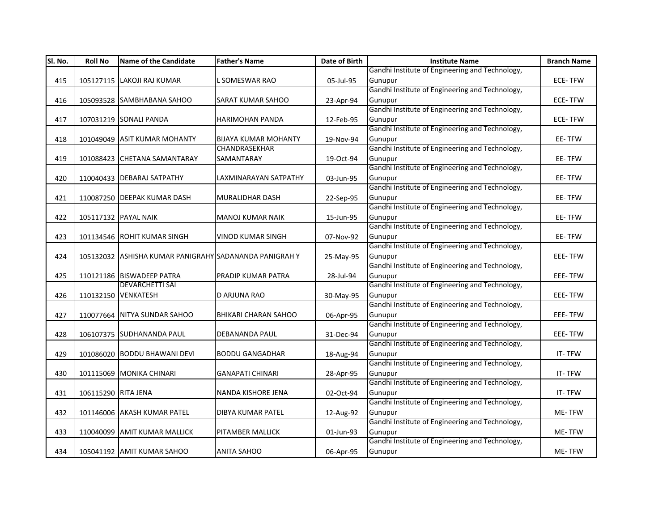| SI. No. | <b>Roll No</b>      | <b>Name of the Candidate</b>                           | <b>Father's Name</b>        | Date of Birth | <b>Institute Name</b>                           | <b>Branch Name</b> |
|---------|---------------------|--------------------------------------------------------|-----------------------------|---------------|-------------------------------------------------|--------------------|
|         |                     |                                                        |                             |               | Gandhi Institute of Engineering and Technology, |                    |
| 415     |                     | 105127115 LAKOJI RAJ KUMAR                             | L SOMESWAR RAO              | 05-Jul-95     | Gunupur                                         | <b>ECE-TFW</b>     |
|         |                     |                                                        |                             |               | Gandhi Institute of Engineering and Technology, |                    |
| 416     |                     | 105093528 SAMBHABANA SAHOO                             | <b>SARAT KUMAR SAHOO</b>    | 23-Apr-94     | Gunupur                                         | <b>ECE-TFW</b>     |
|         |                     |                                                        |                             |               | Gandhi Institute of Engineering and Technology, |                    |
| 417     |                     | 107031219 SONALI PANDA                                 | <b>HARIMOHAN PANDA</b>      | 12-Feb-95     | Gunupur                                         | ECE-TFW            |
|         |                     |                                                        |                             |               | Gandhi Institute of Engineering and Technology, |                    |
| 418     |                     | 101049049 ASIT KUMAR MOHANTY                           | <b>BIJAYA KUMAR MOHANTY</b> | 19-Nov-94     | Gunupur                                         | EE-TFW             |
|         |                     |                                                        | <b>CHANDRASEKHAR</b>        |               | Gandhi Institute of Engineering and Technology, |                    |
| 419     |                     | 101088423 CHETANA SAMANTARAY                           | SAMANTARAY                  | 19-Oct-94     | Gunupur                                         | EE-TFW             |
|         |                     |                                                        |                             |               | Gandhi Institute of Engineering and Technology, |                    |
| 420     |                     | 110040433 DEBARAJ SATPATHY                             | LAXMINARAYAN SATPATHY       | 03-Jun-95     | Gunupur                                         | EE-TFW             |
|         |                     |                                                        |                             |               | Gandhi Institute of Engineering and Technology, |                    |
| 421     |                     | 110087250 DEEPAK KUMAR DASH                            | <b>MURALIDHAR DASH</b>      | 22-Sep-95     | Gunupur                                         | EE-TFW             |
|         |                     |                                                        |                             |               | Gandhi Institute of Engineering and Technology, |                    |
| 422     |                     | 105117132 PAYAL NAIK                                   | <b>MANOJ KUMAR NAIK</b>     | 15-Jun-95     | Gunupur                                         | EE-TFW             |
|         |                     |                                                        |                             |               | Gandhi Institute of Engineering and Technology, |                    |
| 423     |                     | 101134546 ROHIT KUMAR SINGH                            | <b>VINOD KUMAR SINGH</b>    | 07-Nov-92     | Gunupur                                         | EE-TFW             |
|         |                     |                                                        |                             |               | Gandhi Institute of Engineering and Technology, |                    |
| 424     |                     | 105132032 ASHISHA KUMAR PANIGRAHY SADANANDA PANIGRAH Y |                             | 25-May-95     | Gunupur                                         | EEE-TFW            |
|         |                     |                                                        |                             |               | Gandhi Institute of Engineering and Technology, |                    |
| 425     |                     | 110121186 BISWADEEP PATRA                              | PRADIP KUMAR PATRA          | 28-Jul-94     | Gunupur                                         | EEE-TFW            |
|         |                     | <b>DEVARCHETTI SAI</b>                                 |                             |               | Gandhi Institute of Engineering and Technology, |                    |
| 426     |                     | 110132150 VENKATESH                                    | D ARJUNA RAO                | 30-May-95     | Gunupur                                         | EEE-TFW            |
|         |                     |                                                        |                             |               | Gandhi Institute of Engineering and Technology, |                    |
| 427     |                     | 110077664 NITYA SUNDAR SAHOO                           | <b>BHIKARI CHARAN SAHOO</b> | 06-Apr-95     | Gunupur                                         | EEE-TFW            |
|         |                     |                                                        |                             |               | Gandhi Institute of Engineering and Technology, |                    |
| 428     |                     | 106107375 SUDHANANDA PAUL                              | <b>DEBANANDA PAUL</b>       | 31-Dec-94     | Gunupur                                         | EEE-TFW            |
|         |                     |                                                        |                             |               | Gandhi Institute of Engineering and Technology, |                    |
| 429     |                     | 101086020 BODDU BHAWANI DEVI                           | <b>BODDU GANGADHAR</b>      | 18-Aug-94     | Gunupur                                         | IT-TFW             |
|         |                     |                                                        |                             |               | Gandhi Institute of Engineering and Technology, |                    |
| 430     |                     | 101115069 MONIKA CHINARI                               | <b>GANAPATI CHINARI</b>     | 28-Apr-95     | Gunupur                                         | IT-TFW             |
|         |                     |                                                        |                             |               | Gandhi Institute of Engineering and Technology, |                    |
| 431     | 106115290 RITA JENA |                                                        | <b>NANDA KISHORE JENA</b>   | 02-Oct-94     | Gunupur                                         | IT-TFW             |
|         |                     |                                                        |                             |               | Gandhi Institute of Engineering and Technology, |                    |
| 432     |                     | 101146006 AKASH KUMAR PATEL                            | <b>DIBYA KUMAR PATEL</b>    | 12-Aug-92     | Gunupur                                         | ME-TFW             |
|         |                     |                                                        |                             |               | Gandhi Institute of Engineering and Technology, |                    |
| 433     |                     | 110040099 AMIT KUMAR MALLICK                           | PITAMBER MALLICK            | 01-Jun-93     | Gunupur                                         | ME-TFW             |
|         |                     |                                                        |                             |               | Gandhi Institute of Engineering and Technology, |                    |
| 434     |                     | 105041192 AMIT KUMAR SAHOO                             | <b>ANITA SAHOO</b>          | 06-Apr-95     | Gunupur                                         | ME-TFW             |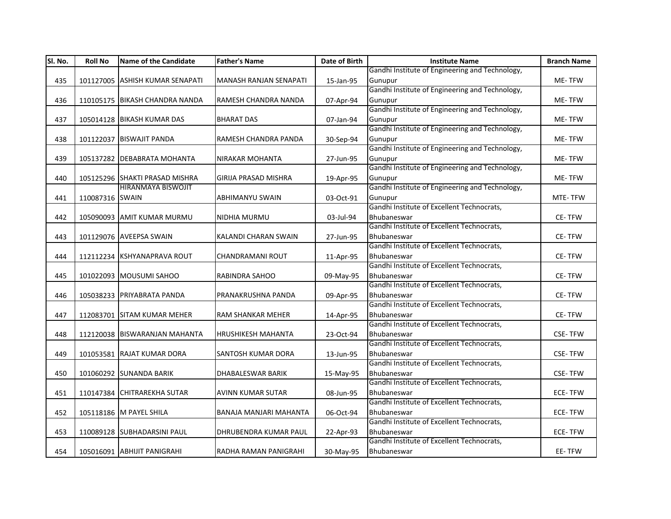| Sl. No. | <b>Roll No</b>  | <b>Name of the Candidate</b>    | <b>Father's Name</b>          | Date of Birth | <b>Institute Name</b>                                     | <b>Branch Name</b> |
|---------|-----------------|---------------------------------|-------------------------------|---------------|-----------------------------------------------------------|--------------------|
|         |                 |                                 |                               |               | Gandhi Institute of Engineering and Technology,           |                    |
| 435     |                 | 101127005 ASHISH KUMAR SENAPATI | <b>MANASH RANJAN SENAPATI</b> | 15-Jan-95     | Gunupur                                                   | ME-TFW             |
|         |                 |                                 |                               |               | Gandhi Institute of Engineering and Technology,           |                    |
| 436     |                 | 110105175 BIKASH CHANDRA NANDA  | RAMESH CHANDRA NANDA          | 07-Apr-94     | Gunupur                                                   | ME-TFW             |
|         |                 |                                 |                               |               | Gandhi Institute of Engineering and Technology,           |                    |
| 437     |                 | 105014128 BIKASH KUMAR DAS      | <b>BHARAT DAS</b>             | 07-Jan-94     | Gunupur                                                   | ME-TFW             |
|         |                 |                                 |                               |               | Gandhi Institute of Engineering and Technology,           |                    |
| 438     |                 | 101122037 BISWAJIT PANDA        | RAMESH CHANDRA PANDA          | 30-Sep-94     | Gunupur                                                   | ME-TFW             |
|         |                 |                                 |                               |               | Gandhi Institute of Engineering and Technology,           |                    |
| 439     |                 | 105137282 DEBABRATA MOHANTA     | <b>NIRAKAR MOHANTA</b>        | 27-Jun-95     | Gunupur                                                   | ME-TFW             |
|         |                 |                                 |                               |               | Gandhi Institute of Engineering and Technology,           |                    |
| 440     |                 | 105125296 SHAKTI PRASAD MISHRA  | GIRIJA PRASAD MISHRA          | 19-Apr-95     | Gunupur                                                   | ME-TFW             |
|         |                 | HIRANMAYA BISWOJIT              |                               |               | Gandhi Institute of Engineering and Technology,           |                    |
| 441     | 110087316 SWAIN |                                 | ABHIMANYU SWAIN               | 03-Oct-91     | Gunupur                                                   | MTE-TFW            |
|         |                 |                                 |                               |               | Gandhi Institute of Excellent Technocrats,                |                    |
| 442     |                 | 105090093 AMIT KUMAR MURMU      | NIDHIA MURMU                  | 03-Jul-94     | Bhubaneswar                                               | CE-TFW             |
|         |                 |                                 |                               |               | Gandhi Institute of Excellent Technocrats,                |                    |
| 443     |                 | 101129076 AVEEPSA SWAIN         | KALANDI CHARAN SWAIN          | 27-Jun-95     | Bhubaneswar                                               | CE-TFW             |
|         |                 |                                 |                               |               | Gandhi Institute of Excellent Technocrats,                |                    |
| 444     |                 | 112112234 KSHYANAPRAVA ROUT     | CHANDRAMANI ROUT              | 11-Apr-95     | Bhubaneswar                                               | CE-TFW             |
|         |                 |                                 |                               |               | Gandhi Institute of Excellent Technocrats,                |                    |
| 445     |                 | 101022093 MOUSUMI SAHOO         | RABINDRA SAHOO                | 09-May-95     | Bhubaneswar                                               | CE-TFW             |
|         |                 |                                 |                               |               | Gandhi Institute of Excellent Technocrats,                |                    |
| 446     |                 | 105038233 PRIYABRATA PANDA      | PRANAKRUSHNA PANDA            | 09-Apr-95     | Bhubaneswar                                               | <b>CE-TFW</b>      |
|         |                 |                                 |                               |               | Gandhi Institute of Excellent Technocrats,                |                    |
| 447     |                 | 112083701 SITAM KUMAR MEHER     | <b>RAM SHANKAR MEHER</b>      | 14-Apr-95     | Bhubaneswar                                               | CE-TFW             |
|         |                 |                                 |                               |               | Gandhi Institute of Excellent Technocrats,                |                    |
| 448     |                 | 112120038 BISWARANJAN MAHANTA   | <b>HRUSHIKESH MAHANTA</b>     | 23-Oct-94     | Bhubaneswar<br>Gandhi Institute of Excellent Technocrats, | <b>CSE-TFW</b>     |
|         |                 |                                 |                               |               |                                                           |                    |
| 449     |                 | 101053581 RAJAT KUMAR DORA      | <b>SANTOSH KUMAR DORA</b>     | 13-Jun-95     | Bhubaneswar<br>Gandhi Institute of Excellent Technocrats, | <b>CSE-TFW</b>     |
|         |                 |                                 |                               |               | Bhubaneswar                                               |                    |
| 450     |                 | 101060292 SUNANDA BARIK         | <b>DHABALESWAR BARIK</b>      | 15-May-95     | Gandhi Institute of Excellent Technocrats,                | <b>CSE-TFW</b>     |
|         |                 | 110147384 CHITRAREKHA SUTAR     |                               |               | Bhubaneswar                                               | <b>ECE-TFW</b>     |
| 451     |                 |                                 | AVINN KUMAR SUTAR             | 08-Jun-95     | Gandhi Institute of Excellent Technocrats,                |                    |
| 452     |                 | 105118186 M PAYEL SHILA         | BANAJA MANJARI MAHANTA        |               | Bhubaneswar                                               | <b>ECE-TFW</b>     |
|         |                 |                                 |                               | 06-Oct-94     | Gandhi Institute of Excellent Technocrats,                |                    |
| 453     |                 | 110089128 SUBHADARSINI PAUL     | DHRUBENDRA KUMAR PAUL         | 22-Apr-93     | Bhubaneswar                                               | <b>ECE-TFW</b>     |
|         |                 |                                 |                               |               | Gandhi Institute of Excellent Technocrats,                |                    |
| 454     |                 | 105016091 ABHIJIT PANIGRAHI     | RADHA RAMAN PANIGRAHI         | 30-May-95     | Bhubaneswar                                               | EE-TFW             |
|         |                 |                                 |                               |               |                                                           |                    |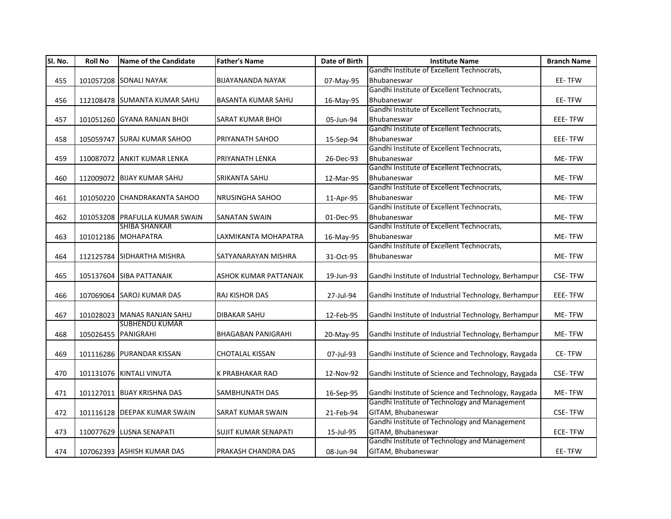| SI. No. | <b>Roll No</b> | <b>Name of the Candidate</b>   | <b>Father's Name</b>         | Date of Birth | <b>Institute Name</b>                                | <b>Branch Name</b> |
|---------|----------------|--------------------------------|------------------------------|---------------|------------------------------------------------------|--------------------|
|         |                |                                |                              |               | Gandhi Institute of Excellent Technocrats,           |                    |
| 455     |                | 101057208 SONALI NAYAK         | <b>BIJAYANANDA NAYAK</b>     | 07-May-95     | Bhubaneswar                                          | EE-TFW             |
|         |                |                                |                              |               | Gandhi Institute of Excellent Technocrats,           |                    |
| 456     |                | 112108478 SUMANTA KUMAR SAHU   | <b>BASANTA KUMAR SAHU</b>    | 16-May-95     | Bhubaneswar                                          | EE-TFW             |
|         |                |                                |                              |               | Gandhi Institute of Excellent Technocrats,           |                    |
| 457     |                | 101051260 GYANA RANJAN BHOI    | <b>SARAT KUMAR BHOI</b>      | 05-Jun-94     | Bhubaneswar                                          | EEE-TFW            |
|         |                |                                |                              |               | Gandhi Institute of Excellent Technocrats,           |                    |
| 458     |                | 105059747 SURAJ KUMAR SAHOO    | <b>PRIYANATH SAHOO</b>       | 15-Sep-94     | Bhubaneswar                                          | EEE-TFW            |
|         |                |                                |                              |               | Gandhi Institute of Excellent Technocrats,           |                    |
| 459     |                | 110087072 ANKIT KUMAR LENKA    | PRIYANATH LENKA              | 26-Dec-93     | Bhubaneswar                                          | ME-TFW             |
|         |                |                                |                              |               | Gandhi Institute of Excellent Technocrats,           |                    |
| 460     |                | 112009072 BIJAY KUMAR SAHU     | <b>SRIKANTA SAHU</b>         | 12-Mar-95     | Bhubaneswar                                          | ME-TFW             |
|         |                |                                |                              |               | Gandhi Institute of Excellent Technocrats,           |                    |
| 461     |                | 101050220 CHANDRAKANTA SAHOO   | <b>NRUSINGHA SAHOO</b>       | 11-Apr-95     | Bhubaneswar                                          | ME-TFW             |
|         |                |                                |                              |               | Gandhi Institute of Excellent Technocrats,           |                    |
| 462     |                | 101053208 PRAFULLA KUMAR SWAIN | <b>SANATAN SWAIN</b>         | 01-Dec-95     | Bhubaneswar                                          | ME-TFW             |
|         |                | <b>SHIBA SHANKAR</b>           |                              |               | Gandhi Institute of Excellent Technocrats,           |                    |
| 463     |                | 101012186 MOHAPATRA            | LAXMIKANTA MOHAPATRA         | 16-May-95     | Bhubaneswar                                          | ME-TFW             |
|         |                |                                |                              |               | Gandhi Institute of Excellent Technocrats,           |                    |
| 464     |                | 112125784 SIDHARTHA MISHRA     | SATYANARAYAN MISHRA          | 31-Oct-95     | Bhubaneswar                                          | ME-TFW             |
|         |                |                                |                              |               |                                                      |                    |
| 465     |                | 105137604 SIBA PATTANAIK       | <b>ASHOK KUMAR PATTANAIK</b> | 19-Jun-93     | Gandhi Institute of Industrial Technology, Berhampur | <b>CSE-TFW</b>     |
|         |                |                                |                              |               |                                                      |                    |
| 466     |                | 107069064 SAROJ KUMAR DAS      | <b>RAJ KISHOR DAS</b>        | 27-Jul-94     | Gandhi Institute of Industrial Technology, Berhampur | <b>EEE-TFW</b>     |
|         |                |                                |                              |               |                                                      |                    |
| 467     |                | 101028023 MANAS RANJAN SAHU    | <b>DIBAKAR SAHU</b>          | 12-Feb-95     | Gandhi Institute of Industrial Technology, Berhampur | ME-TFW             |
|         |                | <b>SUBHENDU KUMAR</b>          |                              |               |                                                      |                    |
| 468     |                | 105026455 PANIGRAHI            | <b>BHAGABAN PANIGRAHI</b>    | 20-May-95     | Gandhi Institute of Industrial Technology, Berhampur | ME-TFW             |
|         |                |                                |                              |               |                                                      |                    |
| 469     |                | 101116286 PURANDAR KISSAN      | <b>CHOTALAL KISSAN</b>       | 07-Jul-93     | Gandhi Institute of Science and Technology, Raygada  | CE-TFW             |
|         |                |                                |                              |               |                                                      |                    |
| 470     |                | 101131076 KINTALI VINUTA       | K PRABHAKAR RAO              | 12-Nov-92     | Gandhi Institute of Science and Technology, Raygada  | <b>CSE-TFW</b>     |
|         |                |                                |                              |               |                                                      |                    |
| 471     |                | 101127011 BIJAY KRISHNA DAS    | <b>SAMBHUNATH DAS</b>        | 16-Sep-95     | Gandhi Institute of Science and Technology, Raygada  | ME-TFW             |
|         |                |                                |                              |               | Gandhi Institute of Technology and Management        |                    |
| 472     |                | 101116128 DEEPAK KUMAR SWAIN   | <b>SARAT KUMAR SWAIN</b>     | 21-Feb-94     | GITAM, Bhubaneswar                                   | <b>CSE-TFW</b>     |
|         |                |                                |                              |               | Gandhi Institute of Technology and Management        |                    |
| 473     |                | 110077629 LUSNA SENAPATI       | SUJIT KUMAR SENAPATI         | 15-Jul-95     | GITAM, Bhubaneswar                                   | <b>ECE-TFW</b>     |
|         |                |                                |                              |               | Gandhi Institute of Technology and Management        |                    |
| 474     |                | 107062393 ASHISH KUMAR DAS     | PRAKASH CHANDRA DAS          | 08-Jun-94     | GITAM, Bhubaneswar                                   | EE-TFW             |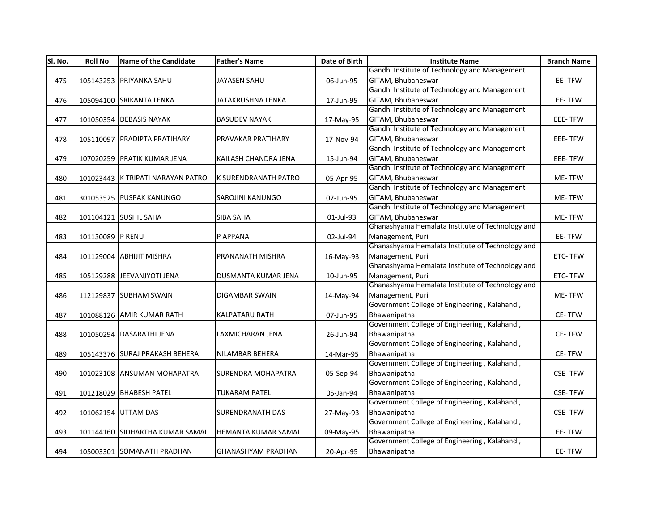| SI. No. | <b>Roll No</b>   | <b>Name of the Candidate</b>      | <b>Father's Name</b>      | Date of Birth | <b>Institute Name</b>                            | <b>Branch Name</b> |
|---------|------------------|-----------------------------------|---------------------------|---------------|--------------------------------------------------|--------------------|
|         |                  |                                   |                           |               | Gandhi Institute of Technology and Management    |                    |
| 475     |                  | 105143253 PRIYANKA SAHU           | <b>JAYASEN SAHU</b>       | 06-Jun-95     | GITAM, Bhubaneswar                               | EE-TFW             |
|         |                  |                                   |                           |               | Gandhi Institute of Technology and Management    |                    |
| 476     |                  | 105094100 SRIKANTA LENKA          | JATAKRUSHNA LENKA         | 17-Jun-95     | GITAM, Bhubaneswar                               | EE-TFW             |
|         |                  |                                   |                           |               | Gandhi Institute of Technology and Management    |                    |
| 477     |                  | 101050354 DEBASIS NAYAK           | <b>BASUDEV NAYAK</b>      | 17-May-95     | GITAM, Bhubaneswar                               | EEE-TFW            |
|         |                  |                                   |                           |               | Gandhi Institute of Technology and Management    |                    |
| 478     |                  | 105110097 PRADIPTA PRATIHARY      | <b>PRAVAKAR PRATIHARY</b> | 17-Nov-94     | GITAM, Bhubaneswar                               | <b>EEE-TFW</b>     |
|         |                  |                                   |                           |               | Gandhi Institute of Technology and Management    |                    |
| 479     |                  | 107020259 PRATIK KUMAR JENA       | KAILASH CHANDRA JENA      | 15-Jun-94     | GITAM, Bhubaneswar                               | EEE-TFW            |
|         |                  |                                   |                           |               | Gandhi Institute of Technology and Management    |                    |
| 480     |                  | 101023443 K TRIPATI NARAYAN PATRO | K SURENDRANATH PATRO      | 05-Apr-95     | GITAM, Bhubaneswar                               | ME-TFW             |
|         |                  |                                   |                           |               | Gandhi Institute of Technology and Management    |                    |
| 481     |                  | 301053525 PUSPAK KANUNGO          | <b>SAROJINI KANUNGO</b>   | 07-Jun-95     | GITAM, Bhubaneswar                               | ME-TFW             |
|         |                  |                                   |                           |               | Gandhi Institute of Technology and Management    |                    |
| 482     |                  | 101104121 SUSHIL SAHA             | <b>SIBA SAHA</b>          | 01-Jul-93     | GITAM, Bhubaneswar                               | ME-TFW             |
|         |                  |                                   |                           |               | Ghanashyama Hemalata Institute of Technology and |                    |
| 483     | 101130089 P RENU |                                   | P APPANA                  | 02-Jul-94     | Management, Puri                                 | EE-TFW             |
|         |                  |                                   |                           |               | Ghanashyama Hemalata Institute of Technology and |                    |
| 484     |                  | 101129004 ABHIJIT MISHRA          | PRANANATH MISHRA          | 16-May-93     | Management, Puri                                 | ETC-TFW            |
|         |                  |                                   |                           |               | Ghanashyama Hemalata Institute of Technology and |                    |
| 485     |                  | 105129288 JEEVANJYOTI JENA        | DUSMANTA KUMAR JENA       | 10-Jun-95     | Management, Puri                                 | ETC-TFW            |
|         |                  |                                   |                           |               | Ghanashyama Hemalata Institute of Technology and |                    |
| 486     |                  | 112129837 SUBHAM SWAIN            | <b>DIGAMBAR SWAIN</b>     | 14-May-94     | Management, Puri                                 | ME-TFW             |
|         |                  |                                   |                           |               | Government College of Engineering, Kalahandi,    |                    |
| 487     |                  | 101088126 AMIR KUMAR RATH         | <b>KALPATARU RATH</b>     | 07-Jun-95     | Bhawanipatna                                     | CE-TFW             |
|         |                  |                                   |                           |               | Government College of Engineering, Kalahandi,    |                    |
| 488     |                  | 101050294 DASARATHI JENA          | LAXMICHARAN JENA          | 26-Jun-94     | Bhawanipatna                                     | CE-TFW             |
|         |                  |                                   |                           |               | Government College of Engineering, Kalahandi,    |                    |
| 489     |                  | 105143376 SURAJ PRAKASH BEHERA    | NILAMBAR BEHERA           | 14-Mar-95     | Bhawanipatna                                     | CE-TFW             |
|         |                  |                                   |                           |               | Government College of Engineering, Kalahandi,    |                    |
| 490     |                  | 101023108 ANSUMAN MOHAPATRA       | SURENDRA MOHAPATRA        | 05-Sep-94     | Bhawanipatna                                     | <b>CSE-TFW</b>     |
|         |                  |                                   |                           |               | Government College of Engineering, Kalahandi,    |                    |
| 491     |                  | 101218029 BHABESH PATEL           | <b>TUKARAM PATEL</b>      | 05-Jan-94     | Bhawanipatna                                     | <b>CSE-TFW</b>     |
|         |                  |                                   |                           |               | Government College of Engineering, Kalahandi,    |                    |
| 492     |                  | 101062154 UTTAM DAS               | ISURENDRANATH DAS         | 27-May-93     | Bhawanipatna                                     | <b>CSE-TFW</b>     |
|         |                  |                                   |                           |               | Government College of Engineering, Kalahandi,    |                    |
| 493     |                  | 101144160 SIDHARTHA KUMAR SAMAL   | HEMANTA KUMAR SAMAL       | 09-May-95     | Bhawanipatna                                     | EE-TFW             |
|         |                  |                                   |                           |               | Government College of Engineering, Kalahandi,    |                    |
| 494     |                  | 105003301 SOMANATH PRADHAN        | <b>GHANASHYAM PRADHAN</b> | 20-Apr-95     | Bhawanipatna                                     | EE-TFW             |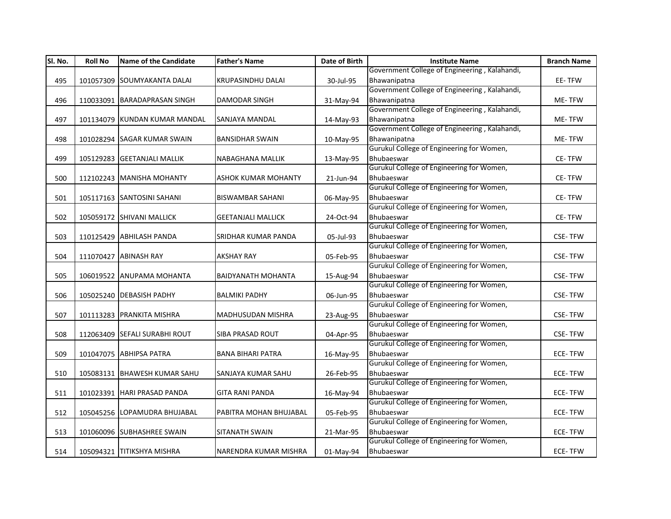| Government College of Engineering, Kalahandi,<br>SOUMYAKANTA DALAI<br>KRUPASINDHU DALAI<br>30-Jul-95<br>Bhawanipatna<br>EE-TFW<br>495<br>101057309<br>Government College of Engineering, Kalahandi,<br><b>DAMODAR SINGH</b><br>Bhawanipatna<br>ME-TFW<br>496<br>110033091<br><b>BARADAPRASAN SINGH</b><br>31-May-94<br>Government College of Engineering, Kalahandi,<br>Bhawanipatna<br>497<br>ME-TFW<br>101134079 KUNDAN KUMAR MANDAL<br>SANJAYA MANDAL<br>14-May-93<br>Government College of Engineering, Kalahandi,<br>Bhawanipatna<br>101028294 SAGAR KUMAR SWAIN<br><b>BANSIDHAR SWAIN</b><br>10-May-95<br>ME-TFW<br>498<br>Gurukul College of Engineering for Women,<br>Bhubaeswar<br>499<br>105129283 GEETANJALI MALLIK<br>NABAGHANA MALLIK<br>13-May-95<br>CE-TFW<br>Gurukul College of Engineering for Women,<br>Bhubaeswar<br>500<br>112102243 MANISHA MOHANTY<br><b>ASHOK KUMAR MOHANTY</b><br>21-Jun-94<br>CE-TFW<br>Gurukul College of Engineering for Women,<br>Bhubaeswar<br><b>BISWAMBAR SAHANI</b><br>CE-TFW<br>501<br>105117163 SANTOSINI SAHANI<br>06-May-95 | Sl. No.<br><b>Roll No</b> |
|---------------------------------------------------------------------------------------------------------------------------------------------------------------------------------------------------------------------------------------------------------------------------------------------------------------------------------------------------------------------------------------------------------------------------------------------------------------------------------------------------------------------------------------------------------------------------------------------------------------------------------------------------------------------------------------------------------------------------------------------------------------------------------------------------------------------------------------------------------------------------------------------------------------------------------------------------------------------------------------------------------------------------------------------------------------------------------|---------------------------|
|                                                                                                                                                                                                                                                                                                                                                                                                                                                                                                                                                                                                                                                                                                                                                                                                                                                                                                                                                                                                                                                                                 |                           |
|                                                                                                                                                                                                                                                                                                                                                                                                                                                                                                                                                                                                                                                                                                                                                                                                                                                                                                                                                                                                                                                                                 |                           |
|                                                                                                                                                                                                                                                                                                                                                                                                                                                                                                                                                                                                                                                                                                                                                                                                                                                                                                                                                                                                                                                                                 |                           |
|                                                                                                                                                                                                                                                                                                                                                                                                                                                                                                                                                                                                                                                                                                                                                                                                                                                                                                                                                                                                                                                                                 |                           |
|                                                                                                                                                                                                                                                                                                                                                                                                                                                                                                                                                                                                                                                                                                                                                                                                                                                                                                                                                                                                                                                                                 |                           |
|                                                                                                                                                                                                                                                                                                                                                                                                                                                                                                                                                                                                                                                                                                                                                                                                                                                                                                                                                                                                                                                                                 |                           |
|                                                                                                                                                                                                                                                                                                                                                                                                                                                                                                                                                                                                                                                                                                                                                                                                                                                                                                                                                                                                                                                                                 |                           |
|                                                                                                                                                                                                                                                                                                                                                                                                                                                                                                                                                                                                                                                                                                                                                                                                                                                                                                                                                                                                                                                                                 |                           |
|                                                                                                                                                                                                                                                                                                                                                                                                                                                                                                                                                                                                                                                                                                                                                                                                                                                                                                                                                                                                                                                                                 |                           |
|                                                                                                                                                                                                                                                                                                                                                                                                                                                                                                                                                                                                                                                                                                                                                                                                                                                                                                                                                                                                                                                                                 |                           |
|                                                                                                                                                                                                                                                                                                                                                                                                                                                                                                                                                                                                                                                                                                                                                                                                                                                                                                                                                                                                                                                                                 |                           |
|                                                                                                                                                                                                                                                                                                                                                                                                                                                                                                                                                                                                                                                                                                                                                                                                                                                                                                                                                                                                                                                                                 |                           |
|                                                                                                                                                                                                                                                                                                                                                                                                                                                                                                                                                                                                                                                                                                                                                                                                                                                                                                                                                                                                                                                                                 |                           |
|                                                                                                                                                                                                                                                                                                                                                                                                                                                                                                                                                                                                                                                                                                                                                                                                                                                                                                                                                                                                                                                                                 |                           |
| Gurukul College of Engineering for Women,                                                                                                                                                                                                                                                                                                                                                                                                                                                                                                                                                                                                                                                                                                                                                                                                                                                                                                                                                                                                                                       |                           |
| Bhubaeswar<br>502<br>105059172 SHIVANI MALLICK<br><b>GEETANJALI MALLICK</b><br>24-Oct-94<br>CE-TFW                                                                                                                                                                                                                                                                                                                                                                                                                                                                                                                                                                                                                                                                                                                                                                                                                                                                                                                                                                              |                           |
| Gurukul College of Engineering for Women,                                                                                                                                                                                                                                                                                                                                                                                                                                                                                                                                                                                                                                                                                                                                                                                                                                                                                                                                                                                                                                       |                           |
| Bhubaeswar<br>110125429 ABHILASH PANDA<br><b>CSE-TFW</b><br>503<br>SRIDHAR KUMAR PANDA<br>05-Jul-93                                                                                                                                                                                                                                                                                                                                                                                                                                                                                                                                                                                                                                                                                                                                                                                                                                                                                                                                                                             |                           |
| Gurukul College of Engineering for Women,                                                                                                                                                                                                                                                                                                                                                                                                                                                                                                                                                                                                                                                                                                                                                                                                                                                                                                                                                                                                                                       |                           |
| Bhubaeswar<br>504<br>111070427 ABINASH RAY<br><b>AKSHAY RAY</b><br><b>CSE-TFW</b><br>05-Feb-95                                                                                                                                                                                                                                                                                                                                                                                                                                                                                                                                                                                                                                                                                                                                                                                                                                                                                                                                                                                  |                           |
| Gurukul College of Engineering for Women,                                                                                                                                                                                                                                                                                                                                                                                                                                                                                                                                                                                                                                                                                                                                                                                                                                                                                                                                                                                                                                       |                           |
| Bhubaeswar<br>505<br>106019522 ANUPAMA MOHANTA<br><b>BAIDYANATH MOHANTA</b><br>15-Aug-94<br><b>CSE-TFW</b>                                                                                                                                                                                                                                                                                                                                                                                                                                                                                                                                                                                                                                                                                                                                                                                                                                                                                                                                                                      |                           |
| Gurukul College of Engineering for Women,                                                                                                                                                                                                                                                                                                                                                                                                                                                                                                                                                                                                                                                                                                                                                                                                                                                                                                                                                                                                                                       |                           |
| Bhubaeswar<br>105025240 DEBASISH PADHY<br><b>BALMIKI PADHY</b><br><b>CSE-TFW</b><br>506<br>06-Jun-95                                                                                                                                                                                                                                                                                                                                                                                                                                                                                                                                                                                                                                                                                                                                                                                                                                                                                                                                                                            |                           |
| Gurukul College of Engineering for Women,                                                                                                                                                                                                                                                                                                                                                                                                                                                                                                                                                                                                                                                                                                                                                                                                                                                                                                                                                                                                                                       |                           |
| Bhubaeswar<br><b>CSE-TFW</b><br>507<br>101113283 PRANKITA MISHRA<br>MADHUSUDAN MISHRA<br>23-Aug-95                                                                                                                                                                                                                                                                                                                                                                                                                                                                                                                                                                                                                                                                                                                                                                                                                                                                                                                                                                              |                           |
| Gurukul College of Engineering for Women,                                                                                                                                                                                                                                                                                                                                                                                                                                                                                                                                                                                                                                                                                                                                                                                                                                                                                                                                                                                                                                       |                           |
| Bhubaeswar<br>508<br>112063409 SEFALI SURABHI ROUT<br><b>SIBA PRASAD ROUT</b><br>04-Apr-95<br><b>CSE-TFW</b><br>Gurukul College of Engineering for Women,                                                                                                                                                                                                                                                                                                                                                                                                                                                                                                                                                                                                                                                                                                                                                                                                                                                                                                                       |                           |
|                                                                                                                                                                                                                                                                                                                                                                                                                                                                                                                                                                                                                                                                                                                                                                                                                                                                                                                                                                                                                                                                                 |                           |
| 101047075 ABHIPSA PATRA<br>Bhubaeswar<br><b>BANA BIHARI PATRA</b><br>ECE-TFW<br>509<br>16-May-95<br>Gurukul College of Engineering for Women,                                                                                                                                                                                                                                                                                                                                                                                                                                                                                                                                                                                                                                                                                                                                                                                                                                                                                                                                   |                           |
| Bhubaeswar                                                                                                                                                                                                                                                                                                                                                                                                                                                                                                                                                                                                                                                                                                                                                                                                                                                                                                                                                                                                                                                                      |                           |
| 105083131 BHAWESH KUMAR SAHU<br><b>ECE-TFW</b><br>510<br>SANJAYA KUMAR SAHU<br>26-Feb-95<br>Gurukul College of Engineering for Women,                                                                                                                                                                                                                                                                                                                                                                                                                                                                                                                                                                                                                                                                                                                                                                                                                                                                                                                                           |                           |
| Bhubaeswar<br>101023391 HARI PRASAD PANDA<br><b>GITA RANI PANDA</b><br><b>ECE-TFW</b><br>511                                                                                                                                                                                                                                                                                                                                                                                                                                                                                                                                                                                                                                                                                                                                                                                                                                                                                                                                                                                    |                           |
| 16-May-94<br>Gurukul College of Engineering for Women,                                                                                                                                                                                                                                                                                                                                                                                                                                                                                                                                                                                                                                                                                                                                                                                                                                                                                                                                                                                                                          |                           |
| Bhubaeswar<br><b>ECE-TFW</b><br>512<br>105045256 LOPAMUDRA BHUJABAL<br>PABITRA MOHAN BHUJABAL<br>05-Feb-95                                                                                                                                                                                                                                                                                                                                                                                                                                                                                                                                                                                                                                                                                                                                                                                                                                                                                                                                                                      |                           |
| Gurukul College of Engineering for Women,                                                                                                                                                                                                                                                                                                                                                                                                                                                                                                                                                                                                                                                                                                                                                                                                                                                                                                                                                                                                                                       |                           |
| Bhubaeswar<br>101060096 SUBHASHREE SWAIN<br><b>SITANATH SWAIN</b><br>ECE-TFW<br>513<br>21-Mar-95                                                                                                                                                                                                                                                                                                                                                                                                                                                                                                                                                                                                                                                                                                                                                                                                                                                                                                                                                                                |                           |
| Gurukul College of Engineering for Women,                                                                                                                                                                                                                                                                                                                                                                                                                                                                                                                                                                                                                                                                                                                                                                                                                                                                                                                                                                                                                                       |                           |
| Bhubaeswar<br>ECE-TFW<br>514<br>105094321 TITIKSHYA MISHRA<br>01-May-94<br>NARENDRA KUMAR MISHRA                                                                                                                                                                                                                                                                                                                                                                                                                                                                                                                                                                                                                                                                                                                                                                                                                                                                                                                                                                                |                           |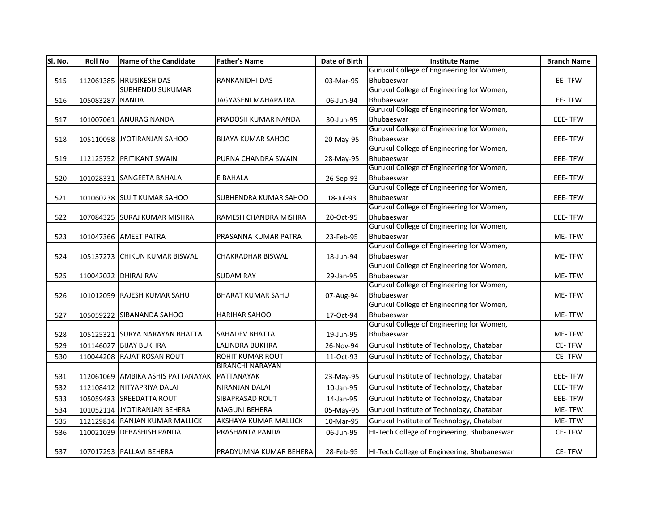| SI. No. | <b>Roll No</b>  | <b>Name of the Candidate</b>      | <b>Father's Name</b>         | Date of Birth | <b>Institute Name</b>                                   | <b>Branch Name</b> |
|---------|-----------------|-----------------------------------|------------------------------|---------------|---------------------------------------------------------|--------------------|
|         |                 |                                   |                              |               | Gurukul College of Engineering for Women,               |                    |
| 515     |                 | 112061385 HRUSIKESH DAS           | <b>RANKANIDHI DAS</b>        | 03-Mar-95     | Bhubaeswar                                              | EE-TFW             |
|         |                 | <b>SUBHENDU SUKUMAR</b>           |                              |               | Gurukul College of Engineering for Women,               |                    |
| 516     | 105083287 NANDA |                                   | JAGYASENI MAHAPATRA          | 06-Jun-94     | Bhubaeswar                                              | EE-TFW             |
|         |                 |                                   |                              |               | Gurukul College of Engineering for Women,               |                    |
| 517     |                 | 101007061 ANURAG NANDA            | PRADOSH KUMAR NANDA          | 30-Jun-95     | Bhubaeswar                                              | EEE-TFW            |
|         |                 |                                   |                              |               | Gurukul College of Engineering for Women,               |                    |
| 518     |                 | 105110058 JYOTIRANJAN SAHOO       | <b>BIJAYA KUMAR SAHOO</b>    | 20-May-95     | Bhubaeswar                                              | EEE-TFW            |
|         |                 |                                   |                              |               | Gurukul College of Engineering for Women,               |                    |
| 519     |                 | 112125752 PRITIKANT SWAIN         | PURNA CHANDRA SWAIN          | 28-May-95     | Bhubaeswar                                              | EEE-TFW            |
|         |                 |                                   |                              |               | Gurukul College of Engineering for Women,               |                    |
| 520     |                 | 101028331 SANGEETA BAHALA         | E BAHALA                     | 26-Sep-93     | Bhubaeswar                                              | EEE-TFW            |
|         |                 |                                   |                              |               | Gurukul College of Engineering for Women,               |                    |
| 521     |                 | 101060238 SUJIT KUMAR SAHOO       | <b>SUBHENDRA KUMAR SAHOO</b> | 18-Jul-93     | Bhubaeswar                                              | EEE-TFW            |
|         |                 |                                   |                              |               | Gurukul College of Engineering for Women,               |                    |
| 522     |                 | 107084325 SURAJ KUMAR MISHRA      | RAMESH CHANDRA MISHRA        | 20-Oct-95     | Bhubaeswar                                              | EEE-TFW            |
|         |                 |                                   |                              |               | Gurukul College of Engineering for Women,               |                    |
| 523     |                 | 101047366 AMEET PATRA             | PRASANNA KUMAR PATRA         | 23-Feb-95     | Bhubaeswar<br>Gurukul College of Engineering for Women, | ME-TFW             |
|         |                 |                                   |                              |               |                                                         |                    |
| 524     |                 | 105137273 CHIKUN KUMAR BISWAL     | <b>CHAKRADHAR BISWAL</b>     | 18-Jun-94     | Bhubaeswar<br>Gurukul College of Engineering for Women, | ME-TFW             |
| 525     |                 | 110042022 DHIRAJ RAV              | <b>SUDAM RAY</b>             |               | Bhubaeswar                                              | ME-TFW             |
|         |                 |                                   |                              | 29-Jan-95     | Gurukul College of Engineering for Women,               |                    |
| 526     |                 | 101012059 RAJESH KUMAR SAHU       | <b>BHARAT KUMAR SAHU</b>     | 07-Aug-94     | Bhubaeswar                                              | ME-TFW             |
|         |                 |                                   |                              |               | Gurukul College of Engineering for Women,               |                    |
| 527     |                 | 105059222 SIBANANDA SAHOO         | <b>HARIHAR SAHOO</b>         | 17-Oct-94     | Bhubaeswar                                              | ME-TFW             |
|         |                 |                                   |                              |               | Gurukul College of Engineering for Women,               |                    |
| 528     |                 | 105125321 SURYA NARAYAN BHATTA    | <b>SAHADEV BHATTA</b>        | 19-Jun-95     | Bhubaeswar                                              | ME-TFW             |
| 529     |                 | 101146027 BIJAY BUKHRA            | LALINDRA BUKHRA              | 26-Nov-94     | Gurukul Institute of Technology, Chatabar               | CE-TFW             |
| 530     |                 | 110044208 RAJAT ROSAN ROUT        | ROHIT KUMAR ROUT             | 11-Oct-93     | Gurukul Institute of Technology, Chatabar               | CE-TFW             |
|         |                 |                                   | <b>BIRANCHI NARAYAN</b>      |               |                                                         |                    |
| 531     |                 | 112061069 AMBIKA ASHIS PATTANAYAK | PATTANAYAK                   | 23-May-95     | Gurukul Institute of Technology, Chatabar               | EEE-TFW            |
|         |                 | 112108412 NITYAPRIYA DALAI        | <b>NIRANJAN DALAI</b>        |               | Gurukul Institute of Technology, Chatabar               | EEE-TFW            |
| 532     |                 |                                   |                              | 10-Jan-95     |                                                         |                    |
| 533     |                 | 105059483 SREEDATTA ROUT          | SIBAPRASAD ROUT              | 14-Jan-95     | Gurukul Institute of Technology, Chatabar               | EEE-TFW            |
| 534     |                 | 101052114 JYOTIRANJAN BEHERA      | <b>MAGUNI BEHERA</b>         | 05-May-95     | Gurukul Institute of Technology, Chatabar               | ME-TFW             |
| 535     |                 | 112129814 RANJAN KUMAR MALLICK    | AKSHAYA KUMAR MALLICK        | 10-Mar-95     | Gurukul Institute of Technology, Chatabar               | ME-TFW             |
| 536     |                 | 110021039 DEBASHISH PANDA         | PRASHANTA PANDA              | 06-Jun-95     | HI-Tech College of Engineering, Bhubaneswar             | CE-TFW             |
|         |                 |                                   |                              |               |                                                         |                    |
| 537     |                 | 107017293 PALLAVI BEHERA          | PRADYUMNA KUMAR BEHERA       | 28-Feb-95     | HI-Tech College of Engineering, Bhubaneswar             | CE-TFW             |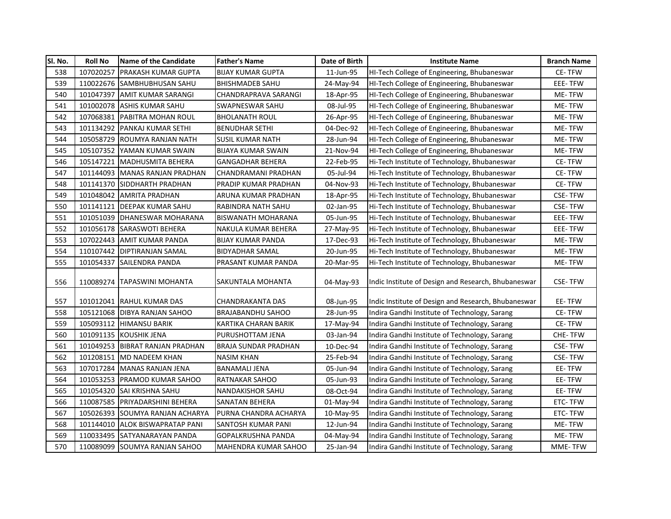| SI. No. | <b>Roll No</b> | <b>Name of the Candidate</b>    | <b>Father's Name</b>        | Date of Birth | <b>Institute Name</b>                               | <b>Branch Name</b> |
|---------|----------------|---------------------------------|-----------------------------|---------------|-----------------------------------------------------|--------------------|
| 538     | 107020257      | <b>PRAKASH KUMAR GUPTA</b>      | <b>BIJAY KUMAR GUPTA</b>    | 11-Jun-95     | HI-Tech College of Engineering, Bhubaneswar         | CE-TFW             |
| 539     |                | 110022676 SAMBHUBHUSAN SAHU     | <b>BHISHMADEB SAHU</b>      | 24-May-94     | HI-Tech College of Engineering, Bhubaneswar         | EEE-TFW            |
| 540     | 101047397      | <b>AMIT KUMAR SARANGI</b>       | <b>CHANDRAPRAVA SARANGI</b> | 18-Apr-95     | HI-Tech College of Engineering, Bhubaneswar         | ME-TFW             |
| 541     | 101002078      | <b>ASHIS KUMAR SAHU</b>         | SWAPNESWAR SAHU             | 08-Jul-95     | HI-Tech College of Engineering, Bhubaneswar         | ME-TFW             |
| 542     | 107068381      | <b>PABITRA MOHAN ROUL</b>       | <b>BHOLANATH ROUL</b>       | 26-Apr-95     | HI-Tech College of Engineering, Bhubaneswar         | ME-TFW             |
| 543     | 101134292      | <b>PANKAJ KUMAR SETHI</b>       | <b>BENUDHAR SETHI</b>       | 04-Dec-92     | HI-Tech College of Engineering, Bhubaneswar         | ME-TFW             |
| 544     |                | 105058729 ROUMYA RANJAN NATH    | SUSIL KUMAR NATH            | 28-Jun-94     | HI-Tech College of Engineering, Bhubaneswar         | ME-TFW             |
| 545     | 105107352      | YAMAN KUMAR SWAIN               | <b>BIJAYA KUMAR SWAIN</b>   | 21-Nov-94     | HI-Tech College of Engineering, Bhubaneswar         | <b>ME-TFW</b>      |
| 546     | 105147221      | MADHUSMITA BEHERA               | GANGADHAR BEHERA            | 22-Feb-95     | Hi-Tech Institute of Technology, Bhubaneswar        | CE-TFW             |
| 547     | 101144093      | MANAS RANJAN PRADHAN            | CHANDRAMANI PRADHAN         | 05-Jul-94     | Hi-Tech Institute of Technology, Bhubaneswar        | CE-TFW             |
| 548     |                | 101141370 SIDDHARTH PRADHAN     | PRADIP KUMAR PRADHAN        | 04-Nov-93     | Hi-Tech Institute of Technology, Bhubaneswar        | CE-TFW             |
| 549     | 101048042      | AMRITA PRADHAN                  | ARUNA KUMAR PRADHAN         | 18-Apr-95     | Hi-Tech Institute of Technology, Bhubaneswar        | <b>CSE-TFW</b>     |
| 550     | 101141121      | <b>DEEPAK KUMAR SAHU</b>        | RABINDRA NATH SAHU          | 02-Jan-95     | Hi-Tech Institute of Technology, Bhubaneswar        | <b>CSE-TFW</b>     |
| 551     |                | 101051039 DHANESWAR MOHARANA    | <b>BISWANATH MOHARANA</b>   | 05-Jun-95     | Hi-Tech Institute of Technology, Bhubaneswar        | EEE-TFW            |
| 552     |                | 101056178 SARASWOTI BEHERA      | NAKULA KUMAR BEHERA         | 27-May-95     | Hi-Tech Institute of Technology, Bhubaneswar        | EEE-TFW            |
| 553     |                | 107022443 AMIT KUMAR PANDA      | <b>BIJAY KUMAR PANDA</b>    | 17-Dec-93     | Hi-Tech Institute of Technology, Bhubaneswar        | ME-TFW             |
| 554     |                | 110107442   DIPTIRANJAN SAMAL   | <b>BIDYADHAR SAMAL</b>      | 20-Jun-95     | Hi-Tech Institute of Technology, Bhubaneswar        | ME-TFW             |
| 555     |                | 101054337 SAILENDRA PANDA       | PRASANT KUMAR PANDA         | 20-Mar-95     | Hi-Tech Institute of Technology, Bhubaneswar        | ME-TFW             |
| 556     |                | 110089274 TAPASWINI MOHANTA     | SAKUNTALA MOHANTA           | 04-May-93     | Indic Institute of Design and Research, Bhubaneswar | <b>CSE-TFW</b>     |
| 557     |                | 101012041 RAHUL KUMAR DAS       | CHANDRAKANTA DAS            | 08-Jun-95     | Indic Institute of Design and Research, Bhubaneswar | EE-TFW             |
| 558     |                | 105121068 DIBYA RANJAN SAHOO    | <b>BRAJABANDHU SAHOO</b>    | 28-Jun-95     | Indira Gandhi Institute of Technology, Sarang       | CE-TFW             |
| 559     |                | 105093112 HIMANSU BARIK         | KARTIKA CHARAN BARIK        | 17-May-94     | Indira Gandhi Institute of Technology, Sarang       | CE-TFW             |
| 560     |                | 101091135 KOUSHIK JENA          | PURUSHOTTAM JENA            | 03-Jan-94     | Indira Gandhi Institute of Technology, Sarang       | <b>CHE-TFW</b>     |
| 561     |                | 101049253 BIBRAT RANJAN PRADHAN | <b>BRAJA SUNDAR PRADHAN</b> | 10-Dec-94     | Indira Gandhi Institute of Technology, Sarang       | <b>CSE-TFW</b>     |
| 562     | 101208151      | MD NADEEM KHAN                  | <b>NASIM KHAN</b>           | 25-Feb-94     | Indira Gandhi Institute of Technology, Sarang       | <b>CSE-TFW</b>     |
| 563     |                | 107017284 MANAS RANJAN JENA     | BANAMALI JENA               | 05-Jun-94     | Indira Gandhi Institute of Technology, Sarang       | EE-TFW             |
| 564     |                | 101053253 PRAMOD KUMAR SAHOO    | RATNAKAR SAHOO              | 05-Jun-93     | Indira Gandhi Institute of Technology, Sarang       | EE-TFW             |
| 565     |                | 101054320 SAI KRISHNA SAHU      | <b>NANDAKISHOR SAHU</b>     | 08-Oct-94     | Indira Gandhi Institute of Technology, Sarang       | EE-TFW             |
| 566     |                | 110087585 PRIYADARSHINI BEHERA  | SANATAN BEHERA              | 01-May-94     | Indira Gandhi Institute of Technology, Sarang       | ETC-TFW            |
| 567     |                | 105026393 SOUMYA RANJAN ACHARYA | PURNA CHANDRA ACHARYA       | 10-May-95     | Indira Gandhi Institute of Technology, Sarang       | ETC-TFW            |
| 568     |                | 101144010 ALOK BISWAPRATAP PANI | SANTOSH KUMAR PANI          | 12-Jun-94     | Indira Gandhi Institute of Technology, Sarang       | ME-TFW             |
| 569     |                | 110033495 SATYANARAYAN PANDA    | GOPALKRUSHNA PANDA          | 04-May-94     | Indira Gandhi Institute of Technology, Sarang       | ME-TFW             |
| 570     |                | 110089099 SOUMYA RANJAN SAHOO   | MAHENDRA KUMAR SAHOO        | 25-Jan-94     | Indira Gandhi Institute of Technology, Sarang       | MME-TFW            |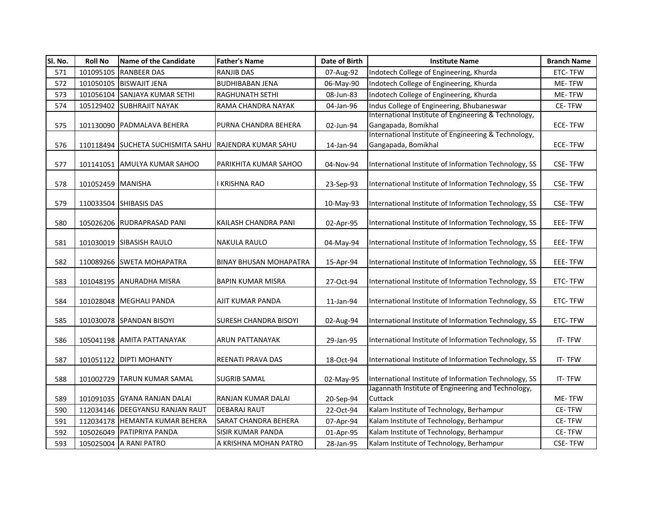| SI. No. | <b>Roll No</b>    | Name of the Candidate                                 | <b>Father's Name</b>          | Date of Birth | <b>Institute Name</b>                                                       | <b>Branch Name</b> |
|---------|-------------------|-------------------------------------------------------|-------------------------------|---------------|-----------------------------------------------------------------------------|--------------------|
| 571     | 101095105         | <b>RANBEER DAS</b>                                    | <b>RANJIB DAS</b>             | 07-Aug-92     | Indotech College of Engineering, Khurda                                     | ETC-TFW            |
| 572     |                   | 101050105 BISWAJIT JENA                               | <b>BUDHIBABAN JENA</b>        | 06-May-90     | Indotech College of Engineering, Khurda                                     | ME-TFW             |
| 573     |                   | 101056104 SANJAYA KUMAR SETHI                         | <b>RAGHUNATH SETHI</b>        | 08-Jun-83     | Indotech College of Engineering, Khurda                                     | ME-TFW             |
| 574     |                   | 105129402 SUBHRAJIT NAYAK                             | RAMA CHANDRA NAYAK            | 04-Jan-96     | Indus College of Engineering, Bhubaneswar                                   | CE-TFW             |
|         |                   |                                                       |                               |               | International Institute of Engineering & Technology,                        |                    |
| 575     |                   | 101130090 PADMALAVA BEHERA                            | PURNA CHANDRA BEHERA          | 02-Jun-94     | Gangapada, Bomikhal                                                         | ECE-TFW            |
| 576     |                   | 110118494 SUCHETA SUCHISMITA SAHU RAJENDRA KUMAR SAHU |                               | 14-Jan-94     | International Institute of Engineering & Technology,<br>Gangapada, Bomikhal | <b>ECE-TFW</b>     |
| 577     |                   | 101141051 AMULYA KUMAR SAHOO                          | PARIKHITA KUMAR SAHOO         | 04-Nov-94     | International Institute of Information Technology, SS                       | <b>CSE-TFW</b>     |
|         |                   |                                                       |                               |               |                                                                             |                    |
| 578     | 101052459 MANISHA |                                                       | I KRISHNA RAO                 | 23-Sep-93     | International Institute of Information Technology, SS                       | <b>CSE-TFW</b>     |
| 579     |                   | 110033504 SHIBASIS DAS                                |                               | 10-May-93     | International Institute of Information Technology, SS                       | <b>CSE-TFW</b>     |
| 580     |                   | 105026206 RUDRAPRASAD PANI                            | KAILASH CHANDRA PANI          | 02-Apr-95     | International Institute of Information Technology, SS                       | EEE-TFW            |
| 581     |                   | 101030019 SIBASISH RAULO                              | <b>NAKULA RAULO</b>           | 04-May-94     | International Institute of Information Technology, SS                       | EEE-TFW            |
| 582     |                   | 110089266 SWETA MOHAPATRA                             | <b>BINAY BHUSAN MOHAPATRA</b> | 15-Apr-94     | International Institute of Information Technology, SS                       | EEE-TFW            |
| 583     |                   | 101048195 ANURADHA MISRA                              | <b>BAPIN KUMAR MISRA</b>      | 27-Oct-94     | International Institute of Information Technology, SS                       | ETC-TFW            |
| 584     |                   | 101028048 MEGHALI PANDA                               | AJIT KUMAR PANDA              | 11-Jan-94     | International Institute of Information Technology, SS                       | ETC-TFW            |
| 585     |                   | 101030078 SPANDAN BISOYI                              | SURESH CHANDRA BISOYI         | 02-Aug-94     | International Institute of Information Technology, SS                       | ETC-TFW            |
| 586     |                   | 105041198 AMITA PATTANAYAK                            | ARUN PATTANAYAK               | 29-Jan-95     | International Institute of Information Technology, SS                       | IT-TFW             |
| 587     |                   | 101051122 DIPTI MOHANTY                               | <b>REENATI PRAVA DAS</b>      | 18-Oct-94     | International Institute of Information Technology, SS                       | IT-TFW             |
| 588     |                   | 101002729 TARUN KUMAR SAMAL                           | <b>SUGRIB SAMAL</b>           | 02-May-95     | International Institute of Information Technology, SS                       | IT-TFW             |
| 589     |                   | 101091035 GYANA RANJAN DALAI                          | RANJAN KUMAR DALAI            | 20-Sep-94     | Jagannath Institute of Engineering and Technology,<br>Cuttack               | ME-TFW             |
| 590     |                   | 112034146 DEEGYANSU RANJAN RAUT                       | <b>DEBARAJ RAUT</b>           | 22-Oct-94     | Kalam Institute of Technology, Berhampur                                    | CE-TFW             |
| 591     |                   | 112034178 HEMANTA KUMAR BEHERA                        | SARAT CHANDRA BEHERA          | 07-Apr-94     | Kalam Institute of Technology, Berhampur                                    | CE-TFW             |
| 592     |                   | 105026049 PATIPRIYA PANDA                             | <b>SISIR KUMAR PANDA</b>      | 01-Apr-95     | Kalam Institute of Technology, Berhampur                                    | CE-TFW             |
| 593     |                   | 105025004 A RANI PATRO                                | A KRISHNA MOHAN PATRO         | 28-Jan-95     | Kalam Institute of Technology, Berhampur                                    | <b>CSE-TFW</b>     |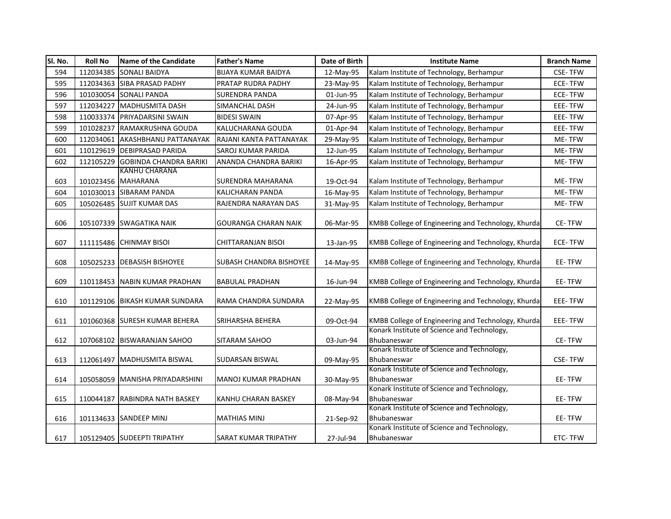| SI. No. | <b>Roll No</b> | Name of the Candidate                      | <b>Father's Name</b>        | Date of Birth | <b>Institute Name</b>                                      | <b>Branch Name</b> |
|---------|----------------|--------------------------------------------|-----------------------------|---------------|------------------------------------------------------------|--------------------|
| 594     | 112034385      | <b>SONALI BAIDYA</b>                       | <b>BIJAYA KUMAR BAIDYA</b>  | 12-May-95     | Kalam Institute of Technology, Berhampur                   | <b>CSE-TFW</b>     |
| 595     |                | 112034363 SIBA PRASAD PADHY                | PRATAP RUDRA PADHY          | 23-May-95     | Kalam Institute of Technology, Berhampur                   | <b>ECE-TFW</b>     |
| 596     |                | 101030054 SONALI PANDA                     | <b>SURENDRA PANDA</b>       | 01-Jun-95     | Kalam Institute of Technology, Berhampur                   | ECE-TFW            |
| 597     | 112034227      | <b>MADHUSMITA DASH</b>                     | SIMANCHAL DASH              | 24-Jun-95     | Kalam Institute of Technology, Berhampur                   | EEE-TFW            |
| 598     | 110033374      | <b>PRIYADARSINI SWAIN</b>                  | <b>BIDESI SWAIN</b>         | 07-Apr-95     | Kalam Institute of Technology, Berhampur                   | EEE-TFW            |
| 599     | 101028237      | RAMAKRUSHNA GOUDA                          | KALUCHARANA GOUDA           | 01-Apr-94     | Kalam Institute of Technology, Berhampur                   | EEE-TFW            |
| 600     | 112034061      | <b>AKASHBHANU PATTANAYAK</b>               | RAJANI KANTA PATTANAYAK     | 29-May-95     | Kalam Institute of Technology, Berhampur                   | ME-TFW             |
| 601     |                | 110129619 DEBIPRASAD PARIDA                | SAROJ KUMAR PARIDA          | 12-Jun-95     | Kalam Institute of Technology, Berhampur                   | ME-TFW             |
| 602     | 112105229      | <b>GOBINDA CHANDRA BARIKI</b>              | ANANDA CHANDRA BARIKI       | 16-Apr-95     | Kalam Institute of Technology, Berhampur                   | ME-TFW             |
| 603     |                | <b>KANHU CHARANA</b><br>101023456 MAHARANA | SURENDRA MAHARANA           | 19-Oct-94     | Kalam Institute of Technology, Berhampur                   | ME-TFW             |
| 604     |                | 101030013 SIBARAM PANDA                    | <b>KALICHARAN PANDA</b>     | 16-May-95     | Kalam Institute of Technology, Berhampur                   | ME-TFW             |
| 605     |                | 105026485 SUJIT KUMAR DAS                  | RAJENDRA NARAYAN DAS        | 31-May-95     | Kalam Institute of Technology, Berhampur                   | ME-TFW             |
| 606     |                | 105107339 SWAGATIKA NAIK                   | <b>GOURANGA CHARAN NAIK</b> | 06-Mar-95     | KMBB College of Engineering and Technology, Khurda         | CE-TFW             |
| 607     |                | 111115486 CHINMAY BISOI                    | CHITTARANJAN BISOI          | 13-Jan-95     | KMBB College of Engineering and Technology, Khurda         | ECE-TFW            |
| 608     |                | 105025233 DEBASISH BISHOYEE                | SUBASH CHANDRA BISHOYEE     | 14-May-95     | KMBB College of Engineering and Technology, Khurda         | EE-TFW             |
| 609     |                | 110118453 NABIN KUMAR PRADHAN              | <b>BABULAL PRADHAN</b>      | 16-Jun-94     | KMBB College of Engineering and Technology, Khurda         | EE-TFW             |
| 610     |                | 101129106 BIKASH KUMAR SUNDARA             | RAMA CHANDRA SUNDARA        | 22-May-95     | KMBB College of Engineering and Technology, Khurda         | EEE-TFW            |
| 611     |                | 101060368 SURESH KUMAR BEHERA              | SRIHARSHA BEHERA            | 09-Oct-94     | KMBB College of Engineering and Technology, Khurda         | EEE-TFW            |
| 612     |                | 107068102 BISWARANJAN SAHOO                | SITARAM SAHOO               | 03-Jun-94     | Konark Institute of Science and Technology,<br>Bhubaneswar | CE-TFW             |
| 613     |                | 112061497 MADHUSMITA BISWAL                | SUDARSAN BISWAL             | 09-May-95     | Konark Institute of Science and Technology,<br>Bhubaneswar | <b>CSE-TFW</b>     |
| 614     |                | 105058059 MANISHA PRIYADARSHINI            | MANOJ KUMAR PRADHAN         | 30-May-95     | Konark Institute of Science and Technology,<br>Bhubaneswar | EE-TFW             |
| 615     |                | 110044187 RABINDRA NATH BASKEY             | KANHU CHARAN BASKEY         | 08-May-94     | Konark Institute of Science and Technology,<br>Bhubaneswar | EE-TFW             |
| 616     |                | 101134633 SANDEEP MINJ                     | <b>MATHIAS MINJ</b>         | 21-Sep-92     | Konark Institute of Science and Technology,<br>Bhubaneswar | EE-TFW             |
| 617     |                | 105129405 SUDEEPTI TRIPATHY                | <b>SARAT KUMAR TRIPATHY</b> | 27-Jul-94     | Konark Institute of Science and Technology,<br>Bhubaneswar | ETC-TFW            |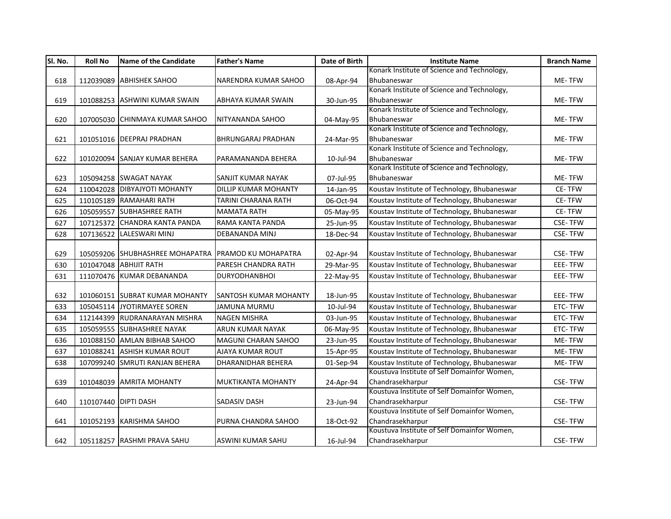| SI. No. | <b>Roll No</b>       | <b>Name of the Candidate</b>                        | <b>Father's Name</b>       | Date of Birth | <b>Institute Name</b>                        | <b>Branch Name</b> |
|---------|----------------------|-----------------------------------------------------|----------------------------|---------------|----------------------------------------------|--------------------|
|         |                      |                                                     |                            |               | Konark Institute of Science and Technology,  |                    |
| 618     |                      | 112039089 ABHISHEK SAHOO                            | NARENDRA KUMAR SAHOO       | 08-Apr-94     | Bhubaneswar                                  | ME-TFW             |
|         |                      |                                                     |                            |               | Konark Institute of Science and Technology,  |                    |
| 619     |                      | 101088253 ASHWINI KUMAR SWAIN                       | <b>ABHAYA KUMAR SWAIN</b>  | 30-Jun-95     | Bhubaneswar                                  | ME-TFW             |
|         |                      |                                                     |                            |               | Konark Institute of Science and Technology,  |                    |
| 620     |                      | 107005030 CHINMAYA KUMAR SAHOO                      | NITYANANDA SAHOO           | 04-May-95     | Bhubaneswar                                  | ME-TFW             |
|         |                      |                                                     |                            |               | Konark Institute of Science and Technology,  |                    |
| 621     |                      | 101051016 DEEPRAJ PRADHAN                           | <b>BHRUNGARAJ PRADHAN</b>  | 24-Mar-95     | Bhubaneswar                                  | ME-TFW             |
|         |                      |                                                     |                            |               | Konark Institute of Science and Technology,  |                    |
| 622     |                      | 101020094 SANJAY KUMAR BEHERA                       | PARAMANANDA BEHERA         | 10-Jul-94     | Bhubaneswar                                  | ME-TFW             |
|         |                      |                                                     |                            |               | Konark Institute of Science and Technology,  |                    |
| 623     |                      | 105094258 SWAGAT NAYAK                              | SANJIT KUMAR NAYAK         | 07-Jul-95     | Bhubaneswar                                  | ME-TFW             |
| 624     |                      | 110042028 DIBYAJYOTI MOHANTY                        | DILLIP KUMAR MOHANTY       | 14-Jan-95     | Koustav Institute of Technology, Bhubaneswar | CE-TFW             |
| 625     |                      | 110105189 RAMAHARI RATH                             | TARINI CHARANA RATH        | 06-Oct-94     | Koustav Institute of Technology, Bhubaneswar | CE-TFW             |
| 626     |                      | 105059557 SUBHASHREE RATH                           | <b>MAMATA RATH</b>         | 05-May-95     | Koustav Institute of Technology, Bhubaneswar | CE-TFW             |
| 627     |                      | 107125372 CHANDRA KANTA PANDA                       | RAMA KANTA PANDA           | 25-Jun-95     | Koustav Institute of Technology, Bhubaneswar | <b>CSE-TFW</b>     |
| 628     | 107136522            | <b>LALESWARI MINJ</b>                               | DEBANANDA MINJ             | 18-Dec-94     | Koustav Institute of Technology, Bhubaneswar | <b>CSE-TFW</b>     |
|         |                      |                                                     |                            |               |                                              |                    |
| 629     |                      | 105059206 SHUBHASHREE MOHAPATRA PRAMOD KU MOHAPATRA |                            | 02-Apr-94     | Koustav Institute of Technology, Bhubaneswar | <b>CSE-TFW</b>     |
| 630     |                      | 101047048 ABHIJIT RATH                              | PARESH CHANDRA RATH        | 29-Mar-95     | Koustav Institute of Technology, Bhubaneswar | <b>EEE-TFW</b>     |
| 631     |                      | 111070476 KUMAR DEBANANDA                           | <b>DURYODHANBHOI</b>       | 22-May-95     | Koustav Institute of Technology, Bhubaneswar | EEE-TFW            |
|         |                      |                                                     |                            |               |                                              |                    |
| 632     |                      | 101060151 SUBRAT KUMAR MOHANTY                      | SANTOSH KUMAR MOHANTY      | 18-Jun-95     | Koustav Institute of Technology, Bhubaneswar | EEE-TFW            |
| 633     |                      | 105045114 JYOTIRMAYEE SOREN                         | JAMUNA MURMU               | 10-Jul-94     | Koustav Institute of Technology, Bhubaneswar | ETC-TFW            |
| 634     |                      | 112144399 RUDRANARAYAN MISHRA                       | <b>NAGEN MISHRA</b>        | 03-Jun-95     | Koustav Institute of Technology, Bhubaneswar | ETC-TFW            |
| 635     |                      | 105059555 SUBHASHREE NAYAK                          | <b>ARUN KUMAR NAYAK</b>    | 06-May-95     | Koustav Institute of Technology, Bhubaneswar | ETC-TFW            |
| 636     |                      | 101088150 AMLAN BIBHAB SAHOO                        | <b>MAGUNI CHARAN SAHOO</b> | 23-Jun-95     | Koustav Institute of Technology, Bhubaneswar | ME-TFW             |
| 637     | 101088241            | <b>ASHISH KUMAR ROUT</b>                            | AJAYA KUMAR ROUT           | 15-Apr-95     | Koustav Institute of Technology, Bhubaneswar | ME-TFW             |
| 638     |                      | 107099240 SMRUTI RANJAN BEHERA                      | DHARANIDHAR BEHERA         | 01-Sep-94     | Koustav Institute of Technology, Bhubaneswar | ME-TFW             |
|         |                      |                                                     |                            |               | Koustuva Institute of Self Domainfor Women,  |                    |
| 639     |                      | 101048039 AMRITA MOHANTY                            | <b>MUKTIKANTA MOHANTY</b>  | 24-Apr-94     | Chandrasekharpur                             | <b>CSE-TFW</b>     |
|         |                      |                                                     |                            |               | Koustuva Institute of Self Domainfor Women,  |                    |
| 640     | 110107440 DIPTI DASH |                                                     | <b>SADASIV DASH</b>        | 23-Jun-94     | Chandrasekharpur                             | <b>CSE-TFW</b>     |
|         |                      |                                                     |                            |               | Koustuva Institute of Self Domainfor Women,  |                    |
| 641     |                      | 101052193 KARISHMA SAHOO                            | PURNA CHANDRA SAHOO        | 18-Oct-92     | Chandrasekharpur                             | <b>CSE-TFW</b>     |
|         |                      |                                                     |                            |               | Koustuva Institute of Self Domainfor Women,  |                    |
| 642     |                      | 105118257 RASHMI PRAVA SAHU                         | ASWINI KUMAR SAHU          | 16-Jul-94     | Chandrasekharpur                             | CSE-TFW            |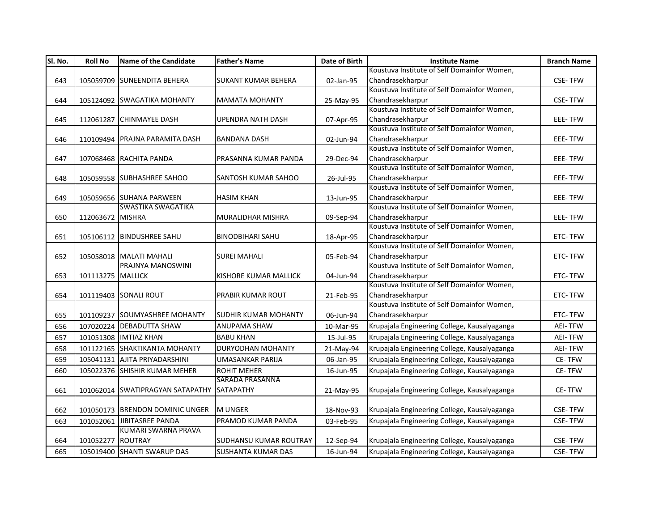| SI. No. | <b>Roll No</b>    | <b>Name of the Candidate</b>                 | <b>Father's Name</b>          | Date of Birth | <b>Institute Name</b>                                           | <b>Branch Name</b> |
|---------|-------------------|----------------------------------------------|-------------------------------|---------------|-----------------------------------------------------------------|--------------------|
|         |                   |                                              |                               |               | Koustuva Institute of Self Domainfor Women,                     |                    |
| 643     |                   | 105059709 SUNEENDITA BEHERA                  | <b>SUKANT KUMAR BEHERA</b>    | 02-Jan-95     | Chandrasekharpur                                                | <b>CSE-TFW</b>     |
|         |                   |                                              |                               |               | Koustuva Institute of Self Domainfor Women,                     |                    |
| 644     |                   | 105124092 SWAGATIKA MOHANTY                  | <b>MAMATA MOHANTY</b>         | 25-May-95     | Chandrasekharpur                                                | <b>CSE-TFW</b>     |
|         |                   |                                              |                               |               | Koustuva Institute of Self Domainfor Women,                     |                    |
| 645     |                   | 112061287 CHINMAYEE DASH                     | <b>UPENDRA NATH DASH</b>      | 07-Apr-95     | Chandrasekharpur                                                | EEE-TFW            |
|         |                   |                                              |                               |               | Koustuva Institute of Self Domainfor Women,                     |                    |
| 646     |                   | 110109494 PRAJNA PARAMITA DASH               | <b>BANDANA DASH</b>           | 02-Jun-94     | Chandrasekharpur                                                | EEE-TFW            |
|         |                   |                                              |                               |               | Koustuva Institute of Self Domainfor Women,                     |                    |
| 647     |                   | 107068468 RACHITA PANDA                      | PRASANNA KUMAR PANDA          | 29-Dec-94     | Chandrasekharpur                                                | EEE-TFW            |
|         |                   |                                              |                               |               | Koustuva Institute of Self Domainfor Women,                     |                    |
| 648     |                   | 105059558 SUBHASHREE SAHOO                   | <b>SANTOSH KUMAR SAHOO</b>    | 26-Jul-95     | Chandrasekharpur                                                | EEE-TFW            |
|         |                   |                                              |                               |               | Koustuva Institute of Self Domainfor Women,                     |                    |
| 649     |                   | 105059656 SUHANA PARWEEN                     | <b>HASIM KHAN</b>             | 13-Jun-95     | Chandrasekharpur                                                | EEE-TFW            |
|         |                   | SWASTIKA SWAGATIKA                           |                               |               | Koustuva Institute of Self Domainfor Women,                     |                    |
| 650     | 112063672 MISHRA  |                                              | MURALIDHAR MISHRA             | 09-Sep-94     | Chandrasekharpur                                                | EEE-TFW            |
|         |                   |                                              |                               |               | Koustuva Institute of Self Domainfor Women,                     |                    |
| 651     |                   | 105106112 BINDUSHREE SAHU                    | <b>BINODBIHARI SAHU</b>       | 18-Apr-95     | Chandrasekharpur                                                | ETC-TFW            |
|         |                   |                                              |                               |               | Koustuva Institute of Self Domainfor Women,                     |                    |
| 652     |                   | 105058018 MALATI MAHALI<br>PRAJNYA MANOSWINI | <b>SUREI MAHALI</b>           | 05-Feb-94     | Chandrasekharpur<br>Koustuva Institute of Self Domainfor Women, | ETC-TFW            |
|         |                   |                                              |                               |               |                                                                 |                    |
| 653     | 101113275 MALLICK |                                              | <b>KISHORE KUMAR MALLICK</b>  | 04-Jun-94     | Chandrasekharpur<br>Koustuva Institute of Self Domainfor Women, | ETC-TFW            |
| 654     |                   | 101119403 SONALI ROUT                        | PRABIR KUMAR ROUT             | 21-Feb-95     | Chandrasekharpur                                                | ETC-TFW            |
|         |                   |                                              |                               |               | Koustuva Institute of Self Domainfor Women,                     |                    |
| 655     |                   | 101109237 SOUMYASHREE MOHANTY                | <b>SUDHIR KUMAR MOHANTY</b>   | 06-Jun-94     | Chandrasekharpur                                                | ETC-TFW            |
|         |                   | 107020224 DEBADUTTA SHAW                     |                               |               |                                                                 |                    |
| 656     |                   |                                              | <b>ANUPAMA SHAW</b>           | 10-Mar-95     | Krupajala Engineering College, Kausalyaganga                    | <b>AEI-TFW</b>     |
| 657     |                   | 101051308 IMTIAZ KHAN                        | <b>BABU KHAN</b>              | 15-Jul-95     | Krupajala Engineering College, Kausalyaganga                    | <b>AEI-TFW</b>     |
| 658     |                   | 101122165 SHAKTIKANTA MOHANTY                | <b>DURYODHAN MOHANTY</b>      | 21-May-94     | Krupajala Engineering College, Kausalyaganga                    | <b>AEI-TFW</b>     |
| 659     |                   | 105041131 AJITA PRIYADARSHINI                | <b>UMASANKAR PARIJA</b>       | 06-Jan-95     | Krupajala Engineering College, Kausalyaganga                    | CE-TFW             |
| 660     |                   | 105022376 SHISHIR KUMAR MEHER                | <b>ROHIT MEHER</b>            | 16-Jun-95     | Krupajala Engineering College, Kausalyaganga                    | CE-TFW             |
|         |                   |                                              | <b>SARADA PRASANNA</b>        |               |                                                                 |                    |
| 661     |                   | 101062014 SWATIPRAGYAN SATAPATHY             | SATAPATHY                     | 21-May-95     | Krupajala Engineering College, Kausalyaganga                    | CE-TFW             |
|         |                   |                                              |                               |               |                                                                 |                    |
| 662     |                   | 101050173 BRENDON DOMINIC UNGER              | <b>MUNGER</b>                 | 18-Nov-93     | Krupajala Engineering College, Kausalyaganga                    | <b>CSE-TFW</b>     |
| 663     | 101052061         | JIBITASREE PANDA                             | PRAMOD KUMAR PANDA            | 03-Feb-95     | Krupajala Engineering College, Kausalyaganga                    | <b>CSE-TFW</b>     |
|         |                   | KUMARI SWARNA PRAVA                          |                               |               |                                                                 |                    |
| 664     | 101052277 ROUTRAY |                                              | <b>SUDHANSU KUMAR ROUTRAY</b> | 12-Sep-94     | Krupajala Engineering College, Kausalyaganga                    | <b>CSE-TFW</b>     |
| 665     |                   | 105019400 SHANTI SWARUP DAS                  | <b>SUSHANTA KUMAR DAS</b>     | 16-Jun-94     | Krupajala Engineering College, Kausalyaganga                    | <b>CSE-TFW</b>     |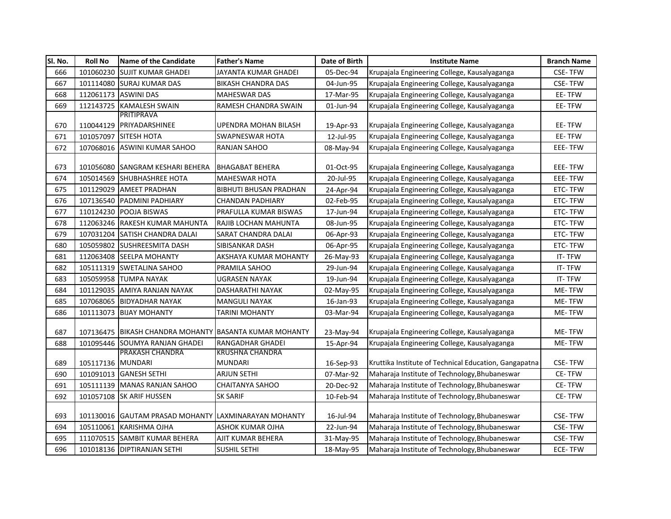| SI. No. | <b>Roll No</b>    | <b>Name of the Candidate</b>                           | <b>Father's Name</b>          | Date of Birth | <b>Institute Name</b>                                 | <b>Branch Name</b> |
|---------|-------------------|--------------------------------------------------------|-------------------------------|---------------|-------------------------------------------------------|--------------------|
| 666     |                   | 101060230 SUJIT KUMAR GHADEI                           | JAYANTA KUMAR GHADEI          | 05-Dec-94     | Krupajala Engineering College, Kausalyaganga          | <b>CSE-TFW</b>     |
| 667     |                   | 101114080 SURAJ KUMAR DAS                              | BIKASH CHANDRA DAS            | 04-Jun-95     | Krupajala Engineering College, Kausalyaganga          | <b>CSE-TFW</b>     |
| 668     |                   | 112061173 ASWINI DAS                                   | <b>MAHESWAR DAS</b>           | 17-Mar-95     | Krupajala Engineering College, Kausalyaganga          | EE-TFW             |
| 669     |                   | 112143725 KAMALESH SWAIN                               | RAMESH CHANDRA SWAIN          | 01-Jun-94     | Krupajala Engineering College, Kausalyaganga          | EE-TFW             |
|         |                   | PRITIPRAVA                                             |                               |               |                                                       |                    |
| 670     |                   | 110044129 PRIYADARSHINEE                               | UPENDRA MOHAN BILASH          | 19-Apr-93     | Krupajala Engineering College, Kausalyaganga          | EE-TFW             |
| 671     | 101057097         | <b>SITESH HOTA</b>                                     | <b>SWAPNESWAR HOTA</b>        | 12-Jul-95     | Krupajala Engineering College, Kausalyaganga          | EE-TFW             |
| 672     |                   | 107068016 ASWINI KUMAR SAHOO                           | RANJAN SAHOO                  | 08-May-94     | Krupajala Engineering College, Kausalyaganga          | EEE-TFW            |
|         |                   |                                                        |                               |               |                                                       |                    |
| 673     |                   | 101056080 SANGRAM KESHARI BEHERA                       | <b>BHAGABAT BEHERA</b>        | 01-Oct-95     | Krupajala Engineering College, Kausalyaganga          | <b>EEE-TFW</b>     |
| 674     |                   | 105014569 SHUBHASHREE HOTA                             | <b>MAHESWAR HOTA</b>          | 20-Jul-95     | Krupajala Engineering College, Kausalyaganga          | EEE-TFW            |
| 675     |                   | 101129029 AMEET PRADHAN                                | <b>BIBHUTI BHUSAN PRADHAN</b> | 24-Apr-94     | Krupajala Engineering College, Kausalyaganga          | ETC-TFW            |
| 676     |                   | 107136540 PADMINI PADHIARY                             | <b>CHANDAN PADHIARY</b>       | 02-Feb-95     | Krupajala Engineering College, Kausalyaganga          | ETC-TFW            |
| 677     |                   | 110124230 POOJA BISWAS                                 | PRAFULLA KUMAR BISWAS         | 17-Jun-94     | Krupajala Engineering College, Kausalyaganga          | ETC-TFW            |
| 678     |                   | 112063246 RAKESH KUMAR MAHUNTA                         | RAJIB LOCHAN MAHUNTA          | 08-Jun-95     | Krupajala Engineering College, Kausalyaganga          | ETC-TFW            |
| 679     |                   | 107031204 SATISH CHANDRA DALAI                         | SARAT CHANDRA DALAI           | 06-Apr-93     | Krupajala Engineering College, Kausalyaganga          | ETC-TFW            |
| 680     |                   | 105059802 SUSHREESMITA DASH                            | SIBISANKAR DASH               | 06-Apr-95     | Krupajala Engineering College, Kausalyaganga          | ETC-TFW            |
| 681     |                   | 112063408 SEELPA MOHANTY                               | AKSHAYA KUMAR MOHANTY         | 26-May-93     | Krupajala Engineering College, Kausalyaganga          | IT-TFW             |
| 682     |                   | 105111319 SWETALINA SAHOO                              | PRAMILA SAHOO                 | 29-Jun-94     | Krupajala Engineering College, Kausalyaganga          | IT-TFW             |
| 683     |                   | 105059958 TUMPA NAYAK                                  | UGRASEN NAYAK                 | 19-Jun-94     | Krupajala Engineering College, Kausalyaganga          | IT-TFW             |
| 684     | 101129035         | LAMIYA RANJAN NAYAK                                    | DASHARATHI NAYAK              | 02-May-95     | Krupajala Engineering College, Kausalyaganga          | ME-TFW             |
| 685     |                   | 107068065 BIDYADHAR NAYAK                              | MANGULI NAYAK                 | 16-Jan-93     | Krupajala Engineering College, Kausalyaganga          | ME-TFW             |
| 686     | 101113073         | <b>BIJAY MOHANTY</b>                                   | TARINI MOHANTY                | 03-Mar-94     | Krupajala Engineering College, Kausalyaganga          | ME-TFW             |
|         |                   |                                                        |                               |               |                                                       |                    |
| 687     |                   | 107136475 BIKASH CHANDRA MOHANTY BASANTA KUMAR MOHANTY |                               | 23-May-94     | Krupajala Engineering College, Kausalyaganga          | ME-TFW             |
| 688     |                   | 101095446 SOUMYA RANJAN GHADEI                         | RANGADHAR GHADEI              | 15-Apr-94     | Krupajala Engineering College, Kausalyaganga          | ME-TFW             |
|         |                   | PRAKASH CHANDRA                                        | <b>KRUSHNA CHANDRA</b>        |               |                                                       |                    |
| 689     | 105117136 MUNDARI |                                                        | <b>MUNDARI</b>                | 16-Sep-93     | Kruttika Institute of Technical Education, Gangapatna | <b>CSE-TFW</b>     |
| 690     |                   | 101091013 GANESH SETHI                                 | ARJUN SETHI                   | 07-Mar-92     | Maharaja Institute of Technology, Bhubaneswar         | <b>CE-TFW</b>      |
| 691     |                   | 105111139 MANAS RANJAN SAHOO                           | <b>CHAITANYA SAHOO</b>        | 20-Dec-92     | Maharaja Institute of Technology, Bhubaneswar         | CE-TFW             |
| 692     |                   | 101057108 SK ARIF HUSSEN                               | <b>SK SARIF</b>               | 10-Feb-94     | Maharaja Institute of Technology, Bhubaneswar         | CE-TFW             |
| 693     |                   | 101130016 GAUTAM PRASAD MOHANTY LAXMINARAYAN MOHANTY   |                               | 16-Jul-94     | Maharaja Institute of Technology, Bhubaneswar         | <b>CSE-TFW</b>     |
| 694     |                   | 105110061 KARISHMA OJHA                                | ASHOK KUMAR OJHA              | 22-Jun-94     | Maharaja Institute of Technology, Bhubaneswar         | <b>CSE-TFW</b>     |
| 695     |                   | 111070515 SAMBIT KUMAR BEHERA                          | AJIT KUMAR BEHERA             | 31-May-95     | Maharaja Institute of Technology, Bhubaneswar         | <b>CSE-TFW</b>     |
| 696     |                   | 101018136 DIPTIRANJAN SETHI                            | <b>SUSHIL SETHI</b>           | 18-May-95     | Maharaja Institute of Technology, Bhubaneswar         | ECE-TFW            |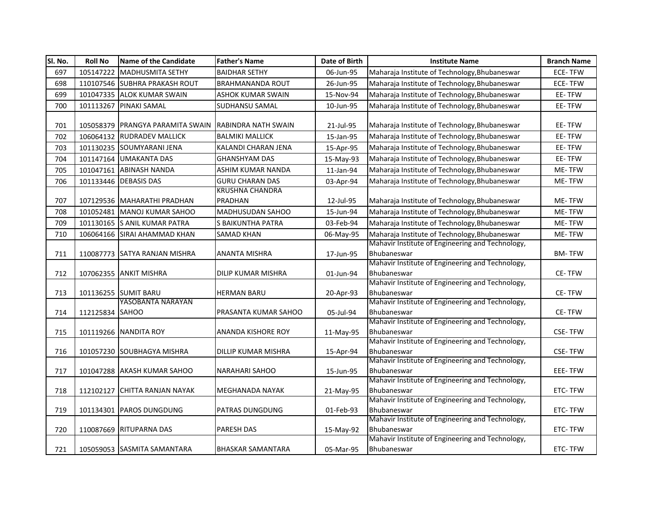| SI. No. | <b>Roll No</b>  | <b>Name of the Candidate</b>                         | <b>Father's Name</b>     | Date of Birth | <b>Institute Name</b>                                           | <b>Branch Name</b> |
|---------|-----------------|------------------------------------------------------|--------------------------|---------------|-----------------------------------------------------------------|--------------------|
| 697     | 105147222       | <b>MADHUSMITA SETHY</b>                              | <b>BAIDHAR SETHY</b>     | 06-Jun-95     | Maharaja Institute of Technology, Bhubaneswar                   | <b>ECE-TFW</b>     |
| 698     |                 | 110107546 SUBHRA PRAKASH ROUT                        | <b>BRAHMANANDA ROUT</b>  | 26-Jun-95     | Maharaja Institute of Technology, Bhubaneswar                   | <b>ECE-TFW</b>     |
| 699     |                 | 101047335 ALOK KUMAR SWAIN                           | <b>ASHOK KUMAR SWAIN</b> | 15-Nov-94     | Maharaja Institute of Technology, Bhubaneswar                   | EE-TFW             |
| 700     | 101113267       | <b>PINAKI SAMAL</b>                                  | SUDHANSU SAMAL           | 10-Jun-95     | Maharaja Institute of Technology, Bhubaneswar                   | EE-TFW             |
|         |                 |                                                      |                          |               |                                                                 |                    |
| 701     |                 | 105058379 PRANGYA PARAMITA SWAIN RABINDRA NATH SWAIN |                          | 21-Jul-95     | Maharaja Institute of Technology, Bhubaneswar                   | EE-TFW             |
| 702     |                 | 106064132 RUDRADEV MALLICK                           | <b>BALMIKI MALLICK</b>   | 15-Jan-95     | Maharaja Institute of Technology, Bhubaneswar                   | EE-TFW             |
| 703     |                 | 101130235 SOUMYARANI JENA                            | KALANDI CHARAN JENA      | 15-Apr-95     | Maharaja Institute of Technology, Bhubaneswar                   | EE-TFW             |
| 704     |                 | 101147164 UMAKANTA DAS                               | <b>GHANSHYAM DAS</b>     | 15-May-93     | Maharaja Institute of Technology, Bhubaneswar                   | EE-TFW             |
| 705     | 101047161       | <b>ABINASH NANDA</b>                                 | ASHIM KUMAR NANDA        | 11-Jan-94     | Maharaja Institute of Technology, Bhubaneswar                   | ME-TFW             |
| 706     |                 | 101133446 DEBASIS DAS                                | <b>GURU CHARAN DAS</b>   | 03-Apr-94     | Maharaja Institute of Technology, Bhubaneswar                   | ME-TFW             |
|         |                 |                                                      | <b>KRUSHNA CHANDRA</b>   |               |                                                                 |                    |
| 707     |                 | 107129536 MAHARATHI PRADHAN                          | PRADHAN                  | 12-Jul-95     | Maharaja Institute of Technology, Bhubaneswar                   | <b>ME-TFW</b>      |
| 708     | 101052481       | MANOJ KUMAR SAHOO                                    | MADHUSUDAN SAHOO         | 15-Jun-94     | Maharaja Institute of Technology, Bhubaneswar                   | ME-TFW             |
| 709     |                 | 101130165 S ANIL KUMAR PATRA                         | S BAIKUNTHA PATRA        | 03-Feb-94     | Maharaja Institute of Technology, Bhubaneswar                   | ME-TFW             |
| 710     |                 | 106064166 SIRAI AHAMMAD KHAN                         | <b>SAMAD KHAN</b>        | 06-May-95     | Maharaja Institute of Technology, Bhubaneswar                   | ME-TFW             |
|         |                 |                                                      |                          |               | Mahavir Institute of Engineering and Technology,                |                    |
| 711     |                 | 110087773 SATYA RANJAN MISHRA                        | ANANTA MISHRA            | 17-Jun-95     | Bhubaneswar                                                     | <b>BM-TFW</b>      |
|         |                 |                                                      |                          |               | Mahavir Institute of Engineering and Technology,                |                    |
| 712     |                 | 107062355 ANKIT MISHRA                               | DILIP KUMAR MISHRA       | 01-Jun-94     | Bhubaneswar                                                     | <b>CE-TFW</b>      |
|         |                 |                                                      |                          |               | Mahavir Institute of Engineering and Technology,                |                    |
| 713     |                 | 101136255 SUMIT BARU<br>YASOBANTA NARAYAN            | <b>HERMAN BARU</b>       | 20-Apr-93     | Bhubaneswar<br>Mahavir Institute of Engineering and Technology, | CE-TFW             |
| 714     | 112125834 SAHOO |                                                      | PRASANTA KUMAR SAHOO     | 05-Jul-94     | Bhubaneswar                                                     | CE-TFW             |
|         |                 |                                                      |                          |               | Mahavir Institute of Engineering and Technology,                |                    |
| 715     |                 | 101119266 NANDITA ROY                                | ANANDA KISHORE ROY       | 11-May-95     | Bhubaneswar                                                     | <b>CSE-TFW</b>     |
|         |                 |                                                      |                          |               | Mahavir Institute of Engineering and Technology,                |                    |
| 716     |                 | 101057230 SOUBHAGYA MISHRA                           | DILLIP KUMAR MISHRA      | 15-Apr-94     | Bhubaneswar                                                     | <b>CSE-TFW</b>     |
|         |                 |                                                      |                          |               | Mahavir Institute of Engineering and Technology,                |                    |
| 717     |                 | 101047288 AKASH KUMAR SAHOO                          | <b>NARAHARI SAHOO</b>    | 15-Jun-95     | Bhubaneswar                                                     | EEE-TFW            |
|         |                 |                                                      |                          |               | Mahavir Institute of Engineering and Technology,                |                    |
| 718     | 112102127       | <b>CHITTA RANJAN NAYAK</b>                           | MEGHANADA NAYAK          | 21-May-95     | Bhubaneswar<br>Mahavir Institute of Engineering and Technology, | ETC-TFW            |
| 719     | 101134301       | <b>PAROS DUNGDUNG</b>                                | PATRAS DUNGDUNG          | 01-Feb-93     | Bhubaneswar                                                     | ETC-TFW            |
|         |                 |                                                      |                          |               | Mahavir Institute of Engineering and Technology,                |                    |
| 720     |                 | 110087669 RITUPARNA DAS                              | <b>PARESH DAS</b>        | 15-May-92     | Bhubaneswar                                                     | ETC-TFW            |
|         |                 |                                                      |                          |               | Mahavir Institute of Engineering and Technology,                |                    |
| 721     |                 | 105059053 SASMITA SAMANTARA                          | <b>BHASKAR SAMANTARA</b> | 05-Mar-95     | Bhubaneswar                                                     | ETC-TFW            |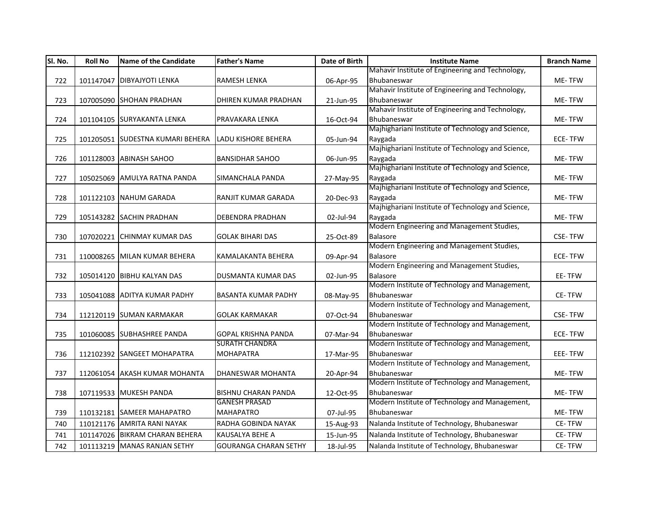| SI. No. | <b>Roll No</b> | Name of the Candidate            | <b>Father's Name</b>         | Date of Birth | <b>Institute Name</b>                              | <b>Branch Name</b> |
|---------|----------------|----------------------------------|------------------------------|---------------|----------------------------------------------------|--------------------|
|         |                |                                  |                              |               | Mahavir Institute of Engineering and Technology,   |                    |
| 722     |                | 101147047 DIBYAJYOTI LENKA       | <b>RAMESH LENKA</b>          | 06-Apr-95     | Bhubaneswar                                        | ME-TFW             |
|         |                |                                  |                              |               | Mahavir Institute of Engineering and Technology,   |                    |
| 723     |                | 107005090 SHOHAN PRADHAN         | DHIREN KUMAR PRADHAN         | 21-Jun-95     | Bhubaneswar                                        | ME-TFW             |
|         |                |                                  |                              |               | Mahavir Institute of Engineering and Technology,   |                    |
| 724     |                | 101104105 SURYAKANTA LENKA       | PRAVAKARA LENKA              | 16-Oct-94     | Bhubaneswar                                        | ME-TFW             |
|         |                |                                  |                              |               | Majhighariani Institute of Technology and Science, |                    |
| 725     |                | 101205051 SUDESTNA KUMARI BEHERA | <b>LADU KISHORE BEHERA</b>   | 05-Jun-94     | Raygada                                            | ECE-TFW            |
|         |                |                                  |                              |               | Majhighariani Institute of Technology and Science, |                    |
| 726     |                | 101128003 ABINASH SAHOO          | <b>BANSIDHAR SAHOO</b>       | 06-Jun-95     | Raygada                                            | ME-TFW             |
|         |                |                                  |                              |               | Majhighariani Institute of Technology and Science, |                    |
| 727     |                | 105025069 AMULYA RATNA PANDA     | SIMANCHALA PANDA             | 27-May-95     | Raygada                                            | ME-TFW             |
|         |                |                                  |                              |               | Majhighariani Institute of Technology and Science, |                    |
| 728     |                | 101122103 NAHUM GARADA           | RANJIT KUMAR GARADA          | 20-Dec-93     | Raygada                                            | ME-TFW             |
|         |                |                                  |                              |               | Majhighariani Institute of Technology and Science, |                    |
| 729     |                | 105143282 SACHIN PRADHAN         | <b>DEBENDRA PRADHAN</b>      | 02-Jul-94     | Raygada                                            | ME-TFW             |
|         |                |                                  |                              |               | Modern Engineering and Management Studies,         |                    |
| 730     |                | 107020221 CHINMAY KUMAR DAS      | <b>GOLAK BIHARI DAS</b>      | 25-Oct-89     | <b>Balasore</b>                                    | <b>CSE-TFW</b>     |
|         |                |                                  |                              |               | Modern Engineering and Management Studies,         |                    |
| 731     |                | 110008265 MILAN KUMAR BEHERA     | KAMALAKANTA BEHERA           | 09-Apr-94     | <b>Balasore</b>                                    | <b>ECE-TFW</b>     |
|         |                |                                  |                              |               | Modern Engineering and Management Studies,         |                    |
| 732     |                | 105014120 BIBHU KALYAN DAS       | <b>DUSMANTA KUMAR DAS</b>    | 02-Jun-95     | <b>Balasore</b>                                    | EE-TFW             |
|         |                |                                  |                              |               | Modern Institute of Technology and Management,     |                    |
| 733     |                | 105041088 ADITYA KUMAR PADHY     | <b>BASANTA KUMAR PADHY</b>   | 08-May-95     | Bhubaneswar                                        | CE-TFW             |
|         |                |                                  |                              |               | Modern Institute of Technology and Management,     |                    |
| 734     |                | 112120119 SUMAN KARMAKAR         | <b>GOLAK KARMAKAR</b>        | 07-Oct-94     | Bhubaneswar                                        | <b>CSE-TFW</b>     |
|         |                |                                  |                              |               | Modern Institute of Technology and Management,     |                    |
| 735     |                | 101060085 SUBHASHREE PANDA       | <b>GOPAL KRISHNA PANDA</b>   | 07-Mar-94     | Bhubaneswar                                        | <b>ECE-TFW</b>     |
|         |                |                                  | <b>SURATH CHANDRA</b>        |               | Modern Institute of Technology and Management,     |                    |
| 736     |                | 112102392 SANGEET MOHAPATRA      | <b>MOHAPATRA</b>             | 17-Mar-95     | Bhubaneswar                                        | <b>EEE-TFW</b>     |
|         |                |                                  |                              |               | Modern Institute of Technology and Management,     |                    |
| 737     |                | 112061054 AKASH KUMAR MOHANTA    | DHANESWAR MOHANTA            | 20-Apr-94     | Bhubaneswar                                        | ME-TFW             |
|         |                |                                  |                              |               | Modern Institute of Technology and Management,     |                    |
| 738     |                | 107119533 MUKESH PANDA           | <b>BISHNU CHARAN PANDA</b>   | 12-Oct-95     | Bhubaneswar                                        | ME-TFW             |
|         |                |                                  | <b>GANESH PRASAD</b>         |               | Modern Institute of Technology and Management,     |                    |
| 739     |                | 110132181 SAMEER MAHAPATRO       | <b>MAHAPATRO</b>             | 07-Jul-95     | Bhubaneswar                                        | ME-TFW             |
| 740     |                | 110121176 AMRITA RANI NAYAK      | RADHA GOBINDA NAYAK          | 15-Aug-93     | Nalanda Institute of Technology, Bhubaneswar       | CE-TFW             |
| 741     |                | 101147026 BIKRAM CHARAN BEHERA   | KAUSALYA BEHE A              | 15-Jun-95     | Nalanda Institute of Technology, Bhubaneswar       | CE-TFW             |
| 742     |                | 101113219 MANAS RANJAN SETHY     | <b>GOURANGA CHARAN SETHY</b> | 18-Jul-95     | Nalanda Institute of Technology, Bhubaneswar       | CE-TFW             |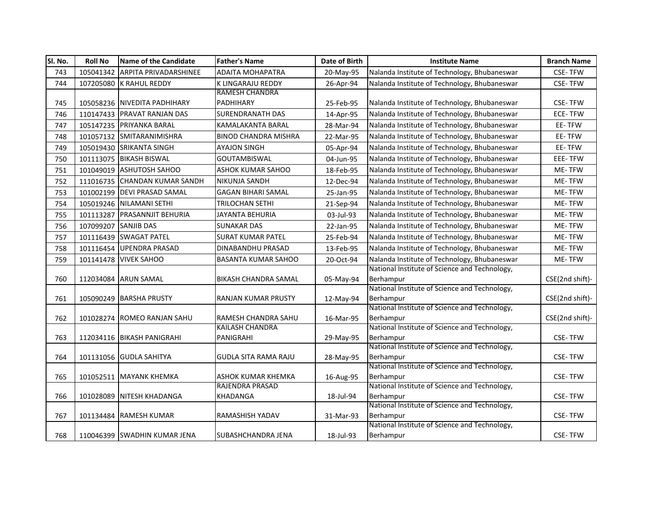| SI. No. | <b>Roll No</b> | Name of the Candidate         | <b>Father's Name</b>                          | Date of Birth | <b>Institute Name</b>                                      | <b>Branch Name</b> |
|---------|----------------|-------------------------------|-----------------------------------------------|---------------|------------------------------------------------------------|--------------------|
| 743     | 105041342      | <b>ARPITA PRIVADARSHINEE</b>  | <b>ADAITA MOHAPATRA</b>                       | 20-May-95     | Nalanda Institute of Technology, Bhubaneswar               | <b>CSE-TFW</b>     |
| 744     |                | 107205080 K RAHUL REDDY       | K LINGARAJU REDDY                             | 26-Apr-94     | Nalanda Institute of Technology, Bhubaneswar               | <b>CSE-TFW</b>     |
|         |                |                               | <b>RAMESH CHANDRA</b>                         |               |                                                            |                    |
| 745     |                | 105058236 NIVEDITA PADHIHARY  | PADHIHARY                                     | 25-Feb-95     | Nalanda Institute of Technology, Bhubaneswar               | <b>CSE-TFW</b>     |
| 746     | 110147433      | <b>PRAVAT RANJAN DAS</b>      | <b>SURENDRANATH DAS</b>                       | 14-Apr-95     | Nalanda Institute of Technology, Bhubaneswar               | ECE-TFW            |
| 747     |                | 105147235 PRIYANKA BARAL      | KAMALAKANTA BARAL                             | 28-Mar-94     | Nalanda Institute of Technology, Bhubaneswar               | EE-TFW             |
| 748     |                | 101057132 SMITARANIMISHRA     | <b>BINOD CHANDRA MISHRA</b>                   | 22-Mar-95     | Nalanda Institute of Technology, Bhubaneswar               | EE-TFW             |
| 749     |                | 105019430 SRIKANTA SINGH      | <b>AYAJON SINGH</b>                           | 05-Apr-94     | Nalanda Institute of Technology, Bhubaneswar               | EE-TFW             |
| 750     | 101113075      | <b>BIKASH BISWAL</b>          | <b>GOUTAMBISWAL</b>                           | 04-Jun-95     | Nalanda Institute of Technology, Bhubaneswar               | EEE-TFW            |
| 751     |                | 101049019 ASHUTOSH SAHOO      | ASHOK KUMAR SAHOO                             | 18-Feb-95     | Nalanda Institute of Technology, Bhubaneswar               | ME-TFW             |
| 752     |                | 111016735 CHANDAN KUMAR SANDH | NIKUNJA SANDH                                 | 12-Dec-94     | Nalanda Institute of Technology, Bhubaneswar               | ME-TFW             |
| 753     |                | 101002199 DEVI PRASAD SAMAL   | <b>GAGAN BIHARI SAMAL</b>                     | 25-Jan-95     | Nalanda Institute of Technology, Bhubaneswar               | ME-TFW             |
| 754     |                | 105019246 NILAMANI SETHI      | <b>TRILOCHAN SETHI</b>                        | 21-Sep-94     | Nalanda Institute of Technology, Bhubaneswar               | ME-TFW             |
| 755     | 101113287      | <b>PRASANNJIT BEHURIA</b>     | JAYANTA BEHURIA                               | 03-Jul-93     | Nalanda Institute of Technology, Bhubaneswar               | ME-TFW             |
| 756     | 107099207      | <b>SANJIB DAS</b>             | <b>SUNAKAR DAS</b>                            | 22-Jan-95     | Nalanda Institute of Technology, Bhubaneswar               | ME-TFW             |
| 757     |                | 101116439 SWAGAT PATEL        | <b>SURAT KUMAR PATEL</b>                      | 25-Feb-94     | Nalanda Institute of Technology, Bhubaneswar               | ME-TFW             |
| 758     |                | 101116454 UPENDRA PRASAD      | DINABANDHU PRASAD                             | 13-Feb-95     | Nalanda Institute of Technology, Bhubaneswar               | ME-TFW             |
| 759     | 101141478      | <b>VIVEK SAHOO</b>            | BASANTA KUMAR SAHOO                           | 20-Oct-94     | Nalanda Institute of Technology, Bhubaneswar               | ME-TFW             |
|         |                |                               |                                               |               | National Institute of Science and Technology,              |                    |
| 760     |                | 112034084 ARUN SAMAL          | BIKASH CHANDRA SAMAL                          | 05-May-94     | Berhampur                                                  | CSE(2nd shift)-    |
|         |                |                               |                                               |               | National Institute of Science and Technology,              |                    |
| 761     |                | 105090249 BARSHA PRUSTY       | RANJAN KUMAR PRUSTY                           | 12-May-94     | Berhampur                                                  | CSE(2nd shift)-    |
|         |                |                               |                                               |               | National Institute of Science and Technology,              |                    |
| 762     |                | 101028274 ROMEO RANJAN SAHU   | RAMESH CHANDRA SAHU<br><b>KAILASH CHANDRA</b> | 16-Mar-95     | Berhampur<br>National Institute of Science and Technology, | CSE(2nd shift)-    |
| 763     |                | 112034116 BIKASH PANIGRAHI    | PANIGRAHI                                     | 29-May-95     | Berhampur                                                  | <b>CSE-TFW</b>     |
|         |                |                               |                                               |               | National Institute of Science and Technology,              |                    |
| 764     |                | 101131056 GUDLA SAHITYA       | <b>GUDLA SITA RAMA RAJU</b>                   | 28-May-95     | Berhampur                                                  | <b>CSE-TFW</b>     |
|         |                |                               |                                               |               | National Institute of Science and Technology,              |                    |
| 765     | 101052511      | <b>MAYANK KHEMKA</b>          | <b>ASHOK KUMAR KHEMKA</b>                     | 16-Aug-95     | Berhampur                                                  | <b>CSE-TFW</b>     |
|         |                |                               | <b>RAJENDRA PRASAD</b>                        |               | National Institute of Science and Technology,              |                    |
| 766     | 101028089      | <b>NITESH KHADANGA</b>        | KHADANGA                                      | 18-Jul-94     | Berhampur                                                  | <b>CSE-TFW</b>     |
|         |                |                               |                                               |               | National Institute of Science and Technology,              |                    |
| 767     |                | 101134484 RAMESH KUMAR        | RAMASHISH YADAV                               | 31-Mar-93     | Berhampur                                                  | <b>CSE-TFW</b>     |
|         |                |                               |                                               |               | National Institute of Science and Technology,              |                    |
| 768     |                | 110046399 SWADHIN KUMAR JENA  | <b>SUBASHCHANDRA JENA</b>                     | 18-Jul-93     | Berhampur                                                  | <b>CSE-TFW</b>     |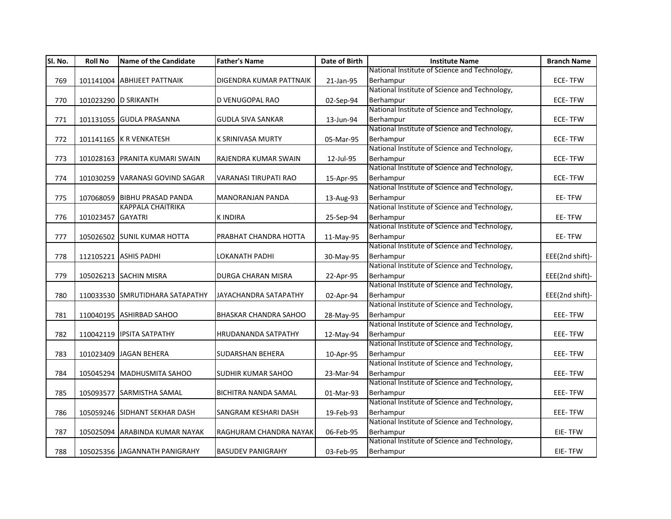| Sl. No. | <b>Roll No</b>    | <b>Name of the Candidate</b>    | <b>Father's Name</b>           | Date of Birth | <b>Institute Name</b>                         | <b>Branch Name</b> |
|---------|-------------------|---------------------------------|--------------------------------|---------------|-----------------------------------------------|--------------------|
|         |                   |                                 |                                |               | National Institute of Science and Technology, |                    |
| 769     |                   | 101141004 ABHIJEET PATTNAIK     | <b>DIGENDRA KUMAR PATTNAIK</b> | 21-Jan-95     | Berhampur                                     | <b>ECE-TFW</b>     |
|         |                   |                                 |                                |               | National Institute of Science and Technology, |                    |
| 770     |                   | 101023290 D SRIKANTH            | D VENUGOPAL RAO                | 02-Sep-94     | Berhampur                                     | <b>ECE-TFW</b>     |
|         |                   |                                 |                                |               | National Institute of Science and Technology, |                    |
| 771     |                   | 101131055 GUDLA PRASANNA        | <b>GUDLA SIVA SANKAR</b>       | 13-Jun-94     | Berhampur                                     | ECE-TFW            |
|         |                   |                                 |                                |               | National Institute of Science and Technology, |                    |
| 772     |                   | 101141165 K R VENKATESH         | <b>K SRINIVASA MURTY</b>       | 05-Mar-95     | Berhampur                                     | <b>ECE-TFW</b>     |
|         |                   |                                 |                                |               | National Institute of Science and Technology, |                    |
| 773     |                   | 101028163 PRANITA KUMARI SWAIN  | RAJENDRA KUMAR SWAIN           | 12-Jul-95     | Berhampur                                     | ECE-TFW            |
|         |                   |                                 |                                |               | National Institute of Science and Technology, |                    |
| 774     |                   | 101030259 VARANASI GOVIND SAGAR | VARANASI TIRUPATI RAO          | 15-Apr-95     | Berhampur                                     | <b>ECE-TFW</b>     |
|         |                   |                                 |                                |               | National Institute of Science and Technology, |                    |
| 775     |                   | 107068059 BIBHU PRASAD PANDA    | <b>MANORANJAN PANDA</b>        | 13-Aug-93     | Berhampur                                     | EE-TFW             |
|         |                   | <b>KAPPALA CHAITRIKA</b>        |                                |               | National Institute of Science and Technology, |                    |
| 776     | 101023457 GAYATRI |                                 | <b>KINDIRA</b>                 | 25-Sep-94     | Berhampur                                     | EE-TFW             |
|         |                   |                                 |                                |               | National Institute of Science and Technology, |                    |
| 777     |                   | 105026502 SUNIL KUMAR HOTTA     | PRABHAT CHANDRA HOTTA          | 11-May-95     | Berhampur                                     | EE-TFW             |
|         |                   |                                 |                                |               | National Institute of Science and Technology, |                    |
| 778     |                   | 112105221 ASHIS PADHI           | LOKANATH PADHI                 | 30-May-95     | Berhampur                                     | EEE(2nd shift)-    |
|         |                   |                                 |                                |               | National Institute of Science and Technology, |                    |
| 779     |                   | 105026213 SACHIN MISRA          | <b>DURGA CHARAN MISRA</b>      | 22-Apr-95     | Berhampur                                     | EEE(2nd shift)-    |
|         |                   |                                 |                                |               | National Institute of Science and Technology, |                    |
| 780     |                   | 110033530 SMRUTIDHARA SATAPATHY | JAYACHANDRA SATAPATHY          | 02-Apr-94     | Berhampur                                     | EEE(2nd shift)-    |
|         |                   |                                 |                                |               | National Institute of Science and Technology, |                    |
| 781     |                   | 110040195 ASHIRBAD SAHOO        | <b>BHASKAR CHANDRA SAHOO</b>   | 28-May-95     | Berhampur                                     | EEE-TFW            |
|         |                   |                                 |                                |               | National Institute of Science and Technology, |                    |
| 782     |                   | 110042119 IPSITA SATPATHY       | <b>HRUDANANDA SATPATHY</b>     | 12-May-94     | Berhampur                                     | EEE-TFW            |
|         |                   |                                 |                                |               | National Institute of Science and Technology, |                    |
| 783     |                   | 101023409 JAGAN BEHERA          | <b>SUDARSHAN BEHERA</b>        | 10-Apr-95     | Berhampur                                     | EEE-TFW            |
|         |                   |                                 |                                |               | National Institute of Science and Technology, |                    |
| 784     |                   | 105045294 MADHUSMITA SAHOO      | <b>SUDHIR KUMAR SAHOO</b>      | 23-Mar-94     | Berhampur                                     | EEE-TFW            |
|         |                   |                                 |                                |               | National Institute of Science and Technology, |                    |
| 785     |                   | 105093577 SARMISTHA SAMAL       | <b>BICHITRA NANDA SAMAL</b>    | 01-Mar-93     | Berhampur                                     | EEE-TFW            |
|         |                   |                                 |                                |               | National Institute of Science and Technology, |                    |
| 786     |                   | 105059246 SIDHANT SEKHAR DASH   | SANGRAM KESHARI DASH           | 19-Feb-93     | Berhampur                                     | <b>EEE-TFW</b>     |
|         |                   |                                 |                                |               | National Institute of Science and Technology, |                    |
| 787     |                   | 105025094 ARABINDA KUMAR NAYAK  | RAGHURAM CHANDRA NAYAK         | 06-Feb-95     | Berhampur                                     | EIE-TFW            |
|         |                   |                                 |                                |               | National Institute of Science and Technology, |                    |
| 788     |                   | 105025356 JAGANNATH PANIGRAHY   | <b>BASUDEV PANIGRAHY</b>       | 03-Feb-95     | Berhampur                                     | EIE-TFW            |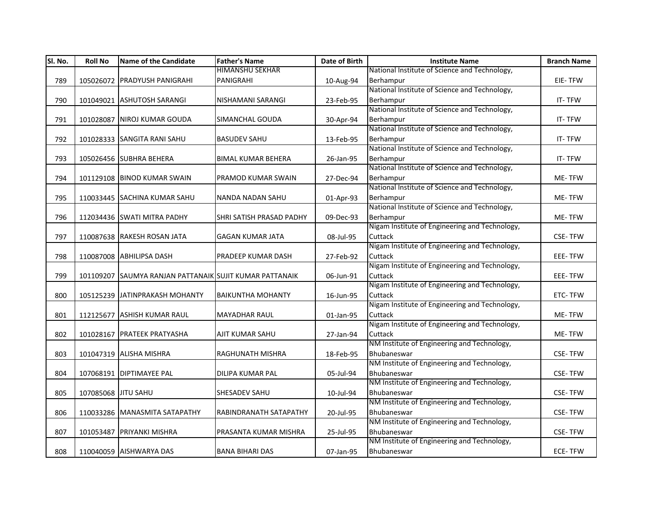| HIMANSHU SEKHAR<br>National Institute of Science and Technology,<br>105026072 PRADYUSH PANIGRAHI<br>PANIGRAHI<br>789<br>10-Aug-94<br>Berhampur<br>National Institute of Science and Technology,<br>Berhampur<br>790<br>101049021 ASHUTOSH SARANGI<br>NISHAMANI SARANGI<br>23-Feb-95<br>National Institute of Science and Technology,<br>Berhampur<br>791<br>101028087 NIROJ KUMAR GOUDA<br>SIMANCHAL GOUDA<br>30-Apr-94 | EIE-TFW<br>IT-TFW<br>IT-TFW<br>IT-TFW<br>IT-TFW |
|-------------------------------------------------------------------------------------------------------------------------------------------------------------------------------------------------------------------------------------------------------------------------------------------------------------------------------------------------------------------------------------------------------------------------|-------------------------------------------------|
|                                                                                                                                                                                                                                                                                                                                                                                                                         |                                                 |
|                                                                                                                                                                                                                                                                                                                                                                                                                         |                                                 |
|                                                                                                                                                                                                                                                                                                                                                                                                                         |                                                 |
|                                                                                                                                                                                                                                                                                                                                                                                                                         |                                                 |
|                                                                                                                                                                                                                                                                                                                                                                                                                         |                                                 |
|                                                                                                                                                                                                                                                                                                                                                                                                                         |                                                 |
| National Institute of Science and Technology,                                                                                                                                                                                                                                                                                                                                                                           |                                                 |
| 101028333 SANGITA RANI SAHU<br><b>BASUDEV SAHU</b><br>Berhampur<br>792<br>13-Feb-95                                                                                                                                                                                                                                                                                                                                     |                                                 |
| National Institute of Science and Technology,                                                                                                                                                                                                                                                                                                                                                                           |                                                 |
| Berhampur<br>793<br>105026456 SUBHRA BEHERA<br><b>BIMAL KUMAR BEHERA</b><br>26-Jan-95                                                                                                                                                                                                                                                                                                                                   |                                                 |
| National Institute of Science and Technology,                                                                                                                                                                                                                                                                                                                                                                           |                                                 |
| Berhampur<br>794<br>101129108 BINOD KUMAR SWAIN<br>PRAMOD KUMAR SWAIN<br>27-Dec-94                                                                                                                                                                                                                                                                                                                                      | ME-TFW                                          |
| National Institute of Science and Technology,                                                                                                                                                                                                                                                                                                                                                                           |                                                 |
| 795<br>110033445 SACHINA KUMAR SAHU<br>NANDA NADAN SAHU<br>Berhampur<br>01-Apr-93                                                                                                                                                                                                                                                                                                                                       | ME-TFW                                          |
| National Institute of Science and Technology,                                                                                                                                                                                                                                                                                                                                                                           |                                                 |
| Berhampur<br>796<br>112034436 SWATI MITRA PADHY<br><b>SHRI SATISH PRASAD PADHY</b><br>09-Dec-93                                                                                                                                                                                                                                                                                                                         | ME-TFW                                          |
| Nigam Institute of Engineering and Technology,                                                                                                                                                                                                                                                                                                                                                                          |                                                 |
| Cuttack<br>110087638 RAKESH ROSAN JATA<br><b>GAGAN KUMAR JATA</b><br>797<br>08-Jul-95                                                                                                                                                                                                                                                                                                                                   | <b>CSE-TFW</b>                                  |
| Nigam Institute of Engineering and Technology,                                                                                                                                                                                                                                                                                                                                                                          |                                                 |
| Cuttack<br>798<br>110087008 ABHILIPSA DASH<br><b>PRADEEP KUMAR DASH</b><br>27-Feb-92                                                                                                                                                                                                                                                                                                                                    | EEE-TFW                                         |
| Nigam Institute of Engineering and Technology,                                                                                                                                                                                                                                                                                                                                                                          |                                                 |
| Cuttack<br>799<br>101109207 SAUMYA RANJAN PATTANAIK SUJIT KUMAR PATTANAIK<br>06-Jun-91                                                                                                                                                                                                                                                                                                                                  | EEE-TFW                                         |
| Nigam Institute of Engineering and Technology,                                                                                                                                                                                                                                                                                                                                                                          |                                                 |
| Cuttack<br>800<br>105125239 JJATINPRAKASH MOHANTY<br><b>BAIKUNTHA MOHANTY</b><br>16-Jun-95                                                                                                                                                                                                                                                                                                                              | ETC-TFW                                         |
| Nigam Institute of Engineering and Technology,                                                                                                                                                                                                                                                                                                                                                                          |                                                 |
| Cuttack<br>112125677 ASHISH KUMAR RAUL<br><b>MAYADHAR RAUL</b><br>801<br>01-Jan-95<br>Nigam Institute of Engineering and Technology,                                                                                                                                                                                                                                                                                    | ME-TFW                                          |
|                                                                                                                                                                                                                                                                                                                                                                                                                         |                                                 |
| 101028167 PRATEEK PRATYASHA<br>AJIT KUMAR SAHU<br>Cuttack<br>802<br>27-Jan-94<br>NM Institute of Engineering and Technology,                                                                                                                                                                                                                                                                                            | ME-TFW                                          |
| RAGHUNATH MISHRA<br>Bhubaneswar                                                                                                                                                                                                                                                                                                                                                                                         | <b>CSE-TFW</b>                                  |
| 101047319 ALISHA MISHRA<br>803<br>18-Feb-95<br>NM Institute of Engineering and Technology,                                                                                                                                                                                                                                                                                                                              |                                                 |
| Bhubaneswar<br>804<br>107068191 DIPTIMAYEE PAL<br><b>DILIPA KUMAR PAL</b>                                                                                                                                                                                                                                                                                                                                               | <b>CSE-TFW</b>                                  |
| 05-Jul-94<br>NM Institute of Engineering and Technology,                                                                                                                                                                                                                                                                                                                                                                |                                                 |
| Bhubaneswar<br>107085068 JITU SAHU<br><b>SHESADEV SAHU</b><br>805<br>10-Jul-94                                                                                                                                                                                                                                                                                                                                          | <b>CSE-TFW</b>                                  |
| NM Institute of Engineering and Technology,                                                                                                                                                                                                                                                                                                                                                                             |                                                 |
| Bhubaneswar<br>806<br>110033286 MANASMITA SATAPATHY<br>RABINDRANATH SATAPATHY<br>20-Jul-95                                                                                                                                                                                                                                                                                                                              | <b>CSE-TFW</b>                                  |
| NM Institute of Engineering and Technology,                                                                                                                                                                                                                                                                                                                                                                             |                                                 |
| Bhubaneswar<br>101053487 PRIYANKI MISHRA<br>PRASANTA KUMAR MISHRA<br>807<br>25-Jul-95                                                                                                                                                                                                                                                                                                                                   | <b>CSE-TFW</b>                                  |
| NM Institute of Engineering and Technology,                                                                                                                                                                                                                                                                                                                                                                             |                                                 |
| Bhubaneswar<br><b>BANA BIHARI DAS</b><br>808<br>110040059 AISHWARYA DAS<br>07-Jan-95                                                                                                                                                                                                                                                                                                                                    | <b>ECE-TFW</b>                                  |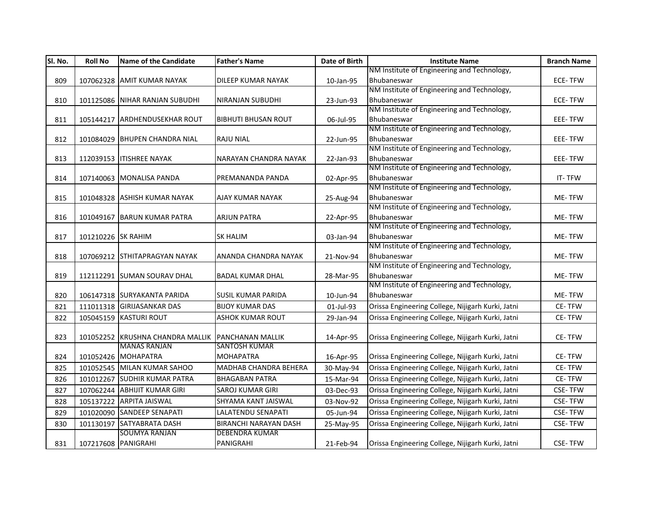| SI. No. | <b>Roll No</b>      | <b>Name of the Candidate</b>     | <b>Father's Name</b>         | Date of Birth | <b>Institute Name</b>                                      | <b>Branch Name</b> |
|---------|---------------------|----------------------------------|------------------------------|---------------|------------------------------------------------------------|--------------------|
|         |                     |                                  |                              |               | NM Institute of Engineering and Technology,                |                    |
| 809     |                     | 107062328 AMIT KUMAR NAYAK       | <b>DILEEP KUMAR NAYAK</b>    | 10-Jan-95     | Bhubaneswar                                                | <b>ECE-TFW</b>     |
|         |                     |                                  |                              |               | NM Institute of Engineering and Technology,                |                    |
| 810     |                     | 101125086 NIHAR RANJAN SUBUDHI   | <b>NIRANJAN SUBUDHI</b>      | 23-Jun-93     | Bhubaneswar                                                | <b>ECE-TFW</b>     |
|         |                     |                                  |                              |               | NM Institute of Engineering and Technology,                |                    |
| 811     |                     | 105144217 ARDHENDUSEKHAR ROUT    | <b>BIBHUTI BHUSAN ROUT</b>   | 06-Jul-95     | Bhubaneswar                                                | EEE-TFW            |
|         |                     |                                  |                              |               | NM Institute of Engineering and Technology,                |                    |
| 812     |                     | 101084029 BHUPEN CHANDRA NIAL    | <b>RAJU NIAL</b>             | 22-Jun-95     | Bhubaneswar                                                | EEE-TFW            |
|         |                     |                                  |                              |               | NM Institute of Engineering and Technology,                |                    |
| 813     |                     | 112039153   ITISHREE NAYAK       | NARAYAN CHANDRA NAYAK        | 22-Jan-93     | Bhubaneswar                                                | EEE-TFW            |
|         |                     |                                  |                              |               | NM Institute of Engineering and Technology,                |                    |
| 814     |                     | 107140063 MONALISA PANDA         | PREMANANDA PANDA             | 02-Apr-95     | Bhubaneswar                                                | IT-TFW             |
|         |                     |                                  |                              |               | NM Institute of Engineering and Technology,                |                    |
| 815     |                     | 101048328 ASHISH KUMAR NAYAK     | AJAY KUMAR NAYAK             | 25-Aug-94     | Bhubaneswar                                                | <b>ME-TFW</b>      |
|         |                     |                                  |                              |               | NM Institute of Engineering and Technology,                |                    |
| 816     |                     | 101049167 BARUN KUMAR PATRA      | ARJUN PATRA                  | 22-Apr-95     | Bhubaneswar                                                | ME-TFW             |
|         |                     |                                  |                              |               | NM Institute of Engineering and Technology,                |                    |
| 817     | 101210226 SK RAHIM  |                                  | <b>SK HALIM</b>              | 03-Jan-94     | Bhubaneswar<br>NM Institute of Engineering and Technology, | ME-TFW             |
| 818     |                     | 107069212 STHITAPRAGYAN NAYAK    | ANANDA CHANDRA NAYAK         | 21-Nov-94     | Bhubaneswar                                                | ME-TFW             |
|         |                     |                                  |                              |               | NM Institute of Engineering and Technology,                |                    |
| 819     |                     | 112112291 SUMAN SOURAV DHAL      | <b>BADAL KUMAR DHAL</b>      | 28-Mar-95     | Bhubaneswar                                                | ME-TFW             |
|         |                     |                                  |                              |               | NM Institute of Engineering and Technology,                |                    |
| 820     |                     | 106147318 SURYAKANTA PARIDA      | SUSIL KUMAR PARIDA           | 10-Jun-94     | Bhubaneswar                                                | ME-TFW             |
| 821     |                     | 111011318 GIRIJASANKAR DAS       | <b>BIJOY KUMAR DAS</b>       | 01-Jul-93     | Orissa Engineering College, Nijigarh Kurki, Jatni          | <b>CE-TFW</b>      |
|         |                     |                                  | <b>ASHOK KUMAR ROUT</b>      |               | Orissa Engineering College, Nijigarh Kurki, Jatni          | CE-TFW             |
| 822     |                     | 105045159 KASTURI ROUT           |                              | 29-Jan-94     |                                                            |                    |
| 823     |                     | 101052252 KRUSHNA CHANDRA MALLIK | <b>PANCHANAN MALLIK</b>      | 14-Apr-95     | Orissa Engineering College, Nijigarh Kurki, Jatni          | CE-TFW             |
|         |                     | <b>MANAS RANJAN</b>              | <b>SANTOSH KUMAR</b>         |               |                                                            |                    |
| 824     |                     | 101052426 MOHAPATRA              | <b>MOHAPATRA</b>             | 16-Apr-95     | Orissa Engineering College, Nijigarh Kurki, Jatni          | CE-TFW             |
| 825     |                     | 101052545 MILAN KUMAR SAHOO      | MADHAB CHANDRA BEHERA        |               | Orissa Engineering College, Nijigarh Kurki, Jatni          | CE-TFW             |
|         |                     |                                  |                              | 30-May-94     |                                                            |                    |
| 826     |                     | 101012267 SUDHIR KUMAR PATRA     | <b>BHAGABAN PATRA</b>        | 15-Mar-94     | Orissa Engineering College, Nijigarh Kurki, Jatni          | CE-TFW             |
| 827     |                     | 107062244 ABHIJIT KUMAR GIRI     | <b>SAROJ KUMAR GIRI</b>      | 03-Dec-93     | Orissa Engineering College, Nijigarh Kurki, Jatni          | <b>CSE-TFW</b>     |
| 828     |                     | 105137222 ARPITA JAISWAL         | SHYAMA KANT JAISWAL          | 03-Nov-92     | Orissa Engineering College, Nijigarh Kurki, Jatni          | <b>CSE-TFW</b>     |
| 829     |                     | 101020090 SANDEEP SENAPATI       | LALATENDU SENAPATI           | 05-Jun-94     | Orissa Engineering College, Nijigarh Kurki, Jatni          | <b>CSE-TFW</b>     |
| 830     |                     | 101130197 SATYABRATA DASH        | <b>BIRANCHI NARAYAN DASH</b> | 25-May-95     | Orissa Engineering College, Nijigarh Kurki, Jatni          | <b>CSE-TFW</b>     |
|         |                     | <b>SOUMYA RANJAN</b>             | <b>DEBENDRA KUMAR</b>        |               |                                                            |                    |
| 831     | 107217608 PANIGRAHI |                                  | PANIGRAHI                    | 21-Feb-94     | Orissa Engineering College, Nijigarh Kurki, Jatni          | <b>CSE-TFW</b>     |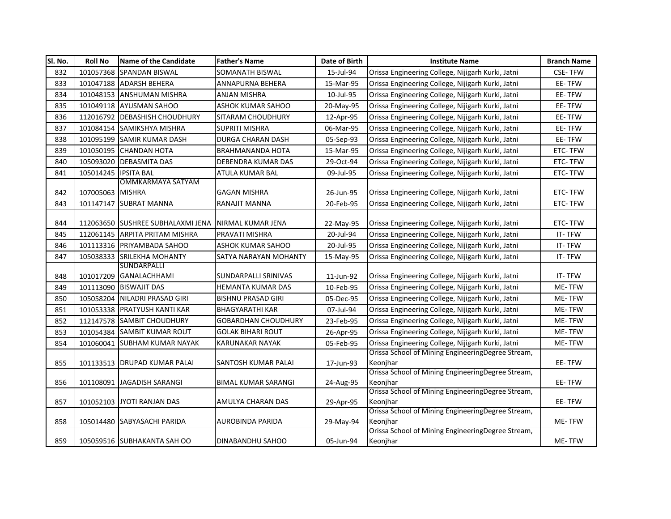| SI. No. | <b>Roll No</b>   | <b>Name of the Candidate</b>                 | <b>Father's Name</b>       | Date of Birth | <b>Institute Name</b>                             | <b>Branch Name</b> |
|---------|------------------|----------------------------------------------|----------------------------|---------------|---------------------------------------------------|--------------------|
| 832     |                  | 101057368 SPANDAN BISWAL                     | SOMANATH BISWAL            | 15-Jul-94     | Orissa Engineering College, Nijigarh Kurki, Jatni | <b>CSE-TFW</b>     |
| 833     |                  | 101047188 ADARSH BEHERA                      | ANNAPURNA BEHERA           | 15-Mar-95     | Orissa Engineering College, Nijigarh Kurki, Jatni | EE-TFW             |
| 834     |                  | 101048153 ANSHUMAN MISHRA                    | <b>ANJAN MISHRA</b>        | 10-Jul-95     | Orissa Engineering College, Nijigarh Kurki, Jatni | EE-TFW             |
| 835     |                  | 101049118 AYUSMAN SAHOO                      | <b>ASHOK KUMAR SAHOO</b>   | 20-May-95     | Orissa Engineering College, Nijigarh Kurki, Jatni | EE-TFW             |
| 836     | 112016792        | <b>IDEBASHISH CHOUDHURY</b>                  | SITARAM CHOUDHURY          | 12-Apr-95     | Orissa Engineering College, Nijigarh Kurki, Jatni | EE-TFW             |
| 837     |                  | 101084154 SAMIKSHYA MISHRA                   | <b>SUPRITI MISHRA</b>      | 06-Mar-95     | Orissa Engineering College, Nijigarh Kurki, Jatni | EE-TFW             |
| 838     |                  | 101095199 SAMIR KUMAR DASH                   | DURGA CHARAN DASH          | 05-Sep-93     | Orissa Engineering College, Nijigarh Kurki, Jatni | EE-TFW             |
| 839     | 101050195        | <b>CHANDAN HOTA</b>                          | <b>BRAHMANANDA HOTA</b>    | 15-Mar-95     | Orissa Engineering College, Nijigarh Kurki, Jatni | <b>ETC-TFW</b>     |
| 840     | 105093020        | <b>DEBASMITA DAS</b>                         | DEBENDRA KUMAR DAS         | 29-Oct-94     | Orissa Engineering College, Nijigarh Kurki, Jatni | ETC-TFW            |
| 841     | 105014245        | <b>IPSITA BAL</b>                            | ATULA KUMAR BAL            | 09-Jul-95     | Orissa Engineering College, Nijigarh Kurki, Jatni | ETC-TFW            |
|         |                  | <b>OMMKARMAYA SATYAM</b>                     |                            |               |                                                   |                    |
| 842     | 107005063 MISHRA |                                              | <b>GAGAN MISHRA</b>        | 26-Jun-95     | Orissa Engineering College, Nijigarh Kurki, Jatni | ETC-TFW            |
| 843     | 101147147        | <b>SUBRAT MANNA</b>                          | RANAJIT MANNA              | 20-Feb-95     | Orissa Engineering College, Nijigarh Kurki, Jatni | ETC-TFW            |
|         |                  |                                              |                            |               |                                                   |                    |
| 844     |                  | 112063650 SUSHREE SUBHALAXMI JENA            | INIRMAL KUMAR JENA         | 22-May-95     | Orissa Engineering College, Nijigarh Kurki, Jatni | <b>ETC-TFW</b>     |
| 845     |                  | 112061145 ARPITA PRITAM MISHRA               | PRAVATI MISHRA             | 20-Jul-94     | Orissa Engineering College, Nijigarh Kurki, Jatni | IT-TFW             |
| 846     |                  | 101113316 PRIYAMBADA SAHOO                   | ASHOK KUMAR SAHOO          | 20-Jul-95     | Orissa Engineering College, Nijigarh Kurki, Jatni | IT-TFW             |
| 847     |                  | 105038333 SRILEKHA MOHANTY                   | SATYA NARAYAN MOHANTY      | 15-May-95     | Orissa Engineering College, Nijigarh Kurki, Jatni | IT-TFW             |
|         |                  | <b>SUNDARPALLI</b><br>101017209 GANALACHHAMI | SUNDARPALLI SRINIVAS       |               | Orissa Engineering College, Nijigarh Kurki, Jatni | IT-TFW             |
| 848     |                  |                                              |                            | 11-Jun-92     |                                                   |                    |
| 849     |                  | 101113090 BISWAJIT DAS                       | HEMANTA KUMAR DAS          | 10-Feb-95     | Orissa Engineering College, Nijigarh Kurki, Jatni | ME-TFW             |
| 850     |                  | 105058204 NILADRI PRASAD GIRI                | <b>BISHNU PRASAD GIRI</b>  | 05-Dec-95     | Orissa Engineering College, Nijigarh Kurki, Jatni | ME-TFW             |
| 851     |                  | 101053338 PRATYUSH KANTI KAR                 | <b>BHAGYARATHI KAR</b>     | 07-Jul-94     | Orissa Engineering College, Nijigarh Kurki, Jatni | ME-TFW             |
| 852     |                  | 112147578 SAMBIT CHOUDHURY                   | <b>GOBARDHAN CHOUDHURY</b> | 23-Feb-95     | Orissa Engineering College, Nijigarh Kurki, Jatni | ME-TFW             |
| 853     | 101054384        | <b>SAMBIT KUMAR ROUT</b>                     | <b>GOLAK BIHARI ROUT</b>   | 26-Apr-95     | Orissa Engineering College, Nijigarh Kurki, Jatni | ME-TFW             |
| 854     | 101060041        | <b>SUBHAM KUMAR NAYAK</b>                    | KARUNAKAR NAYAK            | 05-Feb-95     | Orissa Engineering College, Nijigarh Kurki, Jatni | ME-TFW             |
|         |                  |                                              |                            |               | Orissa School of Mining EngineeringDegree Stream, |                    |
| 855     |                  | 101133513 DRUPAD KUMAR PALAI                 | SANTOSH KUMAR PALAI        | 17-Jun-93     | Keonihar                                          | EE-TFW             |
|         |                  |                                              |                            |               | Orissa School of Mining EngineeringDegree Stream, |                    |
| 856     | 101108091        | JAGADISH SARANGI                             | <b>BIMAL KUMAR SARANGI</b> | 24-Aug-95     | Keonihar                                          | EE-TFW             |
|         |                  |                                              |                            |               | Orissa School of Mining EngineeringDegree Stream, |                    |
| 857     |                  | 101052103 JYOTI RANJAN DAS                   | AMULYA CHARAN DAS          | 29-Apr-95     | Keonjhar                                          | EE-TFW             |
|         |                  |                                              |                            |               | Orissa School of Mining EngineeringDegree Stream, |                    |
| 858     |                  | 105014480 SABYASACHI PARIDA                  | AUROBINDA PARIDA           | 29-May-94     | Keonjhar                                          | ME-TFW             |
|         |                  |                                              |                            |               | Orissa School of Mining EngineeringDegree Stream, |                    |
| 859     |                  | 105059516 SUBHAKANTA SAH OO                  | DINABANDHU SAHOO           | 05-Jun-94     | Keonjhar                                          | ME-TFW             |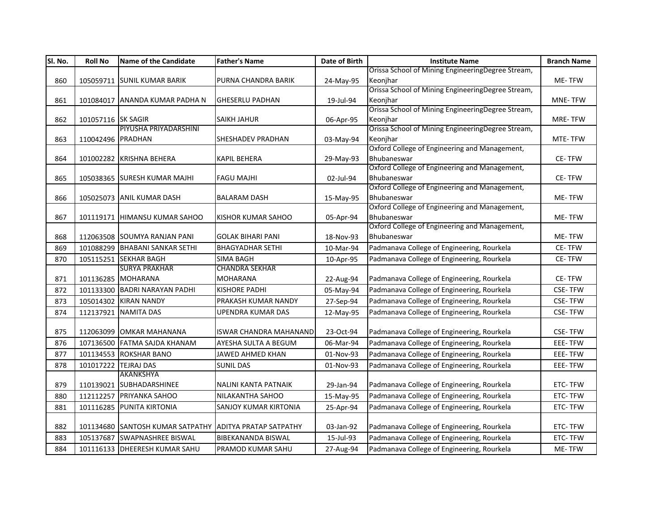| SI. No. | <b>Roll No</b>     | <b>Name of the Candidate</b>                            | <b>Father's Name</b>          | Date of Birth | <b>Institute Name</b>                                        | <b>Branch Name</b> |
|---------|--------------------|---------------------------------------------------------|-------------------------------|---------------|--------------------------------------------------------------|--------------------|
|         |                    |                                                         |                               |               | Orissa School of Mining EngineeringDegree Stream,            |                    |
| 860     |                    | 105059711 SUNIL KUMAR BARIK                             | PURNA CHANDRA BARIK           | 24-May-95     | Keonihar                                                     | ME-TFW             |
|         |                    |                                                         |                               |               | Orissa School of Mining EngineeringDegree Stream,            |                    |
| 861     |                    | 101084017 ANANDA KUMAR PADHA N                          | <b>GHESERLU PADHAN</b>        | 19-Jul-94     | Keonjhar                                                     | MNE-TFW            |
|         |                    |                                                         |                               |               | Orissa School of Mining EngineeringDegree Stream,            |                    |
| 862     | 101057116 SK SAGIR |                                                         | <b>SAIKH JAHUR</b>            | 06-Apr-95     | Keonjhar                                                     | MRE-TFW            |
|         |                    | PIYUSHA PRIYADARSHINI                                   |                               |               | Orissa School of Mining EngineeringDegree Stream,            |                    |
| 863     | 110042496 PRADHAN  |                                                         | <b>SHESHADEV PRADHAN</b>      | 03-May-94     | Keonihar                                                     | MTE-TFW            |
|         |                    |                                                         |                               |               | Oxford College of Engineering and Management,                |                    |
| 864     |                    | 101002282 KRISHNA BEHERA                                | <b>KAPIL BEHERA</b>           | 29-May-93     | Bhubaneswar                                                  | CE-TFW             |
|         |                    |                                                         |                               |               | Oxford College of Engineering and Management,                |                    |
| 865     |                    | 105038365 SURESH KUMAR MAJHI                            | <b>FAGU MAJHI</b>             | 02-Jul-94     | Bhubaneswar                                                  | CE-TFW             |
|         |                    |                                                         |                               |               | Oxford College of Engineering and Management,                |                    |
| 866     |                    | 105025073 ANIL KUMAR DASH                               | <b>BALARAM DASH</b>           | 15-May-95     | Bhubaneswar<br>Oxford College of Engineering and Management, | ME-TFW             |
|         |                    |                                                         |                               |               |                                                              |                    |
| 867     |                    | 101119171 HIMANSU KUMAR SAHOO                           | KISHOR KUMAR SAHOO            | 05-Apr-94     | Bhubaneswar<br>Oxford College of Engineering and Management, | ME-TFW             |
|         |                    |                                                         |                               |               | Bhubaneswar                                                  | ME-TFW             |
| 868     |                    | 112063508 SOUMYA RANJAN PANI                            | <b>GOLAK BIHARI PANI</b>      | 18-Nov-93     |                                                              |                    |
| 869     |                    | 101088299 BHABANI SANKAR SETHI                          | <b>BHAGYADHAR SETHI</b>       | 10-Mar-94     | Padmanava College of Engineering, Rourkela                   | <b>CE-TFW</b>      |
| 870     |                    | 105115251 SEKHAR BAGH                                   | <b>SIMA BAGH</b>              | 10-Apr-95     | Padmanava College of Engineering, Rourkela                   | CE-TFW             |
|         |                    | <b>SURYA PRAKHAR</b>                                    | <b>CHANDRA SEKHAR</b>         |               |                                                              |                    |
| 871     |                    | 101136285 MOHARANA                                      | <b>MOHARANA</b>               | 22-Aug-94     | Padmanava College of Engineering, Rourkela                   | <b>CE-TFW</b>      |
| 872     |                    | 101133300 BADRI NARAYAN PADHI                           | <b>KISHORE PADHI</b>          | 05-May-94     | Padmanava College of Engineering, Rourkela                   | <b>CSE-TFW</b>     |
| 873     |                    | 105014302 KIRAN NANDY                                   | PRAKASH KUMAR NANDY           | 27-Sep-94     | Padmanava College of Engineering, Rourkela                   | <b>CSE-TFW</b>     |
| 874     | 112137921          | <b>NAMITA DAS</b>                                       | <b>UPENDRA KUMAR DAS</b>      | 12-May-95     | Padmanava College of Engineering, Rourkela                   | <b>CSE-TFW</b>     |
|         |                    |                                                         |                               |               |                                                              |                    |
| 875     |                    | 112063099 OMKAR MAHANANA                                | <b>ISWAR CHANDRA MAHANAND</b> | 23-Oct-94     | Padmanava College of Engineering, Rourkela                   | <b>CSE-TFW</b>     |
| 876     |                    | 107136500 FATMA SAJDA KHANAM                            | AYESHA SULTA A BEGUM          | 06-Mar-94     | Padmanava College of Engineering, Rourkela                   | EEE-TFW            |
| 877     |                    | 101134553 ROKSHAR BANO                                  | JAWED AHMED KHAN              | 01-Nov-93     | Padmanava College of Engineering, Rourkela                   | EEE-TFW            |
| 878     | 101017222          | <b>TEJRAJ DAS</b>                                       | <b>SUNIL DAS</b>              | 01-Nov-93     | Padmanava College of Engineering, Rourkela                   | <b>EEE-TFW</b>     |
|         |                    | AKANKSHYA                                               |                               |               |                                                              |                    |
| 879     |                    | 110139021 SUBHADARSHINEE                                | NALINI KANTA PATNAIK          | 29-Jan-94     | Padmanava College of Engineering, Rourkela                   | ETC-TFW            |
| 880     |                    | 112112257 PRIYANKA SAHOO                                | NILAKANTHA SAHOO              | 15-May-95     | Padmanava College of Engineering, Rourkela                   | ETC-TFW            |
| 881     |                    | 101116285 PUNITA KIRTONIA                               | <b>SANJOY KUMAR KIRTONIA</b>  | 25-Apr-94     | Padmanava College of Engineering, Rourkela                   | ETC-TFW            |
|         |                    |                                                         |                               |               |                                                              |                    |
| 882     |                    | 101134680 SANTOSH KUMAR SATPATHY ADITYA PRATAP SATPATHY |                               | 03-Jan-92     | Padmanava College of Engineering, Rourkela                   | ETC-TFW            |
| 883     |                    | 105137687 SWAPNASHREE BISWAL                            | <b>BIBEKANANDA BISWAL</b>     | 15-Jul-93     | Padmanava College of Engineering, Rourkela                   | ETC-TFW            |
| 884     |                    | 101116133 DHEERESH KUMAR SAHU                           | PRAMOD KUMAR SAHU             | 27-Aug-94     | Padmanava College of Engineering, Rourkela                   | ME-TFW             |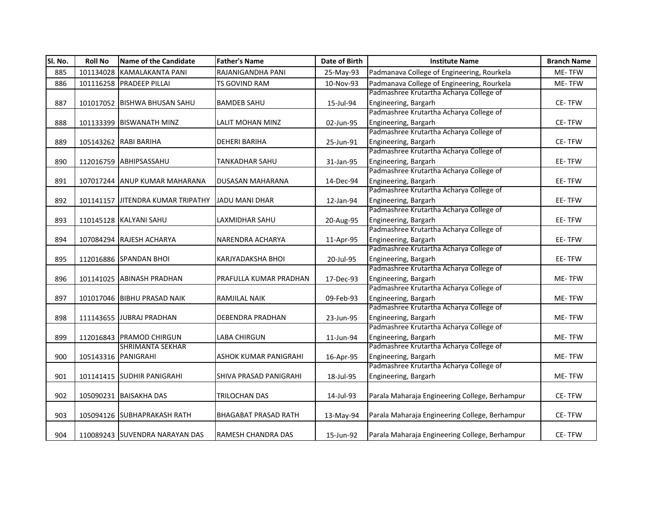| SI. No. | <b>Roll No</b>      | <b>Name of the Candidate</b>      | <b>Father's Name</b>         | Date of Birth | <b>Institute Name</b>                          | <b>Branch Name</b> |
|---------|---------------------|-----------------------------------|------------------------------|---------------|------------------------------------------------|--------------------|
| 885     | 101134028           | <b>KAMALAKANTA PANI</b>           | RAJANIGANDHA PANI            | 25-May-93     | Padmanava College of Engineering, Rourkela     | ME-TFW             |
| 886     |                     | 101116258 PRADEEP PILLAI          | <b>TS GOVIND RAM</b>         | 10-Nov-93     | Padmanava College of Engineering, Rourkela     | ME-TFW             |
|         |                     |                                   |                              |               | Padmashree Krutartha Acharya College of        |                    |
| 887     |                     | 101017052 BISHWA BHUSAN SAHU      | <b>BAMDEB SAHU</b>           | 15-Jul-94     | Engineering, Bargarh                           | CE-TFW             |
|         |                     |                                   |                              |               | Padmashree Krutartha Acharya College of        |                    |
| 888     |                     | 101133399 BISWANATH MINZ          | LALIT MOHAN MINZ             | 02-Jun-95     | Engineering, Bargarh                           | <b>CE-TFW</b>      |
|         |                     |                                   |                              |               | Padmashree Krutartha Acharya College of        |                    |
| 889     |                     | 105143262 RABI BARIHA             | <b>DEHERI BARIHA</b>         | 25-Jun-91     | Engineering, Bargarh                           | <b>CE-TFW</b>      |
|         |                     |                                   |                              |               | Padmashree Krutartha Acharya College of        |                    |
| 890     |                     | 112016759 ABHIPSASSAHU            | <b>TANKADHAR SAHU</b>        | 31-Jan-95     | Engineering, Bargarh                           | EE-TFW             |
|         |                     |                                   |                              |               | Padmashree Krutartha Acharya College of        |                    |
| 891     |                     | 107017244 ANUP KUMAR MAHARANA     | <b>DUSASAN MAHARANA</b>      | 14-Dec-94     | Engineering, Bargarh                           | EE-TFW             |
|         |                     |                                   |                              |               | Padmashree Krutartha Acharya College of        |                    |
| 892     |                     | 101141157 JITENDRA KUMAR TRIPATHY | <b>JADU MANI DHAR</b>        | 12-Jan-94     | Engineering, Bargarh                           | EE-TFW             |
|         |                     |                                   |                              |               | Padmashree Krutartha Acharya College of        |                    |
| 893     |                     | 110145128 KALYANI SAHU            | LAXMIDHAR SAHU               | 20-Aug-95     | Engineering, Bargarh                           | EE-TFW             |
|         |                     |                                   |                              |               | Padmashree Krutartha Acharya College of        |                    |
| 894     |                     | 107084294 RAJESH ACHARYA          | NARENDRA ACHARYA             | 11-Apr-95     | Engineering, Bargarh                           | EE-TFW             |
|         |                     |                                   |                              |               | Padmashree Krutartha Acharya College of        |                    |
| 895     |                     | 112016886 SPANDAN BHOI            | <b>KARJYADAKSHA BHOI</b>     | 20-Jul-95     | Engineering, Bargarh                           | EE-TFW             |
|         |                     |                                   |                              |               | Padmashree Krutartha Acharya College of        |                    |
| 896     |                     | 101141025 ABINASH PRADHAN         | PRAFULLA KUMAR PRADHAN       | 17-Dec-93     | Engineering, Bargarh                           | ME-TFW             |
|         |                     |                                   |                              |               | Padmashree Krutartha Acharya College of        |                    |
| 897     |                     | 101017046 BIBHU PRASAD NAIK       | RAMJILAL NAIK                | 09-Feb-93     | Engineering, Bargarh                           | ME-TFW             |
|         |                     |                                   |                              |               | Padmashree Krutartha Acharya College of        |                    |
| 898     |                     | 111143655 JUBRAJ PRADHAN          | <b>DEBENDRA PRADHAN</b>      | 23-Jun-95     | Engineering, Bargarh                           | ME-TFW             |
|         |                     |                                   |                              |               | Padmashree Krutartha Acharya College of        |                    |
| 899     |                     | 112016843 PRAMOD CHIRGUN          | <b>LABA CHIRGUN</b>          | 11-Jun-94     | Engineering, Bargarh                           | ME-TFW             |
|         |                     | <b>SHRIMANTA SEKHAR</b>           |                              |               | Padmashree Krutartha Acharya College of        |                    |
| 900     | 105143316 PANIGRAHI |                                   | <b>ASHOK KUMAR PANIGRAHI</b> | 16-Apr-95     | Engineering, Bargarh                           | ME-TFW             |
|         |                     |                                   |                              |               | Padmashree Krutartha Acharya College of        |                    |
| 901     |                     | 101141415 SUDHIR PANIGRAHI        | SHIVA PRASAD PANIGRAHI       | 18-Jul-95     | Engineering, Bargarh                           | ME-TFW             |
|         |                     |                                   |                              |               |                                                |                    |
| 902     |                     | 105090231 BAISAKHA DAS            | TRILOCHAN DAS                | 14-Jul-93     | Parala Maharaja Engineering College, Berhampur | CE-TFW             |
|         |                     |                                   | <b>BHAGABAT PRASAD RATH</b>  |               |                                                | CE-TFW             |
| 903     |                     | 105094126 SUBHAPRAKASH RATH       |                              | 13-May-94     | Parala Maharaja Engineering College, Berhampur |                    |
| 904     |                     | 110089243 SUVENDRA NARAYAN DAS    | <b>RAMESH CHANDRA DAS</b>    | 15-Jun-92     | Parala Maharaja Engineering College, Berhampur | CE-TFW             |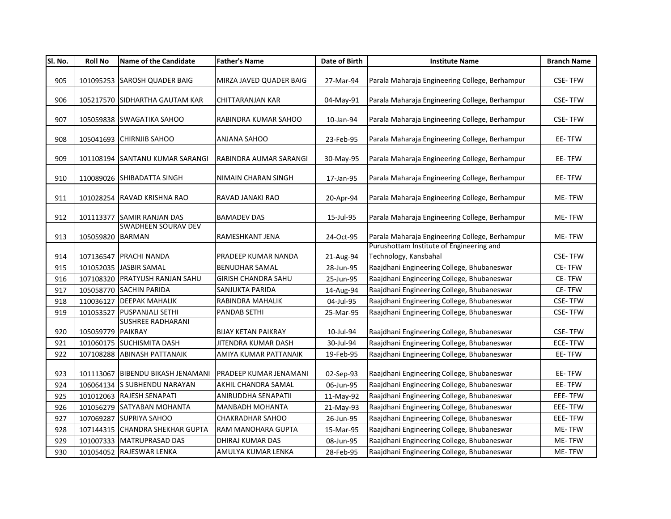| SI. No. | <b>Roll No</b>    | Name of the Candidate             | <b>Father's Name</b>          | Date of Birth | <b>Institute Name</b>                                             | <b>Branch Name</b> |
|---------|-------------------|-----------------------------------|-------------------------------|---------------|-------------------------------------------------------------------|--------------------|
| 905     |                   | 101095253 SAROSH QUADER BAIG      | MIRZA JAVED QUADER BAIG       | 27-Mar-94     | Parala Maharaja Engineering College, Berhampur                    | <b>CSE-TFW</b>     |
| 906     |                   | 105217570 SIDHARTHA GAUTAM KAR    | CHITTARANJAN KAR              | 04-May-91     | Parala Maharaja Engineering College, Berhampur                    | <b>CSE-TFW</b>     |
| 907     |                   | 105059838 SWAGATIKA SAHOO         | RABINDRA KUMAR SAHOO          | 10-Jan-94     | Parala Maharaja Engineering College, Berhampur                    | <b>CSE-TFW</b>     |
| 908     |                   | 105041693 CHIRNJIB SAHOO          | ANJANA SAHOO                  | 23-Feb-95     | Parala Maharaja Engineering College, Berhampur                    | EE-TFW             |
| 909     |                   | 101108194 SANTANU KUMAR SARANGI   | RABINDRA AUMAR SARANGI        | 30-May-95     | Parala Maharaja Engineering College, Berhampur                    | EE-TFW             |
| 910     |                   | 110089026 SHIBADATTA SINGH        | NIMAIN CHARAN SINGH           | 17-Jan-95     | Parala Maharaja Engineering College, Berhampur                    | EE-TFW             |
| 911     |                   | 101028254 RAVAD KRISHNA RAO       | RAVAD JANAKI RAO              | 20-Apr-94     | Parala Maharaja Engineering College, Berhampur                    | ME-TFW             |
| 912     |                   | 101113377 SAMIR RANJAN DAS        | <b>BAMADEV DAS</b>            | 15-Jul-95     | Parala Maharaja Engineering College, Berhampur                    | ME-TFW             |
| 913     | 105059820 BARMAN  | <b>SWADHEEN SOURAV DEV</b>        | RAMESHKANT JENA               | 24-Oct-95     | Parala Maharaja Engineering College, Berhampur                    | ME-TFW             |
| 914     |                   | 107136547 PRACHI NANDA            | PRADEEP KUMAR NANDA           | 21-Aug-94     | Purushottam Institute of Engineering and<br>Technology, Kansbahal | <b>CSE-TFW</b>     |
| 915     |                   | 101052035 JASBIR SAMAL            | <b>BENUDHAR SAMAL</b>         | 28-Jun-95     | Raajdhani Engineering College, Bhubaneswar                        | CE-TFW             |
| 916     |                   | 107108320 PRATYUSH RANJAN SAHU    | <b>GIRISH CHANDRA SAHU</b>    | 25-Jun-95     | Raajdhani Engineering College, Bhubaneswar                        | CE-TFW             |
| 917     |                   | 105058770 SACHIN PARIDA           | SANJUKTA PARIDA               | 14-Aug-94     | Raajdhani Engineering College, Bhubaneswar                        | CE-TFW             |
| 918     |                   | 110036127 DEEPAK MAHALIK          | RABINDRA MAHALIK              | 04-Jul-95     | Raajdhani Engineering College, Bhubaneswar                        | <b>CSE-TFW</b>     |
| 919     |                   | 101053527 PUSPANJALI SETHI        | <b>PANDAB SETHI</b>           | 25-Mar-95     | Raajdhani Engineering College, Bhubaneswar                        | <b>CSE-TFW</b>     |
|         |                   | <b>SUSHREE RADHARANI</b>          |                               |               |                                                                   |                    |
| 920     | 105059779 PAIKRAY |                                   | <b>BIJAY KETAN PAIKRAY</b>    | 10-Jul-94     | Raajdhani Engineering College, Bhubaneswar                        | <b>CSE-TFW</b>     |
| 921     |                   | 101060175 SUCHISMITA DASH         | JITENDRA KUMAR DASH           | 30-Jul-94     | Raajdhani Engineering College, Bhubaneswar                        | ECE-TFW            |
| 922     |                   | 107108288 ABINASH PATTANAIK       | AMIYA KUMAR PATTANAIK         | 19-Feb-95     | Raajdhani Engineering College, Bhubaneswar                        | EE-TFW             |
| 923     |                   | 101113067 BIBENDU BIKASH JENAMANI | <b>PRADEEP KUMAR JENAMANI</b> | 02-Sep-93     | Raajdhani Engineering College, Bhubaneswar                        | EE-TFW             |
| 924     |                   | 106064134 S SUBHENDU NARAYAN      | AKHIL CHANDRA SAMAL           | 06-Jun-95     | Raajdhani Engineering College, Bhubaneswar                        | EE-TFW             |
| 925     |                   | 101012063 RAJESH SENAPATI         | ANIRUDDHA SENAPATII           | 11-May-92     | Raajdhani Engineering College, Bhubaneswar                        | EEE-TFW            |
| 926     |                   | 101056279 SATYABAN MOHANTA        | <b>MANBADH MOHANTA</b>        | 21-May-93     | Raajdhani Engineering College, Bhubaneswar                        | EEE-TFW            |
| 927     |                   | 107069287 SUPRIYA SAHOO           | <b>CHAKRADHAR SAHOO</b>       | 26-Jun-95     | Raajdhani Engineering College, Bhubaneswar                        | EEE-TFW            |
| 928     | 107144315         | <b>CHANDRA SHEKHAR GUPTA</b>      | RAM MANOHARA GUPTA            | 15-Mar-95     | Raajdhani Engineering College, Bhubaneswar                        | ME-TFW             |
| 929     |                   | 101007333 MATRUPRASAD DAS         | DHIRAJ KUMAR DAS              | 08-Jun-95     | Raajdhani Engineering College, Bhubaneswar                        | ME-TFW             |
| 930     |                   | 101054052 RAJESWAR LENKA          | AMULYA KUMAR LENKA            | 28-Feb-95     | Raajdhani Engineering College, Bhubaneswar                        | ME-TFW             |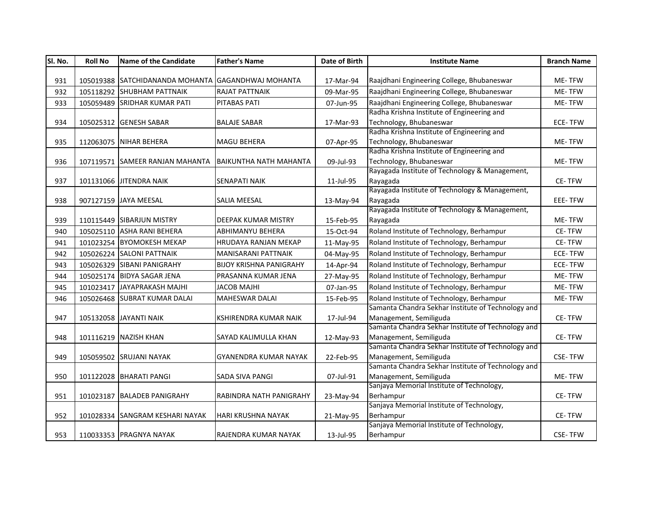| SI. No. | <b>Roll No</b> | <b>Name of the Candidate</b>                       | <b>Father's Name</b>           | Date of Birth | <b>Institute Name</b>                              | <b>Branch Name</b> |
|---------|----------------|----------------------------------------------------|--------------------------------|---------------|----------------------------------------------------|--------------------|
|         |                |                                                    |                                |               |                                                    |                    |
| 931     |                | 105019388 SATCHIDANANDA MOHANTA GAGANDHWAJ MOHANTA |                                | 17-Mar-94     | Raajdhani Engineering College, Bhubaneswar         | ME-TFW             |
| 932     |                | 105118292 SHUBHAM PATTNAIK                         | <b>RAJAT PATTNAIK</b>          | 09-Mar-95     | Raajdhani Engineering College, Bhubaneswar         | ME-TFW             |
| 933     |                | 105059489 SRIDHAR KUMAR PATI                       | <b>PITABAS PATI</b>            | 07-Jun-95     | Raajdhani Engineering College, Bhubaneswar         | ME-TFW             |
|         |                |                                                    |                                |               | Radha Krishna Institute of Engineering and         |                    |
| 934     |                | 105025312 GENESH SABAR                             | <b>BALAJE SABAR</b>            | 17-Mar-93     | Technology, Bhubaneswar                            | <b>ECE-TFW</b>     |
|         |                |                                                    |                                |               | Radha Krishna Institute of Engineering and         |                    |
| 935     |                | 112063075 NIHAR BEHERA                             | <b>MAGU BEHERA</b>             | 07-Apr-95     | Technology, Bhubaneswar                            | ME-TFW             |
|         |                |                                                    |                                |               | Radha Krishna Institute of Engineering and         |                    |
| 936     |                | 107119571 SAMEER RANJAN MAHANTA                    | <b>BAIKUNTHA NATH MAHANTA</b>  | 09-Jul-93     | Technology, Bhubaneswar                            | ME-TFW             |
|         |                |                                                    |                                |               | Rayagada Institute of Technology & Management,     |                    |
| 937     |                | 101131066 JITENDRA NAIK                            | <b>SENAPATI NAIK</b>           | 11-Jul-95     | Rayagada                                           | CE-TFW             |
|         |                |                                                    |                                |               | Rayagada Institute of Technology & Management,     |                    |
| 938     |                | 907127159 JAYA MEESAL                              | SALIA MEESAL                   | 13-May-94     | Rayagada                                           | EEE-TFW            |
|         |                |                                                    |                                |               | Rayagada Institute of Technology & Management,     |                    |
| 939     |                | 110115449 SIBARJUN MISTRY                          | DEEPAK KUMAR MISTRY            | 15-Feb-95     | Rayagada                                           | ME-TFW             |
| 940     |                | 105025110 ASHA RANI BEHERA                         | <b>ABHIMANYU BEHERA</b>        | 15-Oct-94     | Roland Institute of Technology, Berhampur          | <b>CE-TFW</b>      |
| 941     |                | 101023254 BYOMOKESH MEKAP                          | <b>HRUDAYA RANJAN MEKAP</b>    | 11-May-95     | Roland Institute of Technology, Berhampur          | CE-TFW             |
| 942     |                | 105026224 SALONI PATTNAIK                          | <b>MANISARANI PATTNAIK</b>     | 04-May-95     | Roland Institute of Technology, Berhampur          | <b>ECE-TFW</b>     |
| 943     |                | 105026329 SIBANI PANIGRAHY                         | <b>BIJOY KRISHNA PANIGRAHY</b> | 14-Apr-94     | Roland Institute of Technology, Berhampur          | <b>ECE-TFW</b>     |
| 944     |                | 105025174 BIDYA SAGAR JENA                         | PRASANNA KUMAR JENA            | 27-May-95     | Roland Institute of Technology, Berhampur          | ME-TFW             |
| 945     |                | 101023417 JAYAPRAKASH MAJHI                        | JACOB MAJHI                    | 07-Jan-95     | Roland Institute of Technology, Berhampur          | ME-TFW             |
| 946     |                | 105026468 SUBRAT KUMAR DALAI                       | <b>MAHESWAR DALAI</b>          | 15-Feb-95     | Roland Institute of Technology, Berhampur          | ME-TFW             |
|         |                |                                                    |                                |               | Samanta Chandra Sekhar Institute of Technology and |                    |
| 947     |                | 105132058 JAYANTI NAIK                             | KSHIRENDRA KUMAR NAIK          | 17-Jul-94     | Management, Semiliguda                             | CE-TFW             |
|         |                |                                                    |                                |               | Samanta Chandra Sekhar Institute of Technology and |                    |
| 948     |                | 101116219 NAZISH KHAN                              | SAYAD KALIMULLA KHAN           | 12-May-93     | Management, Semiliguda                             | CE-TFW             |
|         |                |                                                    |                                |               | Samanta Chandra Sekhar Institute of Technology and |                    |
| 949     |                | 105059502 SRUJANI NAYAK                            | GYANENDRA KUMAR NAYAK          | 22-Feb-95     | Management, Semiliguda                             | <b>CSE-TFW</b>     |
|         |                |                                                    |                                |               | Samanta Chandra Sekhar Institute of Technology and |                    |
| 950     |                | 101122028 BHARATI PANGI                            | <b>SADA SIVA PANGI</b>         | 07-Jul-91     | Management, Semiliguda                             | ME-TFW             |
|         |                |                                                    |                                |               | Sanjaya Memorial Institute of Technology,          |                    |
| 951     |                | 101023187 BALADEB PANIGRAHY                        | RABINDRA NATH PANIGRAHY        | 23-May-94     | Berhampur                                          | CE-TFW             |
|         |                |                                                    |                                |               | Sanjaya Memorial Institute of Technology,          |                    |
| 952     |                | 101028334 SANGRAM KESHARI NAYAK                    | HARI KRUSHNA NAYAK             | 21-May-95     | Berhampur                                          | CE-TFW             |
|         |                |                                                    |                                |               | Sanjaya Memorial Institute of Technology,          |                    |
| 953     |                | 110033353 PRAGNYA NAYAK                            | RAJENDRA KUMAR NAYAK           | 13-Jul-95     | Berhampur                                          | <b>CSE-TFW</b>     |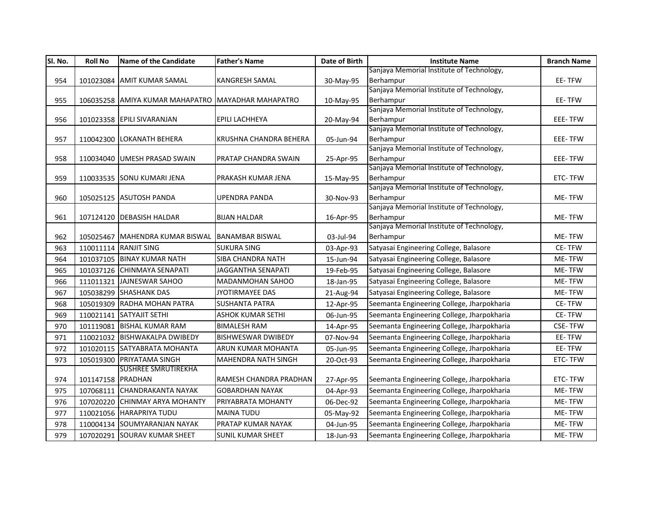| Sl. No. | <b>Roll No</b>    | <b>Name of the Candidate</b>                       | <b>Father's Name</b>       | Date of Birth | <b>Institute Name</b>                                  | <b>Branch Name</b> |
|---------|-------------------|----------------------------------------------------|----------------------------|---------------|--------------------------------------------------------|--------------------|
|         |                   |                                                    |                            |               | Sanjaya Memorial Institute of Technology,              |                    |
| 954     |                   | 101023084 AMIT KUMAR SAMAL                         | <b>KANGRESH SAMAL</b>      | 30-May-95     | Berhampur                                              | EE-TFW             |
|         |                   |                                                    |                            |               | Sanjaya Memorial Institute of Technology,              |                    |
| 955     |                   | 106035258 AMIYA KUMAR MAHAPATRO MAYADHAR MAHAPATRO |                            | 10-May-95     | Berhampur                                              | EE-TFW             |
|         |                   |                                                    |                            |               | Sanjaya Memorial Institute of Technology,              |                    |
| 956     |                   | 101023358 EPILI SIVARANJAN                         | <b>EPILI LACHHEYA</b>      | 20-May-94     | Berhampur                                              | EEE-TFW            |
|         |                   |                                                    |                            |               | Sanjaya Memorial Institute of Technology,              |                    |
| 957     |                   | 110042300 LOKANATH BEHERA                          | KRUSHNA CHANDRA BEHERA     | 05-Jun-94     | Berhampur<br>Sanjaya Memorial Institute of Technology, | EEE-TFW            |
| 958     |                   | 110034040 UMESH PRASAD SWAIN                       | PRATAP CHANDRA SWAIN       |               | Berhampur                                              | EEE-TFW            |
|         |                   |                                                    |                            | 25-Apr-95     | Sanjaya Memorial Institute of Technology,              |                    |
| 959     |                   | 110033535 SONU KUMARI JENA                         | PRAKASH KUMAR JENA         | 15-May-95     | Berhampur                                              | ETC-TFW            |
|         |                   |                                                    |                            |               | Sanjaya Memorial Institute of Technology,              |                    |
| 960     |                   | 105025125 ASUTOSH PANDA                            | <b>UPENDRA PANDA</b>       | 30-Nov-93     | Berhampur                                              | ME-TFW             |
|         |                   |                                                    |                            |               | Sanjaya Memorial Institute of Technology,              |                    |
| 961     |                   | 107124120 DEBASISH HALDAR                          | <b>BIJAN HALDAR</b>        | 16-Apr-95     | Berhampur                                              | ME-TFW             |
|         |                   |                                                    |                            |               | Sanjaya Memorial Institute of Technology,              |                    |
| 962     |                   | 105025467 MAHENDRA KUMAR BISWAL                    | <b>BANAMBAR BISWAL</b>     | 03-Jul-94     | Berhampur                                              | <b>ME-TFW</b>      |
| 963     |                   | 110011114 RANJIT SING                              | <b>SUKURA SING</b>         | 03-Apr-93     | Satyasai Engineering College, Balasore                 | CE-TFW             |
| 964     |                   | 101037105 BINAY KUMAR NATH                         | <b>SIBA CHANDRA NATH</b>   | 15-Jun-94     | Satyasai Engineering College, Balasore                 | ME-TFW             |
| 965     |                   | 101037126 CHINMAYA SENAPATI                        | <b>JAGGANTHA SENAPATI</b>  | 19-Feb-95     | Satyasai Engineering College, Balasore                 | ME-TFW             |
| 966     | 111011321         | JAJNESWAR SAHOO                                    | MADANMOHAN SAHOO           | 18-Jan-95     | Satyasai Engineering College, Balasore                 | ME-TFW             |
| 967     |                   | 105038299 SHASHANK DAS                             | <b>JYOTIRMAYEE DAS</b>     | 21-Aug-94     | Satyasai Engineering College, Balasore                 | ME-TFW             |
| 968     |                   | 105019309 RADHA MOHAN PATRA                        | <b>SUSHANTA PATRA</b>      | 12-Apr-95     | Seemanta Engineering College, Jharpokharia             | CE-TFW             |
| 969     |                   | 110021141 SATYAJIT SETHI                           | <b>ASHOK KUMAR SETHI</b>   | 06-Jun-95     | Seemanta Engineering College, Jharpokharia             | CE-TFW             |
| 970     |                   | 101119081 BISHAL KUMAR RAM                         | <b>BIMALESH RAM</b>        | 14-Apr-95     | Seemanta Engineering College, Jharpokharia             | <b>CSE-TFW</b>     |
| 971     |                   | 110021032 BISHWAKALPA DWIBEDY                      | <b>BISHWESWAR DWIBEDY</b>  | 07-Nov-94     | Seemanta Engineering College, Jharpokharia             | EE-TFW             |
| 972     |                   | 101020115 SATYABRATA MOHANTA                       | ARUN KUMAR MOHANTA         | 05-Jun-95     | Seemanta Engineering College, Jharpokharia             | EE-TFW             |
| 973     |                   | 105019300 PRIYATAMA SINGH                          | <b>MAHENDRA NATH SINGH</b> | 20-Oct-93     | Seemanta Engineering College, Jharpokharia             | ETC-TFW            |
|         |                   | <b>SUSHREE SMRUTIREKHA</b>                         |                            |               |                                                        |                    |
| 974     | 101147158 PRADHAN |                                                    | RAMESH CHANDRA PRADHAN     | 27-Apr-95     | Seemanta Engineering College, Jharpokharia             | ETC-TFW            |
| 975     |                   | 107068111 CHANDRAKANTA NAYAK                       | <b>GOBARDHAN NAYAK</b>     | 04-Apr-93     | Seemanta Engineering College, Jharpokharia             | ME-TFW             |
| 976     |                   | 107020220 CHINMAY ARYA MOHANTY                     | PRIYABRATA MOHANTY         | 06-Dec-92     | Seemanta Engineering College, Jharpokharia             | ME-TFW             |
| 977     |                   | 110021056 HARAPRIYA TUDU                           | <b>MAINA TUDU</b>          | 05-May-92     | Seemanta Engineering College, Jharpokharia             | ME-TFW             |
| 978     |                   | 110004134 SOUMYARANJAN NAYAK                       | <b>PRATAP KUMAR NAYAK</b>  | 04-Jun-95     | Seemanta Engineering College, Jharpokharia             | ME-TFW             |
| 979     |                   | 107020291 SOURAV KUMAR SHEET                       | <b>SUNIL KUMAR SHEET</b>   | 18-Jun-93     | Seemanta Engineering College, Jharpokharia             | ME-TFW             |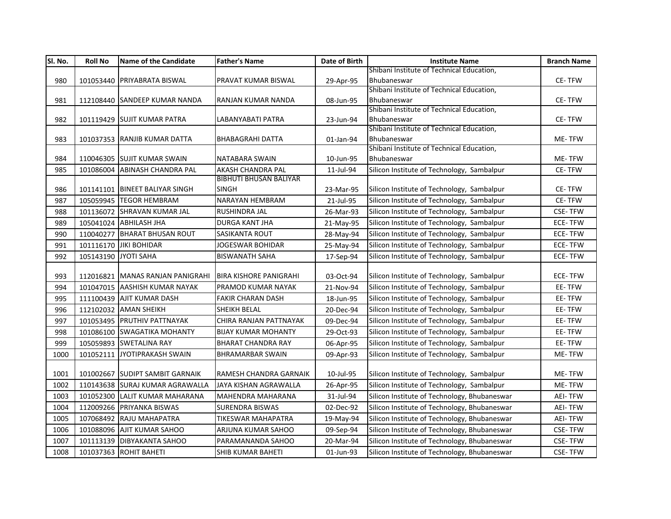| SI. No. | <b>Roll No</b>       | Name of the Candidate            | <b>Father's Name</b>          | Date of Birth | <b>Institute Name</b>                                    | <b>Branch Name</b> |
|---------|----------------------|----------------------------------|-------------------------------|---------------|----------------------------------------------------------|--------------------|
|         |                      |                                  |                               |               | Shibani Institute of Technical Education,                |                    |
| 980     |                      | 101053440 PRIYABRATA BISWAL      | PRAVAT KUMAR BISWAL           | 29-Apr-95     | Bhubaneswar                                              | CE-TFW             |
|         |                      |                                  |                               |               | Shibani Institute of Technical Education,                |                    |
| 981     |                      | 112108440 SANDEEP KUMAR NANDA    | RANJAN KUMAR NANDA            | 08-Jun-95     | Bhubaneswar                                              | CE-TFW             |
|         |                      |                                  |                               |               | Shibani Institute of Technical Education,                |                    |
| 982     |                      | 101119429 SUJIT KUMAR PATRA      | LABANYABATI PATRA             | 23-Jun-94     | Bhubaneswar                                              | CE-TFW             |
|         |                      |                                  |                               |               | Shibani Institute of Technical Education,                |                    |
| 983     |                      | 101037353 RANJIB KUMAR DATTA     | <b>BHABAGRAHI DATTA</b>       | 01-Jan-94     | Bhubaneswar<br>Shibani Institute of Technical Education, | ME-TFW             |
| 984     |                      | 110046305 SUJIT KUMAR SWAIN      | NATABARA SWAIN                | 10-Jun-95     | Bhubaneswar                                              | ME-TFW             |
| 985     |                      | 101086004 ABINASH CHANDRA PAL    | AKASH CHANDRA PAL             | 11-Jul-94     | Silicon Institute of Technology, Sambalpur               | CE-TFW             |
|         |                      |                                  | <b>BIBHUTI BHUSAN BALIYAR</b> |               |                                                          |                    |
| 986     |                      | 101141101 BINEET BALIYAR SINGH   | <b>SINGH</b>                  | 23-Mar-95     | Silicon Institute of Technology, Sambalpur               | CE-TFW             |
| 987     |                      | 105059945 TEGOR HEMBRAM          | NARAYAN HEMBRAM               | 21-Jul-95     | Silicon Institute of Technology, Sambalpur               | CE-TFW             |
|         |                      |                                  |                               |               |                                                          |                    |
| 988     |                      | 101136072 SHRAVAN KUMAR JAL      | RUSHINDRA JAL                 | 26-Mar-93     | Silicon Institute of Technology, Sambalpur               | <b>CSE-TFW</b>     |
| 989     |                      | 105041024 ABHILASH JHA           | <b>DURGA KANT JHA</b>         | 21-May-95     | Silicon Institute of Technology, Sambalpur               | <b>ECE-TFW</b>     |
| 990     |                      | 110040277 BHARAT BHUSAN ROUT     | <b>SASIKANTA ROUT</b>         | 28-May-94     | Silicon Institute of Technology, Sambalpur               | ECE-TFW            |
| 991     |                      | 101116170 JIKI BOHIDAR           | JOGESWAR BOHIDAR              | 25-May-94     | Silicon Institute of Technology, Sambalpur               | ECE-TFW            |
| 992     | 105143190 JYOTI SAHA |                                  | <b>BISWANATH SAHA</b>         | 17-Sep-94     | Silicon Institute of Technology, Sambalpur               | ECE-TFW            |
|         |                      |                                  |                               |               |                                                          |                    |
| 993     |                      | 112016821 MANAS RANJAN PANIGRAHI | <b>BIRA KISHORE PANIGRAHI</b> | 03-Oct-94     | Silicon Institute of Technology, Sambalpur               | <b>ECE-TFW</b>     |
| 994     |                      | 101047015 AASHISH KUMAR NAYAK    | PRAMOD KUMAR NAYAK            | 21-Nov-94     | Silicon Institute of Technology, Sambalpur               | EE-TFW             |
| 995     |                      | 111100439 AJIT KUMAR DASH        | <b>FAKIR CHARAN DASH</b>      | 18-Jun-95     | Silicon Institute of Technology, Sambalpur               | EE-TFW             |
| 996     |                      | 112102032 AMAN SHEIKH            | SHEIKH BELAL                  | 20-Dec-94     | Silicon Institute of Technology, Sambalpur               | EE-TFW             |
| 997     |                      | 101053495 PRUTHIV PATTNAYAK      | CHIRA RANJAN PATTNAYAK        | 09-Dec-94     | Silicon Institute of Technology, Sambalpur               | EE-TFW             |
| 998     |                      | 101086100 SWAGATIKA MOHANTY      | <b>BIJAY KUMAR MOHANTY</b>    | 29-Oct-93     | Silicon Institute of Technology, Sambalpur               | EE-TFW             |
| 999     |                      | 105059893 SWETALINA RAY          | <b>BHARAT CHANDRA RAY</b>     | 06-Apr-95     | Silicon Institute of Technology, Sambalpur               | EE-TFW             |
| 1000    | 101052111            | JYOTIPRAKASH SWAIN               | <b>BHRAMARBAR SWAIN</b>       | 09-Apr-93     | Silicon Institute of Technology, Sambalpur               | ME-TFW             |
|         |                      |                                  |                               |               |                                                          |                    |
| 1001    |                      | 101002667 SUDIPT SAMBIT GARNAIK  | RAMESH CHANDRA GARNAIK        | 10-Jul-95     | Silicon Institute of Technology, Sambalpur               | ME-TFW             |
| 1002    |                      | 110143638 SURAJ KUMAR AGRAWALLA  | JAYA KISHAN AGRAWALLA         | 26-Apr-95     | Silicon Institute of Technology, Sambalpur               | ME-TFW             |
| 1003    |                      | 101052300 LALIT KUMAR MAHARANA   | <b>MAHENDRA MAHARANA</b>      | 31-Jul-94     | Silicon Institute of Technology, Bhubaneswar             | <b>AEI-TFW</b>     |
| 1004    |                      | 112009266 PRIYANKA BISWAS        | <b>SURENDRA BISWAS</b>        | 02-Dec-92     | Silicon Institute of Technology, Bhubaneswar             | <b>AEI-TFW</b>     |
| 1005    |                      | 107068492 RAJU MAHAPATRA         | <b>TIKESWAR MAHAPATRA</b>     | 19-May-94     | Silicon Institute of Technology, Bhubaneswar             | <b>AEI-TFW</b>     |
| 1006    |                      | 101088096 AJIT KUMAR SAHOO       | ARJUNA KUMAR SAHOO            | 09-Sep-94     | Silicon Institute of Technology, Bhubaneswar             | CSE-TFW            |
| 1007    |                      | 101113139 DIBYAKANTA SAHOO       | PARAMANANDA SAHOO             | 20-Mar-94     | Silicon Institute of Technology, Bhubaneswar             | <b>CSE-TFW</b>     |
| 1008    |                      | 101037363 ROHIT BAHETI           | SHIB KUMAR BAHETI             | 01-Jun-93     | Silicon Institute of Technology, Bhubaneswar             | <b>CSE-TFW</b>     |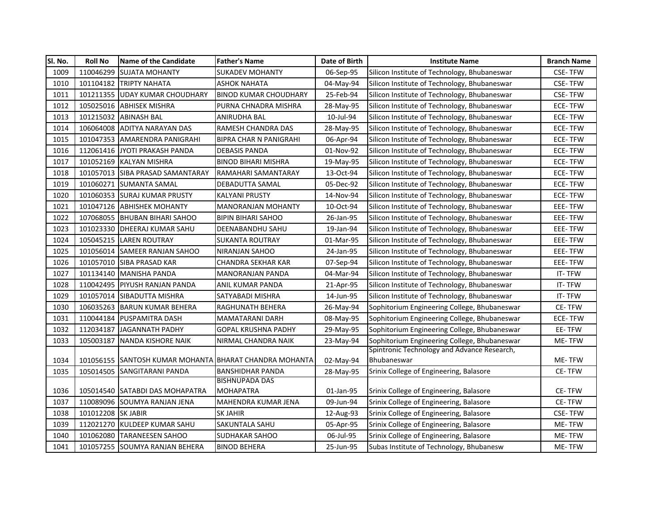| 1009<br>110046299<br><b>ISUJATA MOHANTY</b><br><b>SUKADEV MOHANTY</b><br>Silicon Institute of Technology, Bhubaneswar<br><b>CSE-TFW</b><br>06-Sep-95<br>101104182 TRIPTY NAHATA<br><b>ASHOK NAHATA</b><br>Silicon Institute of Technology, Bhubaneswar<br><b>CSE-TFW</b><br>1010<br>04-May-94<br>101211355 UDAY KUMAR CHOUDHARY<br><b>BINOD KUMAR CHOUDHARY</b><br>25-Feb-94<br>Silicon Institute of Technology, Bhubaneswar<br><b>CSE-TFW</b><br>1011<br>1012<br>105025016 ABHISEK MISHRA<br>PURNA CHNADRA MISHRA<br>Silicon Institute of Technology, Bhubaneswar<br><b>ECE-TFW</b><br>28-May-95<br>101215032 ABINASH BAL<br>ANIRUDHA BAL<br>Silicon Institute of Technology, Bhubaneswar<br><b>ECE-TFW</b><br>1013<br>10-Jul-94<br>106064008 ADITYA NARAYAN DAS<br>RAMESH CHANDRA DAS<br>1014<br>28-May-95<br>Silicon Institute of Technology, Bhubaneswar<br>ECE-TFW<br>101047353 AMARENDRA PANIGRAHI<br><b>BIPRA CHAR N PANIGRAHI</b><br>Silicon Institute of Technology, Bhubaneswar<br><b>ECE-TFW</b><br>1015<br>06-Apr-94<br>112061416 JYOTI PRAKASH PANDA<br><b>DEBASIS PANDA</b><br>Silicon Institute of Technology, Bhubaneswar<br><b>ECE-TFW</b><br>1016<br>01-Nov-92<br>101052169 KALYAN MISHRA<br><b>BINOD BIHARI MISHRA</b><br>1017<br>Silicon Institute of Technology, Bhubaneswar<br>ECE-TFW<br>19-May-95<br>1018<br>101057013 ISIBA PRASAD SAMANTARAY<br>RAMAHARI SAMANTARAY<br>Silicon Institute of Technology, Bhubaneswar<br>ECE-TFW<br>13-Oct-94<br>1019<br>101060271 SUMANTA SAMAL<br>DEBADUTTA SAMAL<br>Silicon Institute of Technology, Bhubaneswar<br><b>ECE-TFW</b><br>05-Dec-92<br>1020<br>101060353 SURAJ KUMAR PRUSTY<br><b>KALYANI PRUSTY</b><br>14-Nov-94<br>Silicon Institute of Technology, Bhubaneswar<br>ECE-TFW<br>1021<br>101047126 ABHISHEK MOHANTY<br><b>MANORANJAN MOHANTY</b><br>Silicon Institute of Technology, Bhubaneswar<br>EEE-TFW<br>10-Oct-94<br>107068055 BHUBAN BIHARI SAHOO<br>1022<br><b>BIPIN BIHARI SAHOO</b><br>Silicon Institute of Technology, Bhubaneswar<br>EEE-TFW<br>26-Jan-95<br>101023330 DHEERAJ KUMAR SAHU<br>Silicon Institute of Technology, Bhubaneswar<br>1023<br>DEENABANDHU SAHU<br>19-Jan-94<br>EEE-TFW<br>1024<br>105045215 LAREN ROUTRAY<br><b>SUKANTA ROUTRAY</b><br>Silicon Institute of Technology, Bhubaneswar<br>EEE-TFW<br>01-Mar-95<br>Silicon Institute of Technology, Bhubaneswar<br>1025<br>101056014 SAMEER RANJAN SAHOO<br>NIRANJAN SAHOO<br>24-Jan-95<br>EEE-TFW<br>101057010 SIBA PRASAD KAR<br>Silicon Institute of Technology, Bhubaneswar<br>EEE-TFW<br>1026<br>CHANDRA SEKHAR KAR<br>07-Sep-94<br>1027<br>101134140 MANISHA PANDA<br>MANORANJAN PANDA<br>04-Mar-94<br>Silicon Institute of Technology, Bhubaneswar<br>IT-TFW<br>1028<br>110042495 PIYUSH RANJAN PANDA<br>ANIL KUMAR PANDA<br>Silicon Institute of Technology, Bhubaneswar<br>IT-TFW<br>21-Apr-95<br>1029<br>101057014 SIBADUTTA MISHRA<br>SATYABADI MISHRA<br>Silicon Institute of Technology, Bhubaneswar<br>IT-TFW<br>14-Jun-95<br>CE-TFW<br>1030<br>106035263 BARUN KUMAR BEHERA<br>RAGHUNATH BEHERA<br>26-May-94<br>Sophitorium Engineering College, Bhubaneswar<br>1031<br>110044184 PUSPAMITRA DASH<br>MAMATARANI DARH<br>Sophitorium Engineering College, Bhubaneswar<br><b>ECE-TFW</b><br>08-May-95<br>1032<br>JAGANNATH PADHY<br><b>GOPAL KRUSHNA PADHY</b><br>Sophitorium Engineering College, Bhubaneswar<br>EE-TFW<br>112034187<br>29-May-95<br>Sophitorium Engineering College, Bhubaneswar<br>1033<br>105003187<br>NANDA KISHORE NAIK<br>NIRMAL CHANDRA NAIK<br>23-May-94<br>ME-TFW<br>Spintronic Technology and Advance Research,<br>1034<br>ME-TFW<br>101056155 SANTOSH KUMAR MOHANTA BHARAT CHANDRA MOHANTA<br>02-May-94<br>Bhubaneswar<br>Srinix College of Engineering, Balasore<br>105014505 SANGITARANI PANDA<br><b>BANSHIDHAR PANDA</b><br><b>CE-TFW</b><br>1035<br>28-May-95<br><b>BISHNUPADA DAS</b><br>Srinix College of Engineering, Balasore<br>CE-TFW<br>1036<br>105014540 SATABDI DAS MOHAPATRA<br><b>MOHAPATRA</b><br>01-Jan-95 | SI. No. | <b>Roll No</b> | Name of the Candidate | <b>Father's Name</b> | Date of Birth | <b>Institute Name</b> | <b>Branch Name</b> |
|----------------------------------------------------------------------------------------------------------------------------------------------------------------------------------------------------------------------------------------------------------------------------------------------------------------------------------------------------------------------------------------------------------------------------------------------------------------------------------------------------------------------------------------------------------------------------------------------------------------------------------------------------------------------------------------------------------------------------------------------------------------------------------------------------------------------------------------------------------------------------------------------------------------------------------------------------------------------------------------------------------------------------------------------------------------------------------------------------------------------------------------------------------------------------------------------------------------------------------------------------------------------------------------------------------------------------------------------------------------------------------------------------------------------------------------------------------------------------------------------------------------------------------------------------------------------------------------------------------------------------------------------------------------------------------------------------------------------------------------------------------------------------------------------------------------------------------------------------------------------------------------------------------------------------------------------------------------------------------------------------------------------------------------------------------------------------------------------------------------------------------------------------------------------------------------------------------------------------------------------------------------------------------------------------------------------------------------------------------------------------------------------------------------------------------------------------------------------------------------------------------------------------------------------------------------------------------------------------------------------------------------------------------------------------------------------------------------------------------------------------------------------------------------------------------------------------------------------------------------------------------------------------------------------------------------------------------------------------------------------------------------------------------------------------------------------------------------------------------------------------------------------------------------------------------------------------------------------------------------------------------------------------------------------------------------------------------------------------------------------------------------------------------------------------------------------------------------------------------------------------------------------------------------------------------------------------------------------------------------------------------------------------------------------------------------------------------------------------------------------------------------------------------------------------------------------------------------------------------------------------------------------------------------------------------------------------------------------------------------------------------------------------|---------|----------------|-----------------------|----------------------|---------------|-----------------------|--------------------|
|                                                                                                                                                                                                                                                                                                                                                                                                                                                                                                                                                                                                                                                                                                                                                                                                                                                                                                                                                                                                                                                                                                                                                                                                                                                                                                                                                                                                                                                                                                                                                                                                                                                                                                                                                                                                                                                                                                                                                                                                                                                                                                                                                                                                                                                                                                                                                                                                                                                                                                                                                                                                                                                                                                                                                                                                                                                                                                                                                                                                                                                                                                                                                                                                                                                                                                                                                                                                                                                                                                                                                                                                                                                                                                                                                                                                                                                                                                                                                                                                                            |         |                |                       |                      |               |                       |                    |
|                                                                                                                                                                                                                                                                                                                                                                                                                                                                                                                                                                                                                                                                                                                                                                                                                                                                                                                                                                                                                                                                                                                                                                                                                                                                                                                                                                                                                                                                                                                                                                                                                                                                                                                                                                                                                                                                                                                                                                                                                                                                                                                                                                                                                                                                                                                                                                                                                                                                                                                                                                                                                                                                                                                                                                                                                                                                                                                                                                                                                                                                                                                                                                                                                                                                                                                                                                                                                                                                                                                                                                                                                                                                                                                                                                                                                                                                                                                                                                                                                            |         |                |                       |                      |               |                       |                    |
|                                                                                                                                                                                                                                                                                                                                                                                                                                                                                                                                                                                                                                                                                                                                                                                                                                                                                                                                                                                                                                                                                                                                                                                                                                                                                                                                                                                                                                                                                                                                                                                                                                                                                                                                                                                                                                                                                                                                                                                                                                                                                                                                                                                                                                                                                                                                                                                                                                                                                                                                                                                                                                                                                                                                                                                                                                                                                                                                                                                                                                                                                                                                                                                                                                                                                                                                                                                                                                                                                                                                                                                                                                                                                                                                                                                                                                                                                                                                                                                                                            |         |                |                       |                      |               |                       |                    |
|                                                                                                                                                                                                                                                                                                                                                                                                                                                                                                                                                                                                                                                                                                                                                                                                                                                                                                                                                                                                                                                                                                                                                                                                                                                                                                                                                                                                                                                                                                                                                                                                                                                                                                                                                                                                                                                                                                                                                                                                                                                                                                                                                                                                                                                                                                                                                                                                                                                                                                                                                                                                                                                                                                                                                                                                                                                                                                                                                                                                                                                                                                                                                                                                                                                                                                                                                                                                                                                                                                                                                                                                                                                                                                                                                                                                                                                                                                                                                                                                                            |         |                |                       |                      |               |                       |                    |
|                                                                                                                                                                                                                                                                                                                                                                                                                                                                                                                                                                                                                                                                                                                                                                                                                                                                                                                                                                                                                                                                                                                                                                                                                                                                                                                                                                                                                                                                                                                                                                                                                                                                                                                                                                                                                                                                                                                                                                                                                                                                                                                                                                                                                                                                                                                                                                                                                                                                                                                                                                                                                                                                                                                                                                                                                                                                                                                                                                                                                                                                                                                                                                                                                                                                                                                                                                                                                                                                                                                                                                                                                                                                                                                                                                                                                                                                                                                                                                                                                            |         |                |                       |                      |               |                       |                    |
|                                                                                                                                                                                                                                                                                                                                                                                                                                                                                                                                                                                                                                                                                                                                                                                                                                                                                                                                                                                                                                                                                                                                                                                                                                                                                                                                                                                                                                                                                                                                                                                                                                                                                                                                                                                                                                                                                                                                                                                                                                                                                                                                                                                                                                                                                                                                                                                                                                                                                                                                                                                                                                                                                                                                                                                                                                                                                                                                                                                                                                                                                                                                                                                                                                                                                                                                                                                                                                                                                                                                                                                                                                                                                                                                                                                                                                                                                                                                                                                                                            |         |                |                       |                      |               |                       |                    |
|                                                                                                                                                                                                                                                                                                                                                                                                                                                                                                                                                                                                                                                                                                                                                                                                                                                                                                                                                                                                                                                                                                                                                                                                                                                                                                                                                                                                                                                                                                                                                                                                                                                                                                                                                                                                                                                                                                                                                                                                                                                                                                                                                                                                                                                                                                                                                                                                                                                                                                                                                                                                                                                                                                                                                                                                                                                                                                                                                                                                                                                                                                                                                                                                                                                                                                                                                                                                                                                                                                                                                                                                                                                                                                                                                                                                                                                                                                                                                                                                                            |         |                |                       |                      |               |                       |                    |
|                                                                                                                                                                                                                                                                                                                                                                                                                                                                                                                                                                                                                                                                                                                                                                                                                                                                                                                                                                                                                                                                                                                                                                                                                                                                                                                                                                                                                                                                                                                                                                                                                                                                                                                                                                                                                                                                                                                                                                                                                                                                                                                                                                                                                                                                                                                                                                                                                                                                                                                                                                                                                                                                                                                                                                                                                                                                                                                                                                                                                                                                                                                                                                                                                                                                                                                                                                                                                                                                                                                                                                                                                                                                                                                                                                                                                                                                                                                                                                                                                            |         |                |                       |                      |               |                       |                    |
|                                                                                                                                                                                                                                                                                                                                                                                                                                                                                                                                                                                                                                                                                                                                                                                                                                                                                                                                                                                                                                                                                                                                                                                                                                                                                                                                                                                                                                                                                                                                                                                                                                                                                                                                                                                                                                                                                                                                                                                                                                                                                                                                                                                                                                                                                                                                                                                                                                                                                                                                                                                                                                                                                                                                                                                                                                                                                                                                                                                                                                                                                                                                                                                                                                                                                                                                                                                                                                                                                                                                                                                                                                                                                                                                                                                                                                                                                                                                                                                                                            |         |                |                       |                      |               |                       |                    |
|                                                                                                                                                                                                                                                                                                                                                                                                                                                                                                                                                                                                                                                                                                                                                                                                                                                                                                                                                                                                                                                                                                                                                                                                                                                                                                                                                                                                                                                                                                                                                                                                                                                                                                                                                                                                                                                                                                                                                                                                                                                                                                                                                                                                                                                                                                                                                                                                                                                                                                                                                                                                                                                                                                                                                                                                                                                                                                                                                                                                                                                                                                                                                                                                                                                                                                                                                                                                                                                                                                                                                                                                                                                                                                                                                                                                                                                                                                                                                                                                                            |         |                |                       |                      |               |                       |                    |
|                                                                                                                                                                                                                                                                                                                                                                                                                                                                                                                                                                                                                                                                                                                                                                                                                                                                                                                                                                                                                                                                                                                                                                                                                                                                                                                                                                                                                                                                                                                                                                                                                                                                                                                                                                                                                                                                                                                                                                                                                                                                                                                                                                                                                                                                                                                                                                                                                                                                                                                                                                                                                                                                                                                                                                                                                                                                                                                                                                                                                                                                                                                                                                                                                                                                                                                                                                                                                                                                                                                                                                                                                                                                                                                                                                                                                                                                                                                                                                                                                            |         |                |                       |                      |               |                       |                    |
|                                                                                                                                                                                                                                                                                                                                                                                                                                                                                                                                                                                                                                                                                                                                                                                                                                                                                                                                                                                                                                                                                                                                                                                                                                                                                                                                                                                                                                                                                                                                                                                                                                                                                                                                                                                                                                                                                                                                                                                                                                                                                                                                                                                                                                                                                                                                                                                                                                                                                                                                                                                                                                                                                                                                                                                                                                                                                                                                                                                                                                                                                                                                                                                                                                                                                                                                                                                                                                                                                                                                                                                                                                                                                                                                                                                                                                                                                                                                                                                                                            |         |                |                       |                      |               |                       |                    |
|                                                                                                                                                                                                                                                                                                                                                                                                                                                                                                                                                                                                                                                                                                                                                                                                                                                                                                                                                                                                                                                                                                                                                                                                                                                                                                                                                                                                                                                                                                                                                                                                                                                                                                                                                                                                                                                                                                                                                                                                                                                                                                                                                                                                                                                                                                                                                                                                                                                                                                                                                                                                                                                                                                                                                                                                                                                                                                                                                                                                                                                                                                                                                                                                                                                                                                                                                                                                                                                                                                                                                                                                                                                                                                                                                                                                                                                                                                                                                                                                                            |         |                |                       |                      |               |                       |                    |
|                                                                                                                                                                                                                                                                                                                                                                                                                                                                                                                                                                                                                                                                                                                                                                                                                                                                                                                                                                                                                                                                                                                                                                                                                                                                                                                                                                                                                                                                                                                                                                                                                                                                                                                                                                                                                                                                                                                                                                                                                                                                                                                                                                                                                                                                                                                                                                                                                                                                                                                                                                                                                                                                                                                                                                                                                                                                                                                                                                                                                                                                                                                                                                                                                                                                                                                                                                                                                                                                                                                                                                                                                                                                                                                                                                                                                                                                                                                                                                                                                            |         |                |                       |                      |               |                       |                    |
|                                                                                                                                                                                                                                                                                                                                                                                                                                                                                                                                                                                                                                                                                                                                                                                                                                                                                                                                                                                                                                                                                                                                                                                                                                                                                                                                                                                                                                                                                                                                                                                                                                                                                                                                                                                                                                                                                                                                                                                                                                                                                                                                                                                                                                                                                                                                                                                                                                                                                                                                                                                                                                                                                                                                                                                                                                                                                                                                                                                                                                                                                                                                                                                                                                                                                                                                                                                                                                                                                                                                                                                                                                                                                                                                                                                                                                                                                                                                                                                                                            |         |                |                       |                      |               |                       |                    |
|                                                                                                                                                                                                                                                                                                                                                                                                                                                                                                                                                                                                                                                                                                                                                                                                                                                                                                                                                                                                                                                                                                                                                                                                                                                                                                                                                                                                                                                                                                                                                                                                                                                                                                                                                                                                                                                                                                                                                                                                                                                                                                                                                                                                                                                                                                                                                                                                                                                                                                                                                                                                                                                                                                                                                                                                                                                                                                                                                                                                                                                                                                                                                                                                                                                                                                                                                                                                                                                                                                                                                                                                                                                                                                                                                                                                                                                                                                                                                                                                                            |         |                |                       |                      |               |                       |                    |
|                                                                                                                                                                                                                                                                                                                                                                                                                                                                                                                                                                                                                                                                                                                                                                                                                                                                                                                                                                                                                                                                                                                                                                                                                                                                                                                                                                                                                                                                                                                                                                                                                                                                                                                                                                                                                                                                                                                                                                                                                                                                                                                                                                                                                                                                                                                                                                                                                                                                                                                                                                                                                                                                                                                                                                                                                                                                                                                                                                                                                                                                                                                                                                                                                                                                                                                                                                                                                                                                                                                                                                                                                                                                                                                                                                                                                                                                                                                                                                                                                            |         |                |                       |                      |               |                       |                    |
|                                                                                                                                                                                                                                                                                                                                                                                                                                                                                                                                                                                                                                                                                                                                                                                                                                                                                                                                                                                                                                                                                                                                                                                                                                                                                                                                                                                                                                                                                                                                                                                                                                                                                                                                                                                                                                                                                                                                                                                                                                                                                                                                                                                                                                                                                                                                                                                                                                                                                                                                                                                                                                                                                                                                                                                                                                                                                                                                                                                                                                                                                                                                                                                                                                                                                                                                                                                                                                                                                                                                                                                                                                                                                                                                                                                                                                                                                                                                                                                                                            |         |                |                       |                      |               |                       |                    |
|                                                                                                                                                                                                                                                                                                                                                                                                                                                                                                                                                                                                                                                                                                                                                                                                                                                                                                                                                                                                                                                                                                                                                                                                                                                                                                                                                                                                                                                                                                                                                                                                                                                                                                                                                                                                                                                                                                                                                                                                                                                                                                                                                                                                                                                                                                                                                                                                                                                                                                                                                                                                                                                                                                                                                                                                                                                                                                                                                                                                                                                                                                                                                                                                                                                                                                                                                                                                                                                                                                                                                                                                                                                                                                                                                                                                                                                                                                                                                                                                                            |         |                |                       |                      |               |                       |                    |
|                                                                                                                                                                                                                                                                                                                                                                                                                                                                                                                                                                                                                                                                                                                                                                                                                                                                                                                                                                                                                                                                                                                                                                                                                                                                                                                                                                                                                                                                                                                                                                                                                                                                                                                                                                                                                                                                                                                                                                                                                                                                                                                                                                                                                                                                                                                                                                                                                                                                                                                                                                                                                                                                                                                                                                                                                                                                                                                                                                                                                                                                                                                                                                                                                                                                                                                                                                                                                                                                                                                                                                                                                                                                                                                                                                                                                                                                                                                                                                                                                            |         |                |                       |                      |               |                       |                    |
|                                                                                                                                                                                                                                                                                                                                                                                                                                                                                                                                                                                                                                                                                                                                                                                                                                                                                                                                                                                                                                                                                                                                                                                                                                                                                                                                                                                                                                                                                                                                                                                                                                                                                                                                                                                                                                                                                                                                                                                                                                                                                                                                                                                                                                                                                                                                                                                                                                                                                                                                                                                                                                                                                                                                                                                                                                                                                                                                                                                                                                                                                                                                                                                                                                                                                                                                                                                                                                                                                                                                                                                                                                                                                                                                                                                                                                                                                                                                                                                                                            |         |                |                       |                      |               |                       |                    |
|                                                                                                                                                                                                                                                                                                                                                                                                                                                                                                                                                                                                                                                                                                                                                                                                                                                                                                                                                                                                                                                                                                                                                                                                                                                                                                                                                                                                                                                                                                                                                                                                                                                                                                                                                                                                                                                                                                                                                                                                                                                                                                                                                                                                                                                                                                                                                                                                                                                                                                                                                                                                                                                                                                                                                                                                                                                                                                                                                                                                                                                                                                                                                                                                                                                                                                                                                                                                                                                                                                                                                                                                                                                                                                                                                                                                                                                                                                                                                                                                                            |         |                |                       |                      |               |                       |                    |
|                                                                                                                                                                                                                                                                                                                                                                                                                                                                                                                                                                                                                                                                                                                                                                                                                                                                                                                                                                                                                                                                                                                                                                                                                                                                                                                                                                                                                                                                                                                                                                                                                                                                                                                                                                                                                                                                                                                                                                                                                                                                                                                                                                                                                                                                                                                                                                                                                                                                                                                                                                                                                                                                                                                                                                                                                                                                                                                                                                                                                                                                                                                                                                                                                                                                                                                                                                                                                                                                                                                                                                                                                                                                                                                                                                                                                                                                                                                                                                                                                            |         |                |                       |                      |               |                       |                    |
|                                                                                                                                                                                                                                                                                                                                                                                                                                                                                                                                                                                                                                                                                                                                                                                                                                                                                                                                                                                                                                                                                                                                                                                                                                                                                                                                                                                                                                                                                                                                                                                                                                                                                                                                                                                                                                                                                                                                                                                                                                                                                                                                                                                                                                                                                                                                                                                                                                                                                                                                                                                                                                                                                                                                                                                                                                                                                                                                                                                                                                                                                                                                                                                                                                                                                                                                                                                                                                                                                                                                                                                                                                                                                                                                                                                                                                                                                                                                                                                                                            |         |                |                       |                      |               |                       |                    |
|                                                                                                                                                                                                                                                                                                                                                                                                                                                                                                                                                                                                                                                                                                                                                                                                                                                                                                                                                                                                                                                                                                                                                                                                                                                                                                                                                                                                                                                                                                                                                                                                                                                                                                                                                                                                                                                                                                                                                                                                                                                                                                                                                                                                                                                                                                                                                                                                                                                                                                                                                                                                                                                                                                                                                                                                                                                                                                                                                                                                                                                                                                                                                                                                                                                                                                                                                                                                                                                                                                                                                                                                                                                                                                                                                                                                                                                                                                                                                                                                                            |         |                |                       |                      |               |                       |                    |
|                                                                                                                                                                                                                                                                                                                                                                                                                                                                                                                                                                                                                                                                                                                                                                                                                                                                                                                                                                                                                                                                                                                                                                                                                                                                                                                                                                                                                                                                                                                                                                                                                                                                                                                                                                                                                                                                                                                                                                                                                                                                                                                                                                                                                                                                                                                                                                                                                                                                                                                                                                                                                                                                                                                                                                                                                                                                                                                                                                                                                                                                                                                                                                                                                                                                                                                                                                                                                                                                                                                                                                                                                                                                                                                                                                                                                                                                                                                                                                                                                            |         |                |                       |                      |               |                       |                    |
|                                                                                                                                                                                                                                                                                                                                                                                                                                                                                                                                                                                                                                                                                                                                                                                                                                                                                                                                                                                                                                                                                                                                                                                                                                                                                                                                                                                                                                                                                                                                                                                                                                                                                                                                                                                                                                                                                                                                                                                                                                                                                                                                                                                                                                                                                                                                                                                                                                                                                                                                                                                                                                                                                                                                                                                                                                                                                                                                                                                                                                                                                                                                                                                                                                                                                                                                                                                                                                                                                                                                                                                                                                                                                                                                                                                                                                                                                                                                                                                                                            |         |                |                       |                      |               |                       |                    |
|                                                                                                                                                                                                                                                                                                                                                                                                                                                                                                                                                                                                                                                                                                                                                                                                                                                                                                                                                                                                                                                                                                                                                                                                                                                                                                                                                                                                                                                                                                                                                                                                                                                                                                                                                                                                                                                                                                                                                                                                                                                                                                                                                                                                                                                                                                                                                                                                                                                                                                                                                                                                                                                                                                                                                                                                                                                                                                                                                                                                                                                                                                                                                                                                                                                                                                                                                                                                                                                                                                                                                                                                                                                                                                                                                                                                                                                                                                                                                                                                                            |         |                |                       |                      |               |                       |                    |
|                                                                                                                                                                                                                                                                                                                                                                                                                                                                                                                                                                                                                                                                                                                                                                                                                                                                                                                                                                                                                                                                                                                                                                                                                                                                                                                                                                                                                                                                                                                                                                                                                                                                                                                                                                                                                                                                                                                                                                                                                                                                                                                                                                                                                                                                                                                                                                                                                                                                                                                                                                                                                                                                                                                                                                                                                                                                                                                                                                                                                                                                                                                                                                                                                                                                                                                                                                                                                                                                                                                                                                                                                                                                                                                                                                                                                                                                                                                                                                                                                            |         |                |                       |                      |               |                       |                    |
| MAHENDRA KUMAR JENA<br>1037<br>110089096 SOUMYA RANJAN JENA<br>09-Jun-94<br>Srinix College of Engineering, Balasore<br>CE-TFW                                                                                                                                                                                                                                                                                                                                                                                                                                                                                                                                                                                                                                                                                                                                                                                                                                                                                                                                                                                                                                                                                                                                                                                                                                                                                                                                                                                                                                                                                                                                                                                                                                                                                                                                                                                                                                                                                                                                                                                                                                                                                                                                                                                                                                                                                                                                                                                                                                                                                                                                                                                                                                                                                                                                                                                                                                                                                                                                                                                                                                                                                                                                                                                                                                                                                                                                                                                                                                                                                                                                                                                                                                                                                                                                                                                                                                                                                              |         |                |                       |                      |               |                       |                    |
| 1038<br>101012208 SK JABIR<br><b>SK JAHIR</b><br>Srinix College of Engineering, Balasore<br><b>CSE-TFW</b><br>12-Aug-93                                                                                                                                                                                                                                                                                                                                                                                                                                                                                                                                                                                                                                                                                                                                                                                                                                                                                                                                                                                                                                                                                                                                                                                                                                                                                                                                                                                                                                                                                                                                                                                                                                                                                                                                                                                                                                                                                                                                                                                                                                                                                                                                                                                                                                                                                                                                                                                                                                                                                                                                                                                                                                                                                                                                                                                                                                                                                                                                                                                                                                                                                                                                                                                                                                                                                                                                                                                                                                                                                                                                                                                                                                                                                                                                                                                                                                                                                                    |         |                |                       |                      |               |                       |                    |
| 112021270 KULDEEP KUMAR SAHU<br>SAKUNTALA SAHU<br>1039<br>Srinix College of Engineering, Balasore<br>ME-TFW                                                                                                                                                                                                                                                                                                                                                                                                                                                                                                                                                                                                                                                                                                                                                                                                                                                                                                                                                                                                                                                                                                                                                                                                                                                                                                                                                                                                                                                                                                                                                                                                                                                                                                                                                                                                                                                                                                                                                                                                                                                                                                                                                                                                                                                                                                                                                                                                                                                                                                                                                                                                                                                                                                                                                                                                                                                                                                                                                                                                                                                                                                                                                                                                                                                                                                                                                                                                                                                                                                                                                                                                                                                                                                                                                                                                                                                                                                                |         |                |                       |                      |               |                       |                    |
| 05-Apr-95<br>101062080 TARANEESEN SAHOO<br><b>SUDHAKAR SAHOO</b><br>Srinix College of Engineering, Balasore<br>1040<br>06-Jul-95<br>ME-TFW                                                                                                                                                                                                                                                                                                                                                                                                                                                                                                                                                                                                                                                                                                                                                                                                                                                                                                                                                                                                                                                                                                                                                                                                                                                                                                                                                                                                                                                                                                                                                                                                                                                                                                                                                                                                                                                                                                                                                                                                                                                                                                                                                                                                                                                                                                                                                                                                                                                                                                                                                                                                                                                                                                                                                                                                                                                                                                                                                                                                                                                                                                                                                                                                                                                                                                                                                                                                                                                                                                                                                                                                                                                                                                                                                                                                                                                                                 |         |                |                       |                      |               |                       |                    |
| 101057255 SOUMYA RANJAN BEHERA<br>1041<br><b>BINOD BEHERA</b><br>Subas Institute of Technology, Bhubanesw<br>ME-TFW<br>25-Jun-95                                                                                                                                                                                                                                                                                                                                                                                                                                                                                                                                                                                                                                                                                                                                                                                                                                                                                                                                                                                                                                                                                                                                                                                                                                                                                                                                                                                                                                                                                                                                                                                                                                                                                                                                                                                                                                                                                                                                                                                                                                                                                                                                                                                                                                                                                                                                                                                                                                                                                                                                                                                                                                                                                                                                                                                                                                                                                                                                                                                                                                                                                                                                                                                                                                                                                                                                                                                                                                                                                                                                                                                                                                                                                                                                                                                                                                                                                           |         |                |                       |                      |               |                       |                    |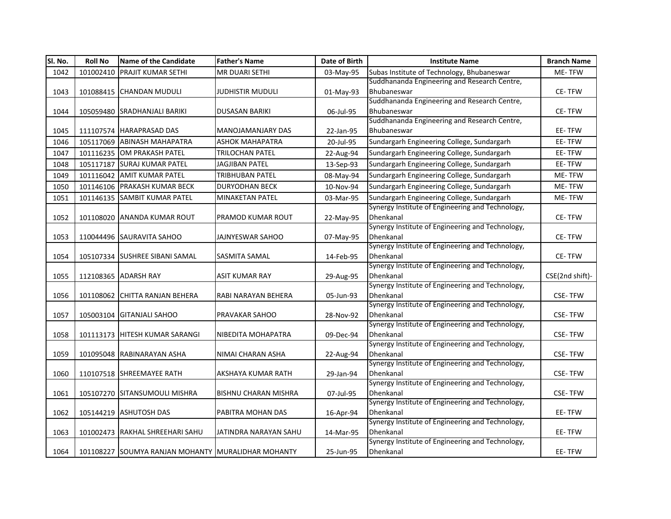| SI. No. | <b>Roll No</b> | <b>Name of the Candidate</b>                       | <b>Father's Name</b>        | Date of Birth | <b>Institute Name</b>                                         | <b>Branch Name</b> |
|---------|----------------|----------------------------------------------------|-----------------------------|---------------|---------------------------------------------------------------|--------------------|
| 1042    | 101002410      | <b>PRAJIT KUMAR SETHI</b>                          | <b>MR DUARI SETHI</b>       | 03-May-95     | Subas Institute of Technology, Bhubaneswar                    | ME-TFW             |
|         |                |                                                    |                             |               | Suddhananda Engineering and Research Centre,                  |                    |
| 1043    |                | 101088415 CHANDAN MUDULI                           | JUDHISTIR MUDULI            | 01-May-93     | Bhubaneswar                                                   | CE-TFW             |
|         |                |                                                    |                             |               | Suddhananda Engineering and Research Centre,                  |                    |
| 1044    |                | 105059480 SRADHANJALI BARIKI                       | <b>DUSASAN BARIKI</b>       | 06-Jul-95     | Bhubaneswar                                                   | <b>CE-TFW</b>      |
|         |                |                                                    |                             |               | Suddhananda Engineering and Research Centre,                  |                    |
| 1045    |                | 111107574 HARAPRASAD DAS                           | MANOJAMANJARY DAS           | 22-Jan-95     | Bhubaneswar                                                   | EE-TFW             |
| 1046    |                | 105117069 ABINASH MAHAPATRA                        | <b>ASHOK MAHAPATRA</b>      | 20-Jul-95     | Sundargarh Engineering College, Sundargarh                    | EE-TFW             |
| 1047    |                | 101116235 OM PRAKASH PATEL                         | TRILOCHAN PATEL             | 22-Aug-94     | Sundargarh Engineering College, Sundargarh                    | EE-TFW             |
| 1048    | 105117187      | <b>SURAJ KUMAR PATEL</b>                           | JAGJIBAN PATEL              | 13-Sep-93     | Sundargarh Engineering College, Sundargarh                    | EE-TFW             |
| 1049    | 101116042      | <b>AMIT KUMAR PATEL</b>                            | TRIBHUBAN PATEL             | 08-May-94     | Sundargarh Engineering College, Sundargarh                    | ME-TFW             |
| 1050    |                | 101146106 PRAKASH KUMAR BECK                       | <b>DURYODHAN BECK</b>       | 10-Nov-94     | Sundargarh Engineering College, Sundargarh                    | ME-TFW             |
| 1051    |                | 101146135 SAMBIT KUMAR PATEL                       | <b>MINAKETAN PATEL</b>      | 03-Mar-95     | Sundargarh Engineering College, Sundargarh                    | ME-TFW             |
|         |                |                                                    |                             |               | Synergy Institute of Engineering and Technology,              |                    |
| 1052    |                | 101108020 ANANDA KUMAR ROUT                        | PRAMOD KUMAR ROUT           | 22-May-95     | Dhenkanal                                                     | <b>CE-TFW</b>      |
|         |                |                                                    |                             |               | Synergy Institute of Engineering and Technology,              |                    |
| 1053    |                | 110044496 SAURAVITA SAHOO                          | JAJNYESWAR SAHOO            | 07-May-95     | Dhenkanal                                                     | <b>CE-TFW</b>      |
|         |                |                                                    |                             |               | Synergy Institute of Engineering and Technology,              |                    |
| 1054    |                | 105107334 SUSHREE SIBANI SAMAL                     | <b>SASMITA SAMAL</b>        | 14-Feb-95     | Dhenkanal                                                     | CE-TFW             |
|         |                |                                                    |                             |               | Synergy Institute of Engineering and Technology,              |                    |
| 1055    |                | 112108365 ADARSH RAY                               | <b>ASIT KUMAR RAY</b>       | 29-Aug-95     | Dhenkanal                                                     | CSE(2nd shift)-    |
|         |                |                                                    |                             |               | Synergy Institute of Engineering and Technology,              |                    |
| 1056    | 101108062      | CHITTA RANJAN BEHERA                               | RABI NARAYAN BEHERA         | 05-Jun-93     | Dhenkanal                                                     | <b>CSE-TFW</b>     |
|         |                |                                                    |                             |               | Synergy Institute of Engineering and Technology,              |                    |
| 1057    |                | 105003104 GITANJALI SAHOO                          | PRAVAKAR SAHOO              | 28-Nov-92     | Dhenkanal<br>Synergy Institute of Engineering and Technology, | <b>CSE-TFW</b>     |
|         |                | 101113173 HITESH KUMAR SARANGI                     | NIBEDITA MOHAPATRA          |               | Dhenkanal                                                     | <b>CSE-TFW</b>     |
| 1058    |                |                                                    |                             | 09-Dec-94     | Synergy Institute of Engineering and Technology,              |                    |
| 1059    |                | 101095048 RABINARAYAN ASHA                         | NIMAI CHARAN ASHA           | 22-Aug-94     | Dhenkanal                                                     | <b>CSE-TFW</b>     |
|         |                |                                                    |                             |               | Synergy Institute of Engineering and Technology,              |                    |
| 1060    |                | 110107518 SHREEMAYEE RATH                          | AKSHAYA KUMAR RATH          | 29-Jan-94     | Dhenkanal                                                     | <b>CSE-TFW</b>     |
|         |                |                                                    |                             |               | Synergy Institute of Engineering and Technology,              |                    |
| 1061    |                | 105107270 SITANSUMOULI MISHRA                      | <b>BISHNU CHARAN MISHRA</b> | 07-Jul-95     | Dhenkanal                                                     | <b>CSE-TFW</b>     |
|         |                |                                                    |                             |               | Synergy Institute of Engineering and Technology,              |                    |
| 1062    |                | 105144219 ASHUTOSH DAS                             | PABITRA MOHAN DAS           | 16-Apr-94     | Dhenkanal                                                     | EE-TFW             |
|         |                |                                                    |                             |               | Synergy Institute of Engineering and Technology,              |                    |
| 1063    |                | 101002473 RAKHAL SHREEHARI SAHU                    | JATINDRA NARAYAN SAHU       | 14-Mar-95     | Dhenkanal                                                     | EE-TFW             |
|         |                |                                                    |                             |               | Synergy Institute of Engineering and Technology,              |                    |
| 1064    |                | 101108227 SOUMYA RANJAN MOHANTY MURALIDHAR MOHANTY |                             | 25-Jun-95     | Dhenkanal                                                     | EE-TFW             |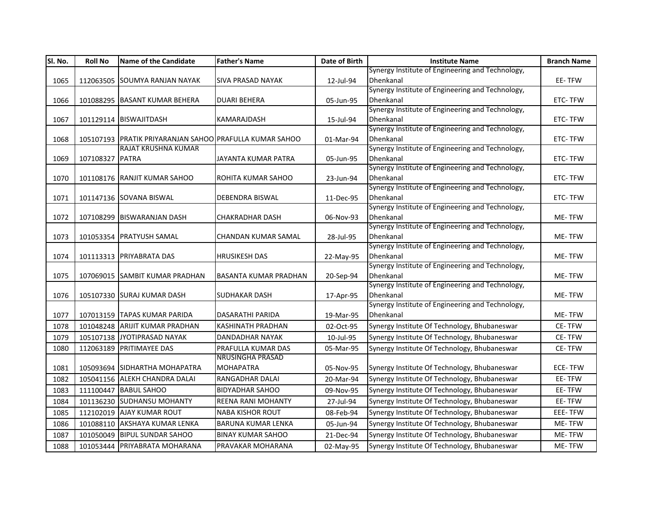| SI. No. | <b>Roll No</b>  | Name of the Candidate                                   | <b>Father's Name</b>         | Date of Birth | <b>Institute Name</b>                                         | <b>Branch Name</b> |
|---------|-----------------|---------------------------------------------------------|------------------------------|---------------|---------------------------------------------------------------|--------------------|
|         |                 |                                                         |                              |               | Synergy Institute of Engineering and Technology,              |                    |
| 1065    |                 | 112063505 SOUMYA RANJAN NAYAK                           | <b>SIVA PRASAD NAYAK</b>     | 12-Jul-94     | Dhenkanal                                                     | EE-TFW             |
|         |                 |                                                         |                              |               | Synergy Institute of Engineering and Technology,              |                    |
| 1066    |                 | 101088295 BASANT KUMAR BEHERA                           | <b>DUARI BEHERA</b>          | 05-Jun-95     | Dhenkanal                                                     | ETC-TFW            |
|         |                 |                                                         |                              |               | Synergy Institute of Engineering and Technology,              |                    |
| 1067    |                 | 101129114 BISWAJITDASH                                  | KAMARAJDASH                  | 15-Jul-94     | Dhenkanal                                                     | ETC-TFW            |
|         |                 |                                                         |                              |               | Synergy Institute of Engineering and Technology,              |                    |
| 1068    |                 | 105107193 PRATIK PRIYARANJAN SAHOO PRAFULLA KUMAR SAHOO |                              | 01-Mar-94     | Dhenkanal                                                     | ETC-TFW            |
|         |                 | RAJAT KRUSHNA KUMAR                                     |                              |               | Synergy Institute of Engineering and Technology,              |                    |
| 1069    | 107108327 PATRA |                                                         | JAYANTA KUMAR PATRA          | 05-Jun-95     | Dhenkanal                                                     | ETC-TFW            |
|         |                 |                                                         |                              |               | Synergy Institute of Engineering and Technology,              |                    |
| 1070    |                 | 101108176 RANJIT KUMAR SAHOO                            | ROHITA KUMAR SAHOO           | 23-Jun-94     | Dhenkanal                                                     | ETC-TFW            |
|         |                 |                                                         |                              |               | Synergy Institute of Engineering and Technology,              |                    |
| 1071    |                 | 101147136 SOVANA BISWAL                                 | DEBENDRA BISWAL              | 11-Dec-95     | Dhenkanal                                                     | <b>ETC-TFW</b>     |
|         |                 |                                                         |                              |               | Synergy Institute of Engineering and Technology,              |                    |
| 1072    |                 | 107108299 BISWARANJAN DASH                              | <b>CHAKRADHAR DASH</b>       | 06-Nov-93     | Dhenkanal                                                     | ME-TFW             |
|         |                 |                                                         |                              |               | Synergy Institute of Engineering and Technology,              |                    |
| 1073    |                 | 101053354 PRATYUSH SAMAL                                | CHANDAN KUMAR SAMAL          | 28-Jul-95     | Dhenkanal                                                     | ME-TFW             |
|         |                 |                                                         |                              |               | Synergy Institute of Engineering and Technology,              |                    |
| 1074    |                 | 101113313 PRIYABRATA DAS                                | <b>HRUSIKESH DAS</b>         | 22-May-95     | Dhenkanal                                                     | ME-TFW             |
|         |                 |                                                         |                              |               | Synergy Institute of Engineering and Technology,              |                    |
| 1075    |                 | 107069015 SAMBIT KUMAR PRADHAN                          | <b>BASANTA KUMAR PRADHAN</b> | 20-Sep-94     | Dhenkanal                                                     | ME-TFW             |
|         |                 |                                                         |                              |               | Synergy Institute of Engineering and Technology,              |                    |
| 1076    |                 | 105107330 SURAJ KUMAR DASH                              | <b>SUDHAKAR DASH</b>         | 17-Apr-95     | Dhenkanal<br>Synergy Institute of Engineering and Technology, | ME-TFW             |
|         |                 |                                                         |                              |               | Dhenkanal                                                     |                    |
| 1077    |                 | 107013159 TAPAS KUMAR PARIDA                            | DASARATHI PARIDA             | 19-Mar-95     |                                                               | <b>ME-TFW</b>      |
| 1078    |                 | 101048248 ARIJIT KUMAR PRADHAN                          | KASHINATH PRADHAN            | 02-Oct-95     | Synergy Institute Of Technology, Bhubaneswar                  | CE-TFW             |
| 1079    |                 | 105107138 JYOTIPRASAD NAYAK                             | DANDADHAR NAYAK              | 10-Jul-95     | Synergy Institute Of Technology, Bhubaneswar                  | CE-TFW             |
| 1080    |                 | 112063189 PRITIMAYEE DAS                                | PRAFULLA KUMAR DAS           | 05-Mar-95     | Synergy Institute Of Technology, Bhubaneswar                  | CE-TFW             |
|         |                 |                                                         | <b>NRUSINGHA PRASAD</b>      |               |                                                               |                    |
| 1081    |                 | 105093694 SIDHARTHA MOHAPATRA                           | <b>MOHAPATRA</b>             | 05-Nov-95     | Synergy Institute Of Technology, Bhubaneswar                  | <b>ECE-TFW</b>     |
| 1082    |                 | 105041156 ALEKH CHANDRA DALAI                           | RANGADHAR DALAI              | 20-Mar-94     | Synergy Institute Of Technology, Bhubaneswar                  | EE-TFW             |
| 1083    |                 | 111100447 BABUL SAHOO                                   | <b>BIDYADHAR SAHOO</b>       | 09-Nov-95     | Synergy Institute Of Technology, Bhubaneswar                  | EE-TFW             |
| 1084    |                 | 101136230 SUDHANSU MOHANTY                              | <b>REENA RANI MOHANTY</b>    | 27-Jul-94     | Synergy Institute Of Technology, Bhubaneswar                  | EE-TFW             |
| 1085    |                 | 112102019 AJAY KUMAR ROUT                               | <b>NABA KISHOR ROUT</b>      | 08-Feb-94     | Synergy Institute Of Technology, Bhubaneswar                  | EEE-TFW            |
| 1086    |                 | 101088110 AKSHAYA KUMAR LENKA                           | <b>BARUNA KUMAR LENKA</b>    | 05-Jun-94     | Synergy Institute Of Technology, Bhubaneswar                  | ME-TFW             |
| 1087    |                 | 101050049 BIPUL SUNDAR SAHOO                            | <b>BINAY KUMAR SAHOO</b>     | 21-Dec-94     | Synergy Institute Of Technology, Bhubaneswar                  | ME-TFW             |
| 1088    |                 | 101053444 PRIYABRATA MOHARANA                           | PRAVAKAR MOHARANA            | 02-May-95     | Synergy Institute Of Technology, Bhubaneswar                  | ME-TFW             |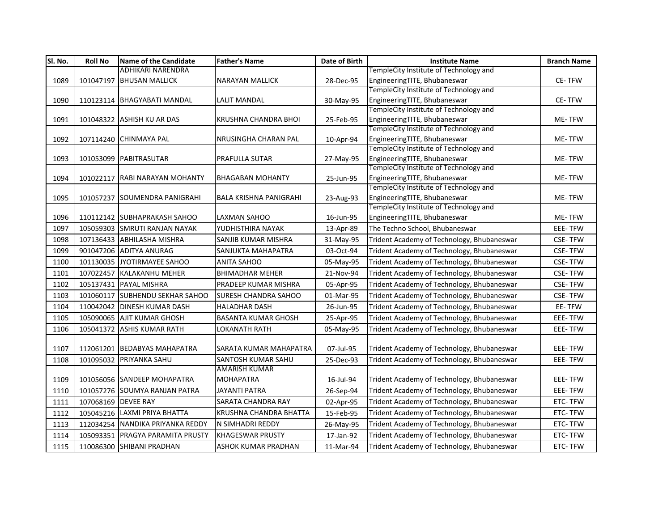| SI. No. | <b>Roll No</b>      | Name of the Candidate            | <b>Father's Name</b>          | Date of Birth | <b>Institute Name</b>                                                  | <b>Branch Name</b> |
|---------|---------------------|----------------------------------|-------------------------------|---------------|------------------------------------------------------------------------|--------------------|
|         |                     | <b>ADHIKARI NARENDRA</b>         |                               |               | TempleCity Institute of Technology and                                 |                    |
| 1089    | 101047197           | <b>BHUSAN MALLICK</b>            | <b>NARAYAN MALLICK</b>        | 28-Dec-95     | EngineeringTITE, Bhubaneswar                                           | <b>CE-TFW</b>      |
|         |                     |                                  |                               |               | TempleCity Institute of Technology and                                 |                    |
| 1090    |                     | 110123114 BHAGYABATI MANDAL      | <b>LALIT MANDAL</b>           | 30-May-95     | EngineeringTITE, Bhubaneswar                                           | CE-TFW             |
|         |                     |                                  |                               |               | TempleCity Institute of Technology and                                 |                    |
| 1091    |                     | 101048322 ASHISH KU AR DAS       | KRUSHNA CHANDRA BHOI          | 25-Feb-95     | EngineeringTITE, Bhubaneswar                                           | ME-TFW             |
|         |                     |                                  |                               |               | TempleCity Institute of Technology and                                 |                    |
| 1092    |                     | 107114240 CHINMAYA PAL           | NRUSINGHA CHARAN PAL          | 10-Apr-94     | EngineeringTITE, Bhubaneswar                                           | ME-TFW             |
|         |                     |                                  |                               |               | TempleCity Institute of Technology and                                 |                    |
| 1093    |                     | 101053099 PABITRASUTAR           | PRAFULLA SUTAR                | 27-May-95     | EngineeringTITE, Bhubaneswar                                           | ME-TFW             |
|         |                     |                                  |                               |               | TempleCity Institute of Technology and                                 |                    |
| 1094    |                     | 101022117 RABI NARAYAN MOHANTY   | <b>BHAGABAN MOHANTY</b>       | 25-Jun-95     | EngineeringTITE, Bhubaneswar<br>TempleCity Institute of Technology and | ME-TFW             |
| 1095    |                     | 101057237 SOUMENDRA PANIGRAHI    | <b>BALA KRISHNA PANIGRAHI</b> |               | EngineeringTITE, Bhubaneswar                                           | ME-TFW             |
|         |                     |                                  |                               | 23-Aug-93     | TempleCity Institute of Technology and                                 |                    |
| 1096    |                     | 110112142 SUBHAPRAKASH SAHOO     | LAXMAN SAHOO                  | 16-Jun-95     | EngineeringTITE, Bhubaneswar                                           | ME-TFW             |
| 1097    |                     | 105059303 SMRUTI RANJAN NAYAK    | YUDHISTHIRA NAYAK             | 13-Apr-89     | The Techno School, Bhubaneswar                                         | EEE-TFW            |
| 1098    |                     | 107136433 ABHILASHA MISHRA       | SANJIB KUMAR MISHRA           | 31-May-95     | Trident Academy of Technology, Bhubaneswar                             | <b>CSE-TFW</b>     |
| 1099    |                     | 901047206 ADITYA ANURAG          | SANJUKTA MAHAPATRA            | 03-Oct-94     | Trident Academy of Technology, Bhubaneswar                             | <b>CSE-TFW</b>     |
| 1100    |                     | 101130035 JYOTIRMAYEE SAHOO      | <b>ANITA SAHOO</b>            | 05-May-95     | Trident Academy of Technology, Bhubaneswar                             | <b>CSE-TFW</b>     |
| 1101    |                     | 107022457 KALAKANHU MEHER        | <b>BHIMADHAR MEHER</b>        | 21-Nov-94     | Trident Academy of Technology, Bhubaneswar                             | <b>CSE-TFW</b>     |
| 1102    |                     | 105137431 PAYAL MISHRA           | PRADEEP KUMAR MISHRA          | 05-Apr-95     | Trident Academy of Technology, Bhubaneswar                             | <b>CSE-TFW</b>     |
| 1103    |                     | 101060117 SUBHENDU SEKHAR SAHOO  | <b>SURESH CHANDRA SAHOO</b>   | 01-Mar-95     | Trident Academy of Technology, Bhubaneswar                             | <b>CSE-TFW</b>     |
| 1104    |                     | 110042042 DINESH KUMAR DASH      | <b>HALADHAR DASH</b>          | 26-Jun-95     | Trident Academy of Technology, Bhubaneswar                             | EE-TFW             |
| 1105    |                     | 105090065 AJIT KUMAR GHOSH       | <b>BASANTA KUMAR GHOSH</b>    | 25-Apr-95     | Trident Academy of Technology, Bhubaneswar                             | EEE-TFW            |
| 1106    |                     | 105041372 ASHIS KUMAR RATH       | <b>LOKANATH RATH</b>          | 05-May-95     | Trident Academy of Technology, Bhubaneswar                             | EEE-TFW            |
|         |                     |                                  |                               |               |                                                                        |                    |
| 1107    |                     | 112061201 BEDABYAS MAHAPATRA     | SARATA KUMAR MAHAPATRA        | 07-Jul-95     | Trident Academy of Technology, Bhubaneswar                             | EEE-TFW            |
| 1108    |                     | 101095032 PRIYANKA SAHU          | SANTOSH KUMAR SAHU            | 25-Dec-93     | Trident Academy of Technology, Bhubaneswar                             | EEE-TFW            |
|         |                     |                                  | AMARISH KUMAR                 |               |                                                                        |                    |
| 1109    |                     | 101056056 SANDEEP MOHAPATRA      | <b>MOHAPATRA</b>              | 16-Jul-94     | Trident Academy of Technology, Bhubaneswar                             | EEE-TFW            |
| 1110    |                     | 101057276 SOUMYA RANJAN PATRA    | JAYANTI PATRA                 | 26-Sep-94     | Trident Academy of Technology, Bhubaneswar                             | EEE-TFW            |
| 1111    | 107068169 DEVEE RAY |                                  | SARATA CHANDRA RAY            | 02-Apr-95     | Trident Academy of Technology, Bhubaneswar                             | ETC-TFW            |
| 1112    |                     | 105045216 LAXMI PRIYA BHATTA     | KRUSHNA CHANDRA BHATTA        | 15-Feb-95     | Trident Academy of Technology, Bhubaneswar                             | ETC-TFW            |
| 1113    |                     | 112034254 NANDIKA PRIYANKA REDDY | N SIMHADRI REDDY              | 26-May-95     | Trident Academy of Technology, Bhubaneswar                             | ETC-TFW            |
| 1114    |                     | 105093351 PRAGYA PARAMITA PRUSTY | <b>KHAGESWAR PRUSTY</b>       | 17-Jan-92     | Trident Academy of Technology, Bhubaneswar                             | ETC-TFW            |
| 1115    |                     | 110086300 SHIBANI PRADHAN        | ASHOK KUMAR PRADHAN           | 11-Mar-94     | Trident Academy of Technology, Bhubaneswar                             | ETC-TFW            |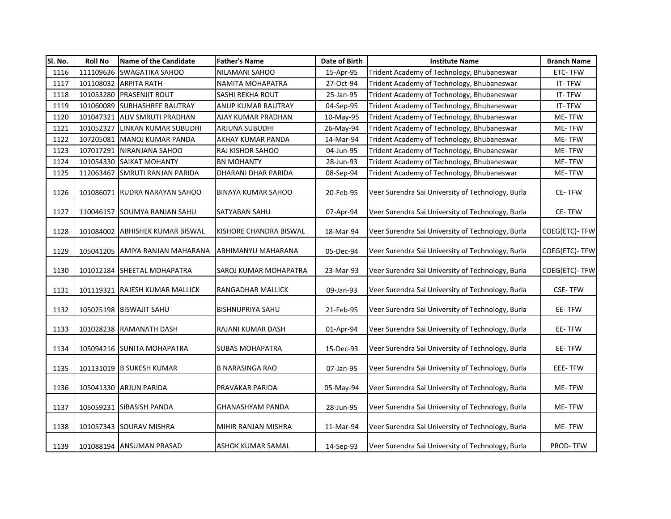| Sl. No. | <b>Roll No</b> | Name of the Candidate           | <b>Father's Name</b>      | Date of Birth | <b>Institute Name</b>                             | <b>Branch Name</b> |
|---------|----------------|---------------------------------|---------------------------|---------------|---------------------------------------------------|--------------------|
| 1116    |                | 111109636 SWAGATIKA SAHOO       | NILAMANI SAHOO            | 15-Apr-95     | Trident Academy of Technology, Bhubaneswar        | ETC-TFW            |
| 1117    | 101108032      | <b>ARPITA RATH</b>              | NAMITA MOHAPATRA          | 27-Oct-94     | Trident Academy of Technology, Bhubaneswar        | IT-TFW             |
| 1118    | 101053280      | <b>PRASENJIT ROUT</b>           | SASHI REKHA ROUT          | 25-Jan-95     | Trident Academy of Technology, Bhubaneswar        | IT-TFW             |
| 1119    | 101060089      | <b>SUBHASHREE RAUTRAY</b>       | ANUP KUMAR RAUTRAY        | 04-Sep-95     | Trident Academy of Technology, Bhubaneswar        | IT-TFW             |
| 1120    | 101047321      | ALIV SMRUTI PRADHAN             | AJAY KUMAR PRADHAN        | 10-May-95     | Trident Academy of Technology, Bhubaneswar        | ME-TFW             |
| 1121    | 101052327      | LINKAN KUMAR SUBUDHI            | ARJUNA SUBUDHI            | 26-May-94     | Trident Academy of Technology, Bhubaneswar        | ME-TFW             |
| 1122    | 107205081      | MANOJ KUMAR PANDA               | AKHAY KUMAR PANDA         | 14-Mar-94     | Trident Academy of Technology, Bhubaneswar        | ME-TFW             |
| 1123    | 107017291      | NIRANJANA SAHOO                 | RAJ KISHOR SAHOO          | 04-Jun-95     | Trident Academy of Technology, Bhubaneswar        | ME-TFW             |
| 1124    | 101054330      | <b>SAIKAT MOHANTY</b>           | BN MOHANTY                | 28-Jun-93     | Trident Academy of Technology, Bhubaneswar        | ME-TFW             |
| 1125    | 112063467      | SMRUTI RANJAN PARIDA            | DHARANI DHAR PARIDA       | 08-Sep-94     | Trident Academy of Technology, Bhubaneswar        | ME-TFW             |
| 1126    | 101086071      | RUDRA NARAYAN SAHOO             | <b>BINAYA KUMAR SAHOO</b> | 20-Feb-95     | Veer Surendra Sai University of Technology, Burla | <b>CE-TFW</b>      |
| 1127    | 110046157      | <b>SOUMYA RANJAN SAHU</b>       | SATYABAN SAHU             | 07-Apr-94     | Veer Surendra Sai University of Technology, Burla | CE-TFW             |
| 1128    |                | 101084002 ABHISHEK KUMAR BISWAL | KISHORE CHANDRA BISWAL    | 18-Mar-94     | Veer Surendra Sai University of Technology, Burla | COEG(ETC)-TFW      |
| 1129    |                | 105041205 AMIYA RANJAN MAHARANA | ABHIMANYU MAHARANA        | 05-Dec-94     | Veer Surendra Sai University of Technology, Burla | COEG(ETC)- TFW     |
| 1130    |                | 101012184 SHEETAL MOHAPATRA     | SAROJ KUMAR MOHAPATRA     | 23-Mar-93     | Veer Surendra Sai University of Technology, Burla | COEG(ETC)- TFW     |
| 1131    |                | 101119321 RAJESH KUMAR MALLICK  | RANGADHAR MALLICK         | 09-Jan-93     | Veer Surendra Sai University of Technology, Burla | <b>CSE-TFW</b>     |
| 1132    |                | 105025198 BISWAJIT SAHU         | <b>BISHNUPRIYA SAHU</b>   | 21-Feb-95     | Veer Surendra Sai University of Technology, Burla | EE-TFW             |
| 1133    |                | 101028238 RAMANATH DASH         | RAJANI KUMAR DASH         | 01-Apr-94     | Veer Surendra Sai University of Technology, Burla | EE-TFW             |
| 1134    |                | 105094216 SUNITA MOHAPATRA      | <b>SUBAS MOHAPATRA</b>    | 15-Dec-93     | Veer Surendra Sai University of Technology, Burla | EE-TFW             |
| 1135    |                | 101131019 B SUKESH KUMAR        | <b>B NARASINGA RAO</b>    | 07-Jan-95     | Veer Surendra Sai University of Technology, Burla | EEE-TFW            |
| 1136    |                | 105041330 ARJUN PARIDA          | PRAVAKAR PARIDA           | 05-May-94     | Veer Surendra Sai University of Technology, Burla | ME-TFW             |
| 1137    | 105059231      | <b>SIBASISH PANDA</b>           | GHANASHYAM PANDA          | 28-Jun-95     | Veer Surendra Sai University of Technology, Burla | ME-TFW             |
| 1138    |                | 101057343 SOURAV MISHRA         | MIHIR RANJAN MISHRA       | 11-Mar-94     | Veer Surendra Sai University of Technology, Burla | ME-TFW             |
| 1139    |                | 101088194 ANSUMAN PRASAD        | ASHOK KUMAR SAMAL         | 14-Sep-93     | Veer Surendra Sai University of Technology, Burla | PROD-TFW           |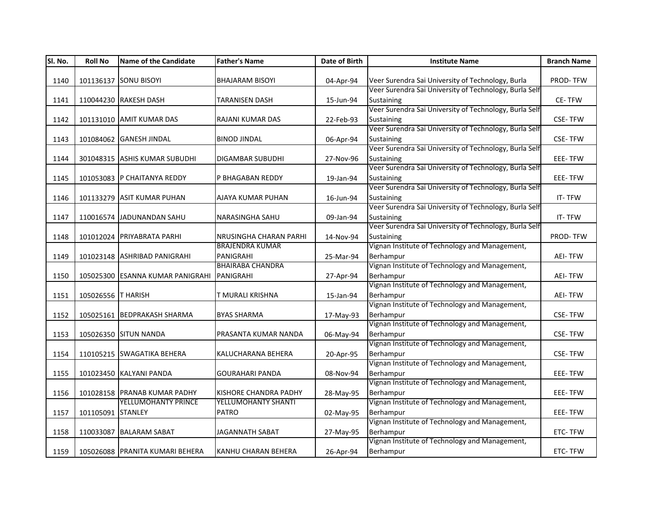| SI. No. | <b>Roll No</b>     | <b>Name of the Candidate</b>     | <b>Father's Name</b>    | Date of Birth | <b>Institute Name</b>                                  | <b>Branch Name</b> |
|---------|--------------------|----------------------------------|-------------------------|---------------|--------------------------------------------------------|--------------------|
|         |                    |                                  |                         |               |                                                        |                    |
| 1140    |                    | 101136137 SONU BISOYI            | <b>BHAJARAM BISOYI</b>  | 04-Apr-94     | Veer Surendra Sai University of Technology, Burla      | PROD-TFW           |
|         |                    |                                  |                         |               | Veer Surendra Sai University of Technology, Burla Self |                    |
| 1141    |                    | 110044230 RAKESH DASH            | TARANISEN DASH          | 15-Jun-94     | Sustaining                                             | CE-TFW             |
|         |                    |                                  |                         |               | Veer Surendra Sai University of Technology, Burla Self |                    |
| 1142    |                    | 101131010 AMIT KUMAR DAS         | RAJANI KUMAR DAS        | 22-Feb-93     | Sustaining                                             | <b>CSE-TFW</b>     |
|         |                    |                                  |                         |               | Veer Surendra Sai University of Technology, Burla Self |                    |
| 1143    |                    | 101084062 GANESH JINDAL          | <b>BINOD JINDAL</b>     | 06-Apr-94     | Sustaining                                             | <b>CSE-TFW</b>     |
|         |                    |                                  |                         |               | Veer Surendra Sai University of Technology, Burla Self |                    |
| 1144    |                    | 301048315 ASHIS KUMAR SUBUDHI    | DIGAMBAR SUBUDHI        | 27-Nov-96     | Sustaining                                             | EEE-TFW            |
|         |                    |                                  |                         |               | Veer Surendra Sai University of Technology, Burla Self |                    |
| 1145    |                    | 101053083 P CHAITANYA REDDY      | P BHAGABAN REDDY        | 19-Jan-94     | Sustaining                                             | EEE-TFW            |
|         |                    |                                  |                         |               | Veer Surendra Sai University of Technology, Burla Self |                    |
| 1146    |                    | 101133279 ASIT KUMAR PUHAN       | AJAYA KUMAR PUHAN       | 16-Jun-94     | Sustaining                                             | IT-TFW             |
|         |                    |                                  |                         |               | Veer Surendra Sai University of Technology, Burla Self |                    |
| 1147    |                    | 110016574 JADUNANDAN SAHU        | NARASINGHA SAHU         | 09-Jan-94     | <b>Sustaining</b>                                      | IT-TFW             |
|         |                    |                                  |                         |               | Veer Surendra Sai University of Technology, Burla Self |                    |
| 1148    |                    | 101012024 PRIYABRATA PARHI       | NRUSINGHA CHARAN PARHI  | 14-Nov-94     | Sustaining                                             | <b>PROD-TFW</b>    |
|         |                    |                                  | <b>BRAJENDRA KUMAR</b>  |               | Vignan Institute of Technology and Management,         |                    |
| 1149    |                    | 101023148 ASHRIBAD PANIGRAHI     | PANIGRAHI               | 25-Mar-94     | Berhampur                                              | <b>AEI-TFW</b>     |
|         |                    |                                  | <b>BHAIRABA CHANDRA</b> |               | Vignan Institute of Technology and Management,         |                    |
| 1150    |                    | 105025300 ESANNA KUMAR PANIGRAHI | PANIGRAHI               | 27-Apr-94     | Berhampur                                              | <b>AEI-TFW</b>     |
|         |                    |                                  |                         |               | Vignan Institute of Technology and Management,         |                    |
| 1151    | 105026556 T HARISH |                                  | T MURALI KRISHNA        | 15-Jan-94     | Berhampur                                              | <b>AEI-TFW</b>     |
|         |                    |                                  |                         |               | Vignan Institute of Technology and Management,         |                    |
| 1152    |                    | 105025161 BEDPRAKASH SHARMA      | <b>BYAS SHARMA</b>      | 17-May-93     | Berhampur                                              | <b>CSE-TFW</b>     |
|         |                    |                                  |                         |               | Vignan Institute of Technology and Management,         |                    |
| 1153    |                    | 105026350 SITUN NANDA            | PRASANTA KUMAR NANDA    | 06-May-94     | Berhampur                                              | <b>CSE-TFW</b>     |
|         |                    |                                  |                         |               | Vignan Institute of Technology and Management,         |                    |
| 1154    |                    | 110105215 SWAGATIKA BEHERA       | KALUCHARANA BEHERA      | 20-Apr-95     | Berhampur                                              | <b>CSE-TFW</b>     |
|         |                    |                                  |                         |               | Vignan Institute of Technology and Management,         |                    |
| 1155    |                    | 101023450 KALYANI PANDA          | <b>GOURAHARI PANDA</b>  | 08-Nov-94     | Berhampur                                              | EEE-TFW            |
|         |                    |                                  |                         |               | Vignan Institute of Technology and Management,         |                    |
| 1156    |                    | 101028158 PRANAB KUMAR PADHY     | KISHORE CHANDRA PADHY   | 28-May-95     | Berhampur                                              | <b>EEE-TFW</b>     |
|         |                    | YELLUMOHANTY PRINCE              | YELLUMOHANTY SHANTI     |               | Vignan Institute of Technology and Management,         |                    |
| 1157    | 101105091 STANLEY  |                                  | <b>PATRO</b>            | 02-May-95     | Berhampur                                              | EEE-TFW            |
|         |                    |                                  |                         |               | Vignan Institute of Technology and Management,         |                    |
| 1158    |                    | 110033087 BALARAM SABAT          | JAGANNATH SABAT         | 27-May-95     | Berhampur                                              | ETC-TFW            |
|         |                    |                                  |                         |               | Vignan Institute of Technology and Management,         |                    |
| 1159    |                    | 105026088 PRANITA KUMARI BEHERA  | KANHU CHARAN BEHERA     | 26-Apr-94     | Berhampur                                              | ETC-TFW            |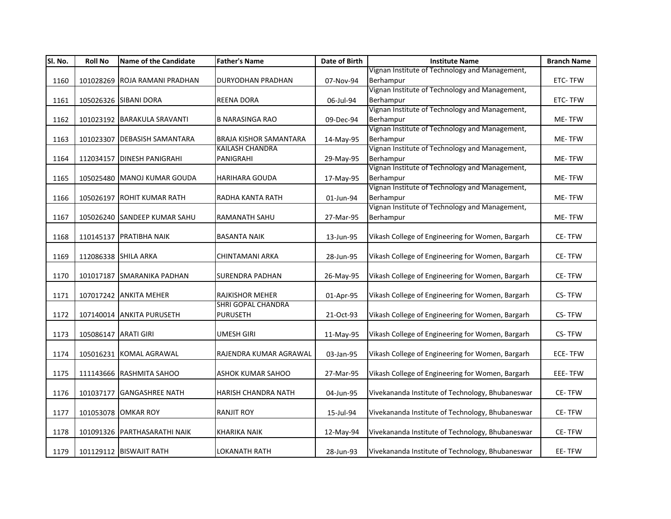| SI. No. | <b>Roll No</b>       | <b>Name of the Candidate</b>  | <b>Father's Name</b>          | Date of Birth | <b>Institute Name</b>                            | <b>Branch Name</b> |
|---------|----------------------|-------------------------------|-------------------------------|---------------|--------------------------------------------------|--------------------|
|         |                      |                               |                               |               | Vignan Institute of Technology and Management,   |                    |
| 1160    |                      | 101028269 ROJA RAMANI PRADHAN | <b>DURYODHAN PRADHAN</b>      | 07-Nov-94     | Berhampur                                        | ETC-TFW            |
|         |                      |                               |                               |               | Vignan Institute of Technology and Management,   |                    |
| 1161    |                      | 105026326 SIBANI DORA         | <b>REENA DORA</b>             | 06-Jul-94     | Berhampur                                        | ETC-TFW            |
|         |                      |                               |                               |               | Vignan Institute of Technology and Management,   |                    |
| 1162    |                      | 101023192 BARAKULA SRAVANTI   | <b>B NARASINGA RAO</b>        | 09-Dec-94     | Berhampur                                        | ME-TFW             |
|         |                      |                               |                               |               | Vignan Institute of Technology and Management,   |                    |
| 1163    |                      | 101023307 DEBASISH SAMANTARA  | <b>BRAJA KISHOR SAMANTARA</b> | 14-May-95     | Berhampur                                        | ME-TFW             |
|         |                      |                               | <b>KAILASH CHANDRA</b>        |               | Vignan Institute of Technology and Management,   |                    |
| 1164    |                      | 112034157 DINESH PANIGRAHI    | PANIGRAHI                     | 29-May-95     | Berhampur                                        | ME-TFW             |
|         |                      |                               |                               |               | Vignan Institute of Technology and Management,   |                    |
| 1165    |                      | 105025480 MANOJ KUMAR GOUDA   | <b>HARIHARA GOUDA</b>         | 17-May-95     | Berhampur                                        | ME-TFW             |
|         |                      |                               |                               |               | Vignan Institute of Technology and Management,   |                    |
| 1166    |                      | 105026197 ROHIT KUMAR RATH    | RADHA KANTA RATH              | 01-Jun-94     | Berhampur                                        | ME-TFW             |
|         |                      |                               |                               |               | Vignan Institute of Technology and Management,   |                    |
| 1167    |                      | 105026240 SANDEEP KUMAR SAHU  | RAMANATH SAHU                 | 27-Mar-95     | Berhampur                                        | ME-TFW             |
|         |                      |                               |                               |               |                                                  |                    |
| 1168    |                      | 110145137 PRATIBHA NAIK       | <b>BASANTA NAIK</b>           | 13-Jun-95     | Vikash College of Engineering for Women, Bargarh | CE-TFW             |
|         |                      |                               |                               |               |                                                  |                    |
| 1169    |                      | 112086338 SHILA ARKA          | CHINTAMANI ARKA               | 28-Jun-95     | Vikash College of Engineering for Women, Bargarh | CE-TFW             |
|         |                      |                               |                               |               | Vikash College of Engineering for Women, Bargarh |                    |
| 1170    |                      | 101017187 SMARANIKA PADHAN    | <b>SURENDRA PADHAN</b>        | 26-May-95     |                                                  | CE-TFW             |
| 1171    |                      | 107017242 ANKITA MEHER        | <b>RAJKISHOR MEHER</b>        | 01-Apr-95     | Vikash College of Engineering for Women, Bargarh | CS-TFW             |
|         |                      |                               | SHRI GOPAL CHANDRA            |               |                                                  |                    |
| 1172    |                      | 107140014 ANKITA PURUSETH     | <b>PURUSETH</b>               | 21-Oct-93     | Vikash College of Engineering for Women, Bargarh | CS-TFW             |
|         |                      |                               |                               |               |                                                  |                    |
| 1173    | 105086147 ARATI GIRI |                               | <b>UMESH GIRI</b>             | 11-May-95     | Vikash College of Engineering for Women, Bargarh | CS-TFW             |
|         |                      |                               |                               |               |                                                  |                    |
| 1174    |                      | 105016231 KOMAL AGRAWAL       | RAJENDRA KUMAR AGRAWAL        | 03-Jan-95     | Vikash College of Engineering for Women, Bargarh | ECE-TFW            |
|         |                      |                               |                               |               |                                                  |                    |
| 1175    |                      | 111143666 RASHMITA SAHOO      | <b>ASHOK KUMAR SAHOO</b>      | 27-Mar-95     | Vikash College of Engineering for Women, Bargarh | EEE-TFW            |
|         |                      |                               |                               |               |                                                  |                    |
| 1176    |                      | 101037177 GANGASHREE NATH     | HARISH CHANDRA NATH           | 04-Jun-95     | Vivekananda Institute of Technology, Bhubaneswar | CE-TFW             |
|         |                      |                               |                               |               |                                                  |                    |
| 1177    |                      | 101053078 OMKAR ROY           | <b>RANJIT ROY</b>             | 15-Jul-94     | Vivekananda Institute of Technology, Bhubaneswar | CE-TFW             |
|         |                      |                               |                               |               |                                                  |                    |
| 1178    |                      | 101091326 PARTHASARATHI NAIK  | <b>KHARIKA NAIK</b>           | 12-May-94     | Vivekananda Institute of Technology, Bhubaneswar | CE-TFW             |
|         |                      |                               |                               |               |                                                  |                    |
| 1179    |                      | 101129112 BISWAJIT RATH       | <b>LOKANATH RATH</b>          | 28-Jun-93     | Vivekananda Institute of Technology, Bhubaneswar | EE-TFW             |